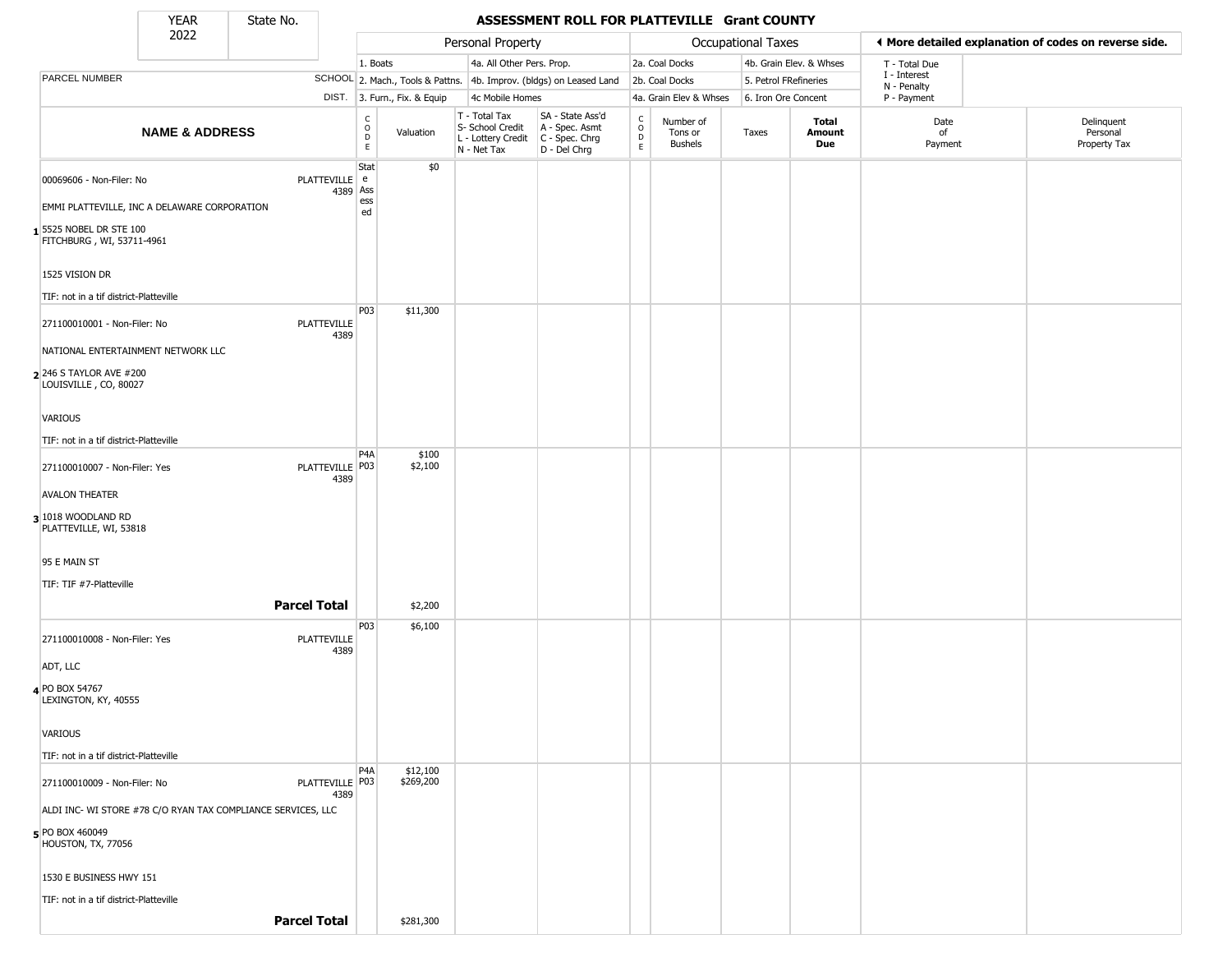State No.

Г

## YEAR **ASSESSMENT ROLL FOR PLATTEVILLE Grant COUNTY**

|                                                                    | 2022                      | --------            |                            |                                                          |                              | Personal Property                                                      |                                                                      |                                                |                                        | Occupational Taxes    |                         |                             | ♦ More detailed explanation of codes on reverse side. |
|--------------------------------------------------------------------|---------------------------|---------------------|----------------------------|----------------------------------------------------------|------------------------------|------------------------------------------------------------------------|----------------------------------------------------------------------|------------------------------------------------|----------------------------------------|-----------------------|-------------------------|-----------------------------|-------------------------------------------------------|
|                                                                    |                           |                     |                            | 1. Boats                                                 |                              | 4a. All Other Pers. Prop.                                              |                                                                      |                                                | 2a. Coal Docks                         |                       | 4b. Grain Elev. & Whses | T - Total Due               |                                                       |
| PARCEL NUMBER                                                      |                           |                     |                            |                                                          |                              |                                                                        | SCHOOL 2. Mach., Tools & Pattns. 4b. Improv. (bldgs) on Leased Land  |                                                | 2b. Coal Docks                         | 5. Petrol FRefineries |                         | I - Interest<br>N - Penalty |                                                       |
|                                                                    |                           |                     |                            |                                                          | DIST. 3. Furn., Fix. & Equip | 4c Mobile Homes                                                        |                                                                      |                                                | 4a. Grain Elev & Whses                 | 6. Iron Ore Concent   |                         | P - Payment                 |                                                       |
|                                                                    | <b>NAME &amp; ADDRESS</b> |                     |                            | $\begin{matrix} 0 \\ 0 \\ D \end{matrix}$<br>$\mathsf E$ | Valuation                    | T - Total Tax<br>S- School Credit<br>L - Lottery Credit<br>N - Net Tax | SA - State Ass'd<br>A - Spec. Asmt<br>C - Spec. Chrg<br>D - Del Chrg | $\begin{matrix} 0 \\ 0 \\ D \end{matrix}$<br>E | Number of<br>Tons or<br><b>Bushels</b> | Taxes                 | Total<br>Amount<br>Due  | Date<br>of<br>Payment       | Delinquent<br>Personal<br>Property Tax                |
| 00069606 - Non-Filer: No                                           |                           |                     | PLATTEVILLE e<br>4389 Ass  | Stat                                                     | \$0                          |                                                                        |                                                                      |                                                |                                        |                       |                         |                             |                                                       |
| EMMI PLATTEVILLE, INC A DELAWARE CORPORATION                       |                           |                     |                            | ess<br>ed                                                |                              |                                                                        |                                                                      |                                                |                                        |                       |                         |                             |                                                       |
| 5525 NOBEL DR STE 100<br>FITCHBURG, WI, 53711-4961                 |                           |                     |                            |                                                          |                              |                                                                        |                                                                      |                                                |                                        |                       |                         |                             |                                                       |
| 1525 VISION DR                                                     |                           |                     |                            |                                                          |                              |                                                                        |                                                                      |                                                |                                        |                       |                         |                             |                                                       |
| TIF: not in a tif district-Platteville                             |                           |                     |                            | P03                                                      | \$11,300                     |                                                                        |                                                                      |                                                |                                        |                       |                         |                             |                                                       |
| 271100010001 - Non-Filer: No<br>NATIONAL ENTERTAINMENT NETWORK LLC |                           |                     | <b>PLATTEVILLE</b><br>4389 |                                                          |                              |                                                                        |                                                                      |                                                |                                        |                       |                         |                             |                                                       |
| 2 246 S TAYLOR AVE #200<br>LOUISVILLE, CO, 80027                   |                           |                     |                            |                                                          |                              |                                                                        |                                                                      |                                                |                                        |                       |                         |                             |                                                       |
| VARIOUS                                                            |                           |                     |                            |                                                          |                              |                                                                        |                                                                      |                                                |                                        |                       |                         |                             |                                                       |
| TIF: not in a tif district-Platteville                             |                           |                     |                            |                                                          |                              |                                                                        |                                                                      |                                                |                                        |                       |                         |                             |                                                       |
| 271100010007 - Non-Filer: Yes                                      |                           |                     | PLATTEVILLE P03<br>4389    | P <sub>4</sub> A                                         | \$100<br>\$2,100             |                                                                        |                                                                      |                                                |                                        |                       |                         |                             |                                                       |
| <b>AVALON THEATER</b>                                              |                           |                     |                            |                                                          |                              |                                                                        |                                                                      |                                                |                                        |                       |                         |                             |                                                       |
| 3 1018 WOODLAND RD<br>PLATTEVILLE, WI, 53818                       |                           |                     |                            |                                                          |                              |                                                                        |                                                                      |                                                |                                        |                       |                         |                             |                                                       |
| 95 E MAIN ST                                                       |                           |                     |                            |                                                          |                              |                                                                        |                                                                      |                                                |                                        |                       |                         |                             |                                                       |
| TIF: TIF #7-Platteville                                            |                           |                     |                            |                                                          |                              |                                                                        |                                                                      |                                                |                                        |                       |                         |                             |                                                       |
|                                                                    |                           | <b>Parcel Total</b> |                            |                                                          | \$2,200                      |                                                                        |                                                                      |                                                |                                        |                       |                         |                             |                                                       |
| 271100010008 - Non-Filer: Yes                                      |                           |                     | <b>PLATTEVILLE</b><br>4389 | P <sub>03</sub>                                          | \$6,100                      |                                                                        |                                                                      |                                                |                                        |                       |                         |                             |                                                       |
| ADT, LLC                                                           |                           |                     |                            |                                                          |                              |                                                                        |                                                                      |                                                |                                        |                       |                         |                             |                                                       |
| 4 PO BOX 54767<br>LEXINGTON, KY, 40555                             |                           |                     |                            |                                                          |                              |                                                                        |                                                                      |                                                |                                        |                       |                         |                             |                                                       |
| <b>VARIOUS</b>                                                     |                           |                     |                            |                                                          |                              |                                                                        |                                                                      |                                                |                                        |                       |                         |                             |                                                       |
| TIF: not in a tif district-Platteville                             |                           |                     |                            |                                                          |                              |                                                                        |                                                                      |                                                |                                        |                       |                         |                             |                                                       |
| 271100010009 - Non-Filer: No                                       |                           |                     | PLATTEVILLE   P03<br>4389  | P <sub>4</sub> A                                         | \$12,100<br>\$269,200        |                                                                        |                                                                      |                                                |                                        |                       |                         |                             |                                                       |
| ALDI INC- WI STORE #78 C/O RYAN TAX COMPLIANCE SERVICES, LLC       |                           |                     |                            |                                                          |                              |                                                                        |                                                                      |                                                |                                        |                       |                         |                             |                                                       |
| 5 PO BOX 460049<br>HOUSTON, TX, 77056                              |                           |                     |                            |                                                          |                              |                                                                        |                                                                      |                                                |                                        |                       |                         |                             |                                                       |
| 1530 E BUSINESS HWY 151                                            |                           |                     |                            |                                                          |                              |                                                                        |                                                                      |                                                |                                        |                       |                         |                             |                                                       |
| TIF: not in a tif district-Platteville                             |                           |                     |                            |                                                          |                              |                                                                        |                                                                      |                                                |                                        |                       |                         |                             |                                                       |
|                                                                    |                           | <b>Parcel Total</b> |                            |                                                          | \$281,300                    |                                                                        |                                                                      |                                                |                                        |                       |                         |                             |                                                       |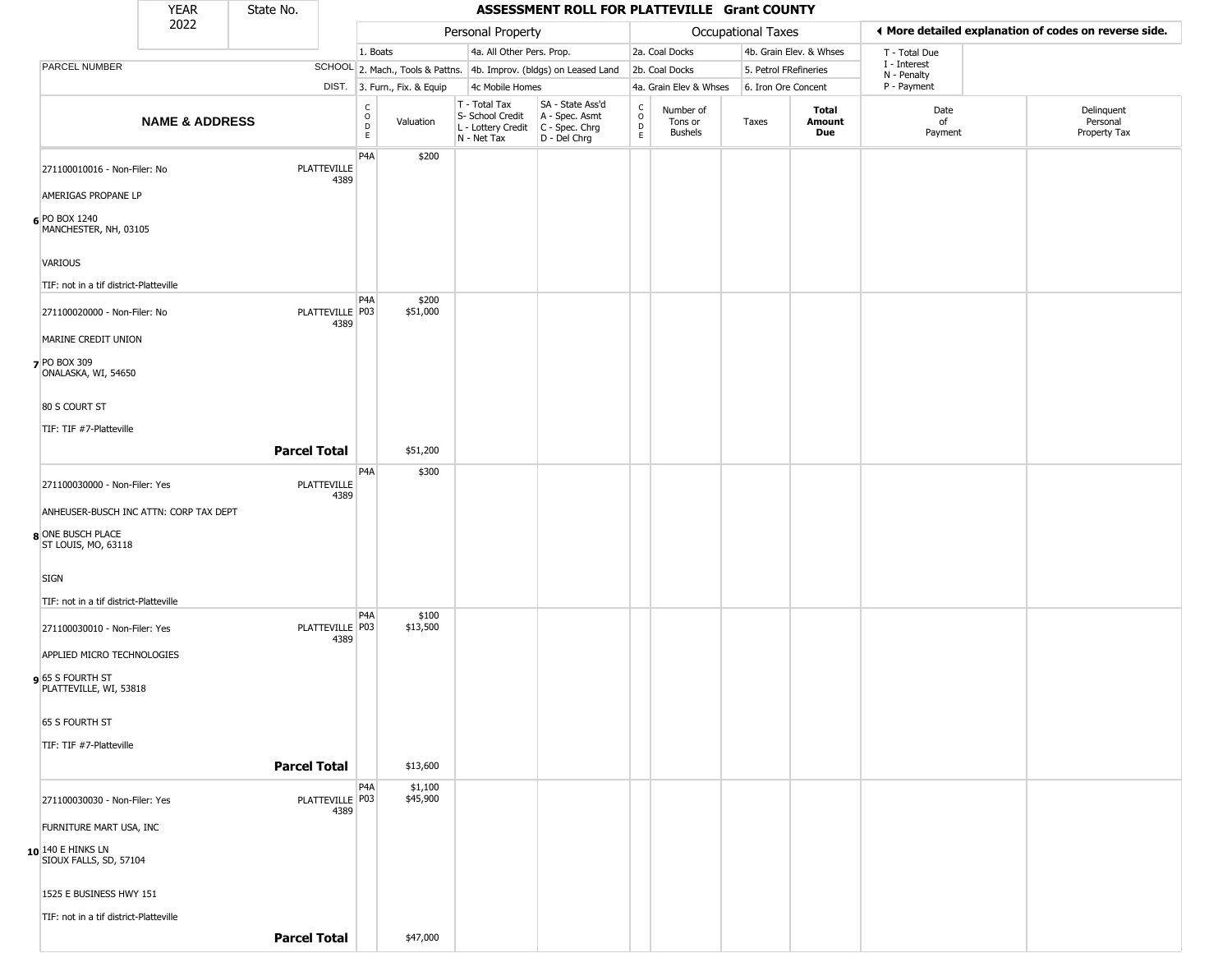|                                                                                                                 | <b>YEAR</b>               | State No.           |                            |                                                 |                              |                                                                        | ASSESSMENT ROLL FOR PLATTEVILLE Grant COUNTY                           |                                             |                                        |                    |                         |                             |                                                       |
|-----------------------------------------------------------------------------------------------------------------|---------------------------|---------------------|----------------------------|-------------------------------------------------|------------------------------|------------------------------------------------------------------------|------------------------------------------------------------------------|---------------------------------------------|----------------------------------------|--------------------|-------------------------|-----------------------------|-------------------------------------------------------|
|                                                                                                                 | 2022                      |                     |                            |                                                 |                              | Personal Property                                                      |                                                                        |                                             |                                        | Occupational Taxes |                         |                             | ◀ More detailed explanation of codes on reverse side. |
|                                                                                                                 |                           |                     |                            | 1. Boats                                        |                              | 4a. All Other Pers. Prop.                                              |                                                                        |                                             | 2a. Coal Docks                         |                    | 4b. Grain Elev. & Whses | T - Total Due               |                                                       |
| PARCEL NUMBER                                                                                                   |                           |                     |                            |                                                 |                              |                                                                        | SCHOOL 2. Mach., Tools & Pattns. 4b. Improv. (bldgs) on Leased Land    |                                             | 2b. Coal Docks                         |                    | 5. Petrol FRefineries   | I - Interest<br>N - Penalty |                                                       |
|                                                                                                                 |                           |                     |                            |                                                 | DIST. 3. Furn., Fix. & Equip | 4c Mobile Homes                                                        |                                                                        |                                             | 4a. Grain Elev & Whses                 |                    | 6. Iron Ore Concent     | P - Payment                 |                                                       |
|                                                                                                                 | <b>NAME &amp; ADDRESS</b> |                     |                            | $\begin{array}{c} C \\ O \\ D \\ E \end{array}$ | Valuation                    | T - Total Tax<br>S- School Credit<br>L - Lottery Credit<br>N - Net Tax | SA - State Ass'd<br>A - Spec. Asmt<br>C - Spec. Chrg<br>$D - Del Chrg$ | $\mathsf{C}$<br>$\circ$<br>$\mathsf D$<br>E | Number of<br>Tons or<br><b>Bushels</b> | Taxes              | Total<br>Amount<br>Due  | Date<br>of<br>Payment       | Delinquent<br>Personal<br>Property Tax                |
| 271100010016 - Non-Filer: No<br>AMERIGAS PROPANE LP<br>6 PO BOX 1240<br>MANCHESTER, NH, 03105<br><b>VARIOUS</b> |                           |                     | <b>PLATTEVILLE</b><br>4389 | P <sub>4</sub> A                                | \$200                        |                                                                        |                                                                        |                                             |                                        |                    |                         |                             |                                                       |
| TIF: not in a tif district-Platteville<br>271100020000 - Non-Filer: No                                          |                           |                     | PLATTEVILLE P03<br>4389    | P <sub>4</sub> A                                | \$200<br>\$51,000            |                                                                        |                                                                        |                                             |                                        |                    |                         |                             |                                                       |
| MARINE CREDIT UNION<br><b>7</b> PO BOX 309<br>ONALASKA, WI, 54650                                               |                           |                     |                            |                                                 |                              |                                                                        |                                                                        |                                             |                                        |                    |                         |                             |                                                       |
| 80 S COURT ST                                                                                                   |                           |                     |                            |                                                 |                              |                                                                        |                                                                        |                                             |                                        |                    |                         |                             |                                                       |
| TIF: TIF #7-Platteville                                                                                         |                           |                     |                            |                                                 |                              |                                                                        |                                                                        |                                             |                                        |                    |                         |                             |                                                       |
|                                                                                                                 |                           | <b>Parcel Total</b> |                            |                                                 | \$51,200                     |                                                                        |                                                                        |                                             |                                        |                    |                         |                             |                                                       |
| 271100030000 - Non-Filer: Yes<br>ANHEUSER-BUSCH INC ATTN: CORP TAX DEPT                                         |                           |                     | <b>PLATTEVILLE</b><br>4389 | P4A                                             | \$300                        |                                                                        |                                                                        |                                             |                                        |                    |                         |                             |                                                       |
| 8 ONE BUSCH PLACE<br>ST LOUIS, MO, 63118                                                                        |                           |                     |                            |                                                 |                              |                                                                        |                                                                        |                                             |                                        |                    |                         |                             |                                                       |
| <b>SIGN</b><br>TIF: not in a tif district-Platteville                                                           |                           |                     |                            |                                                 |                              |                                                                        |                                                                        |                                             |                                        |                    |                         |                             |                                                       |
| 271100030010 - Non-Filer: Yes<br>APPLIED MICRO TECHNOLOGIES                                                     |                           |                     | PLATTEVILLE P03<br>4389    | P <sub>4</sub> A                                | \$100<br>\$13,500            |                                                                        |                                                                        |                                             |                                        |                    |                         |                             |                                                       |
| 9 65 S FOURTH ST<br>PLATTEVILLE, WI, 53818                                                                      |                           |                     |                            |                                                 |                              |                                                                        |                                                                        |                                             |                                        |                    |                         |                             |                                                       |
| 65 S FOURTH ST                                                                                                  |                           |                     |                            |                                                 |                              |                                                                        |                                                                        |                                             |                                        |                    |                         |                             |                                                       |
| TIF: TIF #7-Platteville                                                                                         |                           |                     |                            |                                                 |                              |                                                                        |                                                                        |                                             |                                        |                    |                         |                             |                                                       |
|                                                                                                                 |                           | <b>Parcel Total</b> |                            |                                                 | \$13,600                     |                                                                        |                                                                        |                                             |                                        |                    |                         |                             |                                                       |
| 271100030030 - Non-Filer: Yes<br>FURNITURE MART USA, INC                                                        |                           |                     | PLATTEVILLE P03<br>4389    | P4A                                             | \$1,100<br>\$45,900          |                                                                        |                                                                        |                                             |                                        |                    |                         |                             |                                                       |
| 10 140 E HINKS LN<br>SIOUX FALLS, SD, 57104                                                                     |                           |                     |                            |                                                 |                              |                                                                        |                                                                        |                                             |                                        |                    |                         |                             |                                                       |
| 1525 E BUSINESS HWY 151                                                                                         |                           |                     |                            |                                                 |                              |                                                                        |                                                                        |                                             |                                        |                    |                         |                             |                                                       |
| TIF: not in a tif district-Platteville                                                                          |                           |                     |                            |                                                 |                              |                                                                        |                                                                        |                                             |                                        |                    |                         |                             |                                                       |
|                                                                                                                 |                           | <b>Parcel Total</b> |                            |                                                 | \$47,000                     |                                                                        |                                                                        |                                             |                                        |                    |                         |                             |                                                       |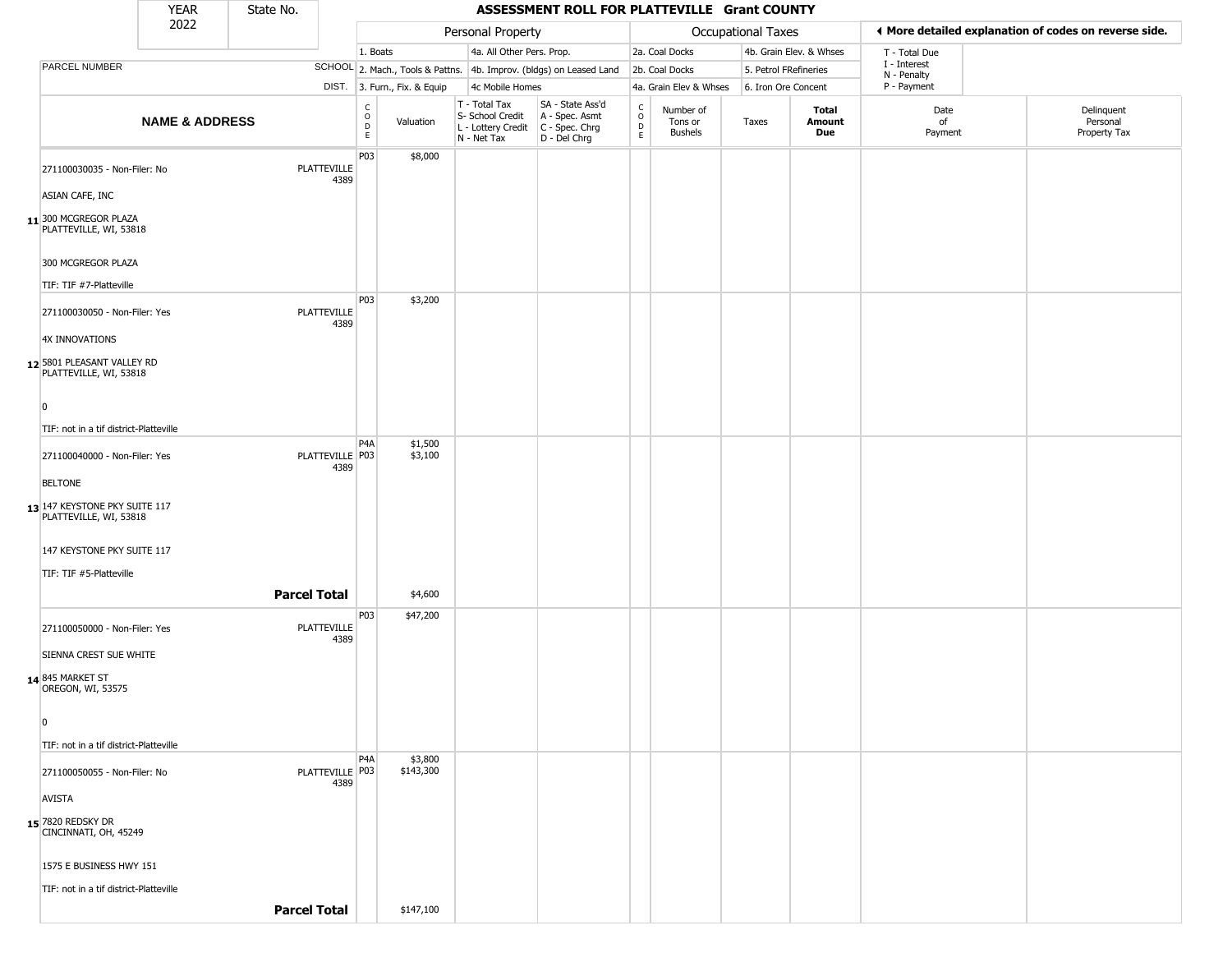|                |                                                         | <b>YEAR</b>               | State No.           |                          |                              |                                                  | ASSESSMENT ROLL FOR PLATTEVILLE Grant COUNTY                                                |                        |                                 |                       |                         |                             |                                                       |
|----------------|---------------------------------------------------------|---------------------------|---------------------|--------------------------|------------------------------|--------------------------------------------------|---------------------------------------------------------------------------------------------|------------------------|---------------------------------|-----------------------|-------------------------|-----------------------------|-------------------------------------------------------|
|                |                                                         | 2022                      |                     |                          |                              | Personal Property                                |                                                                                             |                        |                                 | Occupational Taxes    |                         |                             | ♦ More detailed explanation of codes on reverse side. |
|                |                                                         |                           |                     | 1. Boats                 |                              | 4a. All Other Pers. Prop.                        |                                                                                             |                        | 2a. Coal Docks                  |                       | 4b. Grain Elev. & Whses | T - Total Due               |                                                       |
|                | PARCEL NUMBER                                           |                           |                     |                          |                              |                                                  | SCHOOL 2. Mach., Tools & Pattns. 4b. Improv. (bldgs) on Leased Land                         |                        | 2b. Coal Docks                  | 5. Petrol FRefineries |                         | I - Interest<br>N - Penalty |                                                       |
|                |                                                         |                           |                     |                          | DIST. 3. Furn., Fix. & Equip | 4c Mobile Homes                                  |                                                                                             |                        | 4a. Grain Elev & Whses          | 6. Iron Ore Concent   |                         | P - Payment                 |                                                       |
|                |                                                         | <b>NAME &amp; ADDRESS</b> |                     | C<br>D<br>D<br>E         | Valuation                    | T - Total Tax<br>S- School Credit<br>N - Net Tax | SA - State Ass'd<br>A - Spec. Asmt<br>L - Lottery Credit   C - Spec. Chrg<br>$D - Del Chrg$ | C<br>$\circ$<br>D<br>E | Number of<br>Tons or<br>Bushels | Taxes                 | Total<br>Amount<br>Due  | Date<br>of<br>Payment       | Delinquent<br>Personal<br>Property Tax                |
|                | 271100030035 - Non-Filer: No                            |                           | PLATTEVILLE         | P03<br>4389              | \$8,000                      |                                                  |                                                                                             |                        |                                 |                       |                         |                             |                                                       |
|                | ASIAN CAFE, INC                                         |                           |                     |                          |                              |                                                  |                                                                                             |                        |                                 |                       |                         |                             |                                                       |
|                | 11 300 MCGREGOR PLAZA<br>PLATTEVILLE, WI, 53818         |                           |                     |                          |                              |                                                  |                                                                                             |                        |                                 |                       |                         |                             |                                                       |
|                | 300 MCGREGOR PLAZA                                      |                           |                     |                          |                              |                                                  |                                                                                             |                        |                                 |                       |                         |                             |                                                       |
|                | TIF: TIF #7-Platteville                                 |                           |                     | P03                      |                              |                                                  |                                                                                             |                        |                                 |                       |                         |                             |                                                       |
|                | 271100030050 - Non-Filer: Yes                           |                           | PLATTEVILLE         | 4389                     | \$3,200                      |                                                  |                                                                                             |                        |                                 |                       |                         |                             |                                                       |
|                | 4X INNOVATIONS                                          |                           |                     |                          |                              |                                                  |                                                                                             |                        |                                 |                       |                         |                             |                                                       |
|                | 12 5801 PLEASANT VALLEY RD<br>PLATTEVILLE, WI, 53818    |                           |                     |                          |                              |                                                  |                                                                                             |                        |                                 |                       |                         |                             |                                                       |
| 0              |                                                         |                           |                     |                          |                              |                                                  |                                                                                             |                        |                                 |                       |                         |                             |                                                       |
|                | TIF: not in a tif district-Platteville                  |                           |                     |                          |                              |                                                  |                                                                                             |                        |                                 |                       |                         |                             |                                                       |
|                | 271100040000 - Non-Filer: Yes                           |                           | PLATTEVILLE P03     | P <sub>4</sub> A<br>4389 | \$1,500<br>\$3,100           |                                                  |                                                                                             |                        |                                 |                       |                         |                             |                                                       |
|                | <b>BELTONE</b>                                          |                           |                     |                          |                              |                                                  |                                                                                             |                        |                                 |                       |                         |                             |                                                       |
|                | 13 147 KEYSTONE PKY SUITE 117<br>PLATTEVILLE, WI, 53818 |                           |                     |                          |                              |                                                  |                                                                                             |                        |                                 |                       |                         |                             |                                                       |
|                | 147 KEYSTONE PKY SUITE 117                              |                           |                     |                          |                              |                                                  |                                                                                             |                        |                                 |                       |                         |                             |                                                       |
|                | TIF: TIF #5-Platteville                                 |                           |                     |                          |                              |                                                  |                                                                                             |                        |                                 |                       |                         |                             |                                                       |
|                |                                                         |                           | <b>Parcel Total</b> |                          | \$4,600                      |                                                  |                                                                                             |                        |                                 |                       |                         |                             |                                                       |
|                | 271100050000 - Non-Filer: Yes                           |                           | <b>PLATTEVILLE</b>  | P03                      | \$47,200                     |                                                  |                                                                                             |                        |                                 |                       |                         |                             |                                                       |
|                | SIENNA CREST SUE WHITE                                  |                           | 4389                |                          |                              |                                                  |                                                                                             |                        |                                 |                       |                         |                             |                                                       |
|                | 14 845 MARKET ST<br>OREGON, WI, 53575                   |                           |                     |                          |                              |                                                  |                                                                                             |                        |                                 |                       |                         |                             |                                                       |
| $\overline{0}$ |                                                         |                           |                     |                          |                              |                                                  |                                                                                             |                        |                                 |                       |                         |                             |                                                       |
|                | TIF: not in a tif district-Platteville                  |                           |                     |                          |                              |                                                  |                                                                                             |                        |                                 |                       |                         |                             |                                                       |
|                | 271100050055 - Non-Filer: No                            |                           | PLATTEVILLE P03     | P <sub>4</sub> A         | \$3,800<br>\$143,300         |                                                  |                                                                                             |                        |                                 |                       |                         |                             |                                                       |
|                | <b>AVISTA</b>                                           |                           | 4389                |                          |                              |                                                  |                                                                                             |                        |                                 |                       |                         |                             |                                                       |
|                | 15 7820 REDSKY DR                                       |                           |                     |                          |                              |                                                  |                                                                                             |                        |                                 |                       |                         |                             |                                                       |
|                | CINCINNATI, OH, 45249                                   |                           |                     |                          |                              |                                                  |                                                                                             |                        |                                 |                       |                         |                             |                                                       |
|                | 1575 E BUSINESS HWY 151                                 |                           |                     |                          |                              |                                                  |                                                                                             |                        |                                 |                       |                         |                             |                                                       |
|                | TIF: not in a tif district-Platteville                  |                           |                     |                          |                              |                                                  |                                                                                             |                        |                                 |                       |                         |                             |                                                       |
|                |                                                         |                           | <b>Parcel Total</b> |                          | \$147,100                    |                                                  |                                                                                             |                        |                                 |                       |                         |                             |                                                       |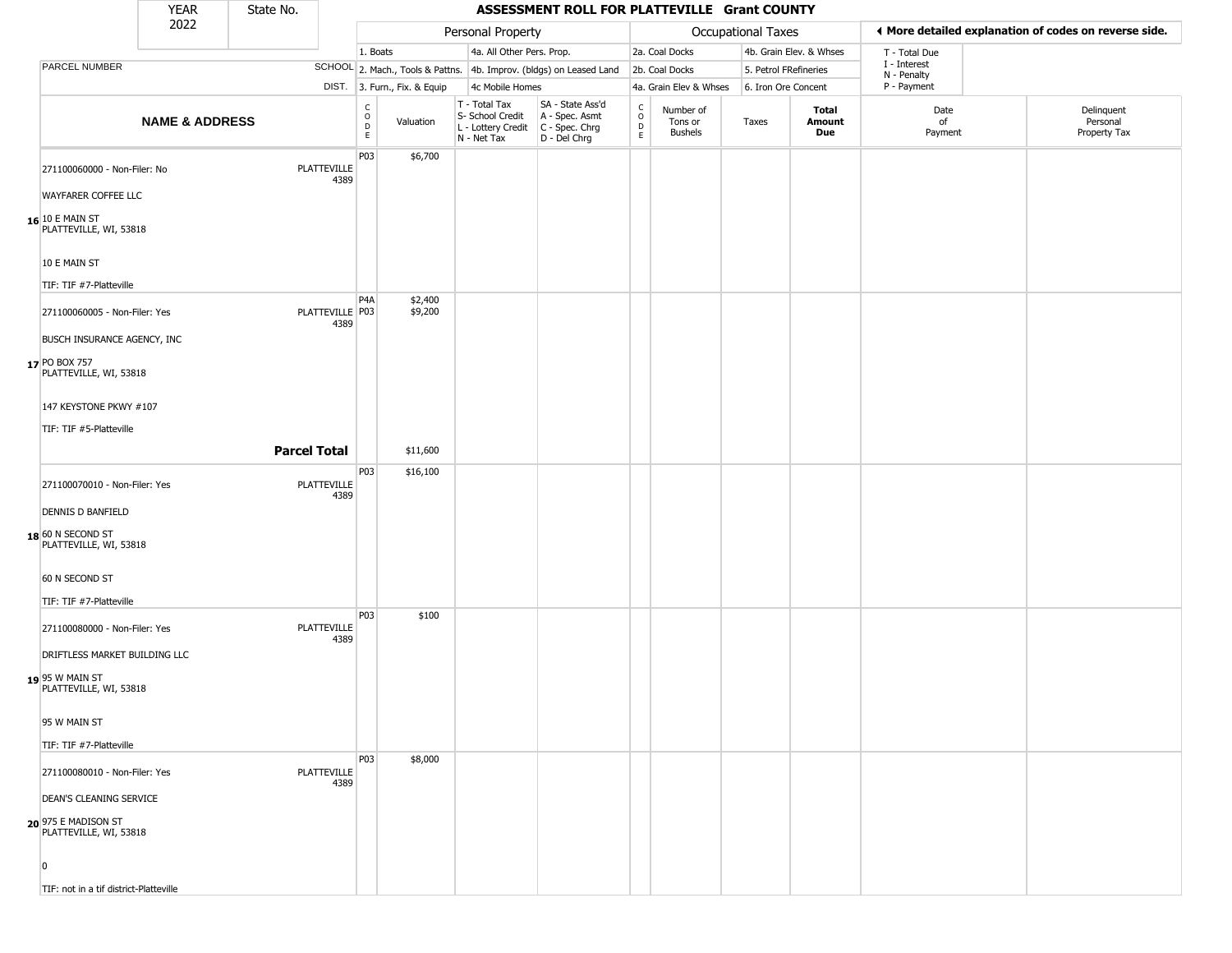|                                                        | <b>YEAR</b>               | State No.           |                            |                                                                       |                                                                        | ASSESSMENT ROLL FOR PLATTEVILLE Grant COUNTY                         |                                    |                                        |                       |                         |                             |                                                       |
|--------------------------------------------------------|---------------------------|---------------------|----------------------------|-----------------------------------------------------------------------|------------------------------------------------------------------------|----------------------------------------------------------------------|------------------------------------|----------------------------------------|-----------------------|-------------------------|-----------------------------|-------------------------------------------------------|
|                                                        | 2022                      |                     |                            |                                                                       | Personal Property                                                      |                                                                      |                                    |                                        | Occupational Taxes    |                         |                             | ♦ More detailed explanation of codes on reverse side. |
|                                                        |                           |                     |                            | 1. Boats                                                              | 4a. All Other Pers. Prop.                                              |                                                                      |                                    | 2a. Coal Docks                         |                       | 4b. Grain Elev. & Whses | T - Total Due               |                                                       |
| PARCEL NUMBER                                          |                           |                     |                            |                                                                       |                                                                        | SCHOOL 2. Mach., Tools & Pattns. 4b. Improv. (bldgs) on Leased Land  |                                    | 2b. Coal Docks                         | 5. Petrol FRefineries |                         | I - Interest<br>N - Penalty |                                                       |
|                                                        |                           |                     |                            | DIST. 3. Furn., Fix. & Equip                                          | 4c Mobile Homes                                                        |                                                                      |                                    | 4a. Grain Elev & Whses                 | 6. Iron Ore Concent   |                         | P - Payment                 |                                                       |
|                                                        | <b>NAME &amp; ADDRESS</b> |                     |                            | $\begin{smallmatrix} C \\ O \\ D \end{smallmatrix}$<br>Valuation<br>E | T - Total Tax<br>S- School Credit<br>L - Lottery Credit<br>N - Net Tax | SA - State Ass'd<br>A - Spec. Asmt<br>C - Spec. Chrg<br>D - Del Chrg | $\rm_{o}^{c}$<br>$\mathsf{D}$<br>E | Number of<br>Tons or<br><b>Bushels</b> | Taxes                 | Total<br>Amount<br>Due  | Date<br>of<br>Payment       | Delinquent<br>Personal<br>Property Tax                |
| 271100060000 - Non-Filer: No                           |                           |                     | PLATTEVILLE<br>4389        | P03<br>\$6,700                                                        |                                                                        |                                                                      |                                    |                                        |                       |                         |                             |                                                       |
| WAYFARER COFFEE LLC                                    |                           |                     |                            |                                                                       |                                                                        |                                                                      |                                    |                                        |                       |                         |                             |                                                       |
| $16$ <sup>10 E MAIN ST</sup><br>PLATTEVILLE, WI, 53818 |                           |                     |                            |                                                                       |                                                                        |                                                                      |                                    |                                        |                       |                         |                             |                                                       |
| 10 E MAIN ST                                           |                           |                     |                            |                                                                       |                                                                        |                                                                      |                                    |                                        |                       |                         |                             |                                                       |
| TIF: TIF #7-Platteville                                |                           |                     |                            |                                                                       |                                                                        |                                                                      |                                    |                                        |                       |                         |                             |                                                       |
| 271100060005 - Non-Filer: Yes                          |                           |                     | PLATTEVILLE P03<br>4389    | P <sub>4</sub> A<br>\$2,400<br>\$9,200                                |                                                                        |                                                                      |                                    |                                        |                       |                         |                             |                                                       |
| BUSCH INSURANCE AGENCY, INC                            |                           |                     |                            |                                                                       |                                                                        |                                                                      |                                    |                                        |                       |                         |                             |                                                       |
| 17 PO BOX 757<br>PLATTEVILLE, WI, 53818                |                           |                     |                            |                                                                       |                                                                        |                                                                      |                                    |                                        |                       |                         |                             |                                                       |
| 147 KEYSTONE PKWY #107                                 |                           |                     |                            |                                                                       |                                                                        |                                                                      |                                    |                                        |                       |                         |                             |                                                       |
| TIF: TIF #5-Platteville                                |                           |                     |                            |                                                                       |                                                                        |                                                                      |                                    |                                        |                       |                         |                             |                                                       |
|                                                        |                           | <b>Parcel Total</b> |                            | \$11,600                                                              |                                                                        |                                                                      |                                    |                                        |                       |                         |                             |                                                       |
|                                                        |                           |                     |                            | P03<br>\$16,100                                                       |                                                                        |                                                                      |                                    |                                        |                       |                         |                             |                                                       |
| 271100070010 - Non-Filer: Yes                          |                           |                     | PLATTEVILLE<br>4389        |                                                                       |                                                                        |                                                                      |                                    |                                        |                       |                         |                             |                                                       |
| <b>DENNIS D BANFIELD</b>                               |                           |                     |                            |                                                                       |                                                                        |                                                                      |                                    |                                        |                       |                         |                             |                                                       |
| 18 60 N SECOND ST<br>PLATTEVILLE, WI, 53818            |                           |                     |                            |                                                                       |                                                                        |                                                                      |                                    |                                        |                       |                         |                             |                                                       |
| 60 N SECOND ST                                         |                           |                     |                            |                                                                       |                                                                        |                                                                      |                                    |                                        |                       |                         |                             |                                                       |
| TIF: TIF #7-Platteville                                |                           |                     |                            |                                                                       |                                                                        |                                                                      |                                    |                                        |                       |                         |                             |                                                       |
| 271100080000 - Non-Filer: Yes                          |                           |                     | <b>PLATTEVILLE</b><br>4389 | P <sub>0</sub> 3<br>\$100                                             |                                                                        |                                                                      |                                    |                                        |                       |                         |                             |                                                       |
| DRIFTLESS MARKET BUILDING LLC                          |                           |                     |                            |                                                                       |                                                                        |                                                                      |                                    |                                        |                       |                         |                             |                                                       |
| 19 95 W MAIN ST<br>PLATTEVILLE, WI, 53818              |                           |                     |                            |                                                                       |                                                                        |                                                                      |                                    |                                        |                       |                         |                             |                                                       |
| 95 W MAIN ST                                           |                           |                     |                            |                                                                       |                                                                        |                                                                      |                                    |                                        |                       |                         |                             |                                                       |
| TIF: TIF #7-Platteville                                |                           |                     |                            |                                                                       |                                                                        |                                                                      |                                    |                                        |                       |                         |                             |                                                       |
| 271100080010 - Non-Filer: Yes                          |                           |                     | <b>PLATTEVILLE</b><br>4389 | P03<br>\$8,000                                                        |                                                                        |                                                                      |                                    |                                        |                       |                         |                             |                                                       |
| DEAN'S CLEANING SERVICE                                |                           |                     |                            |                                                                       |                                                                        |                                                                      |                                    |                                        |                       |                         |                             |                                                       |
| 20 975 E MADISON ST<br>PLATTEVILLE, WI, 53818          |                           |                     |                            |                                                                       |                                                                        |                                                                      |                                    |                                        |                       |                         |                             |                                                       |
| $\Omega$                                               |                           |                     |                            |                                                                       |                                                                        |                                                                      |                                    |                                        |                       |                         |                             |                                                       |
| TIF: not in a tif district-Platteville                 |                           |                     |                            |                                                                       |                                                                        |                                                                      |                                    |                                        |                       |                         |                             |                                                       |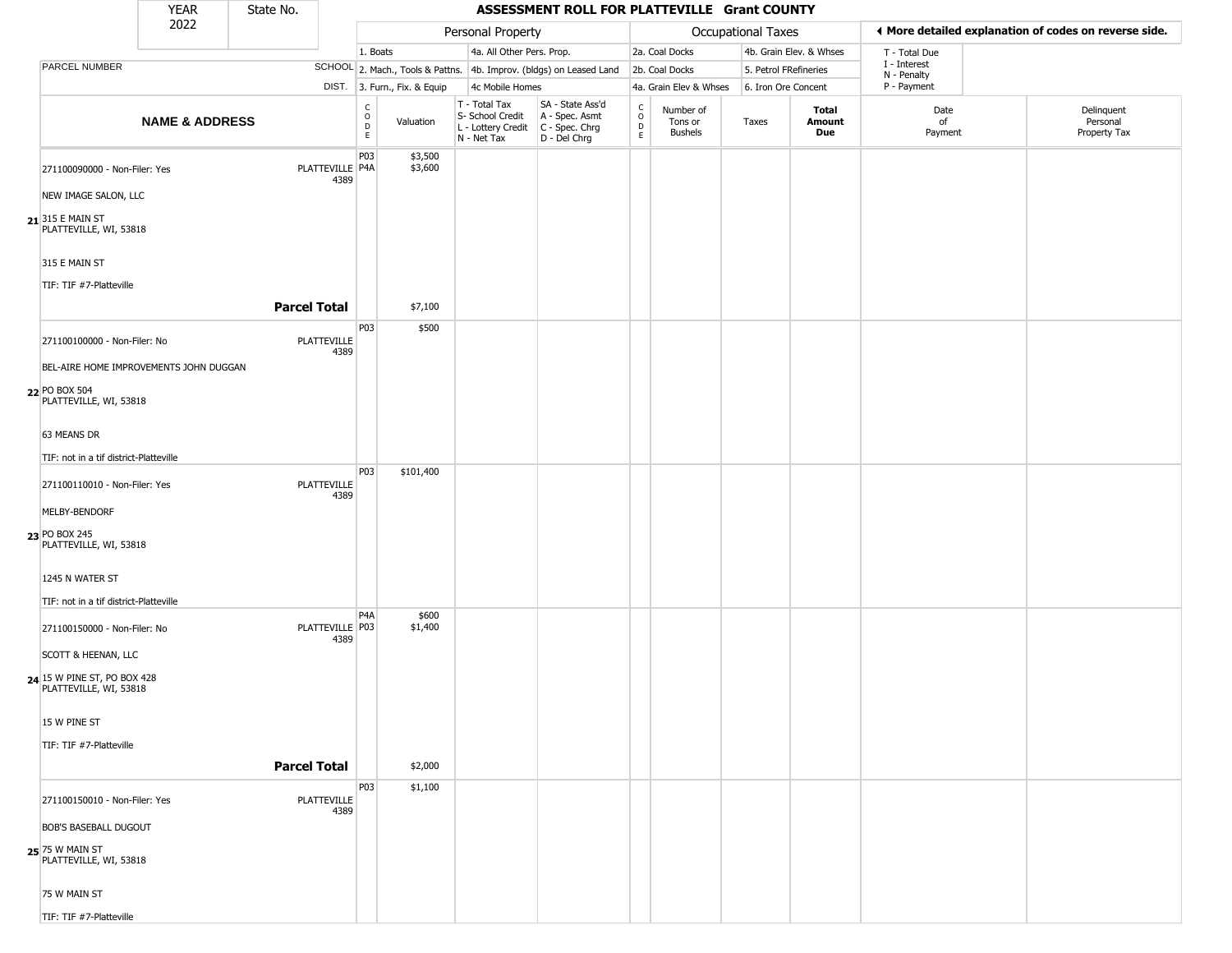|                                                       | <b>YEAR</b>                            | State No.           |                            |                                    |                              |                              |                           | ASSESSMENT ROLL FOR PLATTEVILLE Grant COUNTY                                            |                                 |                                        |                       |                         |                             |                                                       |
|-------------------------------------------------------|----------------------------------------|---------------------|----------------------------|------------------------------------|------------------------------|------------------------------|---------------------------|-----------------------------------------------------------------------------------------|---------------------------------|----------------------------------------|-----------------------|-------------------------|-----------------------------|-------------------------------------------------------|
|                                                       | 2022                                   |                     |                            |                                    |                              |                              | Personal Property         |                                                                                         |                                 |                                        | Occupational Taxes    |                         |                             | ◀ More detailed explanation of codes on reverse side. |
|                                                       |                                        |                     |                            | 1. Boats                           |                              |                              | 4a. All Other Pers. Prop. |                                                                                         |                                 | 2a. Coal Docks                         |                       | 4b. Grain Elev. & Whses | T - Total Due               |                                                       |
| PARCEL NUMBER                                         |                                        |                     |                            |                                    |                              |                              |                           | SCHOOL 2. Mach., Tools & Pattns. 4b. Improv. (bldgs) on Leased Land                     |                                 | 2b. Coal Docks                         | 5. Petrol FRefineries |                         | I - Interest<br>N - Penalty |                                                       |
|                                                       |                                        |                     |                            |                                    | DIST. 3. Furn., Fix. & Equip |                              | 4c Mobile Homes           |                                                                                         |                                 | 4a. Grain Elev & Whses                 | 6. Iron Ore Concent   |                         | P - Payment                 |                                                       |
|                                                       | <b>NAME &amp; ADDRESS</b>              |                     |                            | $\frac{c}{0}$<br>$\mathsf{D}$<br>E | Valuation                    | T - Total Tax<br>N - Net Tax | S- School Credit          | SA - State Ass'd<br>A - Spec. Asmt<br>L - Lottery Credit C - Spec. Chrg<br>D - Del Chrg | $\rm _o^C$<br>$\mathsf{D}$<br>E | Number of<br>Tons or<br><b>Bushels</b> | Taxes                 | Total<br>Amount<br>Due  | Date<br>of<br>Payment       | Delinquent<br>Personal<br>Property Tax                |
|                                                       | 271100090000 - Non-Filer: Yes          |                     | PLATTEVILLE P4A<br>4389    | P03                                | \$3,500<br>\$3,600           |                              |                           |                                                                                         |                                 |                                        |                       |                         |                             |                                                       |
| NEW IMAGE SALON, LLC                                  |                                        |                     |                            |                                    |                              |                              |                           |                                                                                         |                                 |                                        |                       |                         |                             |                                                       |
| $21$ 315 E MAIN ST<br>PLATTEVILLE, WI, 53818          |                                        |                     |                            |                                    |                              |                              |                           |                                                                                         |                                 |                                        |                       |                         |                             |                                                       |
| 315 E MAIN ST                                         |                                        |                     |                            |                                    |                              |                              |                           |                                                                                         |                                 |                                        |                       |                         |                             |                                                       |
| TIF: TIF #7-Platteville                               |                                        |                     |                            |                                    |                              |                              |                           |                                                                                         |                                 |                                        |                       |                         |                             |                                                       |
|                                                       |                                        | <b>Parcel Total</b> |                            |                                    | \$7,100                      |                              |                           |                                                                                         |                                 |                                        |                       |                         |                             |                                                       |
|                                                       | 271100100000 - Non-Filer: No           |                     | <b>PLATTEVILLE</b><br>4389 | P03                                | \$500                        |                              |                           |                                                                                         |                                 |                                        |                       |                         |                             |                                                       |
|                                                       | BEL-AIRE HOME IMPROVEMENTS JOHN DUGGAN |                     |                            |                                    |                              |                              |                           |                                                                                         |                                 |                                        |                       |                         |                             |                                                       |
| 22 PO BOX 504<br>PLATTEVILLE, WI, 53818               |                                        |                     |                            |                                    |                              |                              |                           |                                                                                         |                                 |                                        |                       |                         |                             |                                                       |
| 63 MEANS DR                                           |                                        |                     |                            |                                    |                              |                              |                           |                                                                                         |                                 |                                        |                       |                         |                             |                                                       |
|                                                       | TIF: not in a tif district-Platteville |                     |                            |                                    |                              |                              |                           |                                                                                         |                                 |                                        |                       |                         |                             |                                                       |
|                                                       | 271100110010 - Non-Filer: Yes          |                     | PLATTEVILLE<br>4389        | P03                                | \$101,400                    |                              |                           |                                                                                         |                                 |                                        |                       |                         |                             |                                                       |
| MELBY-BENDORF                                         |                                        |                     |                            |                                    |                              |                              |                           |                                                                                         |                                 |                                        |                       |                         |                             |                                                       |
| 23 PO BOX 245<br>PLATTEVILLE, WI, 53818               |                                        |                     |                            |                                    |                              |                              |                           |                                                                                         |                                 |                                        |                       |                         |                             |                                                       |
| 1245 N WATER ST                                       |                                        |                     |                            |                                    |                              |                              |                           |                                                                                         |                                 |                                        |                       |                         |                             |                                                       |
|                                                       | TIF: not in a tif district-Platteville |                     |                            |                                    |                              |                              |                           |                                                                                         |                                 |                                        |                       |                         |                             |                                                       |
|                                                       | 271100150000 - Non-Filer: No           |                     | PLATTEVILLE P03<br>4389    | P <sub>4</sub> A                   | \$600<br>\$1,400             |                              |                           |                                                                                         |                                 |                                        |                       |                         |                             |                                                       |
| SCOTT & HEENAN, LLC                                   |                                        |                     |                            |                                    |                              |                              |                           |                                                                                         |                                 |                                        |                       |                         |                             |                                                       |
| 24 15 W PINE ST, PO BOX 428<br>PLATTEVILLE, WI, 53818 |                                        |                     |                            |                                    |                              |                              |                           |                                                                                         |                                 |                                        |                       |                         |                             |                                                       |
| 15 W PINE ST                                          |                                        |                     |                            |                                    |                              |                              |                           |                                                                                         |                                 |                                        |                       |                         |                             |                                                       |
| TIF: TIF #7-Platteville                               |                                        |                     |                            |                                    |                              |                              |                           |                                                                                         |                                 |                                        |                       |                         |                             |                                                       |
|                                                       |                                        | <b>Parcel Total</b> |                            |                                    | \$2,000                      |                              |                           |                                                                                         |                                 |                                        |                       |                         |                             |                                                       |
|                                                       |                                        |                     |                            | P03                                | \$1,100                      |                              |                           |                                                                                         |                                 |                                        |                       |                         |                             |                                                       |
|                                                       | 271100150010 - Non-Filer: Yes          |                     | PLATTEVILLE<br>4389        |                                    |                              |                              |                           |                                                                                         |                                 |                                        |                       |                         |                             |                                                       |
| <b>BOB'S BASEBALL DUGOUT</b>                          |                                        |                     |                            |                                    |                              |                              |                           |                                                                                         |                                 |                                        |                       |                         |                             |                                                       |
| 25 75 W MAIN ST<br>PLATTEVILLE, WI, 53818             |                                        |                     |                            |                                    |                              |                              |                           |                                                                                         |                                 |                                        |                       |                         |                             |                                                       |
| 75 W MAIN ST                                          |                                        |                     |                            |                                    |                              |                              |                           |                                                                                         |                                 |                                        |                       |                         |                             |                                                       |
| TIF: TIF #7-Platteville                               |                                        |                     |                            |                                    |                              |                              |                           |                                                                                         |                                 |                                        |                       |                         |                             |                                                       |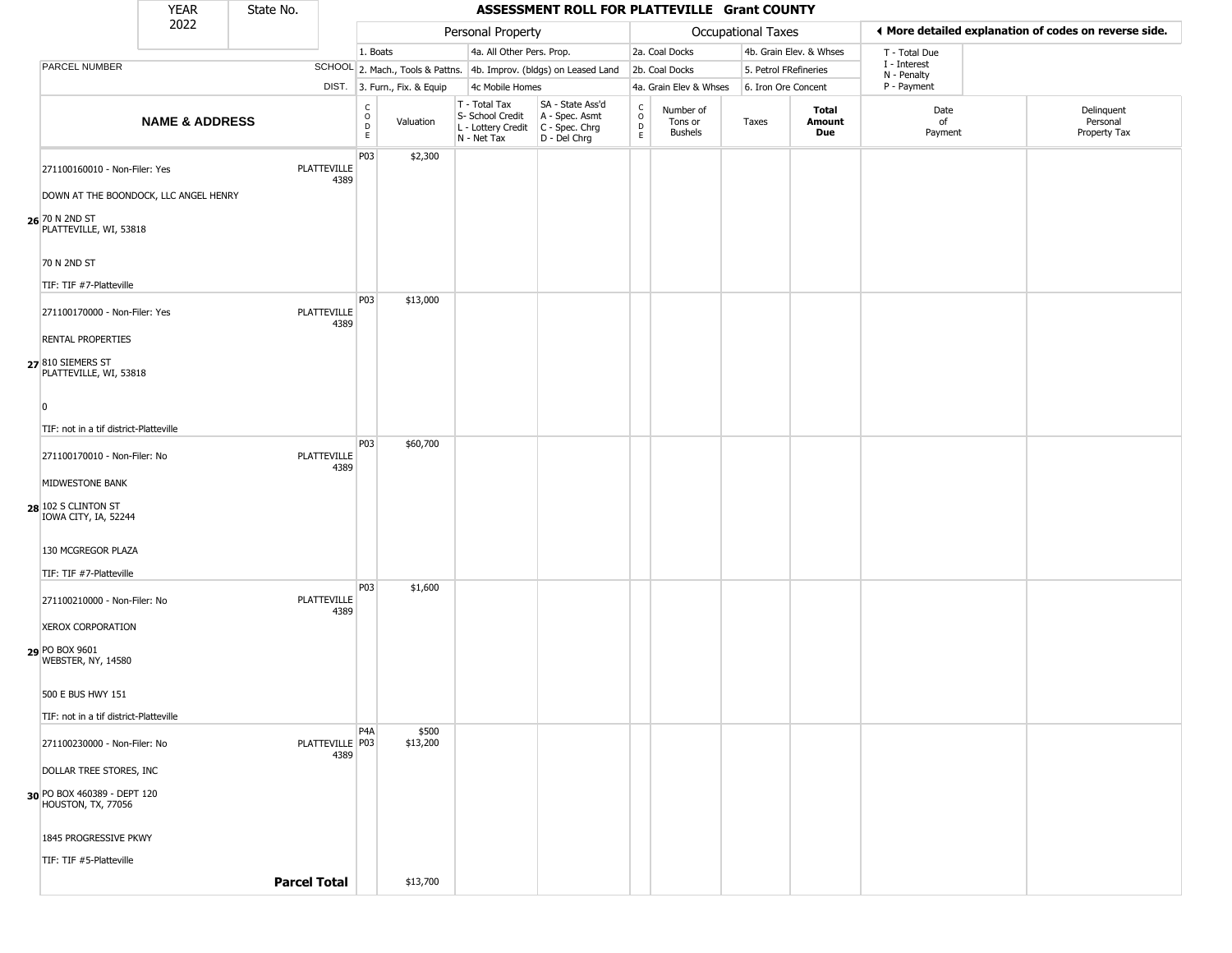|                                                   | <b>YEAR</b>               | State No. |                            |                                              |                              |                                                                                         | ASSESSMENT ROLL FOR PLATTEVILLE Grant COUNTY                        |                                            |                                 |                     |                         |                             |                                                       |
|---------------------------------------------------|---------------------------|-----------|----------------------------|----------------------------------------------|------------------------------|-----------------------------------------------------------------------------------------|---------------------------------------------------------------------|--------------------------------------------|---------------------------------|---------------------|-------------------------|-----------------------------|-------------------------------------------------------|
|                                                   | 2022                      |           |                            |                                              |                              | Personal Property                                                                       |                                                                     |                                            |                                 | Occupational Taxes  |                         |                             | ◀ More detailed explanation of codes on reverse side. |
|                                                   |                           |           |                            | 1. Boats                                     |                              | 4a. All Other Pers. Prop.                                                               |                                                                     |                                            | 2a. Coal Docks                  |                     | 4b. Grain Elev. & Whses | T - Total Due               |                                                       |
| PARCEL NUMBER                                     |                           |           |                            |                                              |                              |                                                                                         | SCHOOL 2. Mach., Tools & Pattns. 4b. Improv. (bldgs) on Leased Land |                                            | 2b. Coal Docks                  |                     | 5. Petrol FRefineries   | I - Interest<br>N - Penalty |                                                       |
|                                                   |                           |           |                            |                                              | DIST. 3. Furn., Fix. & Equip | 4c Mobile Homes                                                                         |                                                                     |                                            | 4a. Grain Elev & Whses          | 6. Iron Ore Concent |                         | P - Payment                 |                                                       |
|                                                   | <b>NAME &amp; ADDRESS</b> |           |                            | $\begin{array}{c}\nC \\ O \\ D\n\end{array}$ | Valuation                    | T - Total Tax<br>S- School Credit<br>L - Lottery Credit   C - Spec. Chrg<br>N - Net Tax | SA - State Ass'd<br>A - Spec. Asmt<br>D - Del Chrg                  | $\begin{array}{c} C \\ 0 \\ E \end{array}$ | Number of<br>Tons or<br>Bushels | Taxes               | Total<br>Amount<br>Due  | Date<br>of<br>Payment       | Delinquent<br>Personal<br>Property Tax                |
| 271100160010 - Non-Filer: Yes                     |                           |           | <b>PLATTEVILLE</b><br>4389 | P03                                          | \$2,300                      |                                                                                         |                                                                     |                                            |                                 |                     |                         |                             |                                                       |
| DOWN AT THE BOONDOCK, LLC ANGEL HENRY             |                           |           |                            |                                              |                              |                                                                                         |                                                                     |                                            |                                 |                     |                         |                             |                                                       |
| 26 70 N 2ND ST<br>PLATTEVILLE, WI, 53818          |                           |           |                            |                                              |                              |                                                                                         |                                                                     |                                            |                                 |                     |                         |                             |                                                       |
| 70 N 2ND ST                                       |                           |           |                            |                                              |                              |                                                                                         |                                                                     |                                            |                                 |                     |                         |                             |                                                       |
| TIF: TIF #7-Platteville                           |                           |           |                            |                                              |                              |                                                                                         |                                                                     |                                            |                                 |                     |                         |                             |                                                       |
| 271100170000 - Non-Filer: Yes                     |                           |           | PLATTEVILLE<br>4389        | P03                                          | \$13,000                     |                                                                                         |                                                                     |                                            |                                 |                     |                         |                             |                                                       |
| <b>RENTAL PROPERTIES</b>                          |                           |           |                            |                                              |                              |                                                                                         |                                                                     |                                            |                                 |                     |                         |                             |                                                       |
| 27 810 SIEMERS ST<br>PLATTEVILLE, WI, 53818       |                           |           |                            |                                              |                              |                                                                                         |                                                                     |                                            |                                 |                     |                         |                             |                                                       |
| 0                                                 |                           |           |                            |                                              |                              |                                                                                         |                                                                     |                                            |                                 |                     |                         |                             |                                                       |
| TIF: not in a tif district-Platteville            |                           |           |                            |                                              |                              |                                                                                         |                                                                     |                                            |                                 |                     |                         |                             |                                                       |
| 271100170010 - Non-Filer: No                      |                           |           | <b>PLATTEVILLE</b><br>4389 | <b>P03</b>                                   | \$60,700                     |                                                                                         |                                                                     |                                            |                                 |                     |                         |                             |                                                       |
| MIDWESTONE BANK                                   |                           |           |                            |                                              |                              |                                                                                         |                                                                     |                                            |                                 |                     |                         |                             |                                                       |
| 28 102 S CLINTON ST<br>IOWA CITY, IA, 52244       |                           |           |                            |                                              |                              |                                                                                         |                                                                     |                                            |                                 |                     |                         |                             |                                                       |
| 130 MCGREGOR PLAZA                                |                           |           |                            |                                              |                              |                                                                                         |                                                                     |                                            |                                 |                     |                         |                             |                                                       |
| TIF: TIF #7-Platteville                           |                           |           |                            |                                              |                              |                                                                                         |                                                                     |                                            |                                 |                     |                         |                             |                                                       |
| 271100210000 - Non-Filer: No                      |                           |           | <b>PLATTEVILLE</b><br>4389 | P03                                          | \$1,600                      |                                                                                         |                                                                     |                                            |                                 |                     |                         |                             |                                                       |
| <b>XEROX CORPORATION</b>                          |                           |           |                            |                                              |                              |                                                                                         |                                                                     |                                            |                                 |                     |                         |                             |                                                       |
| 29 PO BOX 9601<br>WEBSTER, NY, 14580              |                           |           |                            |                                              |                              |                                                                                         |                                                                     |                                            |                                 |                     |                         |                             |                                                       |
| 500 E BUS HWY 151                                 |                           |           |                            |                                              |                              |                                                                                         |                                                                     |                                            |                                 |                     |                         |                             |                                                       |
| TIF: not in a tif district-Platteville            |                           |           |                            |                                              |                              |                                                                                         |                                                                     |                                            |                                 |                     |                         |                             |                                                       |
| 271100230000 - Non-Filer: No                      |                           |           | PLATTEVILLE P03<br>4389    | P <sub>4</sub> A                             | \$500<br>\$13,200            |                                                                                         |                                                                     |                                            |                                 |                     |                         |                             |                                                       |
| DOLLAR TREE STORES, INC                           |                           |           |                            |                                              |                              |                                                                                         |                                                                     |                                            |                                 |                     |                         |                             |                                                       |
| 30 PO BOX 460389 - DEPT 120<br>HOUSTON, TX, 77056 |                           |           |                            |                                              |                              |                                                                                         |                                                                     |                                            |                                 |                     |                         |                             |                                                       |
| 1845 PROGRESSIVE PKWY                             |                           |           |                            |                                              |                              |                                                                                         |                                                                     |                                            |                                 |                     |                         |                             |                                                       |
| TIF: TIF #5-Platteville                           |                           |           |                            |                                              |                              |                                                                                         |                                                                     |                                            |                                 |                     |                         |                             |                                                       |
|                                                   |                           |           | <b>Parcel Total</b>        |                                              | \$13,700                     |                                                                                         |                                                                     |                                            |                                 |                     |                         |                             |                                                       |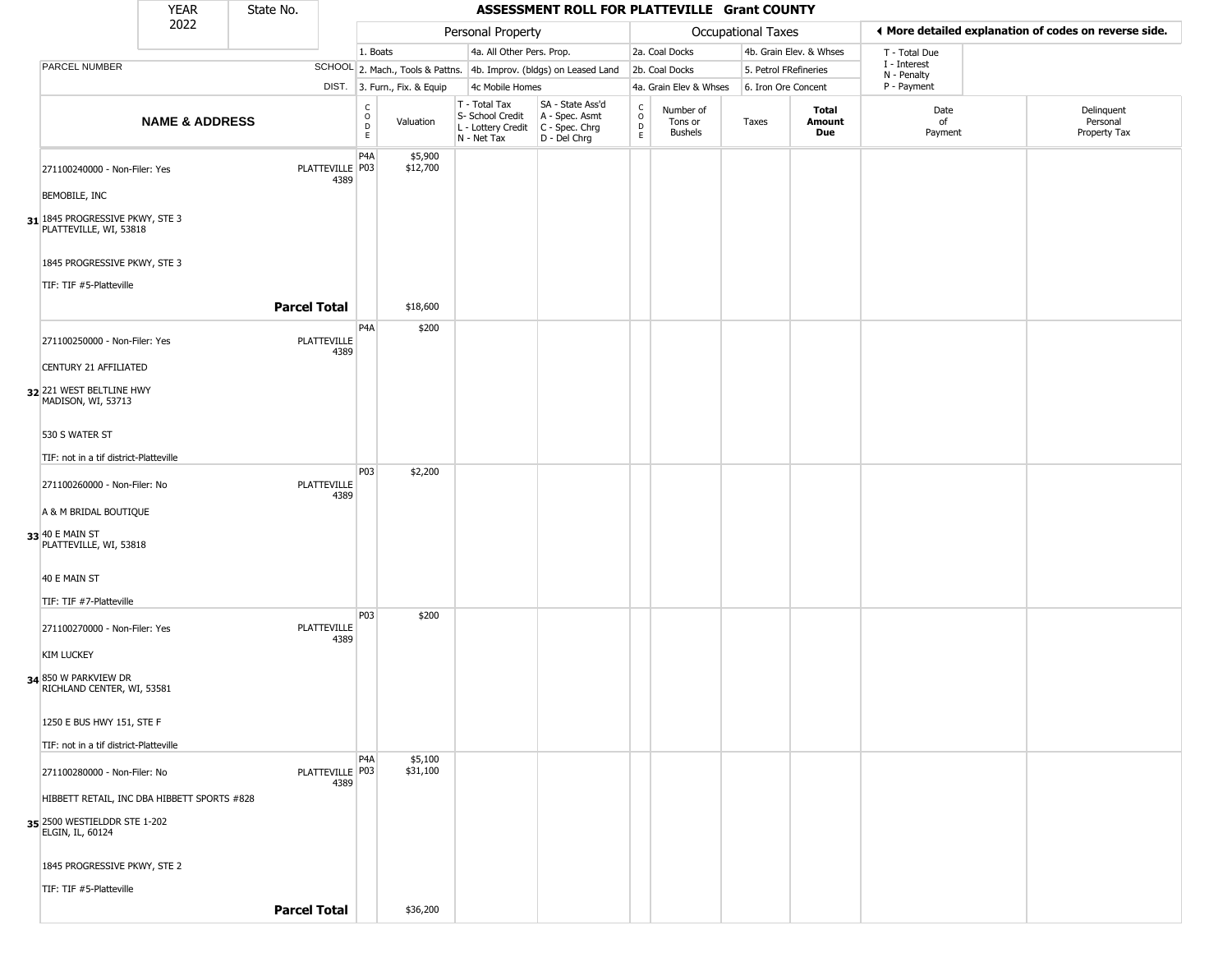|                                                           | YEAR                      | State No. |                            |                                    |                              |                                                                                         | ASSESSMENT ROLL FOR PLATTEVILLE Grant COUNTY                        |                         |                                        |                           |                         |                             |                                                       |
|-----------------------------------------------------------|---------------------------|-----------|----------------------------|------------------------------------|------------------------------|-----------------------------------------------------------------------------------------|---------------------------------------------------------------------|-------------------------|----------------------------------------|---------------------------|-------------------------|-----------------------------|-------------------------------------------------------|
|                                                           | 2022                      |           |                            |                                    |                              | Personal Property                                                                       |                                                                     |                         |                                        | <b>Occupational Taxes</b> |                         |                             | ♦ More detailed explanation of codes on reverse side. |
|                                                           |                           |           |                            | 1. Boats                           |                              | 4a. All Other Pers. Prop.                                                               |                                                                     |                         | 2a. Coal Docks                         |                           | 4b. Grain Elev. & Whses | T - Total Due               |                                                       |
| PARCEL NUMBER                                             |                           |           |                            |                                    |                              |                                                                                         | SCHOOL 2. Mach., Tools & Pattns. 4b. Improv. (bldgs) on Leased Land |                         | 2b. Coal Docks                         |                           | 5. Petrol FRefineries   | I - Interest<br>N - Penalty |                                                       |
|                                                           |                           |           |                            |                                    | DIST. 3. Furn., Fix. & Equip | 4c Mobile Homes                                                                         |                                                                     |                         | 4a. Grain Elev & Whses                 |                           | 6. Iron Ore Concent     | P - Payment                 |                                                       |
|                                                           | <b>NAME &amp; ADDRESS</b> |           |                            | C<br>$\overline{D}$<br>$\mathsf E$ | Valuation                    | T - Total Tax<br>S- School Credit<br>L - Lottery Credit   C - Spec. Chrg<br>N - Net Tax | SA - State Ass'd<br>A - Spec. Asmt<br>D - Del Chrg                  | $\frac{c}{0}$<br>D<br>E | Number of<br>Tons or<br><b>Bushels</b> | Taxes                     | Total<br>Amount<br>Due  | Date<br>of<br>Payment       | Delinquent<br>Personal<br>Property Tax                |
| 271100240000 - Non-Filer: Yes                             |                           |           | PLATTEVILLE   P03<br>4389  | P <sub>4</sub> A                   | \$5,900<br>\$12,700          |                                                                                         |                                                                     |                         |                                        |                           |                         |                             |                                                       |
| BEMOBILE, INC                                             |                           |           |                            |                                    |                              |                                                                                         |                                                                     |                         |                                        |                           |                         |                             |                                                       |
| 31 1845 PROGRESSIVE PKWY, STE 3<br>PLATTEVILLE, WI, 53818 |                           |           |                            |                                    |                              |                                                                                         |                                                                     |                         |                                        |                           |                         |                             |                                                       |
| 1845 PROGRESSIVE PKWY, STE 3                              |                           |           |                            |                                    |                              |                                                                                         |                                                                     |                         |                                        |                           |                         |                             |                                                       |
| TIF: TIF #5-Platteville                                   |                           |           | <b>Parcel Total</b>        |                                    | \$18,600                     |                                                                                         |                                                                     |                         |                                        |                           |                         |                             |                                                       |
| 271100250000 - Non-Filer: Yes                             |                           |           | <b>PLATTEVILLE</b><br>4389 | P <sub>4</sub> A                   | \$200                        |                                                                                         |                                                                     |                         |                                        |                           |                         |                             |                                                       |
| CENTURY 21 AFFILIATED                                     |                           |           |                            |                                    |                              |                                                                                         |                                                                     |                         |                                        |                           |                         |                             |                                                       |
| 32 221 WEST BELTLINE HWY<br>MADISON, WI, 53713            |                           |           |                            |                                    |                              |                                                                                         |                                                                     |                         |                                        |                           |                         |                             |                                                       |
| 530 S WATER ST                                            |                           |           |                            |                                    |                              |                                                                                         |                                                                     |                         |                                        |                           |                         |                             |                                                       |
| TIF: not in a tif district-Platteville                    |                           |           |                            |                                    |                              |                                                                                         |                                                                     |                         |                                        |                           |                         |                             |                                                       |
| 271100260000 - Non-Filer: No                              |                           |           | PLATTEVILLE<br>4389        | <b>P03</b>                         | \$2,200                      |                                                                                         |                                                                     |                         |                                        |                           |                         |                             |                                                       |
| A & M BRIDAL BOUTIQUE                                     |                           |           |                            |                                    |                              |                                                                                         |                                                                     |                         |                                        |                           |                         |                             |                                                       |
| 33 40 E MAIN ST<br>PLATTEVILLE, WI, 53818                 |                           |           |                            |                                    |                              |                                                                                         |                                                                     |                         |                                        |                           |                         |                             |                                                       |
| 40 E MAIN ST                                              |                           |           |                            |                                    |                              |                                                                                         |                                                                     |                         |                                        |                           |                         |                             |                                                       |
| TIF: TIF #7-Platteville                                   |                           |           |                            |                                    |                              |                                                                                         |                                                                     |                         |                                        |                           |                         |                             |                                                       |
| 271100270000 - Non-Filer: Yes                             |                           |           | PLATTEVILLE<br>4389        | P03                                | \$200                        |                                                                                         |                                                                     |                         |                                        |                           |                         |                             |                                                       |
| <b>KIM LUCKEY</b>                                         |                           |           |                            |                                    |                              |                                                                                         |                                                                     |                         |                                        |                           |                         |                             |                                                       |
| 34 850 W PARKVIEW DR<br>RICHLAND CENTER, WI, 53581        |                           |           |                            |                                    |                              |                                                                                         |                                                                     |                         |                                        |                           |                         |                             |                                                       |
| 1250 E BUS HWY 151, STE F                                 |                           |           |                            |                                    |                              |                                                                                         |                                                                     |                         |                                        |                           |                         |                             |                                                       |
| TIF: not in a tif district-Platteville                    |                           |           |                            | P <sub>4</sub> A                   | \$5,100                      |                                                                                         |                                                                     |                         |                                        |                           |                         |                             |                                                       |
| 271100280000 - Non-Filer: No                              |                           |           | PLATTEVILLE P03<br>4389    |                                    | \$31,100                     |                                                                                         |                                                                     |                         |                                        |                           |                         |                             |                                                       |
| HIBBETT RETAIL, INC DBA HIBBETT SPORTS #828               |                           |           |                            |                                    |                              |                                                                                         |                                                                     |                         |                                        |                           |                         |                             |                                                       |
| 35 2500 WESTIELDDR STE 1-202<br>ELGIN, IL, 60124          |                           |           |                            |                                    |                              |                                                                                         |                                                                     |                         |                                        |                           |                         |                             |                                                       |
| 1845 PROGRESSIVE PKWY, STE 2                              |                           |           |                            |                                    |                              |                                                                                         |                                                                     |                         |                                        |                           |                         |                             |                                                       |
| TIF: TIF #5-Platteville                                   |                           |           |                            |                                    |                              |                                                                                         |                                                                     |                         |                                        |                           |                         |                             |                                                       |
|                                                           |                           |           | <b>Parcel Total</b>        |                                    | \$36,200                     |                                                                                         |                                                                     |                         |                                        |                           |                         |                             |                                                       |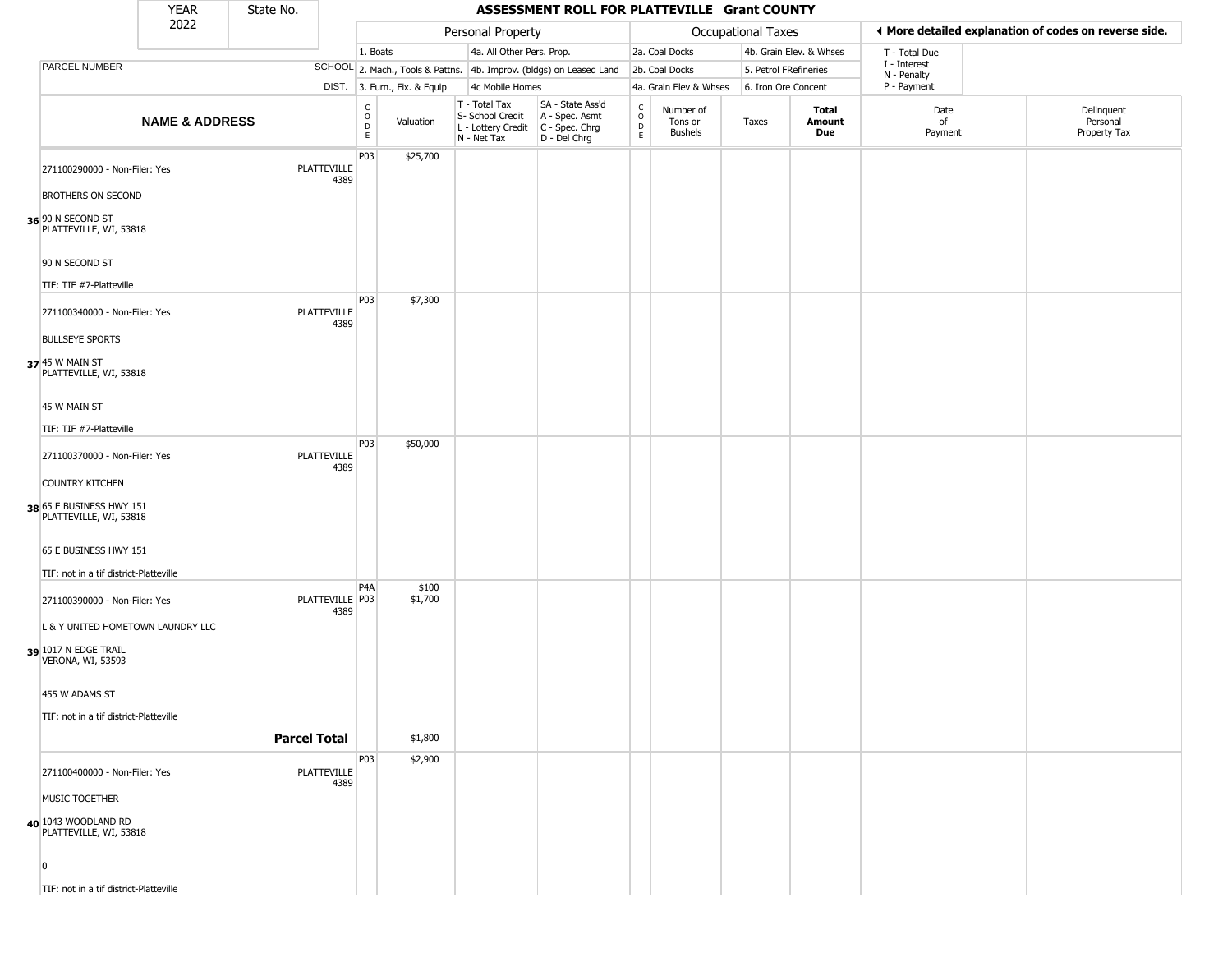|                                                         | <b>YEAR</b>               | State No.           |                         |                                                          |                              |                                                                        | ASSESSMENT ROLL FOR PLATTEVILLE Grant COUNTY                           |                                                 |                                        |                       |                         |                             |                                                       |
|---------------------------------------------------------|---------------------------|---------------------|-------------------------|----------------------------------------------------------|------------------------------|------------------------------------------------------------------------|------------------------------------------------------------------------|-------------------------------------------------|----------------------------------------|-----------------------|-------------------------|-----------------------------|-------------------------------------------------------|
|                                                         | 2022                      |                     |                         |                                                          |                              | Personal Property                                                      |                                                                        |                                                 |                                        | Occupational Taxes    |                         |                             | ◀ More detailed explanation of codes on reverse side. |
|                                                         |                           |                     |                         | 1. Boats                                                 |                              | 4a. All Other Pers. Prop.                                              |                                                                        |                                                 | 2a. Coal Docks                         |                       | 4b. Grain Elev. & Whses | T - Total Due               |                                                       |
| PARCEL NUMBER                                           |                           |                     |                         |                                                          |                              |                                                                        | SCHOOL 2. Mach., Tools & Pattns. 4b. Improv. (bldgs) on Leased Land    |                                                 | 2b. Coal Docks                         | 5. Petrol FRefineries |                         | I - Interest<br>N - Penalty |                                                       |
|                                                         |                           |                     |                         |                                                          | DIST. 3. Furn., Fix. & Equip | 4c Mobile Homes                                                        |                                                                        |                                                 | 4a. Grain Elev & Whses                 | 6. Iron Ore Concent   |                         | P - Payment                 |                                                       |
|                                                         | <b>NAME &amp; ADDRESS</b> |                     |                         | $\begin{matrix} 0 \\ 0 \\ D \end{matrix}$<br>$\mathsf E$ | Valuation                    | T - Total Tax<br>S- School Credit<br>L - Lottery Credit<br>N - Net Tax | SA - State Ass'd<br>A - Spec. Asmt<br>$C - Spec. Chrg$<br>D - Del Chrg | $\begin{array}{c} C \\ O \\ D \\ E \end{array}$ | Number of<br>Tons or<br><b>Bushels</b> | Taxes                 | Total<br>Amount<br>Due  | Date<br>of<br>Payment       | Delinquent<br>Personal<br>Property Tax                |
| 271100290000 - Non-Filer: Yes                           |                           |                     | PLATTEVILLE<br>4389     | P03                                                      | \$25,700                     |                                                                        |                                                                        |                                                 |                                        |                       |                         |                             |                                                       |
| BROTHERS ON SECOND                                      |                           |                     |                         |                                                          |                              |                                                                        |                                                                        |                                                 |                                        |                       |                         |                             |                                                       |
| 36 90 N SECOND ST<br>PLATTEVILLE, WI, 53818             |                           |                     |                         |                                                          |                              |                                                                        |                                                                        |                                                 |                                        |                       |                         |                             |                                                       |
| 90 N SECOND ST                                          |                           |                     |                         |                                                          |                              |                                                                        |                                                                        |                                                 |                                        |                       |                         |                             |                                                       |
| TIF: TIF #7-Platteville                                 |                           |                     |                         |                                                          |                              |                                                                        |                                                                        |                                                 |                                        |                       |                         |                             |                                                       |
| 271100340000 - Non-Filer: Yes<br><b>BULLSEYE SPORTS</b> |                           |                     | PLATTEVILLE<br>4389     | P03                                                      | \$7,300                      |                                                                        |                                                                        |                                                 |                                        |                       |                         |                             |                                                       |
|                                                         |                           |                     |                         |                                                          |                              |                                                                        |                                                                        |                                                 |                                        |                       |                         |                             |                                                       |
| 37 45 W MAIN ST<br>PLATTEVILLE, WI, 53818               |                           |                     |                         |                                                          |                              |                                                                        |                                                                        |                                                 |                                        |                       |                         |                             |                                                       |
| 45 W MAIN ST                                            |                           |                     |                         |                                                          |                              |                                                                        |                                                                        |                                                 |                                        |                       |                         |                             |                                                       |
| TIF: TIF #7-Platteville                                 |                           |                     |                         |                                                          |                              |                                                                        |                                                                        |                                                 |                                        |                       |                         |                             |                                                       |
| 271100370000 - Non-Filer: Yes                           |                           |                     | PLATTEVILLE<br>4389     | P03                                                      | \$50,000                     |                                                                        |                                                                        |                                                 |                                        |                       |                         |                             |                                                       |
| <b>COUNTRY KITCHEN</b>                                  |                           |                     |                         |                                                          |                              |                                                                        |                                                                        |                                                 |                                        |                       |                         |                             |                                                       |
| 38 65 E BUSINESS HWY 151<br>PLATTEVILLE, WI, 53818      |                           |                     |                         |                                                          |                              |                                                                        |                                                                        |                                                 |                                        |                       |                         |                             |                                                       |
| 65 E BUSINESS HWY 151                                   |                           |                     |                         |                                                          |                              |                                                                        |                                                                        |                                                 |                                        |                       |                         |                             |                                                       |
| TIF: not in a tif district-Platteville                  |                           |                     |                         |                                                          |                              |                                                                        |                                                                        |                                                 |                                        |                       |                         |                             |                                                       |
| 271100390000 - Non-Filer: Yes                           |                           |                     | PLATTEVILLE P03<br>4389 | P <sub>4</sub> A                                         | \$100<br>\$1,700             |                                                                        |                                                                        |                                                 |                                        |                       |                         |                             |                                                       |
| L & Y UNITED HOMETOWN LAUNDRY LLC                       |                           |                     |                         |                                                          |                              |                                                                        |                                                                        |                                                 |                                        |                       |                         |                             |                                                       |
| 39 1017 N EDGE TRAIL<br><b>VERONA, WI, 53593</b>        |                           |                     |                         |                                                          |                              |                                                                        |                                                                        |                                                 |                                        |                       |                         |                             |                                                       |
| 455 W ADAMS ST                                          |                           |                     |                         |                                                          |                              |                                                                        |                                                                        |                                                 |                                        |                       |                         |                             |                                                       |
| TIF: not in a tif district-Platteville                  |                           |                     |                         |                                                          |                              |                                                                        |                                                                        |                                                 |                                        |                       |                         |                             |                                                       |
|                                                         |                           | <b>Parcel Total</b> |                         |                                                          | \$1,800                      |                                                                        |                                                                        |                                                 |                                        |                       |                         |                             |                                                       |
|                                                         |                           |                     |                         | P03                                                      | \$2,900                      |                                                                        |                                                                        |                                                 |                                        |                       |                         |                             |                                                       |
| 271100400000 - Non-Filer: Yes                           |                           |                     | PLATTEVILLE<br>4389     |                                                          |                              |                                                                        |                                                                        |                                                 |                                        |                       |                         |                             |                                                       |
| MUSIC TOGETHER                                          |                           |                     |                         |                                                          |                              |                                                                        |                                                                        |                                                 |                                        |                       |                         |                             |                                                       |
| 40 1043 WOODLAND RD<br>PLATTEVILLE, WI, 53818           |                           |                     |                         |                                                          |                              |                                                                        |                                                                        |                                                 |                                        |                       |                         |                             |                                                       |
| $\overline{0}$                                          |                           |                     |                         |                                                          |                              |                                                                        |                                                                        |                                                 |                                        |                       |                         |                             |                                                       |
| TIF: not in a tif district-Platteville                  |                           |                     |                         |                                                          |                              |                                                                        |                                                                        |                                                 |                                        |                       |                         |                             |                                                       |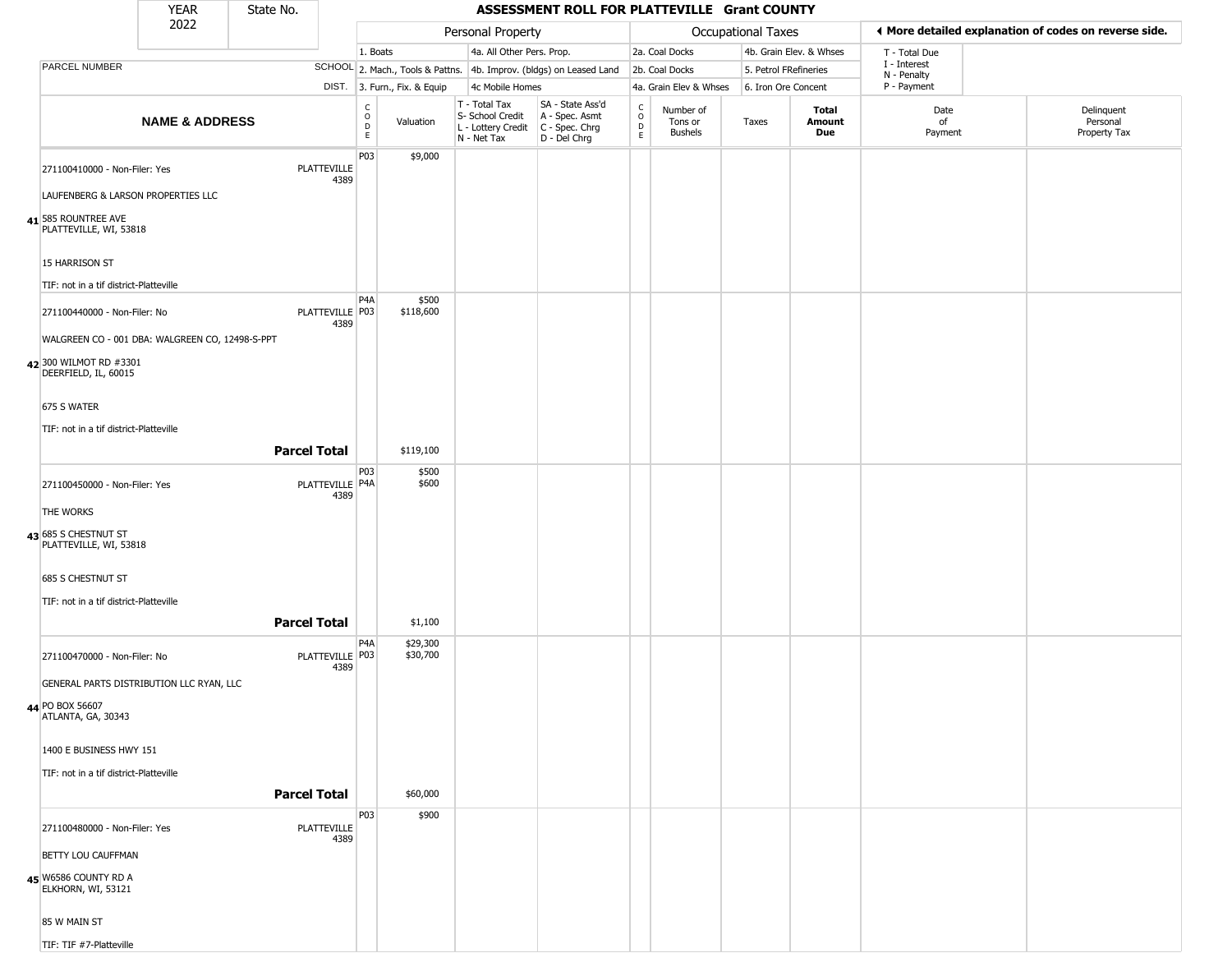|                                                               | <b>YEAR</b>                                                                     | State No.           |                                                          |                              |                                                                        | ASSESSMENT ROLL FOR PLATTEVILLE Grant COUNTY                           |                                   |                                        |                       |                         |                             |                                                       |
|---------------------------------------------------------------|---------------------------------------------------------------------------------|---------------------|----------------------------------------------------------|------------------------------|------------------------------------------------------------------------|------------------------------------------------------------------------|-----------------------------------|----------------------------------------|-----------------------|-------------------------|-----------------------------|-------------------------------------------------------|
|                                                               | 2022                                                                            |                     |                                                          |                              | Personal Property                                                      |                                                                        |                                   |                                        | Occupational Taxes    |                         |                             | ◀ More detailed explanation of codes on reverse side. |
|                                                               |                                                                                 |                     |                                                          | 1. Boats                     | 4a. All Other Pers. Prop.                                              |                                                                        |                                   | 2a. Coal Docks                         |                       | 4b. Grain Elev. & Whses | T - Total Due               |                                                       |
| PARCEL NUMBER                                                 |                                                                                 |                     |                                                          |                              |                                                                        | SCHOOL 2. Mach., Tools & Pattns. 4b. Improv. (bldgs) on Leased Land    |                                   | 2b. Coal Docks                         | 5. Petrol FRefineries |                         | I - Interest<br>N - Penalty |                                                       |
|                                                               |                                                                                 |                     |                                                          | DIST. 3. Furn., Fix. & Equip | 4c Mobile Homes                                                        |                                                                        |                                   | 4a. Grain Elev & Whses                 | 6. Iron Ore Concent   |                         | P - Payment                 |                                                       |
|                                                               | <b>NAME &amp; ADDRESS</b>                                                       |                     | $\begin{matrix} 0 \\ 0 \\ D \end{matrix}$<br>$\mathsf E$ | Valuation                    | T - Total Tax<br>S- School Credit<br>L - Lottery Credit<br>N - Net Tax | SA - State Ass'd<br>A - Spec. Asmt<br>$C - Spec. Chrg$<br>D - Del Chrg | $\frac{c}{0}$<br>$\mathsf D$<br>E | Number of<br>Tons or<br><b>Bushels</b> | Taxes                 | Total<br>Amount<br>Due  | Date<br>of<br>Payment       | Delinquent<br>Personal<br>Property Tax                |
| 41 585 ROUNTREE AVE                                           | 271100410000 - Non-Filer: Yes<br>LAUFENBERG & LARSON PROPERTIES LLC             | <b>PLATTEVILLE</b>  | P03<br>4389                                              | \$9,000                      |                                                                        |                                                                        |                                   |                                        |                       |                         |                             |                                                       |
| PLATTEVILLE, WI, 53818<br>15 HARRISON ST                      |                                                                                 |                     |                                                          |                              |                                                                        |                                                                        |                                   |                                        |                       |                         |                             |                                                       |
|                                                               | TIF: not in a tif district-Platteville                                          |                     |                                                          |                              |                                                                        |                                                                        |                                   |                                        |                       |                         |                             |                                                       |
|                                                               | 271100440000 - Non-Filer: No<br>WALGREEN CO - 001 DBA: WALGREEN CO, 12498-S-PPT | PLATTEVILLE P03     | P <sub>4</sub> A<br>4389                                 | \$500<br>\$118,600           |                                                                        |                                                                        |                                   |                                        |                       |                         |                             |                                                       |
| 42 300 WILMOT RD #3301<br>DEERFIELD, IL, 60015<br>675 S WATER |                                                                                 |                     |                                                          |                              |                                                                        |                                                                        |                                   |                                        |                       |                         |                             |                                                       |
|                                                               |                                                                                 |                     |                                                          |                              |                                                                        |                                                                        |                                   |                                        |                       |                         |                             |                                                       |
|                                                               | TIF: not in a tif district-Platteville                                          |                     |                                                          |                              |                                                                        |                                                                        |                                   |                                        |                       |                         |                             |                                                       |
|                                                               |                                                                                 | <b>Parcel Total</b> |                                                          | \$119,100                    |                                                                        |                                                                        |                                   |                                        |                       |                         |                             |                                                       |
| THE WORKS                                                     | 271100450000 - Non-Filer: Yes                                                   | PLATTEVILLE P4A     | P <sub>0</sub> 3<br>4389                                 | \$500<br>\$600               |                                                                        |                                                                        |                                   |                                        |                       |                         |                             |                                                       |
|                                                               |                                                                                 |                     |                                                          |                              |                                                                        |                                                                        |                                   |                                        |                       |                         |                             |                                                       |
| 43 685 S CHESTNUT ST<br>PLATTEVILLE, WI, 53818                |                                                                                 |                     |                                                          |                              |                                                                        |                                                                        |                                   |                                        |                       |                         |                             |                                                       |
| 685 S CHESTNUT ST                                             |                                                                                 |                     |                                                          |                              |                                                                        |                                                                        |                                   |                                        |                       |                         |                             |                                                       |
|                                                               | TIF: not in a tif district-Platteville                                          | <b>Parcel Total</b> |                                                          | \$1,100                      |                                                                        |                                                                        |                                   |                                        |                       |                         |                             |                                                       |
|                                                               | 271100470000 - Non-Filer: No                                                    | PLATTEVILLE P03     | P4A<br>4389                                              | \$29,300<br>\$30,700         |                                                                        |                                                                        |                                   |                                        |                       |                         |                             |                                                       |
|                                                               | GENERAL PARTS DISTRIBUTION LLC RYAN, LLC                                        |                     |                                                          |                              |                                                                        |                                                                        |                                   |                                        |                       |                         |                             |                                                       |
| 44 PO BOX 56607<br>ATLANTA, GA, 30343                         |                                                                                 |                     |                                                          |                              |                                                                        |                                                                        |                                   |                                        |                       |                         |                             |                                                       |
| 1400 E BUSINESS HWY 151                                       |                                                                                 |                     |                                                          |                              |                                                                        |                                                                        |                                   |                                        |                       |                         |                             |                                                       |
|                                                               | TIF: not in a tif district-Platteville                                          |                     |                                                          |                              |                                                                        |                                                                        |                                   |                                        |                       |                         |                             |                                                       |
|                                                               |                                                                                 | <b>Parcel Total</b> |                                                          | \$60,000                     |                                                                        |                                                                        |                                   |                                        |                       |                         |                             |                                                       |
|                                                               |                                                                                 |                     | P03                                                      | \$900                        |                                                                        |                                                                        |                                   |                                        |                       |                         |                             |                                                       |
|                                                               | 271100480000 - Non-Filer: Yes                                                   | PLATTEVILLE         | 4389                                                     |                              |                                                                        |                                                                        |                                   |                                        |                       |                         |                             |                                                       |
| BETTY LOU CAUFFMAN                                            |                                                                                 |                     |                                                          |                              |                                                                        |                                                                        |                                   |                                        |                       |                         |                             |                                                       |
| 45 W6586 COUNTY RD A<br>ELKHORN, WI, 53121                    |                                                                                 |                     |                                                          |                              |                                                                        |                                                                        |                                   |                                        |                       |                         |                             |                                                       |
| 85 W MAIN ST                                                  |                                                                                 |                     |                                                          |                              |                                                                        |                                                                        |                                   |                                        |                       |                         |                             |                                                       |
| TIF: TIF #7-Platteville                                       |                                                                                 |                     |                                                          |                              |                                                                        |                                                                        |                                   |                                        |                       |                         |                             |                                                       |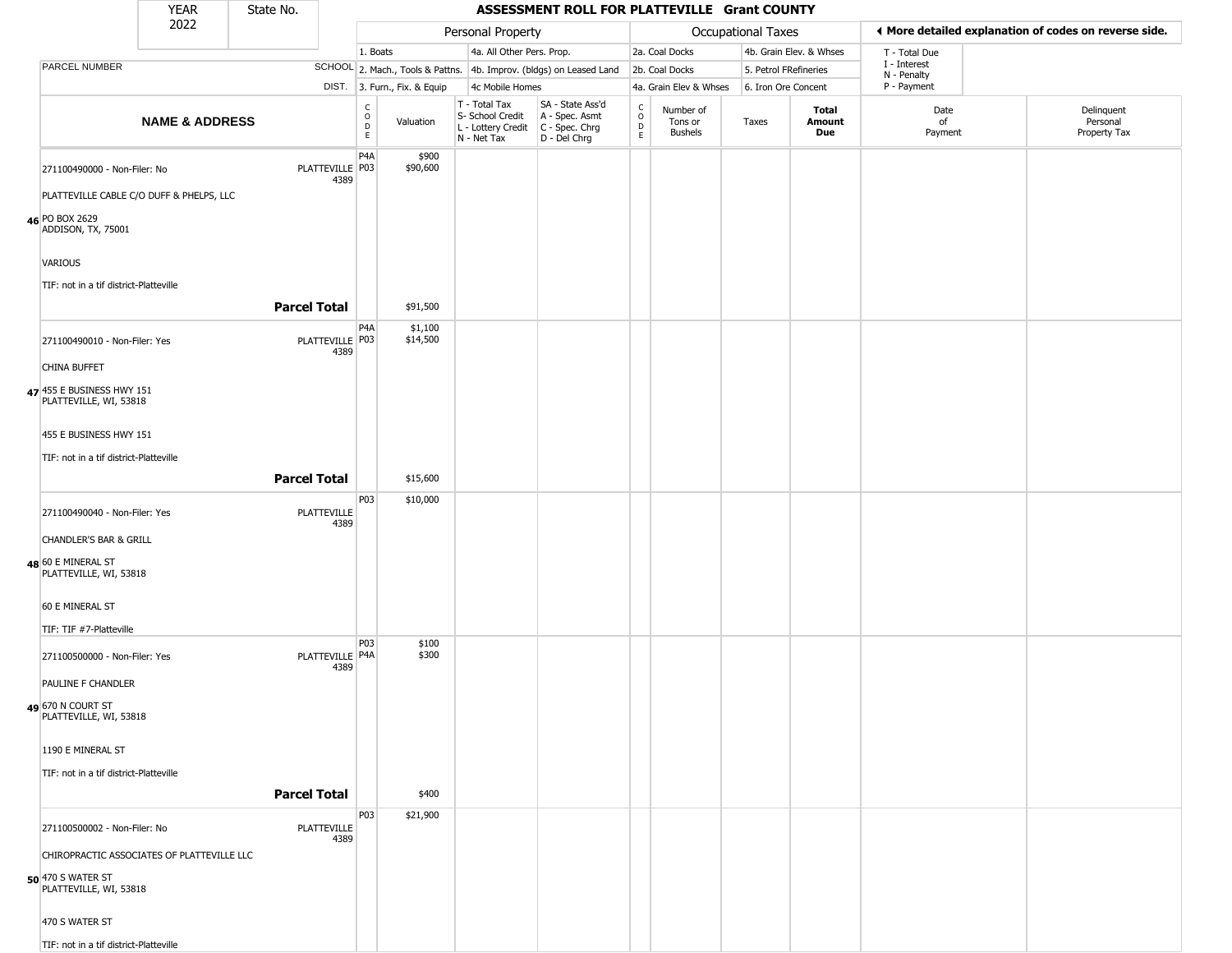|                                                                            | <b>YEAR</b>                                | State No. |                            |                                                 |                              |                                                                        | ASSESSMENT ROLL FOR PLATTEVILLE Grant COUNTY                           |                                        |                                        |                    |                         |                             |                                                       |
|----------------------------------------------------------------------------|--------------------------------------------|-----------|----------------------------|-------------------------------------------------|------------------------------|------------------------------------------------------------------------|------------------------------------------------------------------------|----------------------------------------|----------------------------------------|--------------------|-------------------------|-----------------------------|-------------------------------------------------------|
|                                                                            | 2022                                       |           |                            |                                                 |                              | Personal Property                                                      |                                                                        |                                        |                                        | Occupational Taxes |                         |                             | ◀ More detailed explanation of codes on reverse side. |
|                                                                            |                                            |           |                            | 1. Boats                                        |                              | 4a. All Other Pers. Prop.                                              |                                                                        |                                        | 2a. Coal Docks                         |                    | 4b. Grain Elev. & Whses | T - Total Due               |                                                       |
| PARCEL NUMBER                                                              |                                            |           |                            |                                                 |                              |                                                                        | SCHOOL 2. Mach., Tools & Pattns. 4b. Improv. (bldgs) on Leased Land    |                                        | 2b. Coal Docks                         |                    | 5. Petrol FRefineries   | I - Interest<br>N - Penalty |                                                       |
|                                                                            |                                            |           |                            |                                                 | DIST. 3. Furn., Fix. & Equip | 4c Mobile Homes                                                        |                                                                        |                                        | 4a. Grain Elev & Whses                 |                    | 6. Iron Ore Concent     | P - Payment                 |                                                       |
|                                                                            | <b>NAME &amp; ADDRESS</b>                  |           |                            | $\begin{array}{c} C \\ O \\ D \\ E \end{array}$ | Valuation                    | T - Total Tax<br>S- School Credit<br>L - Lottery Credit<br>N - Net Tax | SA - State Ass'd<br>A - Spec. Asmt<br>$C - Spec. Chrg$<br>D - Del Chrg | $_{\rm o}^{\rm c}$<br>D<br>$\mathsf E$ | Number of<br>Tons or<br><b>Bushels</b> | Taxes              | Total<br>Amount<br>Due  | Date<br>of<br>Payment       | Delinquent<br>Personal<br>Property Tax                |
| 271100490000 - Non-Filer: No                                               | PLATTEVILLE CABLE C/O DUFF & PHELPS, LLC   |           | PLATTEVILLE P03<br>4389    | P <sub>4</sub> A                                | \$900<br>\$90,600            |                                                                        |                                                                        |                                        |                                        |                    |                         |                             |                                                       |
| 46 PO BOX 2629<br>ADDISON, TX, 75001                                       |                                            |           |                            |                                                 |                              |                                                                        |                                                                        |                                        |                                        |                    |                         |                             |                                                       |
| <b>VARIOUS</b><br>TIF: not in a tif district-Platteville                   |                                            |           |                            |                                                 |                              |                                                                        |                                                                        |                                        |                                        |                    |                         |                             |                                                       |
|                                                                            |                                            |           | <b>Parcel Total</b>        |                                                 | \$91,500                     |                                                                        |                                                                        |                                        |                                        |                    |                         |                             |                                                       |
| 271100490010 - Non-Filer: Yes                                              |                                            |           | PLATTEVILLE   P03<br>4389  | P <sub>4</sub> A                                | \$1,100<br>\$14,500          |                                                                        |                                                                        |                                        |                                        |                    |                         |                             |                                                       |
| <b>CHINA BUFFET</b><br>47 455 E BUSINESS HWY 151<br>PLATTEVILLE, WI, 53818 |                                            |           |                            |                                                 |                              |                                                                        |                                                                        |                                        |                                        |                    |                         |                             |                                                       |
| 455 E BUSINESS HWY 151                                                     |                                            |           |                            |                                                 |                              |                                                                        |                                                                        |                                        |                                        |                    |                         |                             |                                                       |
| TIF: not in a tif district-Platteville                                     |                                            |           | <b>Parcel Total</b>        |                                                 | \$15,600                     |                                                                        |                                                                        |                                        |                                        |                    |                         |                             |                                                       |
| 271100490040 - Non-Filer: Yes                                              |                                            |           | <b>PLATTEVILLE</b><br>4389 | P03                                             | \$10,000                     |                                                                        |                                                                        |                                        |                                        |                    |                         |                             |                                                       |
| <b>CHANDLER'S BAR &amp; GRILL</b>                                          |                                            |           |                            |                                                 |                              |                                                                        |                                                                        |                                        |                                        |                    |                         |                             |                                                       |
| 48 60 E MINERAL ST<br>PLATTEVILLE, WI, 53818                               |                                            |           |                            |                                                 |                              |                                                                        |                                                                        |                                        |                                        |                    |                         |                             |                                                       |
| 60 E MINERAL ST                                                            |                                            |           |                            |                                                 |                              |                                                                        |                                                                        |                                        |                                        |                    |                         |                             |                                                       |
| TIF: TIF #7-Platteville<br>271100500000 - Non-Filer: Yes                   |                                            |           | PLATTEVILLE   P4A<br>4389  | P03                                             | \$100<br>\$300               |                                                                        |                                                                        |                                        |                                        |                    |                         |                             |                                                       |
| PAULINE F CHANDLER                                                         |                                            |           |                            |                                                 |                              |                                                                        |                                                                        |                                        |                                        |                    |                         |                             |                                                       |
| 49 670 N COURT ST<br>PLATTEVILLE, WI, 53818                                |                                            |           |                            |                                                 |                              |                                                                        |                                                                        |                                        |                                        |                    |                         |                             |                                                       |
| 1190 E MINERAL ST                                                          |                                            |           |                            |                                                 |                              |                                                                        |                                                                        |                                        |                                        |                    |                         |                             |                                                       |
| TIF: not in a tif district-Platteville                                     |                                            |           | <b>Parcel Total</b>        |                                                 |                              |                                                                        |                                                                        |                                        |                                        |                    |                         |                             |                                                       |
|                                                                            |                                            |           |                            | P03                                             | \$400<br>\$21,900            |                                                                        |                                                                        |                                        |                                        |                    |                         |                             |                                                       |
| 271100500002 - Non-Filer: No                                               |                                            |           | PLATTEVILLE<br>4389        |                                                 |                              |                                                                        |                                                                        |                                        |                                        |                    |                         |                             |                                                       |
|                                                                            | CHIROPRACTIC ASSOCIATES OF PLATTEVILLE LLC |           |                            |                                                 |                              |                                                                        |                                                                        |                                        |                                        |                    |                         |                             |                                                       |
| 50 470 S WATER ST<br>PLATTEVILLE, WI, 53818                                |                                            |           |                            |                                                 |                              |                                                                        |                                                                        |                                        |                                        |                    |                         |                             |                                                       |
| 470 S WATER ST                                                             |                                            |           |                            |                                                 |                              |                                                                        |                                                                        |                                        |                                        |                    |                         |                             |                                                       |

TIF: not in a tif district-Platteville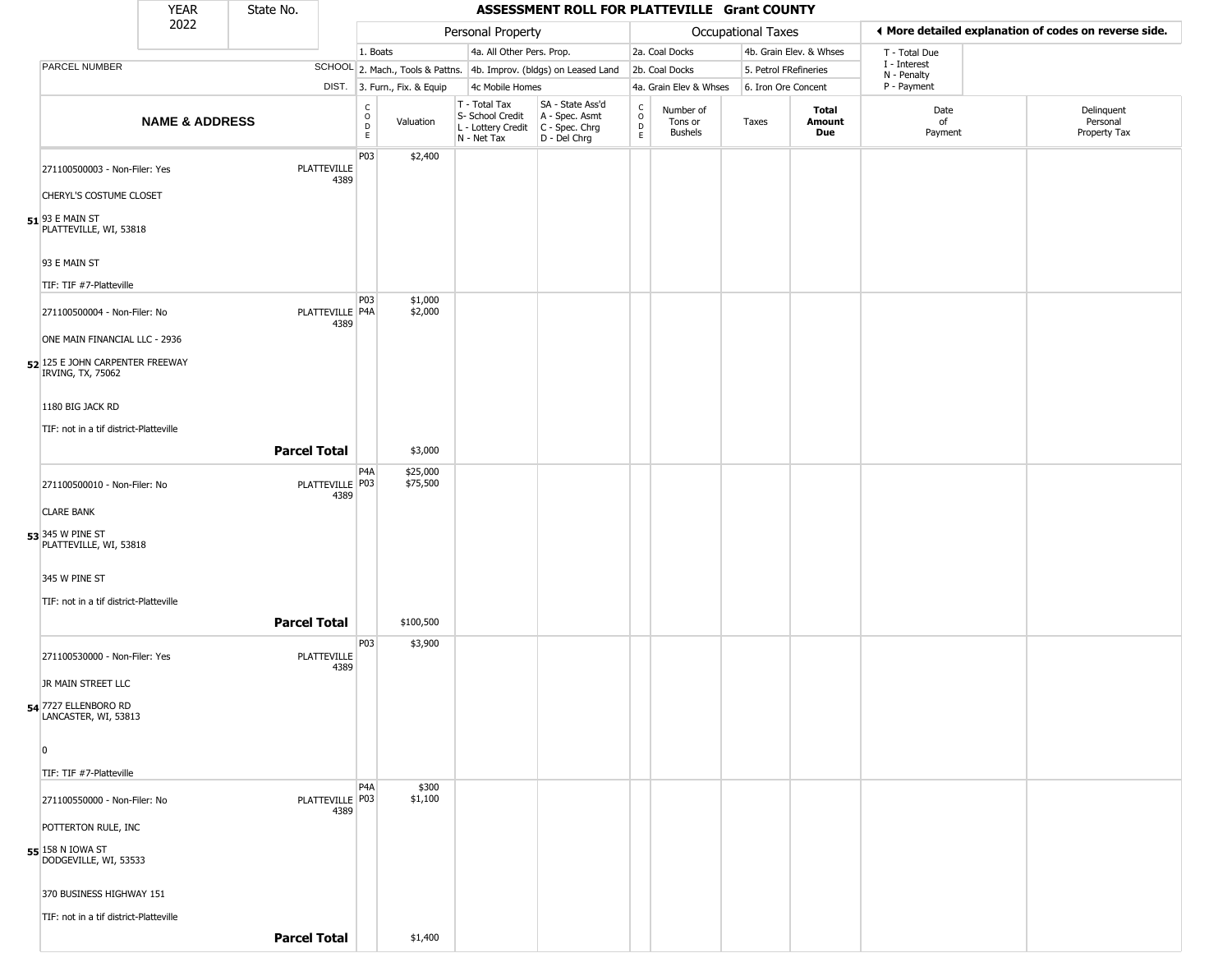|                                                          | <b>YEAR</b>               | State No.           |                           |                                                |                              |                                                                        | ASSESSMENT ROLL FOR PLATTEVILLE Grant COUNTY                         |                                            |                                        |       |                               |                             |                                                       |
|----------------------------------------------------------|---------------------------|---------------------|---------------------------|------------------------------------------------|------------------------------|------------------------------------------------------------------------|----------------------------------------------------------------------|--------------------------------------------|----------------------------------------|-------|-------------------------------|-----------------------------|-------------------------------------------------------|
|                                                          | 2022                      |                     |                           |                                                |                              | Personal Property                                                      |                                                                      |                                            | Occupational Taxes                     |       |                               |                             | ♦ More detailed explanation of codes on reverse side. |
|                                                          |                           |                     |                           | 1. Boats                                       |                              | 4a. All Other Pers. Prop.                                              |                                                                      |                                            | 2a. Coal Docks                         |       | 4b. Grain Elev. & Whses       | T - Total Due               |                                                       |
| PARCEL NUMBER                                            |                           |                     |                           |                                                |                              |                                                                        | SCHOOL 2. Mach., Tools & Pattns. 4b. Improv. (bldgs) on Leased Land  |                                            | 2b. Coal Docks                         |       | 5. Petrol FRefineries         | I - Interest<br>N - Penalty |                                                       |
|                                                          |                           |                     |                           |                                                | DIST. 3. Furn., Fix. & Equip | 4c Mobile Homes                                                        |                                                                      |                                            | 4a. Grain Elev & Whses                 |       | 6. Iron Ore Concent           | P - Payment                 |                                                       |
|                                                          | <b>NAME &amp; ADDRESS</b> |                     |                           | $\begin{matrix} 0 \\ 0 \\ D \end{matrix}$<br>E | Valuation                    | T - Total Tax<br>S- School Credit<br>L - Lottery Credit<br>N - Net Tax | SA - State Ass'd<br>A - Spec. Asmt<br>C - Spec. Chrg<br>D - Del Chrg | C<br>$\circ$<br>$\mathsf D$<br>$\mathsf E$ | Number of<br>Tons or<br><b>Bushels</b> | Taxes | <b>Total</b><br>Amount<br>Due | Date<br>of<br>Payment       | Delinquent<br>Personal<br>Property Tax                |
| 271100500003 - Non-Filer: Yes<br>CHERYL'S COSTUME CLOSET |                           |                     | PLATTEVILLE<br>4389       | P03                                            | \$2,400                      |                                                                        |                                                                      |                                            |                                        |       |                               |                             |                                                       |
| $51$ 93 E MAIN ST<br>PLATTEVILLE, WI, 53818              |                           |                     |                           |                                                |                              |                                                                        |                                                                      |                                            |                                        |       |                               |                             |                                                       |
| 93 E MAIN ST                                             |                           |                     |                           |                                                |                              |                                                                        |                                                                      |                                            |                                        |       |                               |                             |                                                       |
| TIF: TIF #7-Platteville                                  |                           |                     |                           | <b>P03</b>                                     | \$1,000                      |                                                                        |                                                                      |                                            |                                        |       |                               |                             |                                                       |
| 271100500004 - Non-Filer: No                             |                           |                     | PLATTEVILLE   P4A<br>4389 |                                                | \$2,000                      |                                                                        |                                                                      |                                            |                                        |       |                               |                             |                                                       |
| ONE MAIN FINANCIAL LLC - 2936                            |                           |                     |                           |                                                |                              |                                                                        |                                                                      |                                            |                                        |       |                               |                             |                                                       |
| 52 125 E JOHN CARPENTER FREEWAY<br>IRVING, TX, 75062     |                           |                     |                           |                                                |                              |                                                                        |                                                                      |                                            |                                        |       |                               |                             |                                                       |
| 1180 BIG JACK RD                                         |                           |                     |                           |                                                |                              |                                                                        |                                                                      |                                            |                                        |       |                               |                             |                                                       |
| TIF: not in a tif district-Platteville                   |                           |                     |                           |                                                |                              |                                                                        |                                                                      |                                            |                                        |       |                               |                             |                                                       |
|                                                          |                           | <b>Parcel Total</b> |                           |                                                | \$3,000                      |                                                                        |                                                                      |                                            |                                        |       |                               |                             |                                                       |
| 271100500010 - Non-Filer: No                             |                           |                     | PLATTEVILLE P03<br>4389   | P <sub>4</sub> A                               | \$25,000<br>\$75,500         |                                                                        |                                                                      |                                            |                                        |       |                               |                             |                                                       |
| <b>CLARE BANK</b>                                        |                           |                     |                           |                                                |                              |                                                                        |                                                                      |                                            |                                        |       |                               |                             |                                                       |
| 53 345 W PINE ST<br>PLATTEVILLE, WI, 53818               |                           |                     |                           |                                                |                              |                                                                        |                                                                      |                                            |                                        |       |                               |                             |                                                       |
| 345 W PINE ST                                            |                           |                     |                           |                                                |                              |                                                                        |                                                                      |                                            |                                        |       |                               |                             |                                                       |
| TIF: not in a tif district-Platteville                   |                           |                     |                           |                                                |                              |                                                                        |                                                                      |                                            |                                        |       |                               |                             |                                                       |
|                                                          |                           | <b>Parcel Total</b> |                           |                                                | \$100,500                    |                                                                        |                                                                      |                                            |                                        |       |                               |                             |                                                       |
| 271100530000 - Non-Filer: Yes                            |                           |                     | PLATTEVILLE<br>4389       | P03                                            | \$3,900                      |                                                                        |                                                                      |                                            |                                        |       |                               |                             |                                                       |
| JR MAIN STREET LLC                                       |                           |                     |                           |                                                |                              |                                                                        |                                                                      |                                            |                                        |       |                               |                             |                                                       |
| 54 7727 ELLENBORO RD<br>LANCASTER, WI, 53813             |                           |                     |                           |                                                |                              |                                                                        |                                                                      |                                            |                                        |       |                               |                             |                                                       |
| 0                                                        |                           |                     |                           |                                                |                              |                                                                        |                                                                      |                                            |                                        |       |                               |                             |                                                       |
| TIF: TIF #7-Platteville                                  |                           |                     |                           |                                                |                              |                                                                        |                                                                      |                                            |                                        |       |                               |                             |                                                       |
| 271100550000 - Non-Filer: No                             |                           |                     | PLATTEVILLE P03<br>4389   | P <sub>4</sub> A                               | \$300<br>\$1,100             |                                                                        |                                                                      |                                            |                                        |       |                               |                             |                                                       |
| POTTERTON RULE, INC                                      |                           |                     |                           |                                                |                              |                                                                        |                                                                      |                                            |                                        |       |                               |                             |                                                       |
| 55 158 N IOWA ST<br>DODGEVILLE, WI, 53533                |                           |                     |                           |                                                |                              |                                                                        |                                                                      |                                            |                                        |       |                               |                             |                                                       |
| 370 BUSINESS HIGHWAY 151                                 |                           |                     |                           |                                                |                              |                                                                        |                                                                      |                                            |                                        |       |                               |                             |                                                       |
| TIF: not in a tif district-Platteville                   |                           |                     |                           |                                                |                              |                                                                        |                                                                      |                                            |                                        |       |                               |                             |                                                       |

**Parcel Total** \$1,400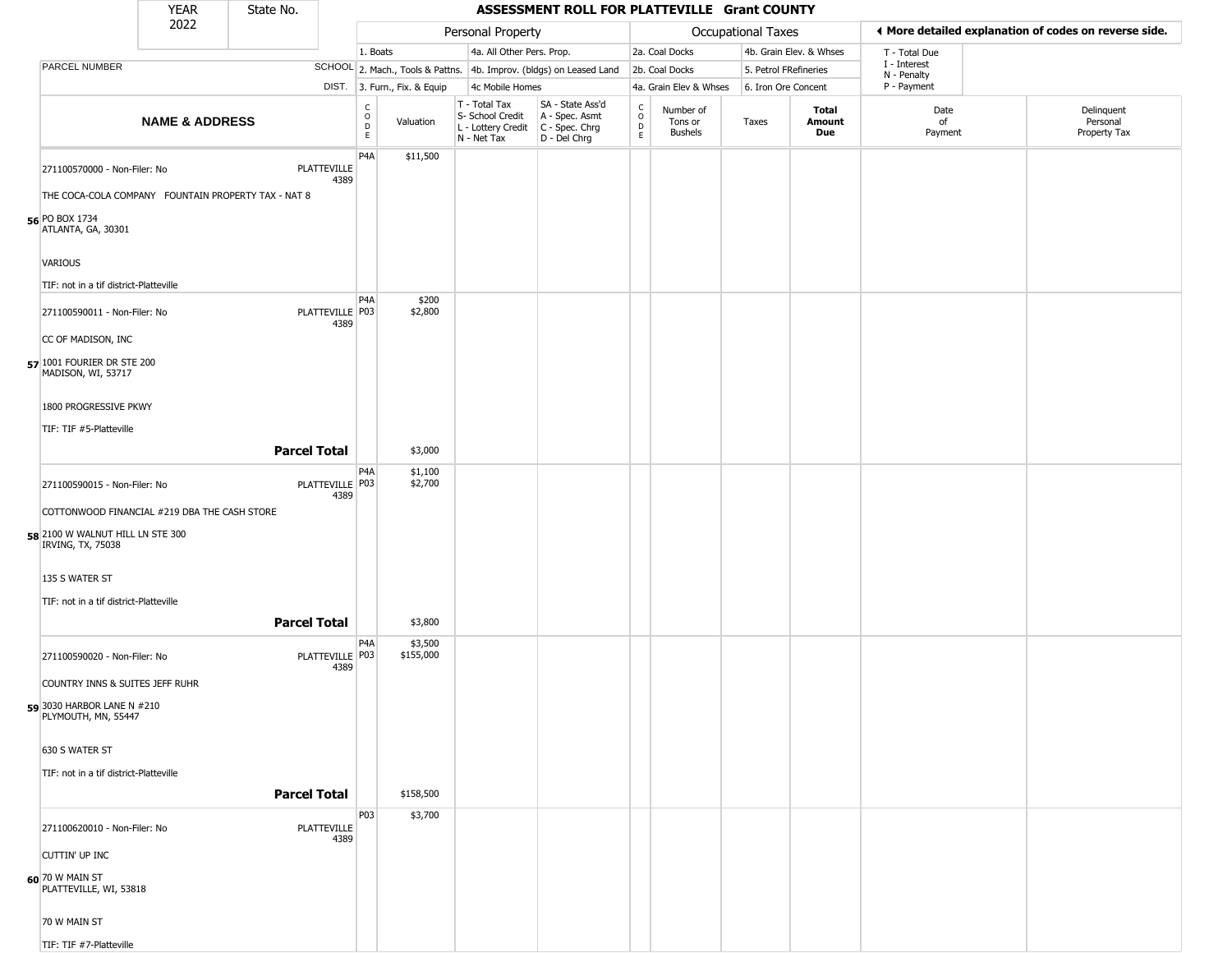|                                                                                     | <b>YEAR</b>               | State No.           |                            |                                             |                              |                                                                                         | ASSESSMENT ROLL FOR PLATTEVILLE Grant COUNTY                        |                                 |                                        |                           |                         |                             |                                                       |
|-------------------------------------------------------------------------------------|---------------------------|---------------------|----------------------------|---------------------------------------------|------------------------------|-----------------------------------------------------------------------------------------|---------------------------------------------------------------------|---------------------------------|----------------------------------------|---------------------------|-------------------------|-----------------------------|-------------------------------------------------------|
|                                                                                     | 2022                      |                     |                            |                                             |                              | Personal Property                                                                       |                                                                     |                                 |                                        | <b>Occupational Taxes</b> |                         |                             | ◀ More detailed explanation of codes on reverse side. |
|                                                                                     |                           |                     |                            | 1. Boats                                    |                              | 4a. All Other Pers. Prop.                                                               |                                                                     |                                 | 2a. Coal Docks                         |                           | 4b. Grain Elev. & Whses | T - Total Due               |                                                       |
| PARCEL NUMBER                                                                       |                           |                     |                            |                                             |                              |                                                                                         | SCHOOL 2. Mach., Tools & Pattns. 4b. Improv. (bldgs) on Leased Land |                                 | 2b. Coal Docks                         | 5. Petrol FRefineries     |                         | I - Interest<br>N - Penalty |                                                       |
|                                                                                     |                           |                     |                            |                                             | DIST. 3. Furn., Fix. & Equip | 4c Mobile Homes                                                                         |                                                                     |                                 | 4a. Grain Elev & Whses                 | 6. Iron Ore Concent       |                         | P - Payment                 |                                                       |
|                                                                                     | <b>NAME &amp; ADDRESS</b> |                     |                            | $\frac{C}{O}$<br>$\mathsf D$<br>$\mathsf E$ | Valuation                    | T - Total Tax<br>S- School Credit<br>L - Lottery Credit   C - Spec. Chrg<br>N - Net Tax | SA - State Ass'd<br>A - Spec. Asmt<br>D - Del Chrg                  | $\int_{0}^{c}$<br>$\frac{D}{E}$ | Number of<br>Tons or<br><b>Bushels</b> | Taxes                     | Total<br>Amount<br>Due  | Date<br>of<br>Payment       | Delinquent<br>Personal<br>Property Tax                |
| 271100570000 - Non-Filer: No<br>THE COCA-COLA COMPANY FOUNTAIN PROPERTY TAX - NAT 8 |                           |                     | <b>PLATTEVILLE</b><br>4389 | P4A                                         | \$11,500                     |                                                                                         |                                                                     |                                 |                                        |                           |                         |                             |                                                       |
| 56 PO BOX 1734<br>ATLANTA, GA, 30301                                                |                           |                     |                            |                                             |                              |                                                                                         |                                                                     |                                 |                                        |                           |                         |                             |                                                       |
| VARIOUS                                                                             |                           |                     |                            |                                             |                              |                                                                                         |                                                                     |                                 |                                        |                           |                         |                             |                                                       |
| TIF: not in a tif district-Platteville                                              |                           |                     |                            | P <sub>4</sub> A                            | \$200                        |                                                                                         |                                                                     |                                 |                                        |                           |                         |                             |                                                       |
| 271100590011 - Non-Filer: No<br>CC OF MADISON, INC                                  |                           |                     | PLATTEVILLE P03<br>4389    |                                             | \$2,800                      |                                                                                         |                                                                     |                                 |                                        |                           |                         |                             |                                                       |
| 57 1001 FOURIER DR STE 200<br>MADISON, WI, 53717                                    |                           |                     |                            |                                             |                              |                                                                                         |                                                                     |                                 |                                        |                           |                         |                             |                                                       |
| 1800 PROGRESSIVE PKWY                                                               |                           |                     |                            |                                             |                              |                                                                                         |                                                                     |                                 |                                        |                           |                         |                             |                                                       |
| TIF: TIF #5-Platteville                                                             |                           | <b>Parcel Total</b> |                            |                                             | \$3,000                      |                                                                                         |                                                                     |                                 |                                        |                           |                         |                             |                                                       |
| 271100590015 - Non-Filer: No                                                        |                           |                     | PLATTEVILLE P03<br>4389    | P <sub>4</sub> A                            | \$1,100<br>\$2,700           |                                                                                         |                                                                     |                                 |                                        |                           |                         |                             |                                                       |
| COTTONWOOD FINANCIAL #219 DBA THE CASH STORE                                        |                           |                     |                            |                                             |                              |                                                                                         |                                                                     |                                 |                                        |                           |                         |                             |                                                       |
| 58 2100 W WALNUT HILL LN STE 300<br>IRVING, TX, 75038                               |                           |                     |                            |                                             |                              |                                                                                         |                                                                     |                                 |                                        |                           |                         |                             |                                                       |
| 135 S WATER ST                                                                      |                           |                     |                            |                                             |                              |                                                                                         |                                                                     |                                 |                                        |                           |                         |                             |                                                       |
| TIF: not in a tif district-Platteville                                              |                           | <b>Parcel Total</b> |                            |                                             | \$3,800                      |                                                                                         |                                                                     |                                 |                                        |                           |                         |                             |                                                       |
| 271100590020 - Non-Filer: No                                                        |                           |                     | PLATTEVILLE P03<br>4389    | P4A                                         | \$3,500<br>\$155,000         |                                                                                         |                                                                     |                                 |                                        |                           |                         |                             |                                                       |
| COUNTRY INNS & SUITES JEFF RUHR                                                     |                           |                     |                            |                                             |                              |                                                                                         |                                                                     |                                 |                                        |                           |                         |                             |                                                       |
| 59 3030 HARBOR LANE N #210<br>PLYMOUTH, MN, 55447                                   |                           |                     |                            |                                             |                              |                                                                                         |                                                                     |                                 |                                        |                           |                         |                             |                                                       |
| 630 S WATER ST                                                                      |                           |                     |                            |                                             |                              |                                                                                         |                                                                     |                                 |                                        |                           |                         |                             |                                                       |
| TIF: not in a tif district-Platteville                                              |                           | <b>Parcel Total</b> |                            |                                             | \$158,500                    |                                                                                         |                                                                     |                                 |                                        |                           |                         |                             |                                                       |
| 271100620010 - Non-Filer: No                                                        |                           |                     | PLATTEVILLE<br>4389        | P03                                         | \$3,700                      |                                                                                         |                                                                     |                                 |                                        |                           |                         |                             |                                                       |
| CUTTIN' UP INC                                                                      |                           |                     |                            |                                             |                              |                                                                                         |                                                                     |                                 |                                        |                           |                         |                             |                                                       |
| 60 70 W MAIN ST<br>PLATTEVILLE, WI, 53818                                           |                           |                     |                            |                                             |                              |                                                                                         |                                                                     |                                 |                                        |                           |                         |                             |                                                       |
| 70 W MAIN ST                                                                        |                           |                     |                            |                                             |                              |                                                                                         |                                                                     |                                 |                                        |                           |                         |                             |                                                       |
| TIF: TIF #7-Platteville                                                             |                           |                     |                            |                                             |                              |                                                                                         |                                                                     |                                 |                                        |                           |                         |                             |                                                       |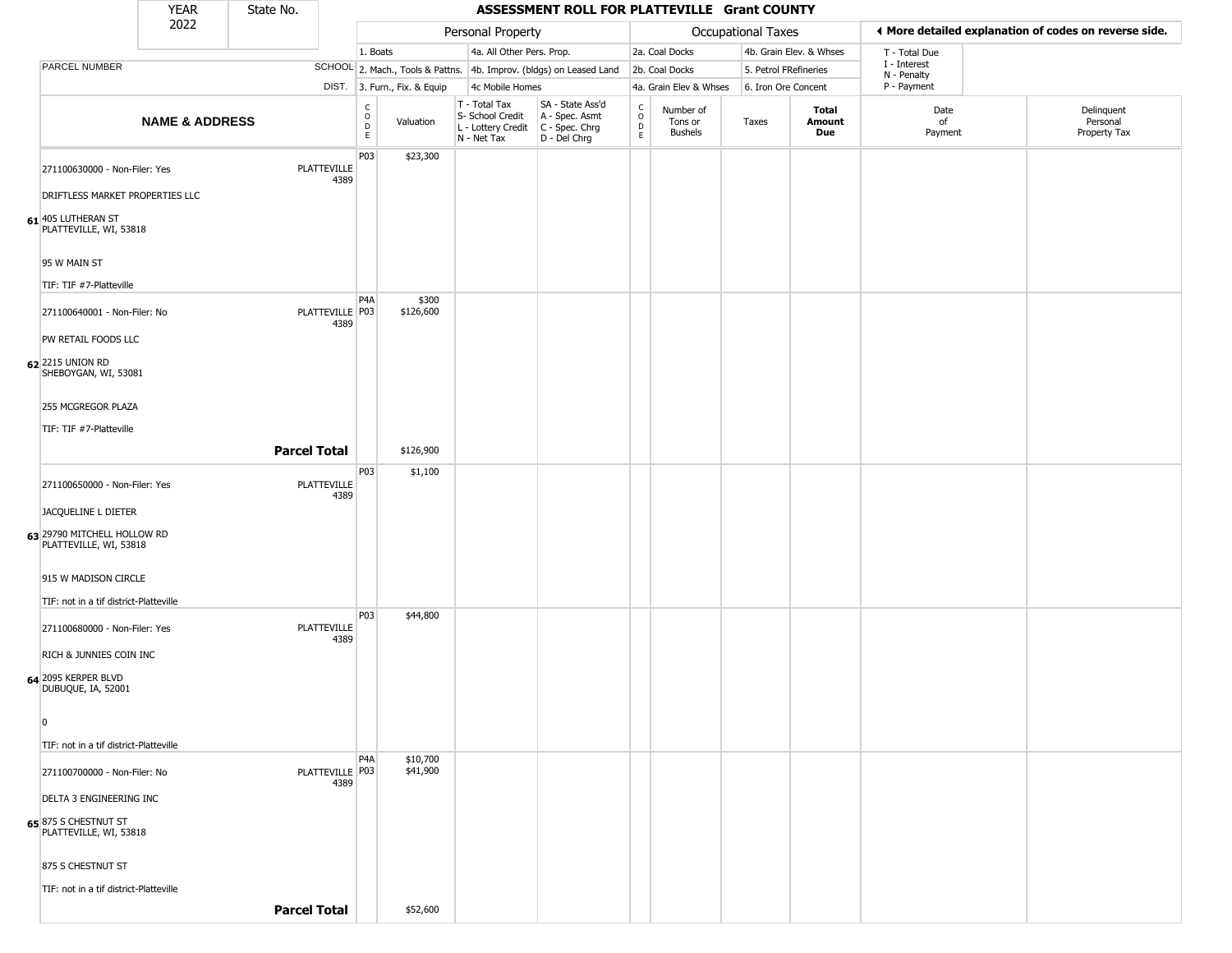|                                                                  | <b>YEAR</b>               | State No.           |                         |                                   |                              |                                                                        | ASSESSMENT ROLL FOR PLATTEVILLE Grant COUNTY                         |                                            |                                        |                       |                         |                             |                                                       |
|------------------------------------------------------------------|---------------------------|---------------------|-------------------------|-----------------------------------|------------------------------|------------------------------------------------------------------------|----------------------------------------------------------------------|--------------------------------------------|----------------------------------------|-----------------------|-------------------------|-----------------------------|-------------------------------------------------------|
|                                                                  | 2022                      |                     |                         |                                   |                              | Personal Property                                                      |                                                                      |                                            |                                        | Occupational Taxes    |                         |                             | ◀ More detailed explanation of codes on reverse side. |
|                                                                  |                           |                     |                         | 1. Boats                          |                              | 4a. All Other Pers. Prop.                                              |                                                                      |                                            | 2a. Coal Docks                         |                       | 4b. Grain Elev. & Whses | T - Total Due               |                                                       |
| PARCEL NUMBER                                                    |                           |                     |                         |                                   |                              |                                                                        | SCHOOL 2. Mach., Tools & Pattns. 4b. Improv. (bldgs) on Leased Land  |                                            | 2b. Coal Docks                         | 5. Petrol FRefineries |                         | I - Interest<br>N - Penalty |                                                       |
|                                                                  |                           |                     |                         |                                   | DIST. 3. Furn., Fix. & Equip | 4c Mobile Homes                                                        |                                                                      |                                            | 4a. Grain Elev & Whses                 | 6. Iron Ore Concent   |                         | P - Payment                 |                                                       |
|                                                                  | <b>NAME &amp; ADDRESS</b> |                     |                         | $\frac{C}{O}$<br>D<br>$\mathsf E$ | Valuation                    | T - Total Tax<br>S- School Credit<br>L - Lottery Credit<br>N - Net Tax | SA - State Ass'd<br>A - Spec. Asmt<br>C - Spec. Chrg<br>D - Del Chrg | $\begin{array}{c} C \\ O \\ E \end{array}$ | Number of<br>Tons or<br><b>Bushels</b> | Taxes                 | Total<br>Amount<br>Due  | Date<br>of<br>Payment       | Delinquent<br>Personal<br>Property Tax                |
| 271100630000 - Non-Filer: Yes<br>DRIFTLESS MARKET PROPERTIES LLC |                           |                     | PLATTEVILLE<br>4389     | P03                               | \$23,300                     |                                                                        |                                                                      |                                            |                                        |                       |                         |                             |                                                       |
|                                                                  |                           |                     |                         |                                   |                              |                                                                        |                                                                      |                                            |                                        |                       |                         |                             |                                                       |
| $61$ <sup>405</sup> LUTHERAN ST<br>PLATTEVILLE, WI, 53818        |                           |                     |                         |                                   |                              |                                                                        |                                                                      |                                            |                                        |                       |                         |                             |                                                       |
| 95 W MAIN ST                                                     |                           |                     |                         |                                   |                              |                                                                        |                                                                      |                                            |                                        |                       |                         |                             |                                                       |
| TIF: TIF #7-Platteville                                          |                           |                     |                         |                                   |                              |                                                                        |                                                                      |                                            |                                        |                       |                         |                             |                                                       |
| 271100640001 - Non-Filer: No                                     |                           |                     | PLATTEVILLE P03<br>4389 | P <sub>4</sub> A                  | \$300<br>\$126,600           |                                                                        |                                                                      |                                            |                                        |                       |                         |                             |                                                       |
| PW RETAIL FOODS LLC                                              |                           |                     |                         |                                   |                              |                                                                        |                                                                      |                                            |                                        |                       |                         |                             |                                                       |
| 62 2215 UNION RD<br>SHEBOYGAN, WI, 53081                         |                           |                     |                         |                                   |                              |                                                                        |                                                                      |                                            |                                        |                       |                         |                             |                                                       |
| 255 MCGREGOR PLAZA                                               |                           |                     |                         |                                   |                              |                                                                        |                                                                      |                                            |                                        |                       |                         |                             |                                                       |
| TIF: TIF #7-Platteville                                          |                           |                     |                         |                                   |                              |                                                                        |                                                                      |                                            |                                        |                       |                         |                             |                                                       |
|                                                                  |                           | <b>Parcel Total</b> |                         |                                   | \$126,900                    |                                                                        |                                                                      |                                            |                                        |                       |                         |                             |                                                       |
|                                                                  |                           |                     |                         |                                   |                              |                                                                        |                                                                      |                                            |                                        |                       |                         |                             |                                                       |
| 271100650000 - Non-Filer: Yes                                    |                           |                     | PLATTEVILLE<br>4389     | P <sub>03</sub>                   | \$1,100                      |                                                                        |                                                                      |                                            |                                        |                       |                         |                             |                                                       |
| JACQUELINE L DIETER                                              |                           |                     |                         |                                   |                              |                                                                        |                                                                      |                                            |                                        |                       |                         |                             |                                                       |
| 63 29790 MITCHELL HOLLOW RD<br>PLATTEVILLE, WI, 53818            |                           |                     |                         |                                   |                              |                                                                        |                                                                      |                                            |                                        |                       |                         |                             |                                                       |
| 915 W MADISON CIRCLE                                             |                           |                     |                         |                                   |                              |                                                                        |                                                                      |                                            |                                        |                       |                         |                             |                                                       |
| TIF: not in a tif district-Platteville                           |                           |                     |                         |                                   |                              |                                                                        |                                                                      |                                            |                                        |                       |                         |                             |                                                       |
| 271100680000 - Non-Filer: Yes                                    |                           |                     | PLATTEVILLE<br>4389     | P03                               | \$44,800                     |                                                                        |                                                                      |                                            |                                        |                       |                         |                             |                                                       |
| RICH & JUNNIES COIN INC                                          |                           |                     |                         |                                   |                              |                                                                        |                                                                      |                                            |                                        |                       |                         |                             |                                                       |
| 64 2095 KERPER BLVD<br>DUBUQUE, IA, 52001                        |                           |                     |                         |                                   |                              |                                                                        |                                                                      |                                            |                                        |                       |                         |                             |                                                       |
| $\overline{0}$                                                   |                           |                     |                         |                                   |                              |                                                                        |                                                                      |                                            |                                        |                       |                         |                             |                                                       |
| TIF: not in a tif district-Platteville                           |                           |                     |                         |                                   |                              |                                                                        |                                                                      |                                            |                                        |                       |                         |                             |                                                       |
|                                                                  |                           |                     |                         | P4A                               | \$10,700                     |                                                                        |                                                                      |                                            |                                        |                       |                         |                             |                                                       |
| 271100700000 - Non-Filer: No                                     |                           |                     | PLATTEVILLE P03<br>4389 |                                   | \$41,900                     |                                                                        |                                                                      |                                            |                                        |                       |                         |                             |                                                       |
| DELTA 3 ENGINEERING INC                                          |                           |                     |                         |                                   |                              |                                                                        |                                                                      |                                            |                                        |                       |                         |                             |                                                       |
| 65 875 S CHESTNUT ST<br>PLATTEVILLE, WI, 53818                   |                           |                     |                         |                                   |                              |                                                                        |                                                                      |                                            |                                        |                       |                         |                             |                                                       |
| 875 S CHESTNUT ST                                                |                           |                     |                         |                                   |                              |                                                                        |                                                                      |                                            |                                        |                       |                         |                             |                                                       |
| TIF: not in a tif district-Platteville                           |                           |                     |                         |                                   |                              |                                                                        |                                                                      |                                            |                                        |                       |                         |                             |                                                       |
|                                                                  |                           | <b>Parcel Total</b> |                         |                                   | \$52,600                     |                                                                        |                                                                      |                                            |                                        |                       |                         |                             |                                                       |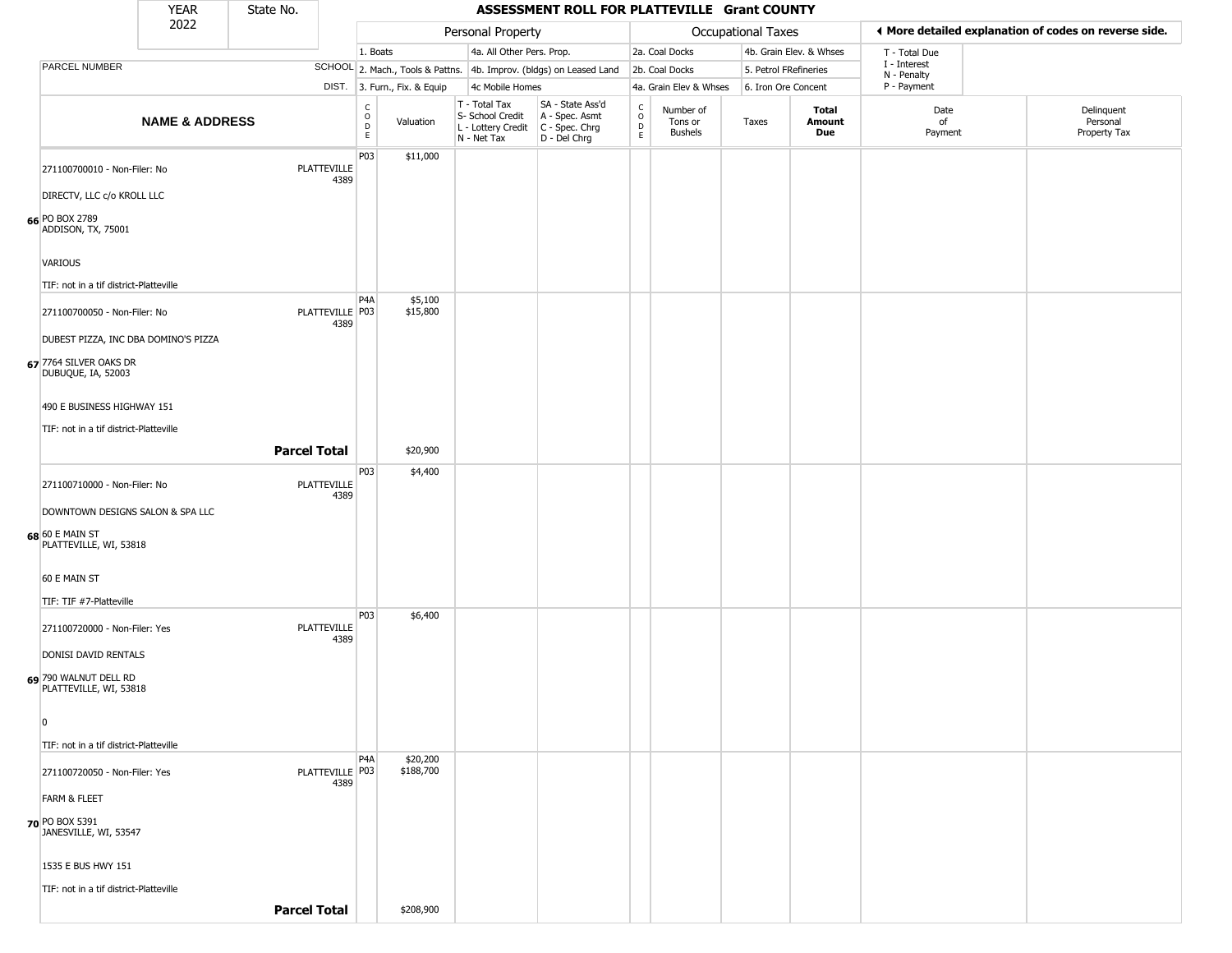|                                                                   | <b>YEAR</b>               | State No.           |                           |                                                        |                              |                              |                                        | ASSESSMENT ROLL FOR PLATTEVILLE Grant COUNTY                           |                                             |                                 |                       |                         |                             |                                                       |
|-------------------------------------------------------------------|---------------------------|---------------------|---------------------------|--------------------------------------------------------|------------------------------|------------------------------|----------------------------------------|------------------------------------------------------------------------|---------------------------------------------|---------------------------------|-----------------------|-------------------------|-----------------------------|-------------------------------------------------------|
|                                                                   | 2022                      |                     |                           |                                                        |                              |                              | Personal Property                      |                                                                        |                                             |                                 | Occupational Taxes    |                         |                             | ◀ More detailed explanation of codes on reverse side. |
|                                                                   |                           |                     |                           | 1. Boats                                               |                              |                              | 4a. All Other Pers. Prop.              |                                                                        |                                             | 2a. Coal Docks                  |                       | 4b. Grain Elev. & Whses | T - Total Due               |                                                       |
| PARCEL NUMBER                                                     |                           |                     |                           |                                                        |                              |                              |                                        | SCHOOL 2. Mach., Tools & Pattns. 4b. Improv. (bldgs) on Leased Land    |                                             | 2b. Coal Docks                  | 5. Petrol FRefineries |                         | I - Interest<br>N - Penalty |                                                       |
|                                                                   |                           |                     |                           |                                                        | DIST. 3. Furn., Fix. & Equip |                              | 4c Mobile Homes                        |                                                                        |                                             | 4a. Grain Elev & Whses          | 6. Iron Ore Concent   |                         | P - Payment                 |                                                       |
|                                                                   | <b>NAME &amp; ADDRESS</b> |                     |                           | $\mathsf{C}$<br>$\circ$<br>$\mathsf{D}$<br>$\mathsf E$ | Valuation                    | T - Total Tax<br>N - Net Tax | S- School Credit<br>L - Lottery Credit | SA - State Ass'd<br>A - Spec. Asmt<br>$C - Spec. Chrg$<br>D - Del Chrg | $\frac{c}{0}$<br>$\mathsf D$<br>$\mathsf E$ | Number of<br>Tons or<br>Bushels | Taxes                 | Total<br>Amount<br>Due  | Date<br>of<br>Payment       | Delinquent<br>Personal<br>Property Tax                |
| 271100700010 - Non-Filer: No                                      |                           |                     | PLATTEVILLE<br>4389       | P03                                                    | \$11,000                     |                              |                                        |                                                                        |                                             |                                 |                       |                         |                             |                                                       |
| DIRECTV, LLC c/o KROLL LLC                                        |                           |                     |                           |                                                        |                              |                              |                                        |                                                                        |                                             |                                 |                       |                         |                             |                                                       |
| 66 PO BOX 2789<br>ADDISON, TX, 75001                              |                           |                     |                           |                                                        |                              |                              |                                        |                                                                        |                                             |                                 |                       |                         |                             |                                                       |
| <b>VARIOUS</b>                                                    |                           |                     |                           |                                                        |                              |                              |                                        |                                                                        |                                             |                                 |                       |                         |                             |                                                       |
| TIF: not in a tif district-Platteville                            |                           |                     |                           | P <sub>4</sub> A                                       | \$5,100                      |                              |                                        |                                                                        |                                             |                                 |                       |                         |                             |                                                       |
| 271100700050 - Non-Filer: No                                      |                           |                     | PLATTEVILLE   P03<br>4389 |                                                        | \$15,800                     |                              |                                        |                                                                        |                                             |                                 |                       |                         |                             |                                                       |
| DUBEST PIZZA, INC DBA DOMINO'S PIZZA                              |                           |                     |                           |                                                        |                              |                              |                                        |                                                                        |                                             |                                 |                       |                         |                             |                                                       |
| 67 7764 SILVER OAKS DR<br>DUBUQUE, IA, 52003                      |                           |                     |                           |                                                        |                              |                              |                                        |                                                                        |                                             |                                 |                       |                         |                             |                                                       |
| 490 E BUSINESS HIGHWAY 151                                        |                           |                     |                           |                                                        |                              |                              |                                        |                                                                        |                                             |                                 |                       |                         |                             |                                                       |
| TIF: not in a tif district-Platteville                            |                           |                     |                           |                                                        |                              |                              |                                        |                                                                        |                                             |                                 |                       |                         |                             |                                                       |
|                                                                   |                           | <b>Parcel Total</b> |                           |                                                        | \$20,900                     |                              |                                        |                                                                        |                                             |                                 |                       |                         |                             |                                                       |
| 271100710000 - Non-Filer: No                                      |                           |                     | PLATTEVILLE<br>4389       | P03                                                    | \$4,400                      |                              |                                        |                                                                        |                                             |                                 |                       |                         |                             |                                                       |
| DOWNTOWN DESIGNS SALON & SPA LLC                                  |                           |                     |                           |                                                        |                              |                              |                                        |                                                                        |                                             |                                 |                       |                         |                             |                                                       |
| 68 60 E MAIN ST<br>PLATTEVILLE, WI, 53818                         |                           |                     |                           |                                                        |                              |                              |                                        |                                                                        |                                             |                                 |                       |                         |                             |                                                       |
| 60 E MAIN ST                                                      |                           |                     |                           |                                                        |                              |                              |                                        |                                                                        |                                             |                                 |                       |                         |                             |                                                       |
| TIF: TIF #7-Platteville                                           |                           |                     |                           |                                                        |                              |                              |                                        |                                                                        |                                             |                                 |                       |                         |                             |                                                       |
| 271100720000 - Non-Filer: Yes                                     |                           |                     | PLATTEVILLE<br>4389       | P03                                                    | \$6,400                      |                              |                                        |                                                                        |                                             |                                 |                       |                         |                             |                                                       |
| DONISI DAVID RENTALS                                              |                           |                     |                           |                                                        |                              |                              |                                        |                                                                        |                                             |                                 |                       |                         |                             |                                                       |
| 69 790 WALNUT DELL RD<br>PLATTEVILLE, WI, 53818<br>$\overline{0}$ |                           |                     |                           |                                                        |                              |                              |                                        |                                                                        |                                             |                                 |                       |                         |                             |                                                       |
| TIF: not in a tif district-Platteville                            |                           |                     |                           |                                                        |                              |                              |                                        |                                                                        |                                             |                                 |                       |                         |                             |                                                       |
| 271100720050 - Non-Filer: Yes                                     |                           |                     | PLATTEVILLE P03           | P <sub>4</sub> A                                       | \$20,200<br>\$188,700        |                              |                                        |                                                                        |                                             |                                 |                       |                         |                             |                                                       |
| <b>FARM &amp; FLEET</b>                                           |                           |                     | 4389                      |                                                        |                              |                              |                                        |                                                                        |                                             |                                 |                       |                         |                             |                                                       |
| 70 PO BOX 5391                                                    |                           |                     |                           |                                                        |                              |                              |                                        |                                                                        |                                             |                                 |                       |                         |                             |                                                       |
| JANESVILLE, WI, 53547                                             |                           |                     |                           |                                                        |                              |                              |                                        |                                                                        |                                             |                                 |                       |                         |                             |                                                       |
| 1535 E BUS HWY 151                                                |                           |                     |                           |                                                        |                              |                              |                                        |                                                                        |                                             |                                 |                       |                         |                             |                                                       |
| TIF: not in a tif district-Platteville                            |                           |                     |                           |                                                        |                              |                              |                                        |                                                                        |                                             |                                 |                       |                         |                             |                                                       |
|                                                                   |                           | <b>Parcel Total</b> |                           |                                                        | \$208,900                    |                              |                                        |                                                                        |                                             |                                 |                       |                         |                             |                                                       |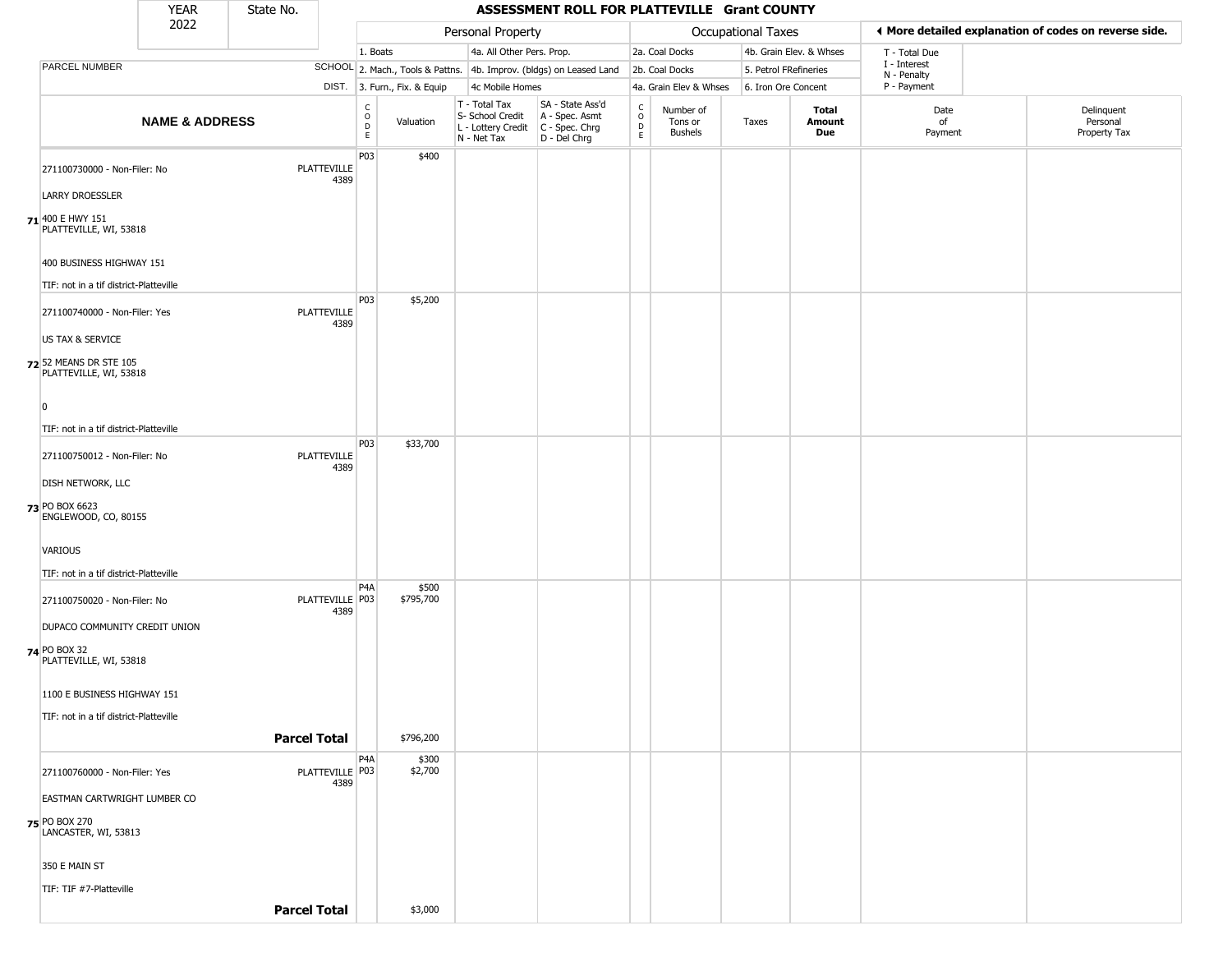|                                                  | <b>YEAR</b>               | State No.                 |                  |                              |                                                  | ASSESSMENT ROLL FOR PLATTEVILLE Grant COUNTY                                              |                                            |                                        |                    |                         |                             |                                                       |
|--------------------------------------------------|---------------------------|---------------------------|------------------|------------------------------|--------------------------------------------------|-------------------------------------------------------------------------------------------|--------------------------------------------|----------------------------------------|--------------------|-------------------------|-----------------------------|-------------------------------------------------------|
|                                                  | 2022                      |                           |                  |                              | Personal Property                                |                                                                                           |                                            |                                        | Occupational Taxes |                         |                             | ◀ More detailed explanation of codes on reverse side. |
|                                                  |                           |                           | 1. Boats         |                              | 4a. All Other Pers. Prop.                        |                                                                                           |                                            | 2a. Coal Docks                         |                    | 4b. Grain Elev. & Whses | T - Total Due               |                                                       |
| PARCEL NUMBER                                    |                           |                           |                  |                              |                                                  | SCHOOL 2. Mach., Tools & Pattns. 4b. Improv. (bldgs) on Leased Land                       |                                            | 2b. Coal Docks                         |                    | 5. Petrol FRefineries   | I - Interest<br>N - Penalty |                                                       |
|                                                  |                           |                           |                  | DIST. 3. Furn., Fix. & Equip | 4c Mobile Homes                                  |                                                                                           |                                            | 4a. Grain Elev & Whses                 |                    | 6. Iron Ore Concent     | P - Payment                 |                                                       |
|                                                  | <b>NAME &amp; ADDRESS</b> |                           | C<br>D<br>D<br>E | Valuation                    | T - Total Tax<br>S- School Credit<br>N - Net Tax | SA - State Ass'd<br>A - Spec. Asmt<br>L - Lottery Credit   C - Spec. Chrg<br>D - Del Chrg | $\begin{array}{c} C \\ 0 \\ E \end{array}$ | Number of<br>Tons or<br><b>Bushels</b> | Taxes              | Total<br>Amount<br>Due  | Date<br>of<br>Payment       | Delinquent<br>Personal<br>Property Tax                |
| 271100730000 - Non-Filer: No                     |                           | PLATTEVILLE<br>4389       | P03              | \$400                        |                                                  |                                                                                           |                                            |                                        |                    |                         |                             |                                                       |
| <b>LARRY DROESSLER</b>                           |                           |                           |                  |                              |                                                  |                                                                                           |                                            |                                        |                    |                         |                             |                                                       |
| 71 400 E HWY 151<br>PLATTEVILLE, WI, 53818       |                           |                           |                  |                              |                                                  |                                                                                           |                                            |                                        |                    |                         |                             |                                                       |
| 400 BUSINESS HIGHWAY 151                         |                           |                           |                  |                              |                                                  |                                                                                           |                                            |                                        |                    |                         |                             |                                                       |
| TIF: not in a tif district-Platteville           |                           |                           | P03              | \$5,200                      |                                                  |                                                                                           |                                            |                                        |                    |                         |                             |                                                       |
| 271100740000 - Non-Filer: Yes                    |                           | PLATTEVILLE<br>4389       |                  |                              |                                                  |                                                                                           |                                            |                                        |                    |                         |                             |                                                       |
| US TAX & SERVICE                                 |                           |                           |                  |                              |                                                  |                                                                                           |                                            |                                        |                    |                         |                             |                                                       |
| 72 52 MEANS DR STE 105<br>PLATTEVILLE, WI, 53818 |                           |                           |                  |                              |                                                  |                                                                                           |                                            |                                        |                    |                         |                             |                                                       |
| $\overline{0}$                                   |                           |                           |                  |                              |                                                  |                                                                                           |                                            |                                        |                    |                         |                             |                                                       |
| TIF: not in a tif district-Platteville           |                           |                           |                  |                              |                                                  |                                                                                           |                                            |                                        |                    |                         |                             |                                                       |
| 271100750012 - Non-Filer: No                     |                           | PLATTEVILLE               | P03              | \$33,700                     |                                                  |                                                                                           |                                            |                                        |                    |                         |                             |                                                       |
| <b>DISH NETWORK, LLC</b>                         |                           | 4389                      |                  |                              |                                                  |                                                                                           |                                            |                                        |                    |                         |                             |                                                       |
| 73 PO BOX 6623<br>ENGLEWOOD, CO, 80155           |                           |                           |                  |                              |                                                  |                                                                                           |                                            |                                        |                    |                         |                             |                                                       |
| VARIOUS                                          |                           |                           |                  |                              |                                                  |                                                                                           |                                            |                                        |                    |                         |                             |                                                       |
| TIF: not in a tif district-Platteville           |                           |                           |                  |                              |                                                  |                                                                                           |                                            |                                        |                    |                         |                             |                                                       |
| 271100750020 - Non-Filer: No                     |                           | PLATTEVILLE   P03<br>4389 | P <sub>4</sub> A | \$500<br>\$795,700           |                                                  |                                                                                           |                                            |                                        |                    |                         |                             |                                                       |
| DUPACO COMMUNITY CREDIT UNION                    |                           |                           |                  |                              |                                                  |                                                                                           |                                            |                                        |                    |                         |                             |                                                       |
| 74 PO BOX 32<br>PLATTEVILLE, WI, 53818           |                           |                           |                  |                              |                                                  |                                                                                           |                                            |                                        |                    |                         |                             |                                                       |
| 1100 E BUSINESS HIGHWAY 151                      |                           |                           |                  |                              |                                                  |                                                                                           |                                            |                                        |                    |                         |                             |                                                       |
| TIF: not in a tif district-Platteville           |                           |                           |                  |                              |                                                  |                                                                                           |                                            |                                        |                    |                         |                             |                                                       |
|                                                  |                           | <b>Parcel Total</b>       |                  | \$796,200                    |                                                  |                                                                                           |                                            |                                        |                    |                         |                             |                                                       |
|                                                  |                           |                           | P <sub>4</sub> A | \$300                        |                                                  |                                                                                           |                                            |                                        |                    |                         |                             |                                                       |
| 271100760000 - Non-Filer: Yes                    |                           | PLATTEVILLE P03<br>4389   |                  | \$2,700                      |                                                  |                                                                                           |                                            |                                        |                    |                         |                             |                                                       |
| EASTMAN CARTWRIGHT LUMBER CO                     |                           |                           |                  |                              |                                                  |                                                                                           |                                            |                                        |                    |                         |                             |                                                       |
| 75 PO BOX 270<br>LANCASTER, WI, 53813            |                           |                           |                  |                              |                                                  |                                                                                           |                                            |                                        |                    |                         |                             |                                                       |
| 350 E MAIN ST                                    |                           |                           |                  |                              |                                                  |                                                                                           |                                            |                                        |                    |                         |                             |                                                       |
| TIF: TIF #7-Platteville                          |                           |                           |                  |                              |                                                  |                                                                                           |                                            |                                        |                    |                         |                             |                                                       |
|                                                  |                           | <b>Parcel Total</b>       |                  | \$3,000                      |                                                  |                                                                                           |                                            |                                        |                    |                         |                             |                                                       |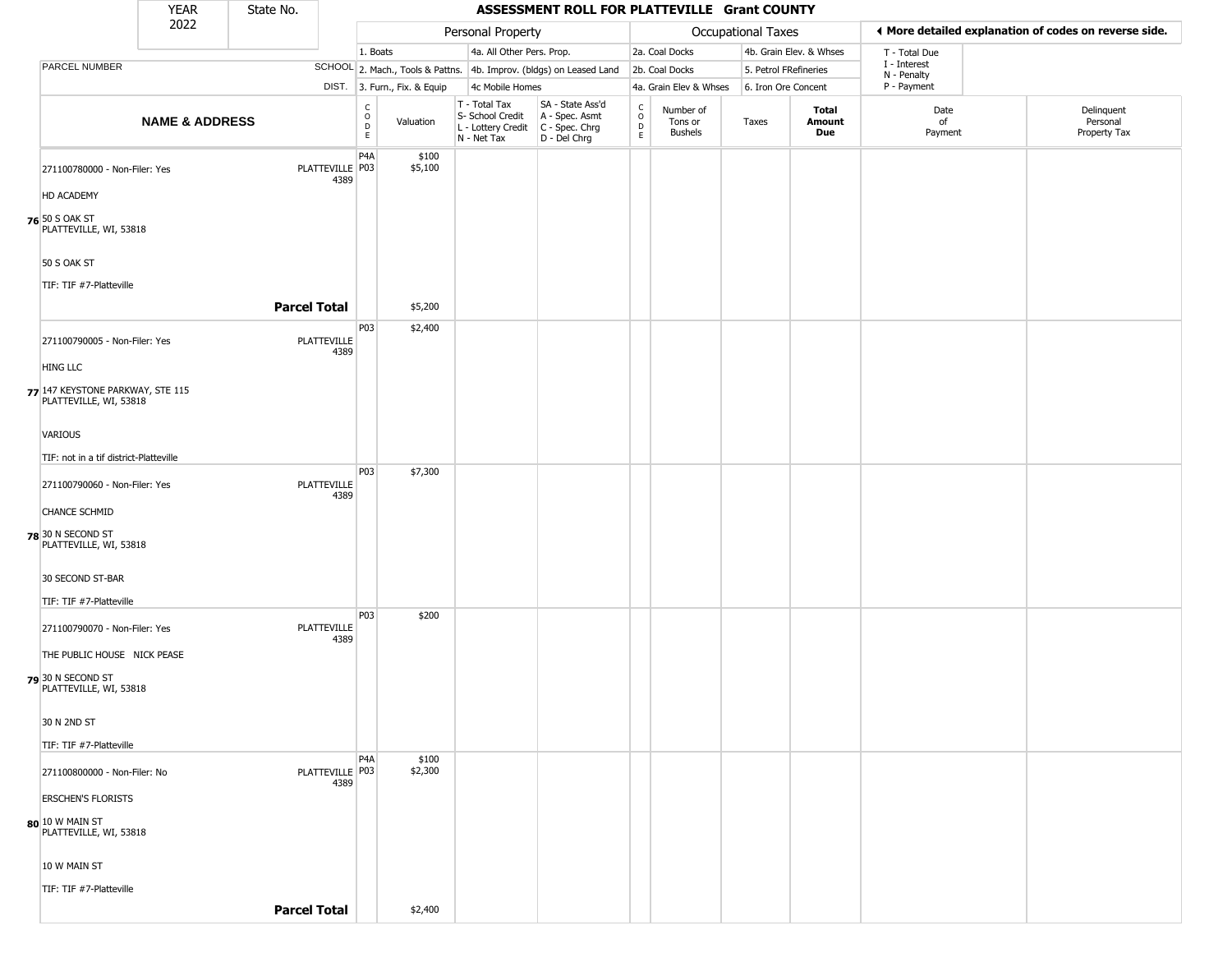|                                                            | <b>YEAR</b>               | State No.           |                                                 |                              |                                                                                         | ASSESSMENT ROLL FOR PLATTEVILLE Grant COUNTY                        |                                |                                        |                       |                         |                             |                                                       |
|------------------------------------------------------------|---------------------------|---------------------|-------------------------------------------------|------------------------------|-----------------------------------------------------------------------------------------|---------------------------------------------------------------------|--------------------------------|----------------------------------------|-----------------------|-------------------------|-----------------------------|-------------------------------------------------------|
|                                                            | 2022                      |                     |                                                 |                              | Personal Property                                                                       |                                                                     |                                |                                        | Occupational Taxes    |                         |                             | ♦ More detailed explanation of codes on reverse side. |
|                                                            |                           |                     |                                                 | 1. Boats                     | 4a. All Other Pers. Prop.                                                               |                                                                     |                                | 2a. Coal Docks                         |                       | 4b. Grain Elev. & Whses | T - Total Due               |                                                       |
| PARCEL NUMBER                                              |                           |                     |                                                 |                              |                                                                                         | SCHOOL 2. Mach., Tools & Pattns. 4b. Improv. (bldgs) on Leased Land |                                | 2b. Coal Docks                         | 5. Petrol FRefineries |                         | I - Interest<br>N - Penalty |                                                       |
|                                                            |                           |                     |                                                 | DIST. 3. Furn., Fix. & Equip | 4c Mobile Homes                                                                         |                                                                     |                                | 4a. Grain Elev & Whses                 | 6. Iron Ore Concent   |                         | P - Payment                 |                                                       |
|                                                            | <b>NAME &amp; ADDRESS</b> |                     | $\begin{array}{c} C \\ O \\ D \\ E \end{array}$ | Valuation                    | T - Total Tax<br>S- School Credit<br>L - Lottery Credit   C - Spec. Chrg<br>N - Net Tax | SA - State Ass'd<br>A - Spec. Asmt<br>D - Del Chrg                  | $\frac{c}{0}$<br>$\frac{D}{E}$ | Number of<br>Tons or<br><b>Bushels</b> | Taxes                 | Total<br>Amount<br>Due  | Date<br>of<br>Payment       | Delinquent<br>Personal<br>Property Tax                |
| 271100780000 - Non-Filer: Yes                              |                           | PLATTEVILLE P03     | P <sub>4</sub> A<br>4389                        | \$100<br>\$5,100             |                                                                                         |                                                                     |                                |                                        |                       |                         |                             |                                                       |
| HD ACADEMY                                                 |                           |                     |                                                 |                              |                                                                                         |                                                                     |                                |                                        |                       |                         |                             |                                                       |
| 76 50 S OAK ST<br>PLATTEVILLE, WI, 53818                   |                           |                     |                                                 |                              |                                                                                         |                                                                     |                                |                                        |                       |                         |                             |                                                       |
| 50 S OAK ST                                                |                           |                     |                                                 |                              |                                                                                         |                                                                     |                                |                                        |                       |                         |                             |                                                       |
| TIF: TIF #7-Platteville                                    |                           |                     |                                                 |                              |                                                                                         |                                                                     |                                |                                        |                       |                         |                             |                                                       |
|                                                            |                           | <b>Parcel Total</b> |                                                 | \$5,200                      |                                                                                         |                                                                     |                                |                                        |                       |                         |                             |                                                       |
| 271100790005 - Non-Filer: Yes                              |                           | PLATTEVILLE         | P03<br>4389                                     | \$2,400                      |                                                                                         |                                                                     |                                |                                        |                       |                         |                             |                                                       |
| <b>HING LLC</b>                                            |                           |                     |                                                 |                              |                                                                                         |                                                                     |                                |                                        |                       |                         |                             |                                                       |
| 77 147 KEYSTONE PARKWAY, STE 115<br>PLATTEVILLE, WI, 53818 |                           |                     |                                                 |                              |                                                                                         |                                                                     |                                |                                        |                       |                         |                             |                                                       |
| VARIOUS                                                    |                           |                     |                                                 |                              |                                                                                         |                                                                     |                                |                                        |                       |                         |                             |                                                       |
| TIF: not in a tif district-Platteville                     |                           |                     |                                                 |                              |                                                                                         |                                                                     |                                |                                        |                       |                         |                             |                                                       |
| 271100790060 - Non-Filer: Yes                              |                           | PLATTEVILLE         | <b>P03</b><br>4389                              | \$7,300                      |                                                                                         |                                                                     |                                |                                        |                       |                         |                             |                                                       |
| <b>CHANCE SCHMID</b>                                       |                           |                     |                                                 |                              |                                                                                         |                                                                     |                                |                                        |                       |                         |                             |                                                       |
| 78 30 N SECOND ST<br>PLATTEVILLE, WI, 53818                |                           |                     |                                                 |                              |                                                                                         |                                                                     |                                |                                        |                       |                         |                             |                                                       |
| 30 SECOND ST-BAR                                           |                           |                     |                                                 |                              |                                                                                         |                                                                     |                                |                                        |                       |                         |                             |                                                       |
| TIF: TIF #7-Platteville                                    |                           |                     |                                                 |                              |                                                                                         |                                                                     |                                |                                        |                       |                         |                             |                                                       |
| 271100790070 - Non-Filer: Yes                              |                           | PLATTEVILLE         | P03<br>4389                                     | \$200                        |                                                                                         |                                                                     |                                |                                        |                       |                         |                             |                                                       |
| THE PUBLIC HOUSE NICK PEASE                                |                           |                     |                                                 |                              |                                                                                         |                                                                     |                                |                                        |                       |                         |                             |                                                       |
| 79 30 N SECOND ST<br>PLATTEVILLE, WI, 53818                |                           |                     |                                                 |                              |                                                                                         |                                                                     |                                |                                        |                       |                         |                             |                                                       |
| 30 N 2ND ST                                                |                           |                     |                                                 |                              |                                                                                         |                                                                     |                                |                                        |                       |                         |                             |                                                       |
| TIF: TIF #7-Platteville                                    |                           |                     |                                                 |                              |                                                                                         |                                                                     |                                |                                        |                       |                         |                             |                                                       |
| 271100800000 - Non-Filer: No                               |                           | PLATTEVILLE P03     | P <sub>4</sub> A<br>4389                        | \$100<br>\$2,300             |                                                                                         |                                                                     |                                |                                        |                       |                         |                             |                                                       |
| <b>ERSCHEN'S FLORISTS</b>                                  |                           |                     |                                                 |                              |                                                                                         |                                                                     |                                |                                        |                       |                         |                             |                                                       |
| $80$ $10$ W main st<br>PLATTEVILLE, WI, 53818              |                           |                     |                                                 |                              |                                                                                         |                                                                     |                                |                                        |                       |                         |                             |                                                       |
| 10 W MAIN ST                                               |                           |                     |                                                 |                              |                                                                                         |                                                                     |                                |                                        |                       |                         |                             |                                                       |
| TIF: TIF #7-Platteville                                    |                           |                     |                                                 |                              |                                                                                         |                                                                     |                                |                                        |                       |                         |                             |                                                       |
|                                                            |                           | <b>Parcel Total</b> |                                                 | \$2,400                      |                                                                                         |                                                                     |                                |                                        |                       |                         |                             |                                                       |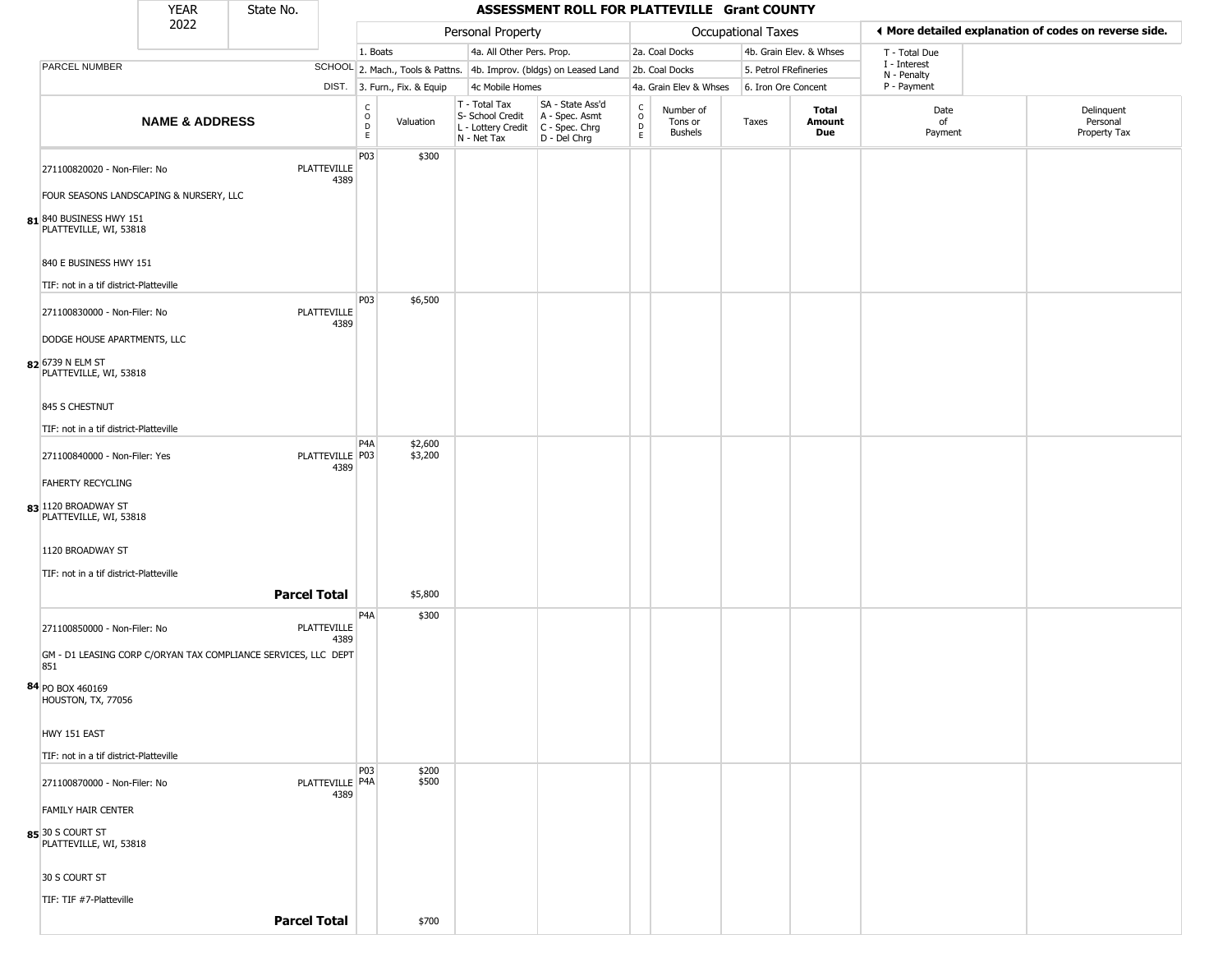|                                                       | <b>YEAR</b>               | State No.                                                      |                            |                                              |                              |                                                                          | ASSESSMENT ROLL FOR PLATTEVILLE Grant COUNTY                         |                                                 |                                        |                    |                         |                             |                                                       |
|-------------------------------------------------------|---------------------------|----------------------------------------------------------------|----------------------------|----------------------------------------------|------------------------------|--------------------------------------------------------------------------|----------------------------------------------------------------------|-------------------------------------------------|----------------------------------------|--------------------|-------------------------|-----------------------------|-------------------------------------------------------|
|                                                       | 2022                      |                                                                |                            |                                              |                              | Personal Property                                                        |                                                                      |                                                 |                                        | Occupational Taxes |                         |                             | ◀ More detailed explanation of codes on reverse side. |
|                                                       |                           |                                                                |                            | 1. Boats                                     |                              |                                                                          | 4a. All Other Pers. Prop.                                            |                                                 | 2a. Coal Docks                         |                    | 4b. Grain Elev. & Whses | T - Total Due               |                                                       |
| PARCEL NUMBER                                         |                           |                                                                |                            |                                              |                              |                                                                          | SCHOOL 2. Mach., Tools & Pattns. 4b. Improv. (bldgs) on Leased Land  |                                                 | 2b. Coal Docks                         |                    | 5. Petrol FRefineries   | I - Interest<br>N - Penalty |                                                       |
|                                                       |                           |                                                                |                            |                                              | DIST. 3. Furn., Fix. & Equip | 4c Mobile Homes                                                          |                                                                      |                                                 | 4a. Grain Elev & Whses                 |                    | 6. Iron Ore Concent     | P - Payment                 |                                                       |
|                                                       | <b>NAME &amp; ADDRESS</b> |                                                                |                            | $\begin{array}{c}\nC \\ O \\ D\n\end{array}$ | Valuation                    | $T - Total Tax$<br>S- School Credit<br>L - Lottery Credit<br>N - Net Tax | SA - State Ass'd<br>A - Spec. Asmt<br>C - Spec. Chrg<br>D - Del Chrg | $\begin{array}{c} C \\ O \\ D \\ E \end{array}$ | Number of<br>Tons or<br><b>Bushels</b> | Taxes              | Total<br>Amount<br>Due  | Date<br>of<br>Payment       | Delinquent<br>Personal<br>Property Tax                |
| 271100820020 - Non-Filer: No                          |                           |                                                                | <b>PLATTEVILLE</b><br>4389 | P03                                          | \$300                        |                                                                          |                                                                      |                                                 |                                        |                    |                         |                             |                                                       |
| FOUR SEASONS LANDSCAPING & NURSERY, LLC               |                           |                                                                |                            |                                              |                              |                                                                          |                                                                      |                                                 |                                        |                    |                         |                             |                                                       |
| 81 840 BUSINESS HWY 151<br>PLATTEVILLE, WI, 53818     |                           |                                                                |                            |                                              |                              |                                                                          |                                                                      |                                                 |                                        |                    |                         |                             |                                                       |
| 840 E BUSINESS HWY 151                                |                           |                                                                |                            |                                              |                              |                                                                          |                                                                      |                                                 |                                        |                    |                         |                             |                                                       |
| TIF: not in a tif district-Platteville                |                           |                                                                |                            | P03                                          | \$6,500                      |                                                                          |                                                                      |                                                 |                                        |                    |                         |                             |                                                       |
| 271100830000 - Non-Filer: No                          |                           |                                                                | <b>PLATTEVILLE</b><br>4389 |                                              |                              |                                                                          |                                                                      |                                                 |                                        |                    |                         |                             |                                                       |
| DODGE HOUSE APARTMENTS, LLC                           |                           |                                                                |                            |                                              |                              |                                                                          |                                                                      |                                                 |                                        |                    |                         |                             |                                                       |
| 82 6739 N ELM ST<br>PLATTEVILLE, WI, 53818            |                           |                                                                |                            |                                              |                              |                                                                          |                                                                      |                                                 |                                        |                    |                         |                             |                                                       |
| 845 S CHESTNUT                                        |                           |                                                                |                            |                                              |                              |                                                                          |                                                                      |                                                 |                                        |                    |                         |                             |                                                       |
| TIF: not in a tif district-Platteville                |                           |                                                                |                            |                                              |                              |                                                                          |                                                                      |                                                 |                                        |                    |                         |                             |                                                       |
| 271100840000 - Non-Filer: Yes                         |                           |                                                                | PLATTEVILLE P03<br>4389    | P <sub>4</sub> A                             | \$2,600<br>\$3,200           |                                                                          |                                                                      |                                                 |                                        |                    |                         |                             |                                                       |
| <b>FAHERTY RECYCLING</b>                              |                           |                                                                |                            |                                              |                              |                                                                          |                                                                      |                                                 |                                        |                    |                         |                             |                                                       |
| 83 1120 BROADWAY ST<br>PLATTEVILLE, WI, 53818         |                           |                                                                |                            |                                              |                              |                                                                          |                                                                      |                                                 |                                        |                    |                         |                             |                                                       |
| 1120 BROADWAY ST                                      |                           |                                                                |                            |                                              |                              |                                                                          |                                                                      |                                                 |                                        |                    |                         |                             |                                                       |
| TIF: not in a tif district-Platteville                |                           |                                                                |                            |                                              |                              |                                                                          |                                                                      |                                                 |                                        |                    |                         |                             |                                                       |
|                                                       |                           | <b>Parcel Total</b>                                            |                            |                                              | \$5,800                      |                                                                          |                                                                      |                                                 |                                        |                    |                         |                             |                                                       |
| 271100850000 - Non-Filer: No                          |                           |                                                                | <b>PLATTEVILLE</b><br>4389 | P4A                                          | \$300                        |                                                                          |                                                                      |                                                 |                                        |                    |                         |                             |                                                       |
| 851                                                   |                           | GM - D1 LEASING CORP C/ORYAN TAX COMPLIANCE SERVICES, LLC DEPT |                            |                                              |                              |                                                                          |                                                                      |                                                 |                                        |                    |                         |                             |                                                       |
| 84 PO BOX 460169<br>HOUSTON, TX, 77056                |                           |                                                                |                            |                                              |                              |                                                                          |                                                                      |                                                 |                                        |                    |                         |                             |                                                       |
| HWY 151 EAST                                          |                           |                                                                |                            |                                              |                              |                                                                          |                                                                      |                                                 |                                        |                    |                         |                             |                                                       |
| TIF: not in a tif district-Platteville                |                           |                                                                |                            |                                              |                              |                                                                          |                                                                      |                                                 |                                        |                    |                         |                             |                                                       |
| 271100870000 - Non-Filer: No                          |                           |                                                                | PLATTEVILLE P4A<br>4389    | P03                                          | \$200<br>\$500               |                                                                          |                                                                      |                                                 |                                        |                    |                         |                             |                                                       |
| <b>FAMILY HAIR CENTER</b>                             |                           |                                                                |                            |                                              |                              |                                                                          |                                                                      |                                                 |                                        |                    |                         |                             |                                                       |
| 85 <sup>30</sup> S COURT ST<br>PLATTEVILLE, WI, 53818 |                           |                                                                |                            |                                              |                              |                                                                          |                                                                      |                                                 |                                        |                    |                         |                             |                                                       |
| 30 S COURT ST                                         |                           |                                                                |                            |                                              |                              |                                                                          |                                                                      |                                                 |                                        |                    |                         |                             |                                                       |
| TIF: TIF #7-Platteville                               |                           |                                                                |                            |                                              |                              |                                                                          |                                                                      |                                                 |                                        |                    |                         |                             |                                                       |
|                                                       |                           | <b>Parcel Total</b>                                            |                            |                                              | \$700                        |                                                                          |                                                                      |                                                 |                                        |                    |                         |                             |                                                       |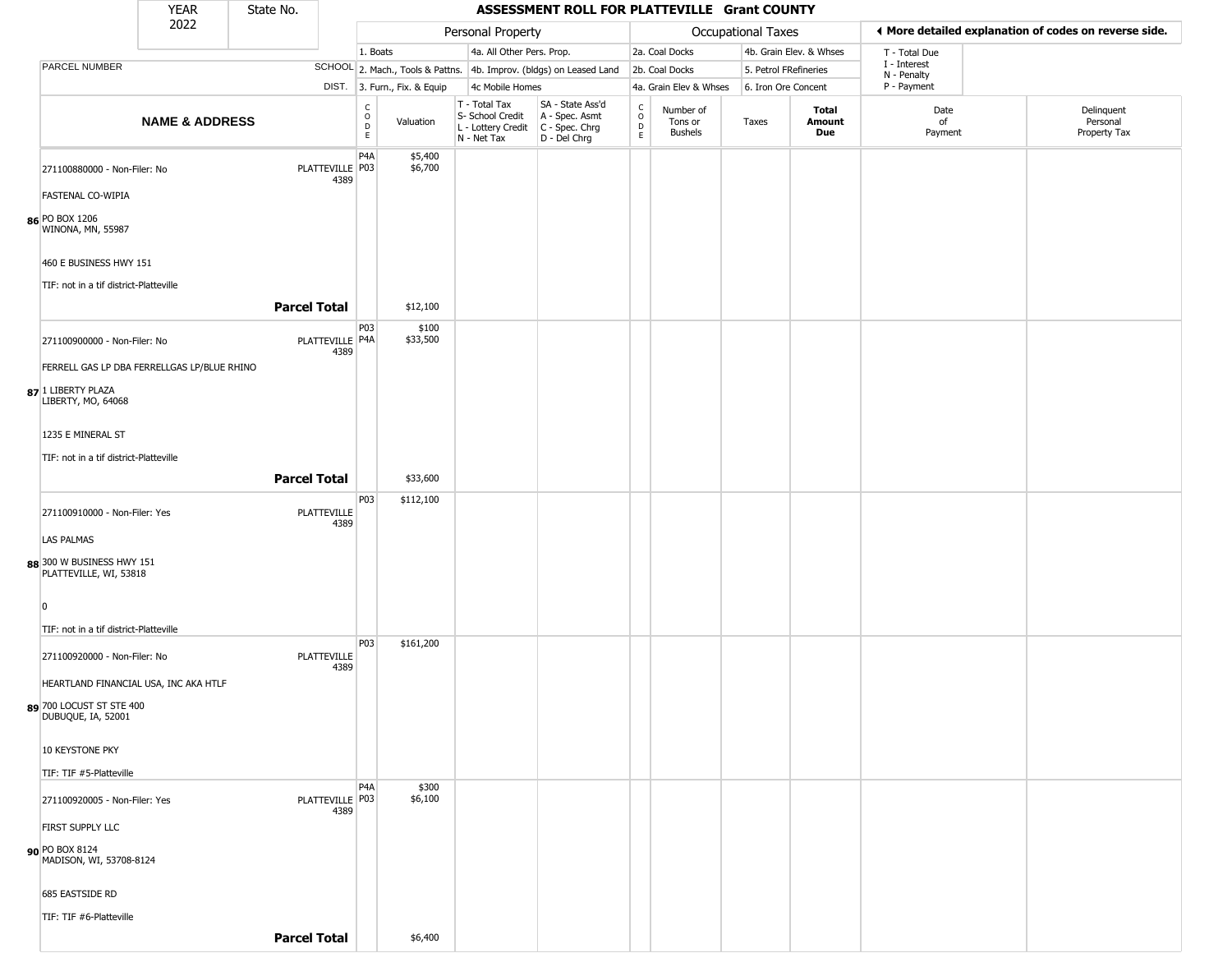|                                                     | <b>YEAR</b>                                 | State No.                  |                                            |                              |                                                  | ASSESSMENT ROLL FOR PLATTEVILLE Grant COUNTY                                              |                                        |                                        |                    |                         |                             |                                                       |
|-----------------------------------------------------|---------------------------------------------|----------------------------|--------------------------------------------|------------------------------|--------------------------------------------------|-------------------------------------------------------------------------------------------|----------------------------------------|----------------------------------------|--------------------|-------------------------|-----------------------------|-------------------------------------------------------|
|                                                     | 2022                                        |                            |                                            |                              | Personal Property                                |                                                                                           |                                        |                                        | Occupational Taxes |                         |                             | ◀ More detailed explanation of codes on reverse side. |
|                                                     |                                             |                            | 1. Boats                                   |                              | 4a. All Other Pers. Prop.                        |                                                                                           |                                        | 2a. Coal Docks                         |                    | 4b. Grain Elev. & Whses | T - Total Due               |                                                       |
| PARCEL NUMBER                                       |                                             |                            |                                            |                              |                                                  | SCHOOL 2. Mach., Tools & Pattns. 4b. Improv. (bldgs) on Leased Land                       |                                        | 2b. Coal Docks                         |                    | 5. Petrol FRefineries   | I - Interest<br>N - Penalty |                                                       |
|                                                     |                                             |                            |                                            | DIST. 3. Furn., Fix. & Equip | 4c Mobile Homes                                  |                                                                                           |                                        | 4a. Grain Elev & Whses                 |                    | 6. Iron Ore Concent     | P - Payment                 |                                                       |
|                                                     | <b>NAME &amp; ADDRESS</b>                   |                            | $\frac{C}{O}$<br>$\mathsf{D}_{\mathsf{E}}$ | Valuation                    | T - Total Tax<br>S- School Credit<br>N - Net Tax | SA - State Ass'd<br>A - Spec. Asmt<br>L - Lottery Credit   C - Spec. Chrg<br>D - Del Chrg | $\rm_{o}^{\rm c}$<br>$\mathsf{D}$<br>E | Number of<br>Tons or<br><b>Bushels</b> | Taxes              | Total<br>Amount<br>Due  | Date<br>of<br>Payment       | Delinquent<br>Personal<br>Property Tax                |
| 271100880000 - Non-Filer: No<br>FASTENAL CO-WIPIA   |                                             | PLATTEVILLE P03<br>4389    | P <sub>4</sub> A                           | \$5,400<br>\$6,700           |                                                  |                                                                                           |                                        |                                        |                    |                         |                             |                                                       |
|                                                     |                                             |                            |                                            |                              |                                                  |                                                                                           |                                        |                                        |                    |                         |                             |                                                       |
| 86 PO BOX 1206<br>WINONA, MN, 55987                 |                                             |                            |                                            |                              |                                                  |                                                                                           |                                        |                                        |                    |                         |                             |                                                       |
| 460 E BUSINESS HWY 151                              |                                             |                            |                                            |                              |                                                  |                                                                                           |                                        |                                        |                    |                         |                             |                                                       |
| TIF: not in a tif district-Platteville              |                                             | <b>Parcel Total</b>        |                                            | \$12,100                     |                                                  |                                                                                           |                                        |                                        |                    |                         |                             |                                                       |
|                                                     |                                             |                            |                                            |                              |                                                  |                                                                                           |                                        |                                        |                    |                         |                             |                                                       |
| 271100900000 - Non-Filer: No                        |                                             | PLATTEVILLE P4A<br>4389    | P03                                        | \$100<br>\$33,500            |                                                  |                                                                                           |                                        |                                        |                    |                         |                             |                                                       |
|                                                     | FERRELL GAS LP DBA FERRELLGAS LP/BLUE RHINO |                            |                                            |                              |                                                  |                                                                                           |                                        |                                        |                    |                         |                             |                                                       |
| 87 1 LIBERTY PLAZA<br>LIBERTY, MO, 64068            |                                             |                            |                                            |                              |                                                  |                                                                                           |                                        |                                        |                    |                         |                             |                                                       |
| 1235 E MINERAL ST                                   |                                             |                            |                                            |                              |                                                  |                                                                                           |                                        |                                        |                    |                         |                             |                                                       |
| TIF: not in a tif district-Platteville              |                                             |                            |                                            |                              |                                                  |                                                                                           |                                        |                                        |                    |                         |                             |                                                       |
|                                                     |                                             | <b>Parcel Total</b>        |                                            | \$33,600                     |                                                  |                                                                                           |                                        |                                        |                    |                         |                             |                                                       |
| 271100910000 - Non-Filer: Yes                       |                                             | PLATTEVILLE<br>4389        | P03                                        | \$112,100                    |                                                  |                                                                                           |                                        |                                        |                    |                         |                             |                                                       |
| <b>LAS PALMAS</b>                                   |                                             |                            |                                            |                              |                                                  |                                                                                           |                                        |                                        |                    |                         |                             |                                                       |
| 88 300 W BUSINESS HWY 151<br>PLATTEVILLE, WI, 53818 |                                             |                            |                                            |                              |                                                  |                                                                                           |                                        |                                        |                    |                         |                             |                                                       |
| 0                                                   |                                             |                            |                                            |                              |                                                  |                                                                                           |                                        |                                        |                    |                         |                             |                                                       |
| TIF: not in a tif district-Platteville              |                                             |                            |                                            |                              |                                                  |                                                                                           |                                        |                                        |                    |                         |                             |                                                       |
| 271100920000 - Non-Filer: No                        |                                             | <b>PLATTEVILLE</b><br>4389 | P03                                        | \$161,200                    |                                                  |                                                                                           |                                        |                                        |                    |                         |                             |                                                       |
|                                                     | HEARTLAND FINANCIAL USA, INC AKA HTLF       |                            |                                            |                              |                                                  |                                                                                           |                                        |                                        |                    |                         |                             |                                                       |
| 89 700 LOCUST ST STE 400<br>DUBUQUE, IA, 52001      |                                             |                            |                                            |                              |                                                  |                                                                                           |                                        |                                        |                    |                         |                             |                                                       |
| 10 KEYSTONE PKY                                     |                                             |                            |                                            |                              |                                                  |                                                                                           |                                        |                                        |                    |                         |                             |                                                       |
| TIF: TIF #5-Platteville                             |                                             |                            |                                            |                              |                                                  |                                                                                           |                                        |                                        |                    |                         |                             |                                                       |
| 271100920005 - Non-Filer: Yes                       |                                             | PLATTEVILLE P03<br>4389    | P <sub>4</sub> A                           | \$300<br>\$6,100             |                                                  |                                                                                           |                                        |                                        |                    |                         |                             |                                                       |
| FIRST SUPPLY LLC                                    |                                             |                            |                                            |                              |                                                  |                                                                                           |                                        |                                        |                    |                         |                             |                                                       |
| 90 PO BOX 8124<br>MADISON, WI, 53708-8124           |                                             |                            |                                            |                              |                                                  |                                                                                           |                                        |                                        |                    |                         |                             |                                                       |
| 685 EASTSIDE RD                                     |                                             |                            |                                            |                              |                                                  |                                                                                           |                                        |                                        |                    |                         |                             |                                                       |
| TIF: TIF #6-Platteville                             |                                             |                            |                                            |                              |                                                  |                                                                                           |                                        |                                        |                    |                         |                             |                                                       |
|                                                     |                                             | <b>Parcel Total</b>        |                                            | \$6,400                      |                                                  |                                                                                           |                                        |                                        |                    |                         |                             |                                                       |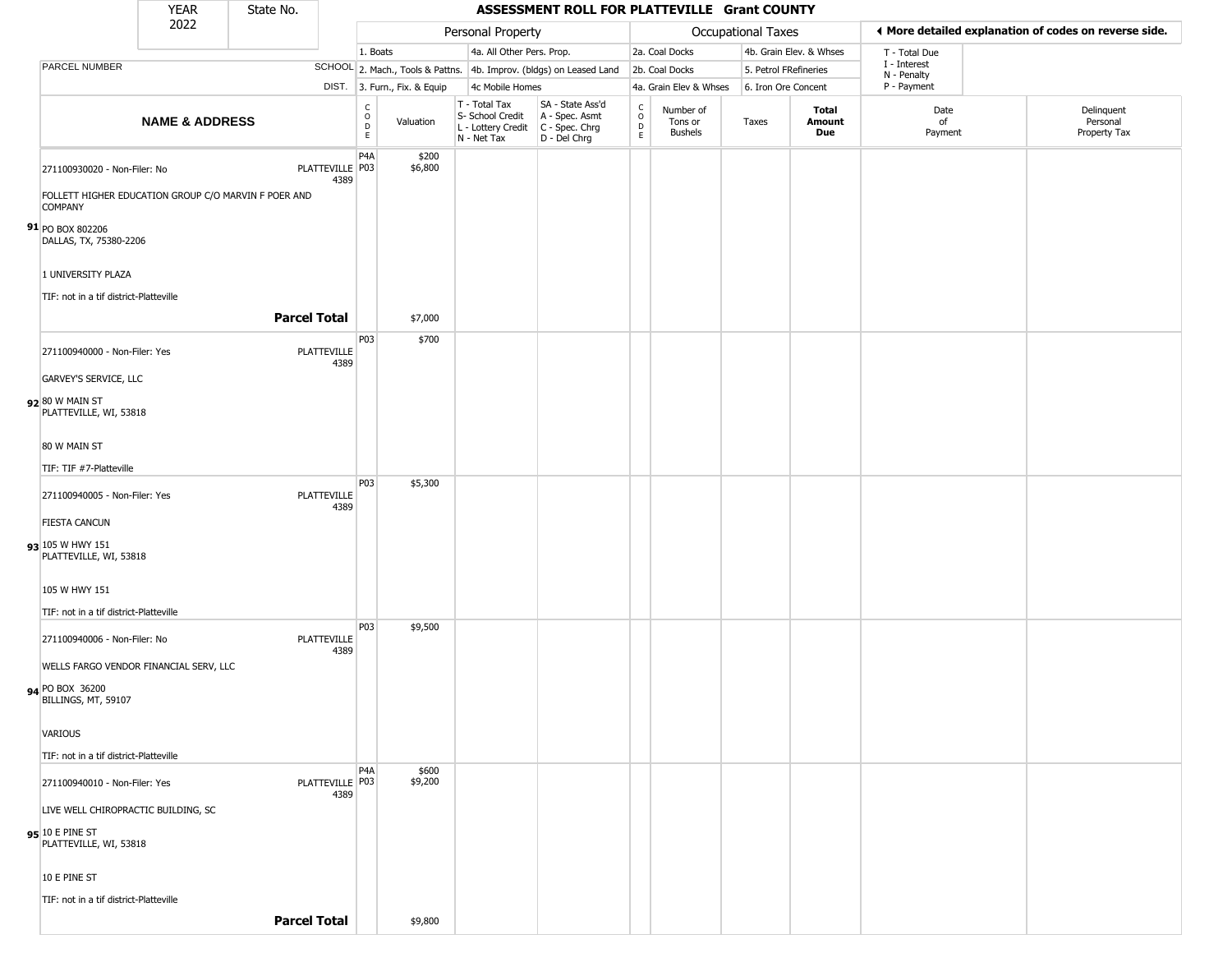|                                                                                      | <b>YEAR</b>               | State No.           |                            |                                                          |                                  |                                                  | ASSESSMENT ROLL FOR PLATTEVILLE Grant COUNTY                                              |                                                   |                                        |                     |                         |                             |                                                       |
|--------------------------------------------------------------------------------------|---------------------------|---------------------|----------------------------|----------------------------------------------------------|----------------------------------|--------------------------------------------------|-------------------------------------------------------------------------------------------|---------------------------------------------------|----------------------------------------|---------------------|-------------------------|-----------------------------|-------------------------------------------------------|
|                                                                                      | 2022                      |                     |                            |                                                          |                                  | Personal Property                                |                                                                                           |                                                   |                                        | Occupational Taxes  |                         |                             | ◀ More detailed explanation of codes on reverse side. |
|                                                                                      |                           |                     |                            | 1. Boats                                                 |                                  | 4a. All Other Pers. Prop.                        |                                                                                           |                                                   | 2a. Coal Docks                         |                     | 4b. Grain Elev. & Whses | T - Total Due               |                                                       |
| PARCEL NUMBER                                                                        |                           |                     |                            |                                                          | SCHOOL 2. Mach., Tools & Pattns. |                                                  | 4b. Improv. (bldgs) on Leased Land                                                        |                                                   | 2b. Coal Docks                         |                     | 5. Petrol FRefineries   | I - Interest<br>N - Penalty |                                                       |
|                                                                                      |                           |                     |                            |                                                          | DIST. 3. Furn., Fix. & Equip     | 4c Mobile Homes                                  |                                                                                           |                                                   | 4a. Grain Elev & Whses                 | 6. Iron Ore Concent |                         | P - Payment                 |                                                       |
|                                                                                      | <b>NAME &amp; ADDRESS</b> |                     |                            | $\begin{matrix} 0 \\ 0 \\ D \end{matrix}$<br>$\mathsf E$ | Valuation                        | T - Total Tax<br>S- School Credit<br>N - Net Tax | SA - State Ass'd<br>A - Spec. Asmt<br>L - Lottery Credit   C - Spec. Chrg<br>D - Del Chrg | $\begin{array}{c}\nC \\ O \\ D \\ E\n\end{array}$ | Number of<br>Tons or<br><b>Bushels</b> | Taxes               | Total<br>Amount<br>Due  | Date<br>of<br>Payment       | Delinquent<br>Personal<br>Property Tax                |
| 271100930020 - Non-Filer: No<br>FOLLETT HIGHER EDUCATION GROUP C/O MARVIN F POER AND |                           |                     | PLATTEVILLE   P03<br>4389  | P <sub>4</sub> A                                         | \$200<br>\$6,800                 |                                                  |                                                                                           |                                                   |                                        |                     |                         |                             |                                                       |
| <b>COMPANY</b><br>91 PO BOX 802206<br>DALLAS, TX, 75380-2206                         |                           |                     |                            |                                                          |                                  |                                                  |                                                                                           |                                                   |                                        |                     |                         |                             |                                                       |
| 1 UNIVERSITY PLAZA<br>TIF: not in a tif district-Platteville                         |                           |                     |                            |                                                          |                                  |                                                  |                                                                                           |                                                   |                                        |                     |                         |                             |                                                       |
|                                                                                      |                           | <b>Parcel Total</b> |                            |                                                          | \$7,000                          |                                                  |                                                                                           |                                                   |                                        |                     |                         |                             |                                                       |
| 271100940000 - Non-Filer: Yes                                                        |                           |                     | <b>PLATTEVILLE</b><br>4389 | P03                                                      | \$700                            |                                                  |                                                                                           |                                                   |                                        |                     |                         |                             |                                                       |
| <b>GARVEY'S SERVICE, LLC</b><br>92 80 W MAIN ST                                      |                           |                     |                            |                                                          |                                  |                                                  |                                                                                           |                                                   |                                        |                     |                         |                             |                                                       |
| PLATTEVILLE, WI, 53818<br>80 W MAIN ST                                               |                           |                     |                            |                                                          |                                  |                                                  |                                                                                           |                                                   |                                        |                     |                         |                             |                                                       |
| TIF: TIF #7-Platteville                                                              |                           |                     |                            |                                                          |                                  |                                                  |                                                                                           |                                                   |                                        |                     |                         |                             |                                                       |
| 271100940005 - Non-Filer: Yes                                                        |                           |                     | PLATTEVILLE<br>4389        | P03                                                      | \$5,300                          |                                                  |                                                                                           |                                                   |                                        |                     |                         |                             |                                                       |
| <b>FIESTA CANCUN</b><br>93 105 W HWY 151                                             |                           |                     |                            |                                                          |                                  |                                                  |                                                                                           |                                                   |                                        |                     |                         |                             |                                                       |
| PLATTEVILLE, WI, 53818                                                               |                           |                     |                            |                                                          |                                  |                                                  |                                                                                           |                                                   |                                        |                     |                         |                             |                                                       |
| 105 W HWY 151<br>TIF: not in a tif district-Platteville                              |                           |                     |                            |                                                          |                                  |                                                  |                                                                                           |                                                   |                                        |                     |                         |                             |                                                       |
| 271100940006 - Non-Filer: No                                                         |                           |                     | <b>PLATTEVILLE</b><br>4389 | P03                                                      | \$9,500                          |                                                  |                                                                                           |                                                   |                                        |                     |                         |                             |                                                       |
| WELLS FARGO VENDOR FINANCIAL SERV, LLC<br>94 PO BOX 36200<br>BILLINGS, MT, 59107     |                           |                     |                            |                                                          |                                  |                                                  |                                                                                           |                                                   |                                        |                     |                         |                             |                                                       |
| VARIOUS                                                                              |                           |                     |                            |                                                          |                                  |                                                  |                                                                                           |                                                   |                                        |                     |                         |                             |                                                       |
| TIF: not in a tif district-Platteville                                               |                           |                     |                            |                                                          |                                  |                                                  |                                                                                           |                                                   |                                        |                     |                         |                             |                                                       |
| 271100940010 - Non-Filer: Yes                                                        |                           |                     | PLATTEVILLE   P03<br>4389  | P <sub>4</sub> A                                         | \$600<br>\$9,200                 |                                                  |                                                                                           |                                                   |                                        |                     |                         |                             |                                                       |
| LIVE WELL CHIROPRACTIC BUILDING, SC<br>95 10 E PINE ST<br>PLATTEVILLE, WI, 53818     |                           |                     |                            |                                                          |                                  |                                                  |                                                                                           |                                                   |                                        |                     |                         |                             |                                                       |
| 10 E PINE ST                                                                         |                           |                     |                            |                                                          |                                  |                                                  |                                                                                           |                                                   |                                        |                     |                         |                             |                                                       |
| TIF: not in a tif district-Platteville                                               |                           | <b>Parcel Total</b> |                            |                                                          | \$9,800                          |                                                  |                                                                                           |                                                   |                                        |                     |                         |                             |                                                       |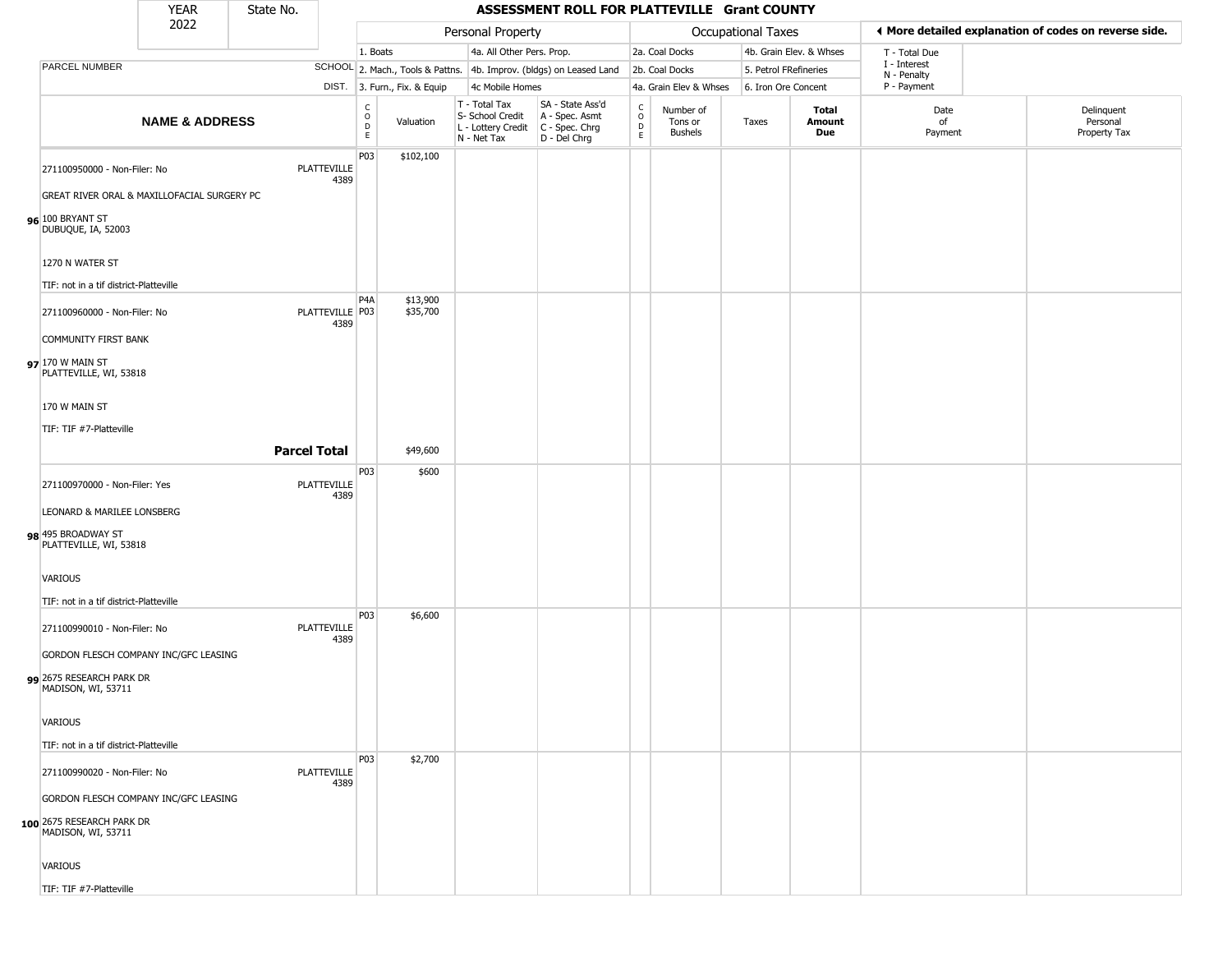|                                                                                       | <b>YEAR</b>               | State No. |                            |                        |                              |                                                                        | ASSESSMENT ROLL FOR PLATTEVILLE Grant COUNTY                         |                                 |                                        |                    |                         |                             |                                                       |
|---------------------------------------------------------------------------------------|---------------------------|-----------|----------------------------|------------------------|------------------------------|------------------------------------------------------------------------|----------------------------------------------------------------------|---------------------------------|----------------------------------------|--------------------|-------------------------|-----------------------------|-------------------------------------------------------|
|                                                                                       | 2022                      |           |                            |                        |                              | Personal Property                                                      |                                                                      |                                 |                                        | Occupational Taxes |                         |                             | ◀ More detailed explanation of codes on reverse side. |
|                                                                                       |                           |           |                            | 1. Boats               |                              | 4a. All Other Pers. Prop.                                              |                                                                      |                                 | 2a. Coal Docks                         |                    | 4b. Grain Elev. & Whses | T - Total Due               |                                                       |
| PARCEL NUMBER                                                                         |                           |           |                            |                        |                              |                                                                        | SCHOOL 2. Mach., Tools & Pattns. 4b. Improv. (bldgs) on Leased Land  |                                 | 2b. Coal Docks                         |                    | 5. Petrol FRefineries   | I - Interest<br>N - Penalty |                                                       |
|                                                                                       |                           |           |                            |                        | DIST. 3. Furn., Fix. & Equip | 4c Mobile Homes                                                        |                                                                      |                                 | 4a. Grain Elev & Whses                 |                    | 6. Iron Ore Concent     | P - Payment                 |                                                       |
|                                                                                       | <b>NAME &amp; ADDRESS</b> |           |                            | C<br>$\circ$<br>D<br>E | Valuation                    | T - Total Tax<br>S- School Credit<br>L - Lottery Credit<br>N - Net Tax | SA - State Ass'd<br>A - Spec. Asmt<br>C - Spec. Chrg<br>D - Del Chrg | $\rm ^c_o$<br>$\mathsf{D}$<br>E | Number of<br>Tons or<br><b>Bushels</b> | Taxes              | Total<br>Amount<br>Due  | Date<br>of<br>Payment       | Delinquent<br>Personal<br>Property Tax                |
| 271100950000 - Non-Filer: No                                                          |                           |           | <b>PLATTEVILLE</b><br>4389 | P03                    | \$102,100                    |                                                                        |                                                                      |                                 |                                        |                    |                         |                             |                                                       |
| GREAT RIVER ORAL & MAXILLOFACIAL SURGERY PC<br>96 100 BRYANT ST<br>DUBUQUE, IA, 52003 |                           |           |                            |                        |                              |                                                                        |                                                                      |                                 |                                        |                    |                         |                             |                                                       |
| 1270 N WATER ST                                                                       |                           |           |                            |                        |                              |                                                                        |                                                                      |                                 |                                        |                    |                         |                             |                                                       |
| TIF: not in a tif district-Platteville                                                |                           |           |                            |                        |                              |                                                                        |                                                                      |                                 |                                        |                    |                         |                             |                                                       |
| 271100960000 - Non-Filer: No                                                          |                           |           | PLATTEVILLE   P03<br>4389  | P <sub>4</sub> A       | \$13,900<br>\$35,700         |                                                                        |                                                                      |                                 |                                        |                    |                         |                             |                                                       |
| <b>COMMUNITY FIRST BANK</b>                                                           |                           |           |                            |                        |                              |                                                                        |                                                                      |                                 |                                        |                    |                         |                             |                                                       |
| 97 170 W MAIN ST<br>PLATTEVILLE, WI, 53818                                            |                           |           |                            |                        |                              |                                                                        |                                                                      |                                 |                                        |                    |                         |                             |                                                       |
| 170 W MAIN ST                                                                         |                           |           |                            |                        |                              |                                                                        |                                                                      |                                 |                                        |                    |                         |                             |                                                       |
| TIF: TIF #7-Platteville                                                               |                           |           |                            |                        |                              |                                                                        |                                                                      |                                 |                                        |                    |                         |                             |                                                       |
|                                                                                       |                           |           | <b>Parcel Total</b>        |                        | \$49,600                     |                                                                        |                                                                      |                                 |                                        |                    |                         |                             |                                                       |
|                                                                                       |                           |           |                            | P03                    | \$600                        |                                                                        |                                                                      |                                 |                                        |                    |                         |                             |                                                       |
| 271100970000 - Non-Filer: Yes<br>LEONARD & MARILEE LONSBERG                           |                           |           | <b>PLATTEVILLE</b><br>4389 |                        |                              |                                                                        |                                                                      |                                 |                                        |                    |                         |                             |                                                       |
|                                                                                       |                           |           |                            |                        |                              |                                                                        |                                                                      |                                 |                                        |                    |                         |                             |                                                       |
| 98 495 BROADWAY ST<br>PLATTEVILLE, WI, 53818                                          |                           |           |                            |                        |                              |                                                                        |                                                                      |                                 |                                        |                    |                         |                             |                                                       |
| <b>VARIOUS</b>                                                                        |                           |           |                            |                        |                              |                                                                        |                                                                      |                                 |                                        |                    |                         |                             |                                                       |
| TIF: not in a tif district-Platteville                                                |                           |           |                            |                        |                              |                                                                        |                                                                      |                                 |                                        |                    |                         |                             |                                                       |
| 271100990010 - Non-Filer: No                                                          |                           |           | <b>PLATTEVILLE</b><br>4389 | P03                    | \$6,600                      |                                                                        |                                                                      |                                 |                                        |                    |                         |                             |                                                       |
| GORDON FLESCH COMPANY INC/GFC LEASING                                                 |                           |           |                            |                        |                              |                                                                        |                                                                      |                                 |                                        |                    |                         |                             |                                                       |
| 99 2675 RESEARCH PARK DR<br>MADISON, WI, 53711                                        |                           |           |                            |                        |                              |                                                                        |                                                                      |                                 |                                        |                    |                         |                             |                                                       |
| <b>VARIOUS</b>                                                                        |                           |           |                            |                        |                              |                                                                        |                                                                      |                                 |                                        |                    |                         |                             |                                                       |
| TIF: not in a tif district-Platteville                                                |                           |           |                            |                        |                              |                                                                        |                                                                      |                                 |                                        |                    |                         |                             |                                                       |
| 271100990020 - Non-Filer: No                                                          |                           |           | <b>PLATTEVILLE</b><br>4389 | P03                    | \$2,700                      |                                                                        |                                                                      |                                 |                                        |                    |                         |                             |                                                       |
| GORDON FLESCH COMPANY INC/GFC LEASING                                                 |                           |           |                            |                        |                              |                                                                        |                                                                      |                                 |                                        |                    |                         |                             |                                                       |
| 100 2675 RESEARCH PARK DR<br>MADISON, WI, 53711                                       |                           |           |                            |                        |                              |                                                                        |                                                                      |                                 |                                        |                    |                         |                             |                                                       |
| VARIOUS                                                                               |                           |           |                            |                        |                              |                                                                        |                                                                      |                                 |                                        |                    |                         |                             |                                                       |
| TIF: TIF #7-Platteville                                                               |                           |           |                            |                        |                              |                                                                        |                                                                      |                                 |                                        |                    |                         |                             |                                                       |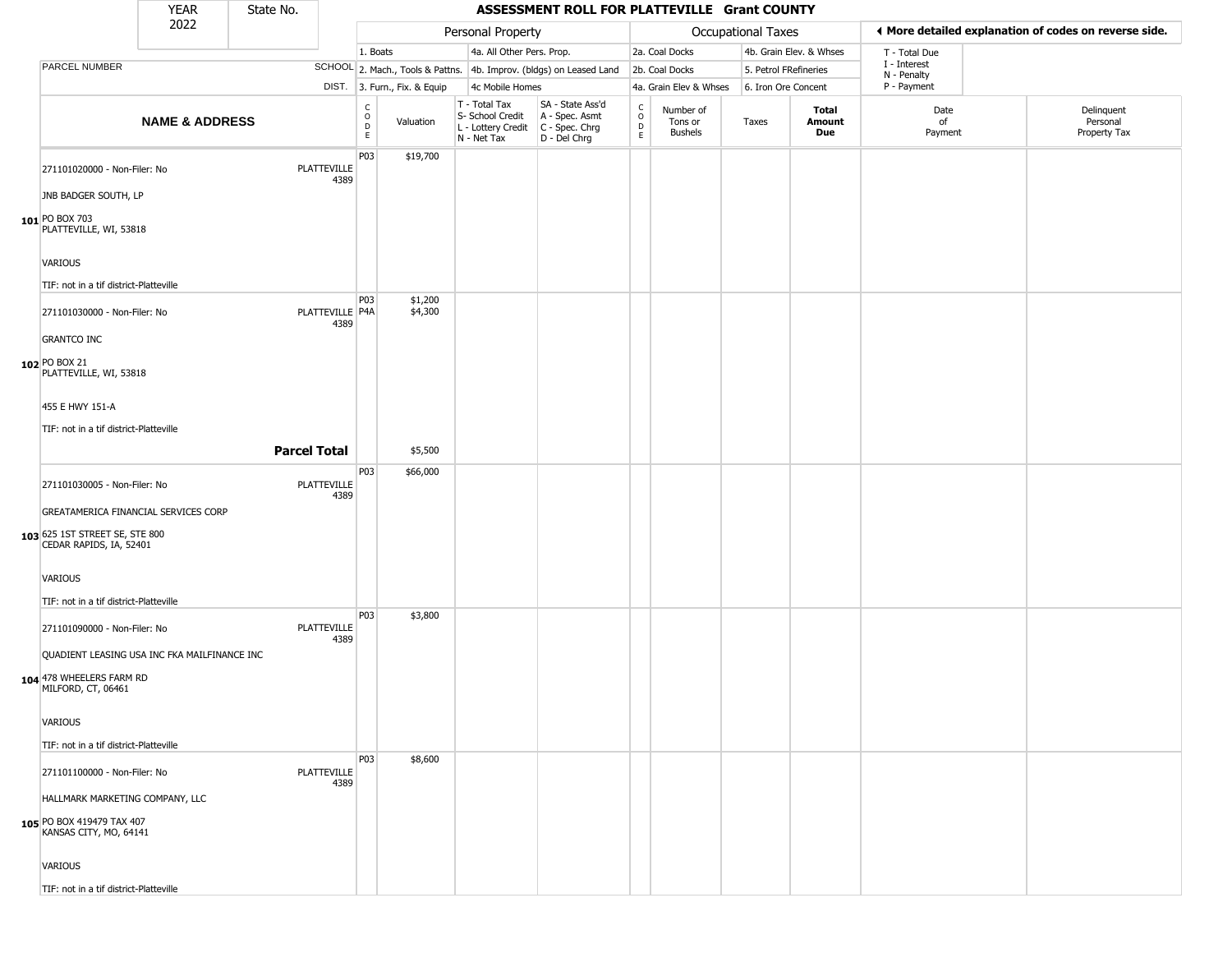|                                                           | <b>YEAR</b>               | State No. |                            |                                                   |                              |                                                                        | ASSESSMENT ROLL FOR PLATTEVILLE Grant COUNTY                         |                         |                                 |                       |                         |                             |                                                       |
|-----------------------------------------------------------|---------------------------|-----------|----------------------------|---------------------------------------------------|------------------------------|------------------------------------------------------------------------|----------------------------------------------------------------------|-------------------------|---------------------------------|-----------------------|-------------------------|-----------------------------|-------------------------------------------------------|
|                                                           | 2022                      |           |                            |                                                   |                              | Personal Property                                                      |                                                                      |                         |                                 | Occupational Taxes    |                         |                             | ◀ More detailed explanation of codes on reverse side. |
|                                                           |                           |           |                            | 1. Boats                                          |                              | 4a. All Other Pers. Prop.                                              |                                                                      |                         | 2a. Coal Docks                  |                       | 4b. Grain Elev. & Whses | T - Total Due               |                                                       |
| PARCEL NUMBER                                             |                           |           |                            |                                                   |                              |                                                                        | SCHOOL 2. Mach., Tools & Pattns. 4b. Improv. (bldgs) on Leased Land  |                         | 2b. Coal Docks                  | 5. Petrol FRefineries |                         | I - Interest<br>N - Penalty |                                                       |
|                                                           |                           |           |                            |                                                   | DIST. 3. Furn., Fix. & Equip | 4c Mobile Homes                                                        |                                                                      |                         | 4a. Grain Elev & Whses          | 6. Iron Ore Concent   |                         | P - Payment                 |                                                       |
|                                                           | <b>NAME &amp; ADDRESS</b> |           |                            | C<br>$\begin{array}{c}\n0 \\ D \\ E\n\end{array}$ | Valuation                    | T - Total Tax<br>S- School Credit<br>L - Lottery Credit<br>N - Net Tax | SA - State Ass'd<br>A - Spec. Asmt<br>C - Spec. Chrg<br>D - Del Chrg | C<br>$\circ$<br>D<br>E. | Number of<br>Tons or<br>Bushels | Taxes                 | Total<br>Amount<br>Due  | Date<br>of<br>Payment       | Delinquent<br>Personal<br>Property Tax                |
| 271101020000 - Non-Filer: No                              |                           |           | <b>PLATTEVILLE</b><br>4389 | P03                                               | \$19,700                     |                                                                        |                                                                      |                         |                                 |                       |                         |                             |                                                       |
| JNB BADGER SOUTH, LP                                      |                           |           |                            |                                                   |                              |                                                                        |                                                                      |                         |                                 |                       |                         |                             |                                                       |
| 101 PO BOX 703<br>PLATTEVILLE, WI, 53818                  |                           |           |                            |                                                   |                              |                                                                        |                                                                      |                         |                                 |                       |                         |                             |                                                       |
| <b>VARIOUS</b>                                            |                           |           |                            |                                                   |                              |                                                                        |                                                                      |                         |                                 |                       |                         |                             |                                                       |
| TIF: not in a tif district-Platteville                    |                           |           |                            |                                                   |                              |                                                                        |                                                                      |                         |                                 |                       |                         |                             |                                                       |
| 271101030000 - Non-Filer: No<br><b>GRANTCO INC</b>        |                           |           | PLATTEVILLE P4A<br>4389    | P03                                               | \$1,200<br>\$4,300           |                                                                        |                                                                      |                         |                                 |                       |                         |                             |                                                       |
|                                                           |                           |           |                            |                                                   |                              |                                                                        |                                                                      |                         |                                 |                       |                         |                             |                                                       |
| 102 PO BOX 21<br>PLATTEVILLE, WI, 53818                   |                           |           |                            |                                                   |                              |                                                                        |                                                                      |                         |                                 |                       |                         |                             |                                                       |
| 455 E HWY 151-A                                           |                           |           |                            |                                                   |                              |                                                                        |                                                                      |                         |                                 |                       |                         |                             |                                                       |
| TIF: not in a tif district-Platteville                    |                           |           |                            |                                                   |                              |                                                                        |                                                                      |                         |                                 |                       |                         |                             |                                                       |
|                                                           |                           |           | <b>Parcel Total</b>        |                                                   | \$5,500                      |                                                                        |                                                                      |                         |                                 |                       |                         |                             |                                                       |
|                                                           |                           |           |                            | P03                                               | \$66,000                     |                                                                        |                                                                      |                         |                                 |                       |                         |                             |                                                       |
| 271101030005 - Non-Filer: No                              |                           |           | PLATTEVILLE<br>4389        |                                                   |                              |                                                                        |                                                                      |                         |                                 |                       |                         |                             |                                                       |
| GREATAMERICA FINANCIAL SERVICES CORP                      |                           |           |                            |                                                   |                              |                                                                        |                                                                      |                         |                                 |                       |                         |                             |                                                       |
| 103 625 1ST STREET SE, STE 800<br>CEDAR RAPIDS, IA, 52401 |                           |           |                            |                                                   |                              |                                                                        |                                                                      |                         |                                 |                       |                         |                             |                                                       |
| <b>VARIOUS</b>                                            |                           |           |                            |                                                   |                              |                                                                        |                                                                      |                         |                                 |                       |                         |                             |                                                       |
| TIF: not in a tif district-Platteville                    |                           |           |                            |                                                   |                              |                                                                        |                                                                      |                         |                                 |                       |                         |                             |                                                       |
| 271101090000 - Non-Filer: No                              |                           |           | <b>PLATTEVILLE</b><br>4389 | P03                                               | \$3,800                      |                                                                        |                                                                      |                         |                                 |                       |                         |                             |                                                       |
| QUADIENT LEASING USA INC FKA MAILFINANCE INC              |                           |           |                            |                                                   |                              |                                                                        |                                                                      |                         |                                 |                       |                         |                             |                                                       |
| 104 478 WHEELERS FARM RD<br>MILFORD, CT, 06461            |                           |           |                            |                                                   |                              |                                                                        |                                                                      |                         |                                 |                       |                         |                             |                                                       |
| VARIOUS                                                   |                           |           |                            |                                                   |                              |                                                                        |                                                                      |                         |                                 |                       |                         |                             |                                                       |
| TIF: not in a tif district-Platteville                    |                           |           |                            |                                                   |                              |                                                                        |                                                                      |                         |                                 |                       |                         |                             |                                                       |
|                                                           |                           |           |                            | P03                                               | \$8,600                      |                                                                        |                                                                      |                         |                                 |                       |                         |                             |                                                       |
| 271101100000 - Non-Filer: No                              |                           |           | PLATTEVILLE<br>4389        |                                                   |                              |                                                                        |                                                                      |                         |                                 |                       |                         |                             |                                                       |
| HALLMARK MARKETING COMPANY, LLC                           |                           |           |                            |                                                   |                              |                                                                        |                                                                      |                         |                                 |                       |                         |                             |                                                       |
| 105 PO BOX 419479 TAX 407<br>KANSAS CITY, MO, 64141       |                           |           |                            |                                                   |                              |                                                                        |                                                                      |                         |                                 |                       |                         |                             |                                                       |
| VARIOUS                                                   |                           |           |                            |                                                   |                              |                                                                        |                                                                      |                         |                                 |                       |                         |                             |                                                       |
| TIF: not in a tif district-Platteville                    |                           |           |                            |                                                   |                              |                                                                        |                                                                      |                         |                                 |                       |                         |                             |                                                       |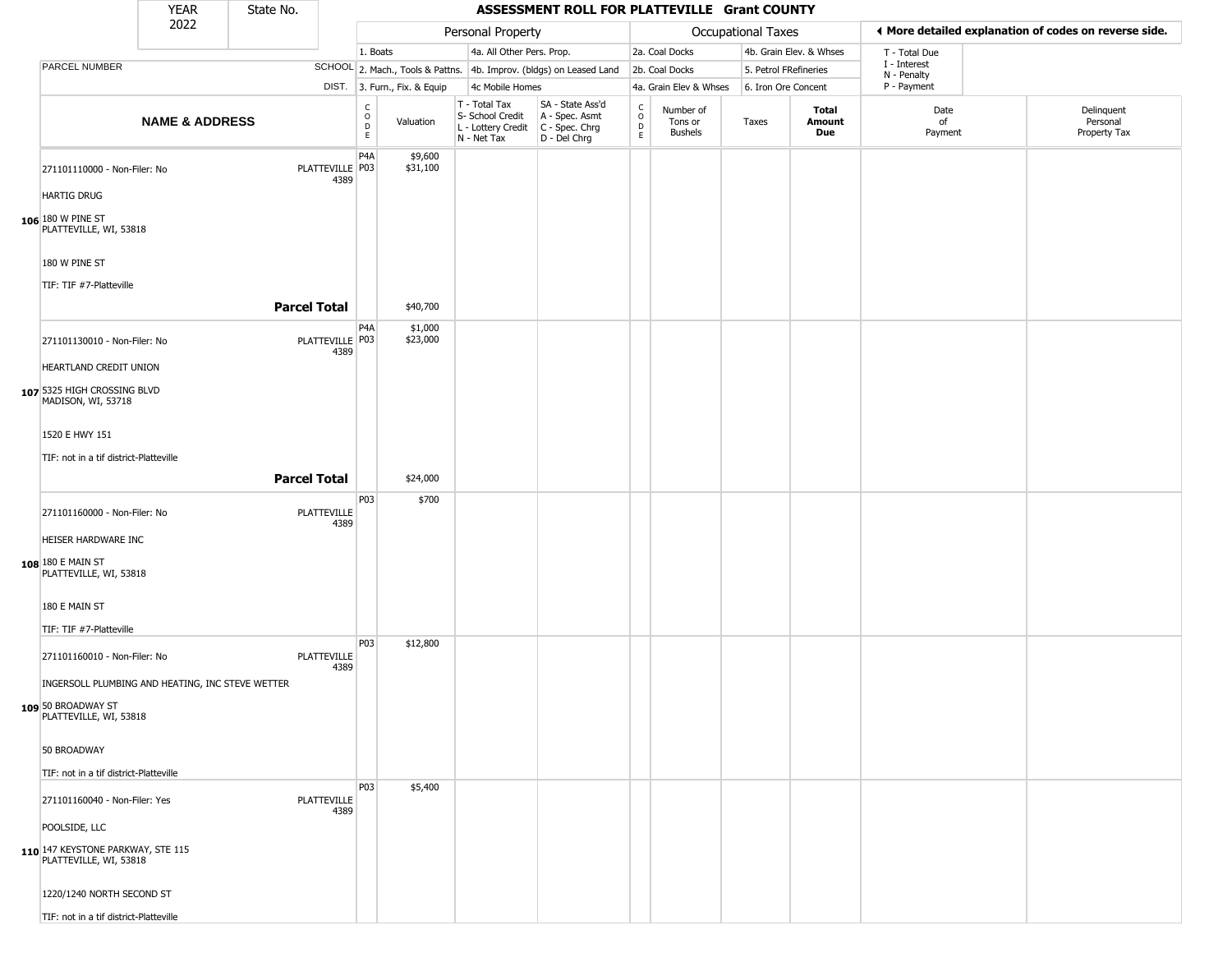|                                                             | <b>YEAR</b>               | State No.           |                            |                         |                              |                                                                                         | ASSESSMENT ROLL FOR PLATTEVILLE Grant COUNTY                        |                                  |                                        |                       |                         |                             |                                                       |
|-------------------------------------------------------------|---------------------------|---------------------|----------------------------|-------------------------|------------------------------|-----------------------------------------------------------------------------------------|---------------------------------------------------------------------|----------------------------------|----------------------------------------|-----------------------|-------------------------|-----------------------------|-------------------------------------------------------|
|                                                             | 2022                      |                     |                            |                         |                              | Personal Property                                                                       |                                                                     |                                  |                                        | Occupational Taxes    |                         |                             | ♦ More detailed explanation of codes on reverse side. |
|                                                             |                           |                     |                            | 1. Boats                |                              | 4a. All Other Pers. Prop.                                                               |                                                                     |                                  | 2a. Coal Docks                         |                       | 4b. Grain Elev. & Whses | T - Total Due               |                                                       |
| PARCEL NUMBER                                               |                           |                     |                            |                         |                              |                                                                                         | SCHOOL 2. Mach., Tools & Pattns. 4b. Improv. (bldgs) on Leased Land |                                  | 2b. Coal Docks                         | 5. Petrol FRefineries |                         | I - Interest<br>N - Penalty |                                                       |
|                                                             |                           |                     |                            |                         | DIST. 3. Furn., Fix. & Equip | 4c Mobile Homes                                                                         |                                                                     |                                  | 4a. Grain Elev & Whses                 | 6. Iron Ore Concent   |                         | P - Payment                 |                                                       |
|                                                             | <b>NAME &amp; ADDRESS</b> |                     |                            | C<br>$\circ$<br>D<br>E. | Valuation                    | T - Total Tax<br>S- School Credit<br>L - Lottery Credit   C - Spec. Chrg<br>N - Net Tax | SA - State Ass'd<br>A - Spec. Asmt<br>D - Del Chrg                  | $\mathsf C$<br>$\circ$<br>D<br>E | Number of<br>Tons or<br><b>Bushels</b> | Taxes                 | Total<br>Amount<br>Due  | Date<br>of<br>Payment       | Delinquent<br>Personal<br>Property Tax                |
| 271101110000 - Non-Filer: No                                |                           |                     | PLATTEVILLE P03<br>4389    | P4A                     | \$9,600<br>\$31,100          |                                                                                         |                                                                     |                                  |                                        |                       |                         |                             |                                                       |
| <b>HARTIG DRUG</b>                                          |                           |                     |                            |                         |                              |                                                                                         |                                                                     |                                  |                                        |                       |                         |                             |                                                       |
| 106 180 W PINE ST<br>PLATTEVILLE, WI, 53818                 |                           |                     |                            |                         |                              |                                                                                         |                                                                     |                                  |                                        |                       |                         |                             |                                                       |
| 180 W PINE ST                                               |                           |                     |                            |                         |                              |                                                                                         |                                                                     |                                  |                                        |                       |                         |                             |                                                       |
| TIF: TIF #7-Platteville                                     |                           |                     |                            |                         |                              |                                                                                         |                                                                     |                                  |                                        |                       |                         |                             |                                                       |
|                                                             |                           | <b>Parcel Total</b> |                            |                         | \$40,700                     |                                                                                         |                                                                     |                                  |                                        |                       |                         |                             |                                                       |
| 271101130010 - Non-Filer: No                                |                           |                     | PLATTEVILLE   P03<br>4389  | P <sub>4</sub> A        | \$1,000<br>\$23,000          |                                                                                         |                                                                     |                                  |                                        |                       |                         |                             |                                                       |
| HEARTLAND CREDIT UNION                                      |                           |                     |                            |                         |                              |                                                                                         |                                                                     |                                  |                                        |                       |                         |                             |                                                       |
| 107 5325 HIGH CROSSING BLVD<br>MADISON, WI, 53718           |                           |                     |                            |                         |                              |                                                                                         |                                                                     |                                  |                                        |                       |                         |                             |                                                       |
| 1520 E HWY 151                                              |                           |                     |                            |                         |                              |                                                                                         |                                                                     |                                  |                                        |                       |                         |                             |                                                       |
| TIF: not in a tif district-Platteville                      |                           |                     |                            |                         |                              |                                                                                         |                                                                     |                                  |                                        |                       |                         |                             |                                                       |
|                                                             |                           | <b>Parcel Total</b> |                            |                         | \$24,000                     |                                                                                         |                                                                     |                                  |                                        |                       |                         |                             |                                                       |
| 271101160000 - Non-Filer: No                                |                           |                     | <b>PLATTEVILLE</b><br>4389 | P03                     | \$700                        |                                                                                         |                                                                     |                                  |                                        |                       |                         |                             |                                                       |
| HEISER HARDWARE INC                                         |                           |                     |                            |                         |                              |                                                                                         |                                                                     |                                  |                                        |                       |                         |                             |                                                       |
| 108 180 E MAIN ST<br>PLATTEVILLE, WI, 53818                 |                           |                     |                            |                         |                              |                                                                                         |                                                                     |                                  |                                        |                       |                         |                             |                                                       |
| 180 E MAIN ST                                               |                           |                     |                            |                         |                              |                                                                                         |                                                                     |                                  |                                        |                       |                         |                             |                                                       |
| TIF: TIF #7-Platteville                                     |                           |                     |                            | P03                     | \$12,800                     |                                                                                         |                                                                     |                                  |                                        |                       |                         |                             |                                                       |
| 271101160010 - Non-Filer: No                                |                           |                     | <b>PLATTEVILLE</b><br>4389 |                         |                              |                                                                                         |                                                                     |                                  |                                        |                       |                         |                             |                                                       |
| INGERSOLL PLUMBING AND HEATING, INC STEVE WETTER            |                           |                     |                            |                         |                              |                                                                                         |                                                                     |                                  |                                        |                       |                         |                             |                                                       |
| 109 50 BROADWAY ST<br>PLATTEVILLE, WI, 53818                |                           |                     |                            |                         |                              |                                                                                         |                                                                     |                                  |                                        |                       |                         |                             |                                                       |
| 50 BROADWAY                                                 |                           |                     |                            |                         |                              |                                                                                         |                                                                     |                                  |                                        |                       |                         |                             |                                                       |
|                                                             |                           |                     |                            |                         |                              |                                                                                         |                                                                     |                                  |                                        |                       |                         |                             |                                                       |
| TIF: not in a tif district-Platteville                      |                           |                     |                            | P03                     | \$5,400                      |                                                                                         |                                                                     |                                  |                                        |                       |                         |                             |                                                       |
| 271101160040 - Non-Filer: Yes                               |                           |                     | <b>PLATTEVILLE</b><br>4389 |                         |                              |                                                                                         |                                                                     |                                  |                                        |                       |                         |                             |                                                       |
| POOLSIDE, LLC                                               |                           |                     |                            |                         |                              |                                                                                         |                                                                     |                                  |                                        |                       |                         |                             |                                                       |
| 110 147 KEYSTONE PARKWAY, STE 115<br>PLATTEVILLE, WI, 53818 |                           |                     |                            |                         |                              |                                                                                         |                                                                     |                                  |                                        |                       |                         |                             |                                                       |
| 1220/1240 NORTH SECOND ST                                   |                           |                     |                            |                         |                              |                                                                                         |                                                                     |                                  |                                        |                       |                         |                             |                                                       |

TIF: not in a tif district-Platteville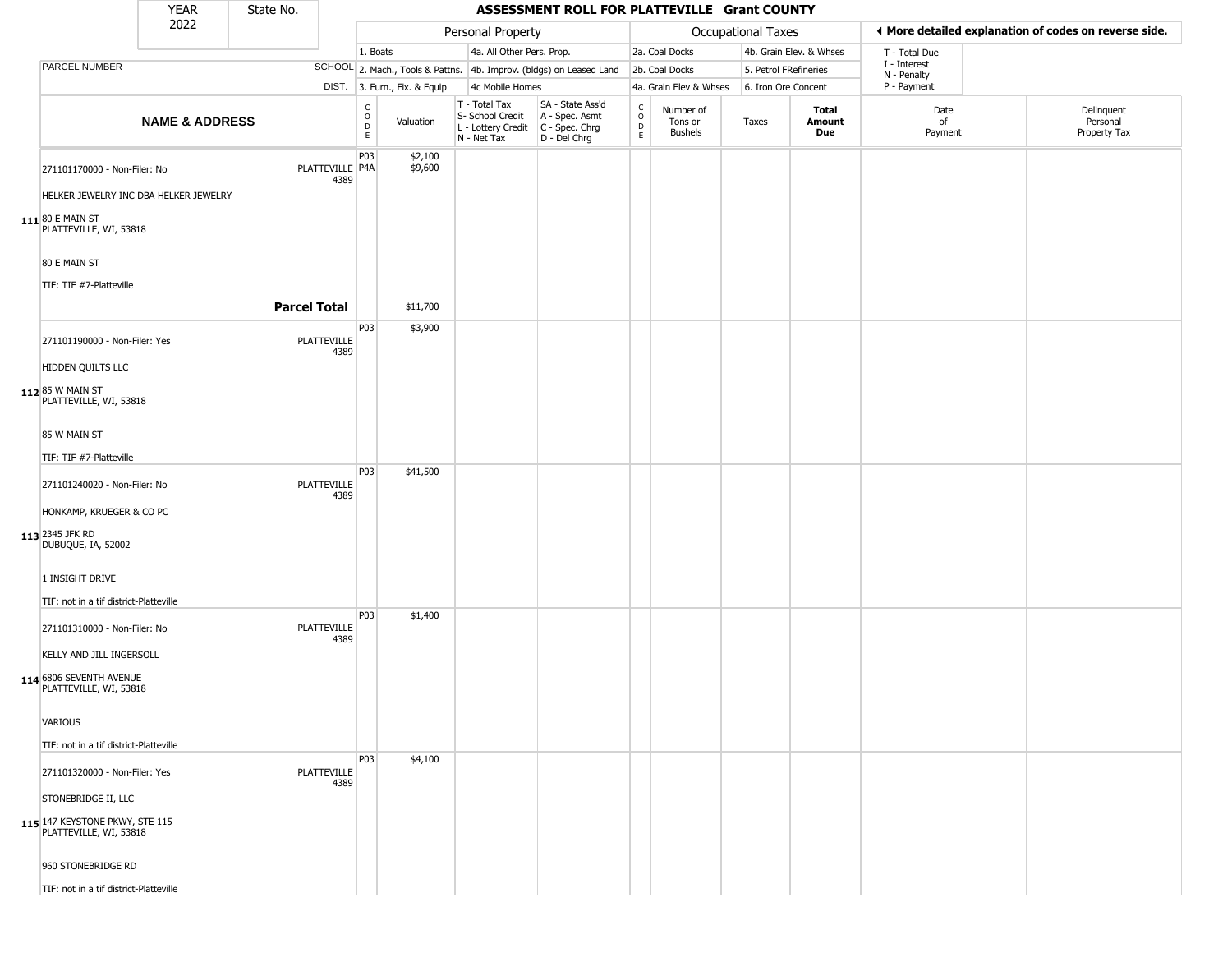|                                                                                     | <b>YEAR</b>               | State No.           |                            |                                       |                              |                                                                                       | ASSESSMENT ROLL FOR PLATTEVILLE Grant COUNTY                        |                                                  |                                        |                    |                         |                             |                                                       |
|-------------------------------------------------------------------------------------|---------------------------|---------------------|----------------------------|---------------------------------------|------------------------------|---------------------------------------------------------------------------------------|---------------------------------------------------------------------|--------------------------------------------------|----------------------------------------|--------------------|-------------------------|-----------------------------|-------------------------------------------------------|
|                                                                                     | 2022                      |                     |                            |                                       |                              | Personal Property                                                                     |                                                                     |                                                  |                                        | Occupational Taxes |                         |                             | ◀ More detailed explanation of codes on reverse side. |
|                                                                                     |                           |                     |                            | 1. Boats                              |                              | 4a. All Other Pers. Prop.                                                             |                                                                     |                                                  | 2a. Coal Docks                         |                    | 4b. Grain Elev. & Whses | T - Total Due               |                                                       |
| PARCEL NUMBER                                                                       |                           |                     |                            |                                       |                              |                                                                                       | SCHOOL 2. Mach., Tools & Pattns. 4b. Improv. (bldgs) on Leased Land |                                                  | 2b. Coal Docks                         |                    | 5. Petrol FRefineries   | I - Interest<br>N - Penalty |                                                       |
|                                                                                     |                           |                     |                            |                                       | DIST. 3. Furn., Fix. & Equip | 4c Mobile Homes                                                                       |                                                                     |                                                  | 4a. Grain Elev & Whses                 |                    | 6. Iron Ore Concent     | P - Payment                 |                                                       |
|                                                                                     | <b>NAME &amp; ADDRESS</b> |                     |                            | $\mathsf{C}$<br>$\mathsf O$<br>D<br>E | Valuation                    | T - Total Tax<br>S- School Credit<br>L - Lottery Credit C - Spec. Chrg<br>N - Net Tax | SA - State Ass'd<br>A - Spec. Asmt<br>D - Del Chrg                  | $_{\rm o}^{\rm c}$<br>$\mathsf D$<br>$\mathsf E$ | Number of<br>Tons or<br><b>Bushels</b> | Taxes              | Total<br>Amount<br>Due  | Date<br>of<br>Payment       | Delinquent<br>Personal<br>Property Tax                |
| 271101170000 - Non-Filer: No                                                        |                           |                     | PLATTEVILLE   P4A<br>4389  | P03                                   | \$2,100<br>\$9,600           |                                                                                       |                                                                     |                                                  |                                        |                    |                         |                             |                                                       |
| HELKER JEWELRY INC DBA HELKER JEWELRY<br>111 80 E MAIN ST<br>PLATTEVILLE, WI, 53818 |                           |                     |                            |                                       |                              |                                                                                       |                                                                     |                                                  |                                        |                    |                         |                             |                                                       |
| 80 E MAIN ST                                                                        |                           |                     |                            |                                       |                              |                                                                                       |                                                                     |                                                  |                                        |                    |                         |                             |                                                       |
| TIF: TIF #7-Platteville                                                             |                           |                     |                            |                                       |                              |                                                                                       |                                                                     |                                                  |                                        |                    |                         |                             |                                                       |
|                                                                                     |                           | <b>Parcel Total</b> |                            |                                       | \$11,700                     |                                                                                       |                                                                     |                                                  |                                        |                    |                         |                             |                                                       |
| 271101190000 - Non-Filer: Yes                                                       |                           |                     | <b>PLATTEVILLE</b><br>4389 | P03                                   | \$3,900                      |                                                                                       |                                                                     |                                                  |                                        |                    |                         |                             |                                                       |
| HIDDEN QUILTS LLC                                                                   |                           |                     |                            |                                       |                              |                                                                                       |                                                                     |                                                  |                                        |                    |                         |                             |                                                       |
| 112 85 W MAIN ST<br>PLATTEVILLE, WI, 53818                                          |                           |                     |                            |                                       |                              |                                                                                       |                                                                     |                                                  |                                        |                    |                         |                             |                                                       |
| 85 W MAIN ST                                                                        |                           |                     |                            |                                       |                              |                                                                                       |                                                                     |                                                  |                                        |                    |                         |                             |                                                       |
| TIF: TIF #7-Platteville                                                             |                           |                     |                            |                                       |                              |                                                                                       |                                                                     |                                                  |                                        |                    |                         |                             |                                                       |
| 271101240020 - Non-Filer: No                                                        |                           |                     | <b>PLATTEVILLE</b><br>4389 | P03                                   | \$41,500                     |                                                                                       |                                                                     |                                                  |                                        |                    |                         |                             |                                                       |
| HONKAMP, KRUEGER & CO PC                                                            |                           |                     |                            |                                       |                              |                                                                                       |                                                                     |                                                  |                                        |                    |                         |                             |                                                       |
| 113 2345 JFK RD<br>DUBUQUE, IA, 52002                                               |                           |                     |                            |                                       |                              |                                                                                       |                                                                     |                                                  |                                        |                    |                         |                             |                                                       |
| 1 INSIGHT DRIVE                                                                     |                           |                     |                            |                                       |                              |                                                                                       |                                                                     |                                                  |                                        |                    |                         |                             |                                                       |
| TIF: not in a tif district-Platteville                                              |                           |                     |                            | P03                                   | \$1,400                      |                                                                                       |                                                                     |                                                  |                                        |                    |                         |                             |                                                       |
| 271101310000 - Non-Filer: No                                                        |                           |                     | <b>PLATTEVILLE</b><br>4389 |                                       |                              |                                                                                       |                                                                     |                                                  |                                        |                    |                         |                             |                                                       |
| KELLY AND JILL INGERSOLL                                                            |                           |                     |                            |                                       |                              |                                                                                       |                                                                     |                                                  |                                        |                    |                         |                             |                                                       |
| 114 6806 SEVENTH AVENUE<br>PLATTEVILLE, WI, 53818                                   |                           |                     |                            |                                       |                              |                                                                                       |                                                                     |                                                  |                                        |                    |                         |                             |                                                       |
| <b>VARIOUS</b>                                                                      |                           |                     |                            |                                       |                              |                                                                                       |                                                                     |                                                  |                                        |                    |                         |                             |                                                       |
| TIF: not in a tif district-Platteville                                              |                           |                     |                            |                                       |                              |                                                                                       |                                                                     |                                                  |                                        |                    |                         |                             |                                                       |
| 271101320000 - Non-Filer: Yes                                                       |                           |                     | <b>PLATTEVILLE</b><br>4389 | P <sub>03</sub>                       | \$4,100                      |                                                                                       |                                                                     |                                                  |                                        |                    |                         |                             |                                                       |
| STONEBRIDGE II, LLC                                                                 |                           |                     |                            |                                       |                              |                                                                                       |                                                                     |                                                  |                                        |                    |                         |                             |                                                       |
| 115 147 KEYSTONE PKWY, STE 115<br>PLATTEVILLE, WI, 53818                            |                           |                     |                            |                                       |                              |                                                                                       |                                                                     |                                                  |                                        |                    |                         |                             |                                                       |
| 960 STONEBRIDGE RD                                                                  |                           |                     |                            |                                       |                              |                                                                                       |                                                                     |                                                  |                                        |                    |                         |                             |                                                       |
| TIF: not in a tif district-Platteville                                              |                           |                     |                            |                                       |                              |                                                                                       |                                                                     |                                                  |                                        |                    |                         |                             |                                                       |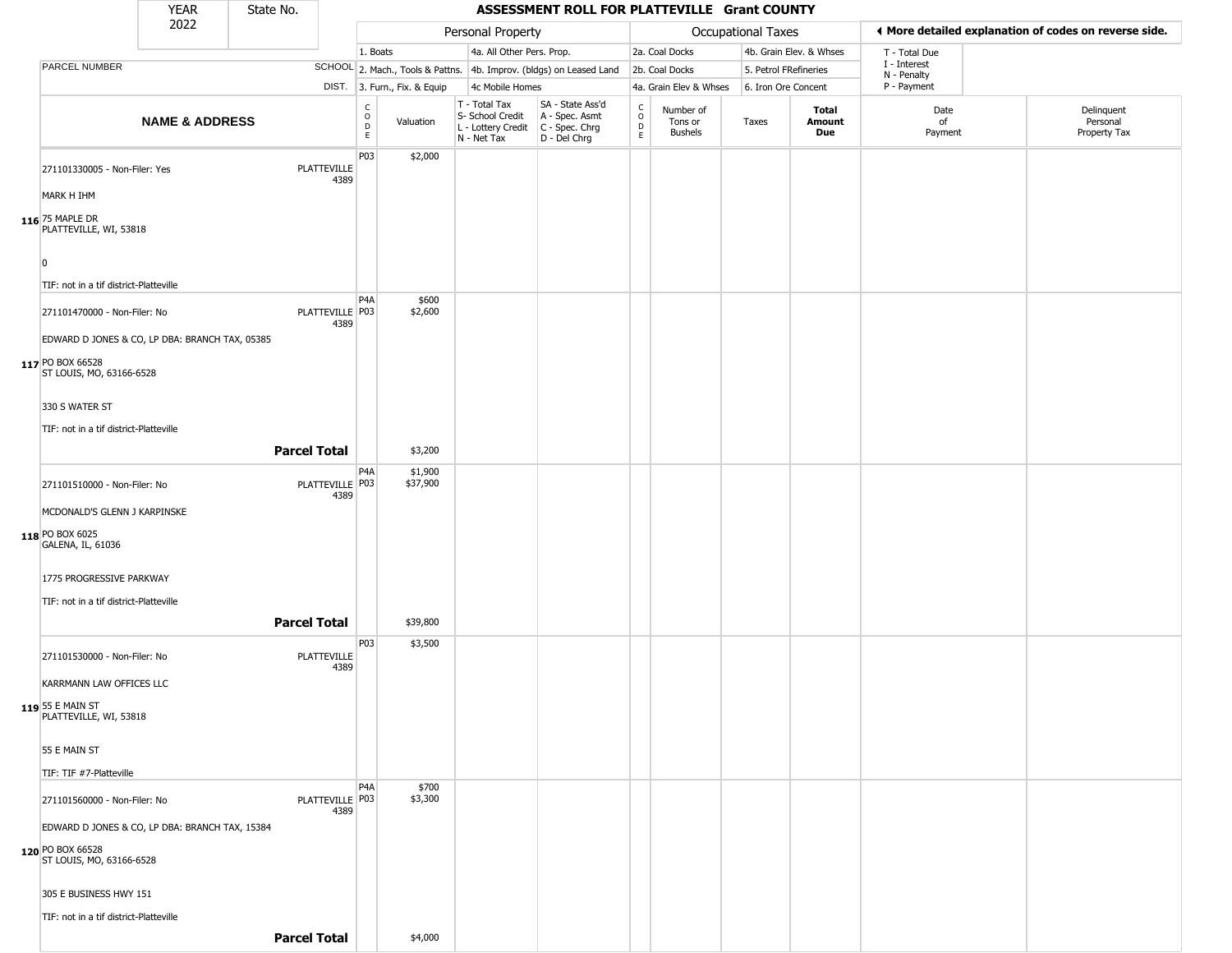|                                                | <b>YEAR</b>               | State No. |                            |                                  |                              |                                                                        | ASSESSMENT ROLL FOR PLATTEVILLE Grant COUNTY                         |                                                          |                                        |                    |                         |                             |                                                       |
|------------------------------------------------|---------------------------|-----------|----------------------------|----------------------------------|------------------------------|------------------------------------------------------------------------|----------------------------------------------------------------------|----------------------------------------------------------|----------------------------------------|--------------------|-------------------------|-----------------------------|-------------------------------------------------------|
|                                                | 2022                      |           |                            |                                  |                              | Personal Property                                                      |                                                                      |                                                          |                                        | Occupational Taxes |                         |                             | ♦ More detailed explanation of codes on reverse side. |
|                                                |                           |           |                            | 1. Boats                         |                              | 4a. All Other Pers. Prop.                                              |                                                                      |                                                          | 2a. Coal Docks                         |                    | 4b. Grain Elev. & Whses | T - Total Due               |                                                       |
| PARCEL NUMBER                                  |                           |           |                            |                                  |                              |                                                                        | SCHOOL 2. Mach., Tools & Pattns. 4b. Improv. (bldgs) on Leased Land  |                                                          | 2b. Coal Docks                         |                    | 5. Petrol FRefineries   | I - Interest<br>N - Penalty |                                                       |
|                                                |                           |           |                            |                                  | DIST. 3. Furn., Fix. & Equip | 4c Mobile Homes                                                        |                                                                      |                                                          | 4a. Grain Elev & Whses                 |                    | 6. Iron Ore Concent     | P - Payment                 |                                                       |
|                                                | <b>NAME &amp; ADDRESS</b> |           |                            | C<br>$\circ$<br>$\mathsf D$<br>E | Valuation                    | T - Total Tax<br>S- School Credit<br>L - Lottery Credit<br>N - Net Tax | SA - State Ass'd<br>A - Spec. Asmt<br>C - Spec. Chrg<br>D - Del Chrg | $\begin{smallmatrix} C \\ 0 \\ D \end{smallmatrix}$<br>E | Number of<br>Tons or<br><b>Bushels</b> | Taxes              | Total<br>Amount<br>Due  | Date<br>of<br>Payment       | Delinquent<br>Personal<br>Property Tax                |
| 271101330005 - Non-Filer: Yes<br>MARK H IHM    |                           |           | <b>PLATTEVILLE</b><br>4389 | P03                              | \$2,000                      |                                                                        |                                                                      |                                                          |                                        |                    |                         |                             |                                                       |
|                                                |                           |           |                            |                                  |                              |                                                                        |                                                                      |                                                          |                                        |                    |                         |                             |                                                       |
| 116 75 MAPLE DR<br>PLATTEVILLE, WI, 53818      |                           |           |                            |                                  |                              |                                                                        |                                                                      |                                                          |                                        |                    |                         |                             |                                                       |
| $\Omega$                                       |                           |           |                            |                                  |                              |                                                                        |                                                                      |                                                          |                                        |                    |                         |                             |                                                       |
| TIF: not in a tif district-Platteville         |                           |           |                            |                                  |                              |                                                                        |                                                                      |                                                          |                                        |                    |                         |                             |                                                       |
| 271101470000 - Non-Filer: No                   |                           |           | PLATTEVILLE P03            | P <sub>4</sub> A                 | \$600<br>\$2,600             |                                                                        |                                                                      |                                                          |                                        |                    |                         |                             |                                                       |
| EDWARD D JONES & CO, LP DBA: BRANCH TAX, 05385 |                           |           | 4389                       |                                  |                              |                                                                        |                                                                      |                                                          |                                        |                    |                         |                             |                                                       |
| 117 PO BOX 66528<br>ST LOUIS, MO, 63166-6528   |                           |           |                            |                                  |                              |                                                                        |                                                                      |                                                          |                                        |                    |                         |                             |                                                       |
| 330 S WATER ST                                 |                           |           |                            |                                  |                              |                                                                        |                                                                      |                                                          |                                        |                    |                         |                             |                                                       |
| TIF: not in a tif district-Platteville         |                           |           |                            |                                  |                              |                                                                        |                                                                      |                                                          |                                        |                    |                         |                             |                                                       |
|                                                |                           |           | <b>Parcel Total</b>        |                                  | \$3,200                      |                                                                        |                                                                      |                                                          |                                        |                    |                         |                             |                                                       |
| 271101510000 - Non-Filer: No                   |                           |           | PLATTEVILLE P03<br>4389    | P <sub>4</sub> A                 | \$1,900<br>\$37,900          |                                                                        |                                                                      |                                                          |                                        |                    |                         |                             |                                                       |
| MCDONALD'S GLENN J KARPINSKE                   |                           |           |                            |                                  |                              |                                                                        |                                                                      |                                                          |                                        |                    |                         |                             |                                                       |
| 118 PO BOX 6025<br>GALENA, IL, 61036           |                           |           |                            |                                  |                              |                                                                        |                                                                      |                                                          |                                        |                    |                         |                             |                                                       |
| 1775 PROGRESSIVE PARKWAY                       |                           |           |                            |                                  |                              |                                                                        |                                                                      |                                                          |                                        |                    |                         |                             |                                                       |
| TIF: not in a tif district-Platteville         |                           |           |                            |                                  |                              |                                                                        |                                                                      |                                                          |                                        |                    |                         |                             |                                                       |
|                                                |                           |           | <b>Parcel Total</b>        |                                  | \$39,800                     |                                                                        |                                                                      |                                                          |                                        |                    |                         |                             |                                                       |
| 271101530000 - Non-Filer: No                   |                           |           | <b>PLATTEVILLE</b><br>4389 | P03                              | \$3,500                      |                                                                        |                                                                      |                                                          |                                        |                    |                         |                             |                                                       |
| KARRMANN LAW OFFICES LLC                       |                           |           |                            |                                  |                              |                                                                        |                                                                      |                                                          |                                        |                    |                         |                             |                                                       |
| 119 55 E MAIN ST<br>PLATTEVILLE, WI, 53818     |                           |           |                            |                                  |                              |                                                                        |                                                                      |                                                          |                                        |                    |                         |                             |                                                       |
| 55 E MAIN ST                                   |                           |           |                            |                                  |                              |                                                                        |                                                                      |                                                          |                                        |                    |                         |                             |                                                       |
| TIF: TIF #7-Platteville                        |                           |           |                            |                                  |                              |                                                                        |                                                                      |                                                          |                                        |                    |                         |                             |                                                       |
| 271101560000 - Non-Filer: No                   |                           |           | PLATTEVILLE   P03<br>4389  | P <sub>4</sub> A                 | \$700<br>\$3,300             |                                                                        |                                                                      |                                                          |                                        |                    |                         |                             |                                                       |
| EDWARD D JONES & CO, LP DBA: BRANCH TAX, 15384 |                           |           |                            |                                  |                              |                                                                        |                                                                      |                                                          |                                        |                    |                         |                             |                                                       |
| 120 PO BOX 66528<br>ST LOUIS, MO, 63166-6528   |                           |           |                            |                                  |                              |                                                                        |                                                                      |                                                          |                                        |                    |                         |                             |                                                       |
| 305 E BUSINESS HWY 151                         |                           |           |                            |                                  |                              |                                                                        |                                                                      |                                                          |                                        |                    |                         |                             |                                                       |
| TIF: not in a tif district-Platteville         |                           |           |                            |                                  |                              |                                                                        |                                                                      |                                                          |                                        |                    |                         |                             |                                                       |

**Parcel Total** \$4,000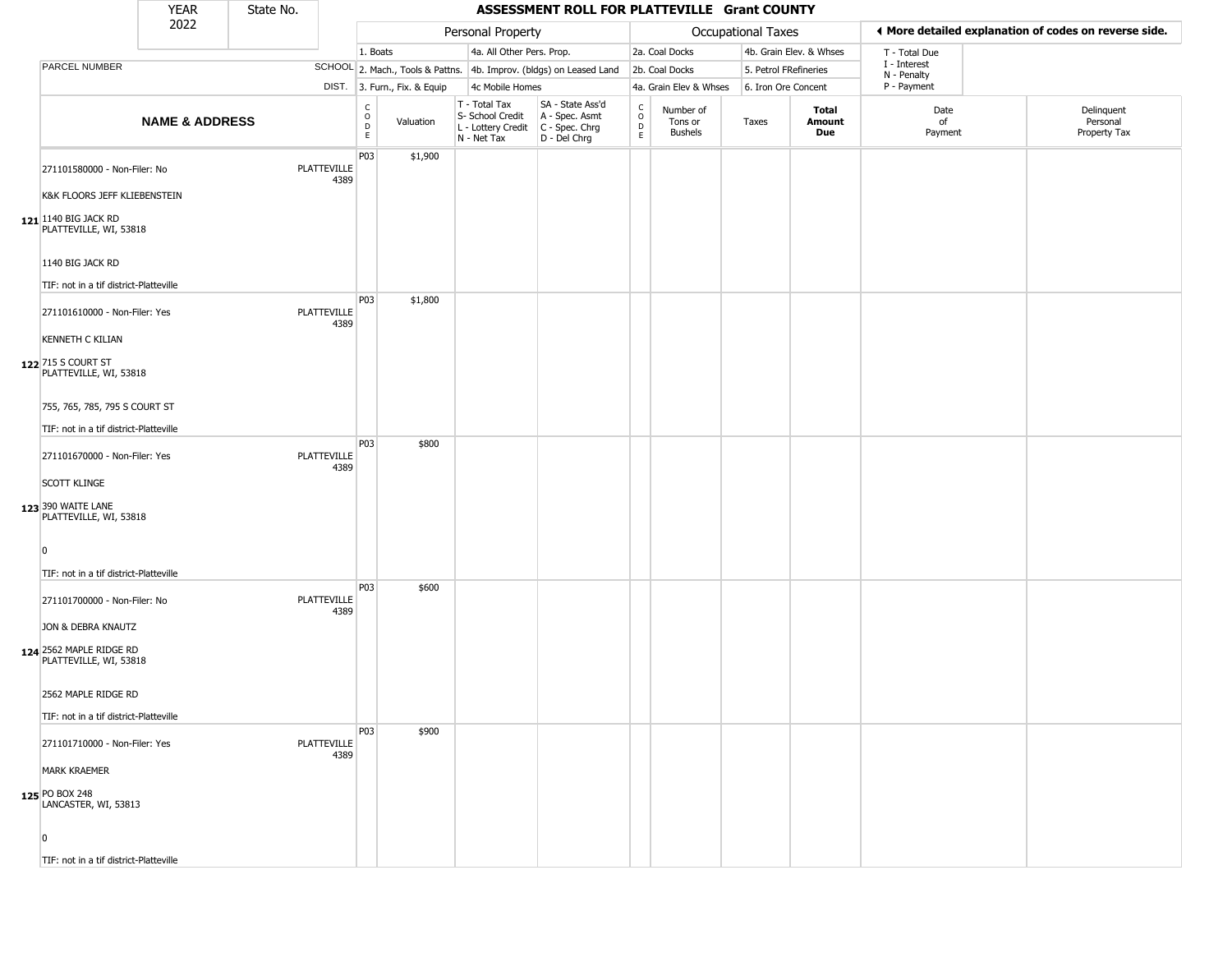|                                                                         | <b>YEAR</b>               | State No. |                            |                                |                              |                                                                                       | ASSESSMENT ROLL FOR PLATTEVILLE Grant COUNTY                        |                                             |                                        |                    |                         |                             |                                                       |
|-------------------------------------------------------------------------|---------------------------|-----------|----------------------------|--------------------------------|------------------------------|---------------------------------------------------------------------------------------|---------------------------------------------------------------------|---------------------------------------------|----------------------------------------|--------------------|-------------------------|-----------------------------|-------------------------------------------------------|
|                                                                         | 2022                      |           |                            |                                |                              | Personal Property                                                                     |                                                                     |                                             |                                        | Occupational Taxes |                         |                             | ◀ More detailed explanation of codes on reverse side. |
|                                                                         |                           |           |                            | 1. Boats                       |                              | 4a. All Other Pers. Prop.                                                             |                                                                     |                                             | 2a. Coal Docks                         |                    | 4b. Grain Elev. & Whses | T - Total Due               |                                                       |
| PARCEL NUMBER                                                           |                           |           |                            |                                |                              |                                                                                       | SCHOOL 2. Mach., Tools & Pattns. 4b. Improv. (bldgs) on Leased Land |                                             | 2b. Coal Docks                         |                    | 5. Petrol FRefineries   | I - Interest<br>N - Penalty |                                                       |
|                                                                         |                           |           |                            |                                | DIST. 3. Furn., Fix. & Equip | 4c Mobile Homes                                                                       |                                                                     |                                             | 4a. Grain Elev & Whses                 |                    | 6. Iron Ore Concent     | P - Payment                 |                                                       |
|                                                                         | <b>NAME &amp; ADDRESS</b> |           |                            | $\rm _o^C$<br>$\mathsf D$<br>E | Valuation                    | T - Total Tax<br>S- School Credit<br>L - Lottery Credit C - Spec. Chrg<br>N - Net Tax | SA - State Ass'd<br>A - Spec. Asmt<br>D - Del Chrg                  | $\mathsf{C}$<br>$\circ$<br>D<br>$\mathsf E$ | Number of<br>Tons or<br><b>Bushels</b> | Taxes              | Total<br>Amount<br>Due  | Date<br>of<br>Payment       | Delinquent<br>Personal<br>Property Tax                |
| 271101580000 - Non-Filer: No<br>K&K FLOORS JEFF KLIEBENSTEIN            |                           |           | <b>PLATTEVILLE</b><br>4389 | P03                            | \$1,900                      |                                                                                       |                                                                     |                                             |                                        |                    |                         |                             |                                                       |
| 121 1140 BIG JACK RD<br>PLATTEVILLE, WI, 53818                          |                           |           |                            |                                |                              |                                                                                       |                                                                     |                                             |                                        |                    |                         |                             |                                                       |
| 1140 BIG JACK RD<br>TIF: not in a tif district-Platteville              |                           |           |                            | P03                            |                              |                                                                                       |                                                                     |                                             |                                        |                    |                         |                             |                                                       |
| 271101610000 - Non-Filer: Yes<br><b>KENNETH C KILIAN</b>                |                           |           | PLATTEVILLE<br>4389        |                                | \$1,800                      |                                                                                       |                                                                     |                                             |                                        |                    |                         |                             |                                                       |
| 122 715 S COURT ST<br>PLATTEVILLE, WI, 53818                            |                           |           |                            |                                |                              |                                                                                       |                                                                     |                                             |                                        |                    |                         |                             |                                                       |
| 755, 765, 785, 795 S COURT ST<br>TIF: not in a tif district-Platteville |                           |           |                            |                                |                              |                                                                                       |                                                                     |                                             |                                        |                    |                         |                             |                                                       |
| 271101670000 - Non-Filer: Yes                                           |                           |           | <b>PLATTEVILLE</b><br>4389 | P03                            | \$800                        |                                                                                       |                                                                     |                                             |                                        |                    |                         |                             |                                                       |
| <b>SCOTT KLINGE</b><br>123 390 WAITE LANE<br>PLATTEVILLE, WI, 53818     |                           |           |                            |                                |                              |                                                                                       |                                                                     |                                             |                                        |                    |                         |                             |                                                       |
| n<br>TIF: not in a tif district-Platteville                             |                           |           |                            |                                |                              |                                                                                       |                                                                     |                                             |                                        |                    |                         |                             |                                                       |
| 271101700000 - Non-Filer: No                                            |                           |           | PLATTEVILLE<br>4389        | P03                            | \$600                        |                                                                                       |                                                                     |                                             |                                        |                    |                         |                             |                                                       |
| JON & DEBRA KNAUTZ<br>124 2562 MAPLE RIDGE RD<br>PLATTEVILLE, WI, 53818 |                           |           |                            |                                |                              |                                                                                       |                                                                     |                                             |                                        |                    |                         |                             |                                                       |
| 2562 MAPLE RIDGE RD<br>TIF: not in a tif district-Platteville           |                           |           |                            |                                |                              |                                                                                       |                                                                     |                                             |                                        |                    |                         |                             |                                                       |
| 271101710000 - Non-Filer: Yes                                           |                           |           | <b>PLATTEVILLE</b><br>4389 | P03                            | \$900                        |                                                                                       |                                                                     |                                             |                                        |                    |                         |                             |                                                       |
| <b>MARK KRAEMER</b>                                                     |                           |           |                            |                                |                              |                                                                                       |                                                                     |                                             |                                        |                    |                         |                             |                                                       |
| 125 PO BOX 248<br>LANCASTER, WI, 53813                                  |                           |           |                            |                                |                              |                                                                                       |                                                                     |                                             |                                        |                    |                         |                             |                                                       |
| $\Omega$<br>TIF: not in a tif district-Platteville                      |                           |           |                            |                                |                              |                                                                                       |                                                                     |                                             |                                        |                    |                         |                             |                                                       |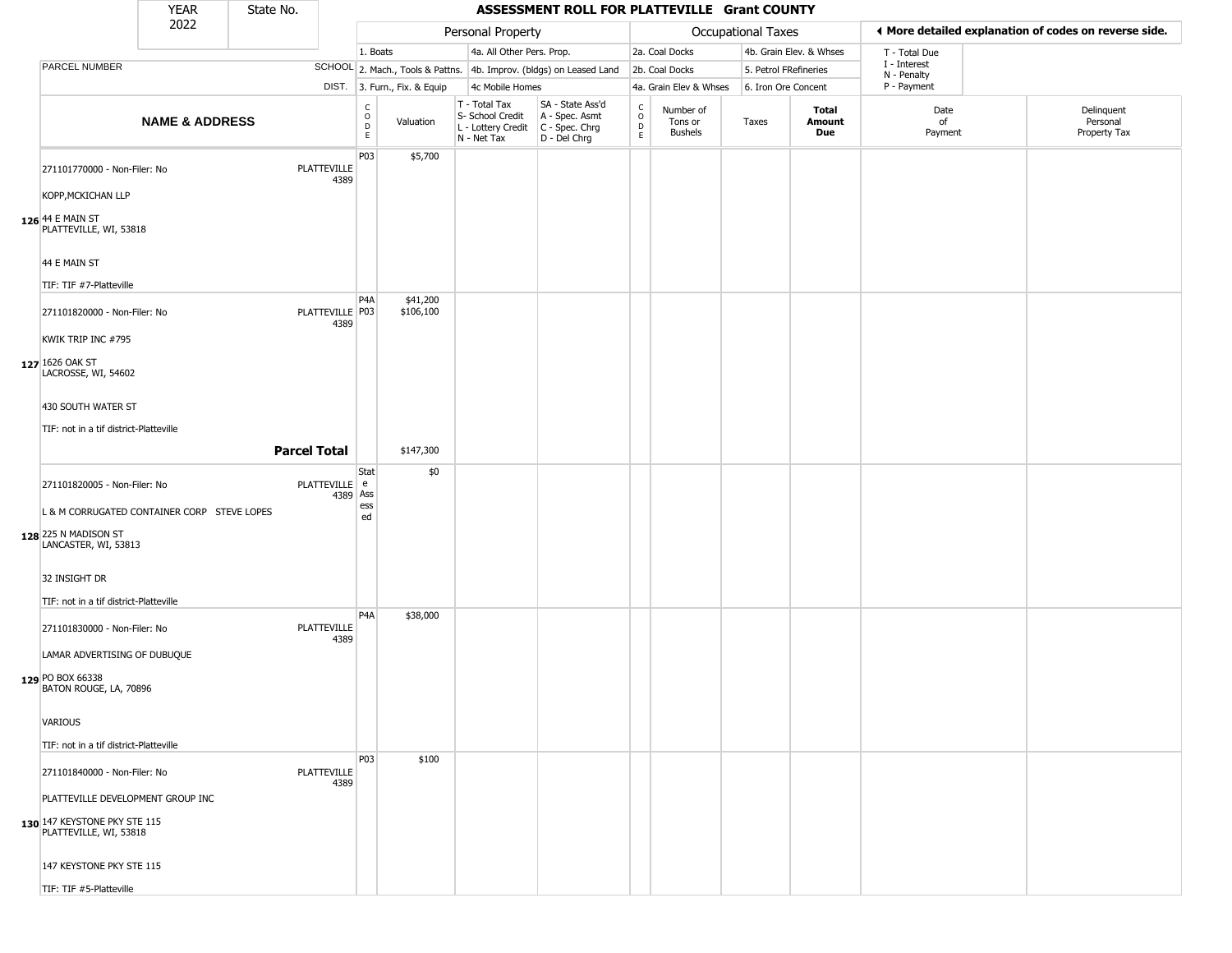|                                                        | <b>YEAR</b>               | State No. |                            |                                     |                              |                                                                          | ASSESSMENT ROLL FOR PLATTEVILLE Grant COUNTY                         |                                |                                        |                       |                         |                             |                                                       |
|--------------------------------------------------------|---------------------------|-----------|----------------------------|-------------------------------------|------------------------------|--------------------------------------------------------------------------|----------------------------------------------------------------------|--------------------------------|----------------------------------------|-----------------------|-------------------------|-----------------------------|-------------------------------------------------------|
|                                                        | 2022                      |           |                            |                                     |                              | Personal Property                                                        |                                                                      |                                |                                        | Occupational Taxes    |                         |                             | ♦ More detailed explanation of codes on reverse side. |
|                                                        |                           |           |                            | 1. Boats                            |                              | 4a. All Other Pers. Prop.                                                |                                                                      |                                | 2a. Coal Docks                         |                       | 4b. Grain Elev. & Whses | T - Total Due               |                                                       |
| PARCEL NUMBER                                          |                           |           |                            |                                     |                              |                                                                          | SCHOOL 2. Mach., Tools & Pattns. 4b. Improv. (bldgs) on Leased Land  |                                | 2b. Coal Docks                         | 5. Petrol FRefineries |                         | I - Interest<br>N - Penalty |                                                       |
|                                                        |                           |           |                            |                                     | DIST. 3. Furn., Fix. & Equip | 4c Mobile Homes                                                          |                                                                      |                                | 4a. Grain Elev & Whses                 | 6. Iron Ore Concent   |                         | P - Payment                 |                                                       |
|                                                        | <b>NAME &amp; ADDRESS</b> |           |                            | $_{\rm o}^{\rm c}$<br>$\frac{D}{E}$ | Valuation                    | $T - Total Tax$<br>S- School Credit<br>L - Lottery Credit<br>N - Net Tax | SA - State Ass'd<br>A - Spec. Asmt<br>C - Spec. Chrg<br>D - Del Chrg | $\rm _o^c$<br>D<br>$\mathsf E$ | Number of<br>Tons or<br><b>Bushels</b> | Taxes                 | Total<br>Amount<br>Due  | Date<br>of<br>Payment       | Delinquent<br>Personal<br>Property Tax                |
| 271101770000 - Non-Filer: No                           |                           |           | PLATTEVILLE<br>4389        | P03                                 | \$5,700                      |                                                                          |                                                                      |                                |                                        |                       |                         |                             |                                                       |
| KOPP, MCKICHAN LLP                                     |                           |           |                            |                                     |                              |                                                                          |                                                                      |                                |                                        |                       |                         |                             |                                                       |
| 126 44 E MAIN ST<br>PLATTEVILLE, WI, 53818             |                           |           |                            |                                     |                              |                                                                          |                                                                      |                                |                                        |                       |                         |                             |                                                       |
| 44 E MAIN ST                                           |                           |           |                            |                                     |                              |                                                                          |                                                                      |                                |                                        |                       |                         |                             |                                                       |
| TIF: TIF #7-Platteville                                |                           |           |                            |                                     |                              |                                                                          |                                                                      |                                |                                        |                       |                         |                             |                                                       |
| 271101820000 - Non-Filer: No                           |                           |           | PLATTEVILLE   P03<br>4389  | P4A                                 | \$41,200<br>\$106,100        |                                                                          |                                                                      |                                |                                        |                       |                         |                             |                                                       |
| KWIK TRIP INC #795                                     |                           |           |                            |                                     |                              |                                                                          |                                                                      |                                |                                        |                       |                         |                             |                                                       |
| 127 1626 OAK ST<br>LACROSSE, WI, 54602                 |                           |           |                            |                                     |                              |                                                                          |                                                                      |                                |                                        |                       |                         |                             |                                                       |
| 430 SOUTH WATER ST                                     |                           |           |                            |                                     |                              |                                                                          |                                                                      |                                |                                        |                       |                         |                             |                                                       |
| TIF: not in a tif district-Platteville                 |                           |           |                            |                                     |                              |                                                                          |                                                                      |                                |                                        |                       |                         |                             |                                                       |
|                                                        |                           |           | <b>Parcel Total</b>        |                                     | \$147,300                    |                                                                          |                                                                      |                                |                                        |                       |                         |                             |                                                       |
|                                                        |                           |           |                            | Stat                                | \$0                          |                                                                          |                                                                      |                                |                                        |                       |                         |                             |                                                       |
| 271101820005 - Non-Filer: No                           |                           |           | PLATTEVILLE e<br>4389 Ass  |                                     |                              |                                                                          |                                                                      |                                |                                        |                       |                         |                             |                                                       |
| L & M CORRUGATED CONTAINER CORP STEVE LOPES            |                           |           |                            | ess<br>ed                           |                              |                                                                          |                                                                      |                                |                                        |                       |                         |                             |                                                       |
| 128 225 N MADISON ST<br>LANCASTER, WI, 53813           |                           |           |                            |                                     |                              |                                                                          |                                                                      |                                |                                        |                       |                         |                             |                                                       |
| 32 INSIGHT DR                                          |                           |           |                            |                                     |                              |                                                                          |                                                                      |                                |                                        |                       |                         |                             |                                                       |
| TIF: not in a tif district-Platteville                 |                           |           |                            |                                     |                              |                                                                          |                                                                      |                                |                                        |                       |                         |                             |                                                       |
| 271101830000 - Non-Filer: No                           |                           |           | PLATTEVILLE<br>4389        | P <sub>4</sub> A                    | \$38,000                     |                                                                          |                                                                      |                                |                                        |                       |                         |                             |                                                       |
| LAMAR ADVERTISING OF DUBUQUE                           |                           |           |                            |                                     |                              |                                                                          |                                                                      |                                |                                        |                       |                         |                             |                                                       |
| 129 PO BOX 66338<br>BATON ROUGE, LA, 70896             |                           |           |                            |                                     |                              |                                                                          |                                                                      |                                |                                        |                       |                         |                             |                                                       |
| VARIOUS                                                |                           |           |                            |                                     |                              |                                                                          |                                                                      |                                |                                        |                       |                         |                             |                                                       |
| TIF: not in a tif district-Platteville                 |                           |           |                            |                                     |                              |                                                                          |                                                                      |                                |                                        |                       |                         |                             |                                                       |
| 271101840000 - Non-Filer: No                           |                           |           | <b>PLATTEVILLE</b><br>4389 | P03                                 | \$100                        |                                                                          |                                                                      |                                |                                        |                       |                         |                             |                                                       |
| PLATTEVILLE DEVELOPMENT GROUP INC                      |                           |           |                            |                                     |                              |                                                                          |                                                                      |                                |                                        |                       |                         |                             |                                                       |
| 130 147 KEYSTONE PKY STE 115<br>PLATTEVILLE, WI, 53818 |                           |           |                            |                                     |                              |                                                                          |                                                                      |                                |                                        |                       |                         |                             |                                                       |
| 147 KEYSTONE PKY STE 115                               |                           |           |                            |                                     |                              |                                                                          |                                                                      |                                |                                        |                       |                         |                             |                                                       |
| TIF: TIF #5-Platteville                                |                           |           |                            |                                     |                              |                                                                          |                                                                      |                                |                                        |                       |                         |                             |                                                       |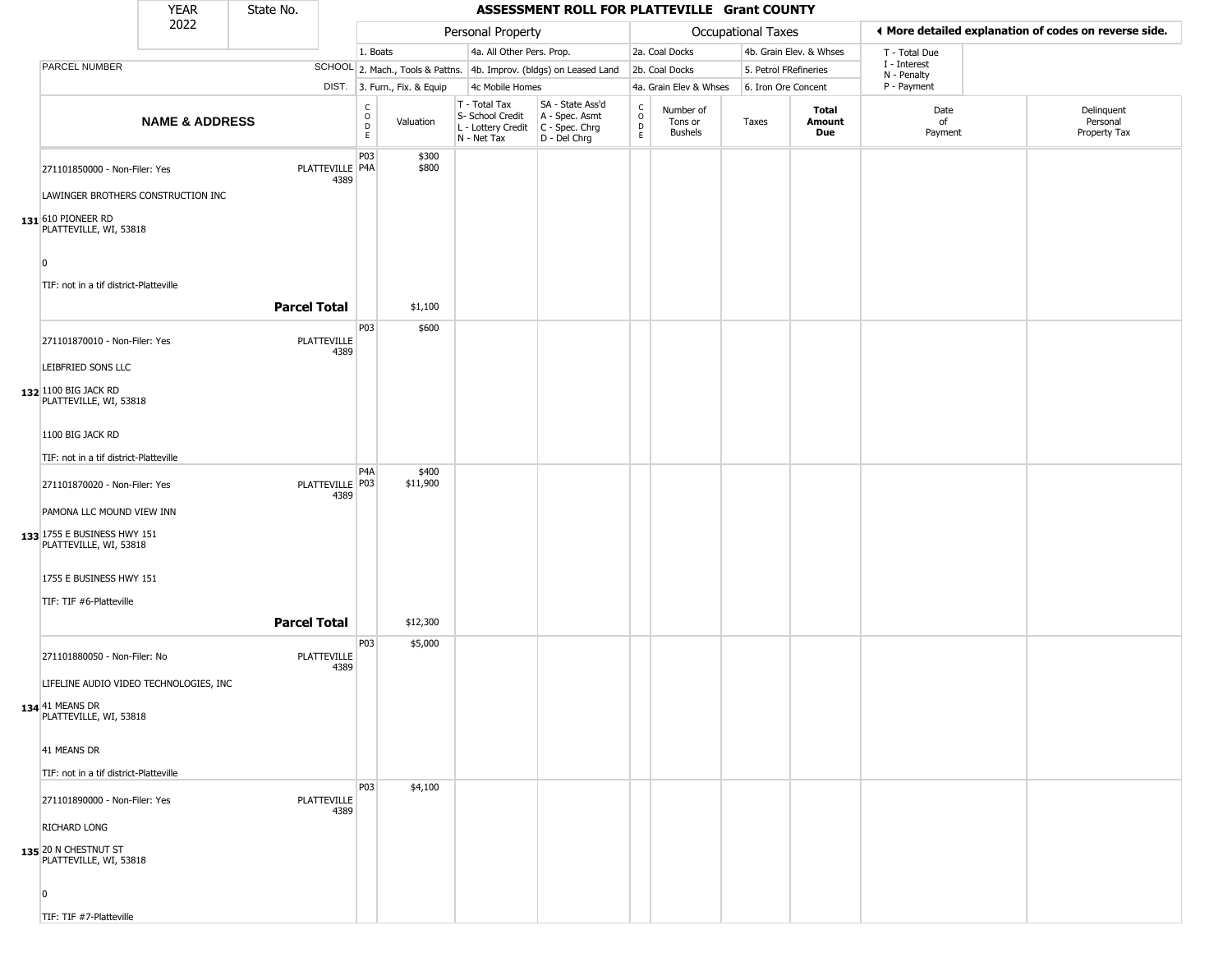|                                                       | <b>YEAR</b>               | State No.           |                            |                                  |                              |                                                                        | ASSESSMENT ROLL FOR PLATTEVILLE Grant COUNTY                         |                                   |                                        |                       |                               |                             |                                                       |
|-------------------------------------------------------|---------------------------|---------------------|----------------------------|----------------------------------|------------------------------|------------------------------------------------------------------------|----------------------------------------------------------------------|-----------------------------------|----------------------------------------|-----------------------|-------------------------------|-----------------------------|-------------------------------------------------------|
|                                                       | 2022                      |                     |                            |                                  |                              | Personal Property                                                      |                                                                      |                                   |                                        | Occupational Taxes    |                               |                             | ◀ More detailed explanation of codes on reverse side. |
|                                                       |                           |                     |                            | 1. Boats                         |                              | 4a. All Other Pers. Prop.                                              |                                                                      |                                   | 2a. Coal Docks                         |                       | 4b. Grain Elev. & Whses       | T - Total Due               |                                                       |
| PARCEL NUMBER                                         |                           |                     |                            |                                  |                              |                                                                        | SCHOOL 2. Mach., Tools & Pattns. 4b. Improv. (bldgs) on Leased Land  |                                   | 2b. Coal Docks                         | 5. Petrol FRefineries |                               | I - Interest<br>N - Penalty |                                                       |
|                                                       |                           |                     |                            |                                  | DIST. 3. Furn., Fix. & Equip | 4c Mobile Homes                                                        |                                                                      |                                   | 4a. Grain Elev & Whses                 | 6. Iron Ore Concent   |                               | P - Payment                 |                                                       |
|                                                       | <b>NAME &amp; ADDRESS</b> |                     |                            | c<br>$\circ$<br>$\mathsf D$<br>E | Valuation                    | T - Total Tax<br>S- School Credit<br>L - Lottery Credit<br>N - Net Tax | SA - State Ass'd<br>A - Spec. Asmt<br>C - Spec. Chrg<br>D - Del Chrg | $\frac{c}{0}$<br>$\mathsf D$<br>E | Number of<br>Tons or<br><b>Bushels</b> | Taxes                 | <b>Total</b><br>Amount<br>Due | Date<br>of<br>Payment       | Delinquent<br>Personal<br>Property Tax                |
| 271101850000 - Non-Filer: Yes                         |                           |                     | PLATTEVILLE P4A<br>4389    | P03                              | \$300<br>\$800               |                                                                        |                                                                      |                                   |                                        |                       |                               |                             |                                                       |
| LAWINGER BROTHERS CONSTRUCTION INC                    |                           |                     |                            |                                  |                              |                                                                        |                                                                      |                                   |                                        |                       |                               |                             |                                                       |
| 131 610 PIONEER RD<br>PLATTEVILLE, WI, 53818          |                           |                     |                            |                                  |                              |                                                                        |                                                                      |                                   |                                        |                       |                               |                             |                                                       |
| n                                                     |                           |                     |                            |                                  |                              |                                                                        |                                                                      |                                   |                                        |                       |                               |                             |                                                       |
| TIF: not in a tif district-Platteville                |                           | <b>Parcel Total</b> |                            |                                  | \$1,100                      |                                                                        |                                                                      |                                   |                                        |                       |                               |                             |                                                       |
| 271101870010 - Non-Filer: Yes                         |                           |                     | <b>PLATTEVILLE</b><br>4389 | <b>P03</b>                       | \$600                        |                                                                        |                                                                      |                                   |                                        |                       |                               |                             |                                                       |
| LEIBFRIED SONS LLC<br>132 1100 BIG JACK RD            |                           |                     |                            |                                  |                              |                                                                        |                                                                      |                                   |                                        |                       |                               |                             |                                                       |
| PLATTEVILLE, WI, 53818<br>1100 BIG JACK RD            |                           |                     |                            |                                  |                              |                                                                        |                                                                      |                                   |                                        |                       |                               |                             |                                                       |
| TIF: not in a tif district-Platteville                |                           |                     |                            |                                  |                              |                                                                        |                                                                      |                                   |                                        |                       |                               |                             |                                                       |
| 271101870020 - Non-Filer: Yes                         |                           |                     | PLATTEVILLE P03<br>4389    | P <sub>4</sub> A                 | \$400<br>\$11,900            |                                                                        |                                                                      |                                   |                                        |                       |                               |                             |                                                       |
| PAMONA LLC MOUND VIEW INN                             |                           |                     |                            |                                  |                              |                                                                        |                                                                      |                                   |                                        |                       |                               |                             |                                                       |
| 133 1755 E BUSINESS HWY 151<br>PLATTEVILLE, WI, 53818 |                           |                     |                            |                                  |                              |                                                                        |                                                                      |                                   |                                        |                       |                               |                             |                                                       |
| 1755 E BUSINESS HWY 151                               |                           |                     |                            |                                  |                              |                                                                        |                                                                      |                                   |                                        |                       |                               |                             |                                                       |
| TIF: TIF #6-Platteville                               |                           | <b>Parcel Total</b> |                            |                                  | \$12,300                     |                                                                        |                                                                      |                                   |                                        |                       |                               |                             |                                                       |
| 271101880050 - Non-Filer: No                          |                           |                     | PLATTEVILLE<br>4389        | P03                              | \$5,000                      |                                                                        |                                                                      |                                   |                                        |                       |                               |                             |                                                       |
| LIFELINE AUDIO VIDEO TECHNOLOGIES, INC                |                           |                     |                            |                                  |                              |                                                                        |                                                                      |                                   |                                        |                       |                               |                             |                                                       |
| 134 41 MEANS DR<br>PLATTEVILLE, WI, 53818             |                           |                     |                            |                                  |                              |                                                                        |                                                                      |                                   |                                        |                       |                               |                             |                                                       |
| 41 MEANS DR                                           |                           |                     |                            |                                  |                              |                                                                        |                                                                      |                                   |                                        |                       |                               |                             |                                                       |
| TIF: not in a tif district-Platteville                |                           |                     |                            |                                  |                              |                                                                        |                                                                      |                                   |                                        |                       |                               |                             |                                                       |
| 271101890000 - Non-Filer: Yes                         |                           |                     | PLATTEVILLE<br>4389        | P03                              | \$4,100                      |                                                                        |                                                                      |                                   |                                        |                       |                               |                             |                                                       |
| RICHARD LONG                                          |                           |                     |                            |                                  |                              |                                                                        |                                                                      |                                   |                                        |                       |                               |                             |                                                       |
| 135 20 N CHESTNUT ST<br>PLATTEVILLE, WI, 53818        |                           |                     |                            |                                  |                              |                                                                        |                                                                      |                                   |                                        |                       |                               |                             |                                                       |
| n                                                     |                           |                     |                            |                                  |                              |                                                                        |                                                                      |                                   |                                        |                       |                               |                             |                                                       |
| TIF: TIF #7-Platteville                               |                           |                     |                            |                                  |                              |                                                                        |                                                                      |                                   |                                        |                       |                               |                             |                                                       |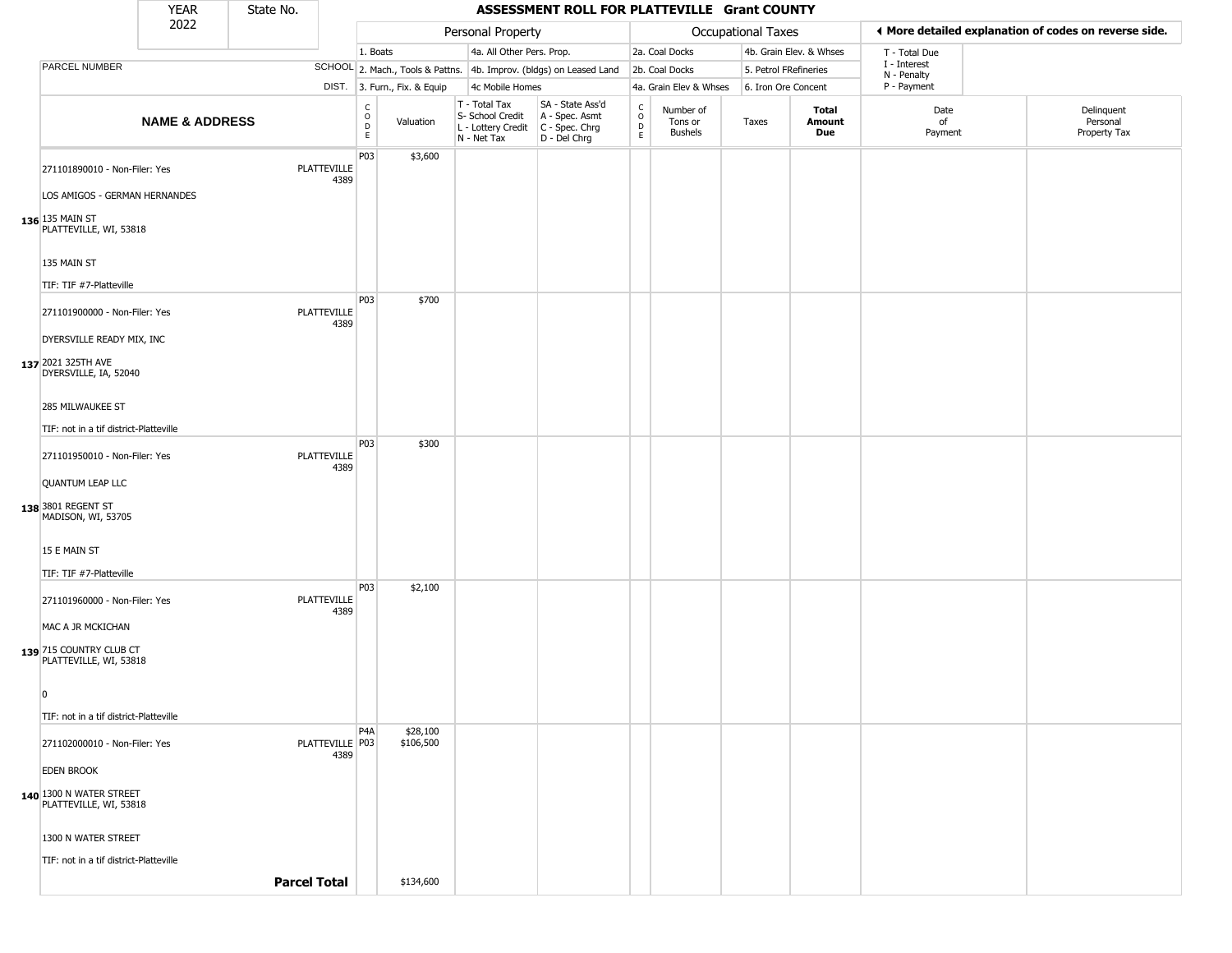|                                                                                       | <b>YEAR</b>               | State No.           |                            |                        |                              |                                                                        | ASSESSMENT ROLL FOR PLATTEVILLE Grant COUNTY                         |                                                          |                                        |                    |                         |                             |                                                       |
|---------------------------------------------------------------------------------------|---------------------------|---------------------|----------------------------|------------------------|------------------------------|------------------------------------------------------------------------|----------------------------------------------------------------------|----------------------------------------------------------|----------------------------------------|--------------------|-------------------------|-----------------------------|-------------------------------------------------------|
|                                                                                       | 2022                      |                     |                            |                        |                              | Personal Property                                                      |                                                                      |                                                          |                                        | Occupational Taxes |                         |                             | ◀ More detailed explanation of codes on reverse side. |
|                                                                                       |                           |                     |                            | 1. Boats               |                              | 4a. All Other Pers. Prop.                                              |                                                                      |                                                          | 2a. Coal Docks                         |                    | 4b. Grain Elev. & Whses | T - Total Due               |                                                       |
| PARCEL NUMBER                                                                         |                           |                     |                            |                        |                              |                                                                        | SCHOOL 2. Mach., Tools & Pattns. 4b. Improv. (bldgs) on Leased Land  |                                                          | 2b. Coal Docks                         |                    | 5. Petrol FRefineries   | I - Interest<br>N - Penalty |                                                       |
|                                                                                       |                           |                     |                            |                        | DIST. 3. Furn., Fix. & Equip | 4c Mobile Homes                                                        |                                                                      |                                                          | 4a. Grain Elev & Whses                 |                    | 6. Iron Ore Concent     | P - Payment                 |                                                       |
|                                                                                       | <b>NAME &amp; ADDRESS</b> |                     |                            | C<br>$\circ$<br>D<br>E | Valuation                    | T - Total Tax<br>S- School Credit<br>L - Lottery Credit<br>N - Net Tax | SA - State Ass'd<br>A - Spec. Asmt<br>C - Spec. Chrg<br>D - Del Chrg | $\begin{smallmatrix} C \\ 0 \\ D \end{smallmatrix}$<br>E | Number of<br>Tons or<br><b>Bushels</b> | Taxes              | Total<br>Amount<br>Due  | Date<br>of<br>Payment       | Delinquent<br>Personal<br>Property Tax                |
| 271101890010 - Non-Filer: Yes<br>LOS AMIGOS - GERMAN HERNANDES<br>$136$ 135 MAIN ST   |                           |                     | PLATTEVILLE<br>4389        | P03                    | \$3,600                      |                                                                        |                                                                      |                                                          |                                        |                    |                         |                             |                                                       |
| PLATTEVILLE, WI, 53818<br>135 MAIN ST                                                 |                           |                     |                            |                        |                              |                                                                        |                                                                      |                                                          |                                        |                    |                         |                             |                                                       |
| TIF: TIF #7-Platteville<br>271101900000 - Non-Filer: Yes<br>DYERSVILLE READY MIX, INC |                           |                     | <b>PLATTEVILLE</b><br>4389 | P03                    | \$700                        |                                                                        |                                                                      |                                                          |                                        |                    |                         |                             |                                                       |
| 137 2021 325TH AVE<br>DYERSVILLE, IA, 52040                                           |                           |                     |                            |                        |                              |                                                                        |                                                                      |                                                          |                                        |                    |                         |                             |                                                       |
| 285 MILWAUKEE ST<br>TIF: not in a tif district-Platteville                            |                           |                     |                            |                        |                              |                                                                        |                                                                      |                                                          |                                        |                    |                         |                             |                                                       |
| 271101950010 - Non-Filer: Yes<br><b>QUANTUM LEAP LLC</b>                              |                           |                     | <b>PLATTEVILLE</b><br>4389 | P03                    | \$300                        |                                                                        |                                                                      |                                                          |                                        |                    |                         |                             |                                                       |
| 138 3801 REGENT ST<br>MADISON, WI, 53705                                              |                           |                     |                            |                        |                              |                                                                        |                                                                      |                                                          |                                        |                    |                         |                             |                                                       |
| 15 E MAIN ST<br>TIF: TIF #7-Platteville                                               |                           |                     |                            | P03                    | \$2,100                      |                                                                        |                                                                      |                                                          |                                        |                    |                         |                             |                                                       |
| 271101960000 - Non-Filer: Yes<br>MAC A JR MCKICHAN                                    |                           |                     | PLATTEVILLE<br>4389        |                        |                              |                                                                        |                                                                      |                                                          |                                        |                    |                         |                             |                                                       |
| 139 715 COUNTRY CLUB CT<br>PLATTEVILLE, WI, 53818<br>$\overline{0}$                   |                           |                     |                            |                        |                              |                                                                        |                                                                      |                                                          |                                        |                    |                         |                             |                                                       |
| TIF: not in a tif district-Platteville                                                |                           |                     |                            |                        |                              |                                                                        |                                                                      |                                                          |                                        |                    |                         |                             |                                                       |
| 271102000010 - Non-Filer: Yes                                                         |                           |                     | PLATTEVILLE   P03          | P <sub>4</sub> A       | \$28,100<br>\$106,500        |                                                                        |                                                                      |                                                          |                                        |                    |                         |                             |                                                       |
| <b>EDEN BROOK</b>                                                                     |                           |                     | 4389                       |                        |                              |                                                                        |                                                                      |                                                          |                                        |                    |                         |                             |                                                       |
| 140 1300 N WATER STREET<br>PLATTEVILLE, WI, 53818                                     |                           |                     |                            |                        |                              |                                                                        |                                                                      |                                                          |                                        |                    |                         |                             |                                                       |
| 1300 N WATER STREET                                                                   |                           |                     |                            |                        |                              |                                                                        |                                                                      |                                                          |                                        |                    |                         |                             |                                                       |
| TIF: not in a tif district-Platteville                                                |                           | <b>Parcel Total</b> |                            |                        | \$134,600                    |                                                                        |                                                                      |                                                          |                                        |                    |                         |                             |                                                       |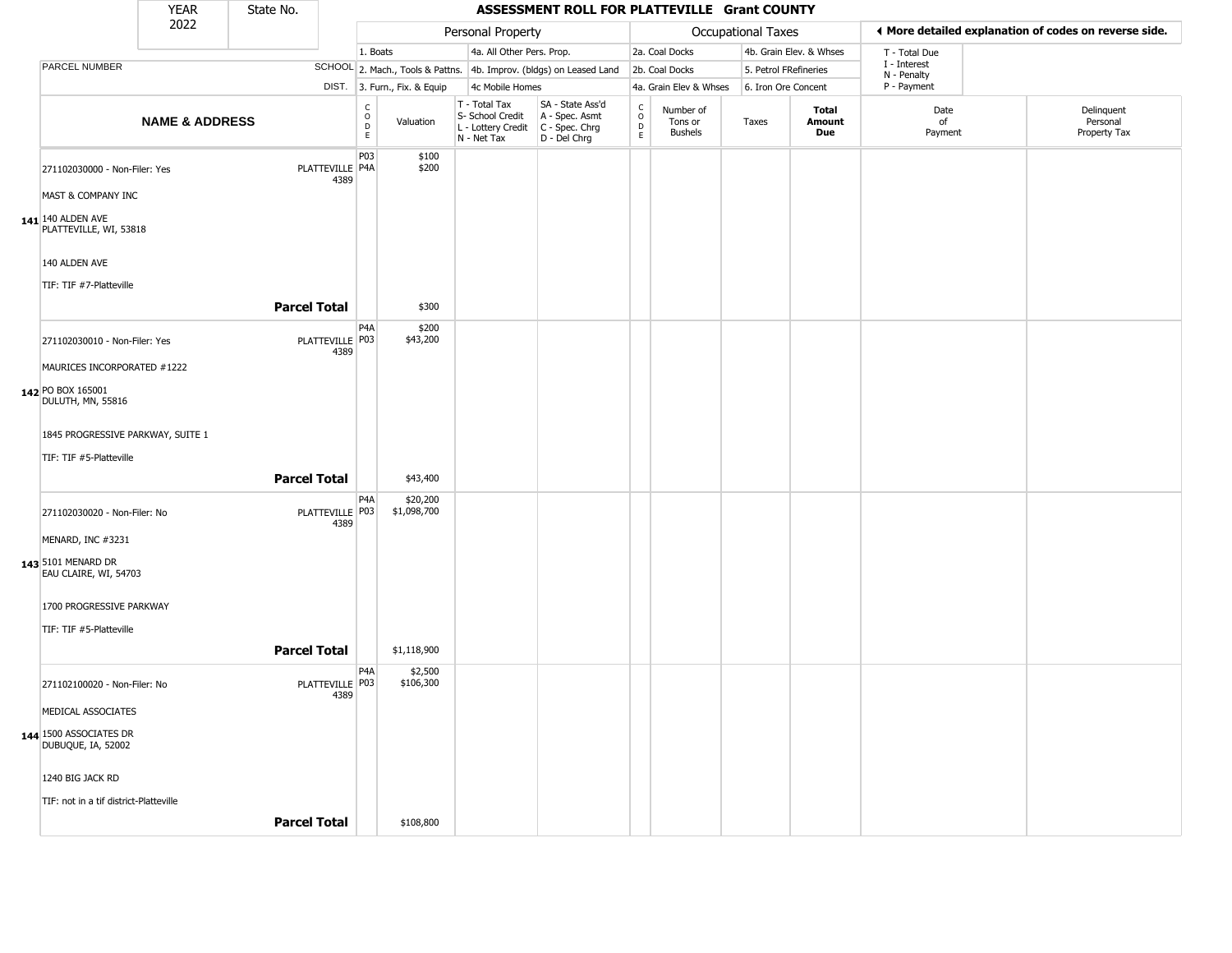|                                                          | <b>YEAR</b>               | State No.           |                           |                                                          |                              |                                                                                         | ASSESSMENT ROLL FOR PLATTEVILLE Grant COUNTY                        |                                |                                        |                    |                         |                             |                                                       |
|----------------------------------------------------------|---------------------------|---------------------|---------------------------|----------------------------------------------------------|------------------------------|-----------------------------------------------------------------------------------------|---------------------------------------------------------------------|--------------------------------|----------------------------------------|--------------------|-------------------------|-----------------------------|-------------------------------------------------------|
|                                                          | 2022                      |                     |                           |                                                          |                              | Personal Property                                                                       |                                                                     |                                |                                        | Occupational Taxes |                         |                             | ◀ More detailed explanation of codes on reverse side. |
|                                                          |                           |                     |                           | 1. Boats                                                 |                              | 4a. All Other Pers. Prop.                                                               |                                                                     |                                | 2a. Coal Docks                         |                    | 4b. Grain Elev. & Whses | T - Total Due               |                                                       |
| PARCEL NUMBER                                            |                           |                     |                           |                                                          |                              |                                                                                         | SCHOOL 2. Mach., Tools & Pattns. 4b. Improv. (bldgs) on Leased Land |                                | 2b. Coal Docks                         |                    | 5. Petrol FRefineries   | I - Interest<br>N - Penalty |                                                       |
|                                                          |                           |                     |                           |                                                          | DIST. 3. Furn., Fix. & Equip | 4c Mobile Homes                                                                         |                                                                     |                                | 4a. Grain Elev & Whses                 |                    | 6. Iron Ore Concent     | P - Payment                 |                                                       |
|                                                          | <b>NAME &amp; ADDRESS</b> |                     |                           | $\begin{matrix} 0 \\ 0 \\ D \end{matrix}$<br>$\mathsf E$ | Valuation                    | T - Total Tax<br>S- School Credit<br>L - Lottery Credit   C - Spec. Chrg<br>N - Net Tax | SA - State Ass'd<br>A - Spec. Asmt<br>$D - Del Chrg$                | $\rm _o^C$<br>$\mathsf D$<br>E | Number of<br>Tons or<br><b>Bushels</b> | Taxes              | Total<br>Amount<br>Due  | Date<br>of<br>Payment       | Delinquent<br>Personal<br>Property Tax                |
| 271102030000 - Non-Filer: Yes                            |                           |                     | PLATTEVILLE P4A<br>4389   | P03                                                      | \$100<br>\$200               |                                                                                         |                                                                     |                                |                                        |                    |                         |                             |                                                       |
| MAST & COMPANY INC                                       |                           |                     |                           |                                                          |                              |                                                                                         |                                                                     |                                |                                        |                    |                         |                             |                                                       |
| $141$ <sup>140</sup> ALDEN AVE<br>PLATTEVILLE, WI, 53818 |                           |                     |                           |                                                          |                              |                                                                                         |                                                                     |                                |                                        |                    |                         |                             |                                                       |
| 140 ALDEN AVE                                            |                           |                     |                           |                                                          |                              |                                                                                         |                                                                     |                                |                                        |                    |                         |                             |                                                       |
| TIF: TIF #7-Platteville                                  |                           |                     |                           |                                                          |                              |                                                                                         |                                                                     |                                |                                        |                    |                         |                             |                                                       |
|                                                          |                           | <b>Parcel Total</b> |                           |                                                          | \$300                        |                                                                                         |                                                                     |                                |                                        |                    |                         |                             |                                                       |
| 271102030010 - Non-Filer: Yes                            |                           |                     | PLATTEVILLE P03<br>4389   | P4A                                                      | \$200<br>\$43,200            |                                                                                         |                                                                     |                                |                                        |                    |                         |                             |                                                       |
| MAURICES INCORPORATED #1222                              |                           |                     |                           |                                                          |                              |                                                                                         |                                                                     |                                |                                        |                    |                         |                             |                                                       |
| 142 PO BOX 165001<br>DULUTH, MN, 55816                   |                           |                     |                           |                                                          |                              |                                                                                         |                                                                     |                                |                                        |                    |                         |                             |                                                       |
| 1845 PROGRESSIVE PARKWAY, SUITE 1                        |                           |                     |                           |                                                          |                              |                                                                                         |                                                                     |                                |                                        |                    |                         |                             |                                                       |
| TIF: TIF #5-Platteville                                  |                           | <b>Parcel Total</b> |                           |                                                          | \$43,400                     |                                                                                         |                                                                     |                                |                                        |                    |                         |                             |                                                       |
| 271102030020 - Non-Filer: No                             |                           |                     | PLATTEVILLE P03           | P <sub>4</sub> A                                         | \$20,200<br>\$1,098,700      |                                                                                         |                                                                     |                                |                                        |                    |                         |                             |                                                       |
| MENARD, INC #3231                                        |                           |                     | 4389                      |                                                          |                              |                                                                                         |                                                                     |                                |                                        |                    |                         |                             |                                                       |
| 143 5101 MENARD DR<br>EAU CLAIRE, WI, 54703              |                           |                     |                           |                                                          |                              |                                                                                         |                                                                     |                                |                                        |                    |                         |                             |                                                       |
| 1700 PROGRESSIVE PARKWAY                                 |                           |                     |                           |                                                          |                              |                                                                                         |                                                                     |                                |                                        |                    |                         |                             |                                                       |
| TIF: TIF #5-Platteville                                  |                           |                     |                           |                                                          |                              |                                                                                         |                                                                     |                                |                                        |                    |                         |                             |                                                       |
|                                                          |                           | <b>Parcel Total</b> |                           |                                                          | \$1,118,900                  |                                                                                         |                                                                     |                                |                                        |                    |                         |                             |                                                       |
| 271102100020 - Non-Filer: No                             |                           |                     | PLATTEVILLE   P03<br>4389 | P4A                                                      | \$2,500<br>\$106,300         |                                                                                         |                                                                     |                                |                                        |                    |                         |                             |                                                       |
| MEDICAL ASSOCIATES                                       |                           |                     |                           |                                                          |                              |                                                                                         |                                                                     |                                |                                        |                    |                         |                             |                                                       |
| 144 1500 ASSOCIATES DR<br>DUBUQUE, IA, 52002             |                           |                     |                           |                                                          |                              |                                                                                         |                                                                     |                                |                                        |                    |                         |                             |                                                       |
| 1240 BIG JACK RD                                         |                           |                     |                           |                                                          |                              |                                                                                         |                                                                     |                                |                                        |                    |                         |                             |                                                       |
| TIF: not in a tif district-Platteville                   |                           |                     |                           |                                                          |                              |                                                                                         |                                                                     |                                |                                        |                    |                         |                             |                                                       |
|                                                          |                           | <b>Parcel Total</b> |                           |                                                          | \$108,800                    |                                                                                         |                                                                     |                                |                                        |                    |                         |                             |                                                       |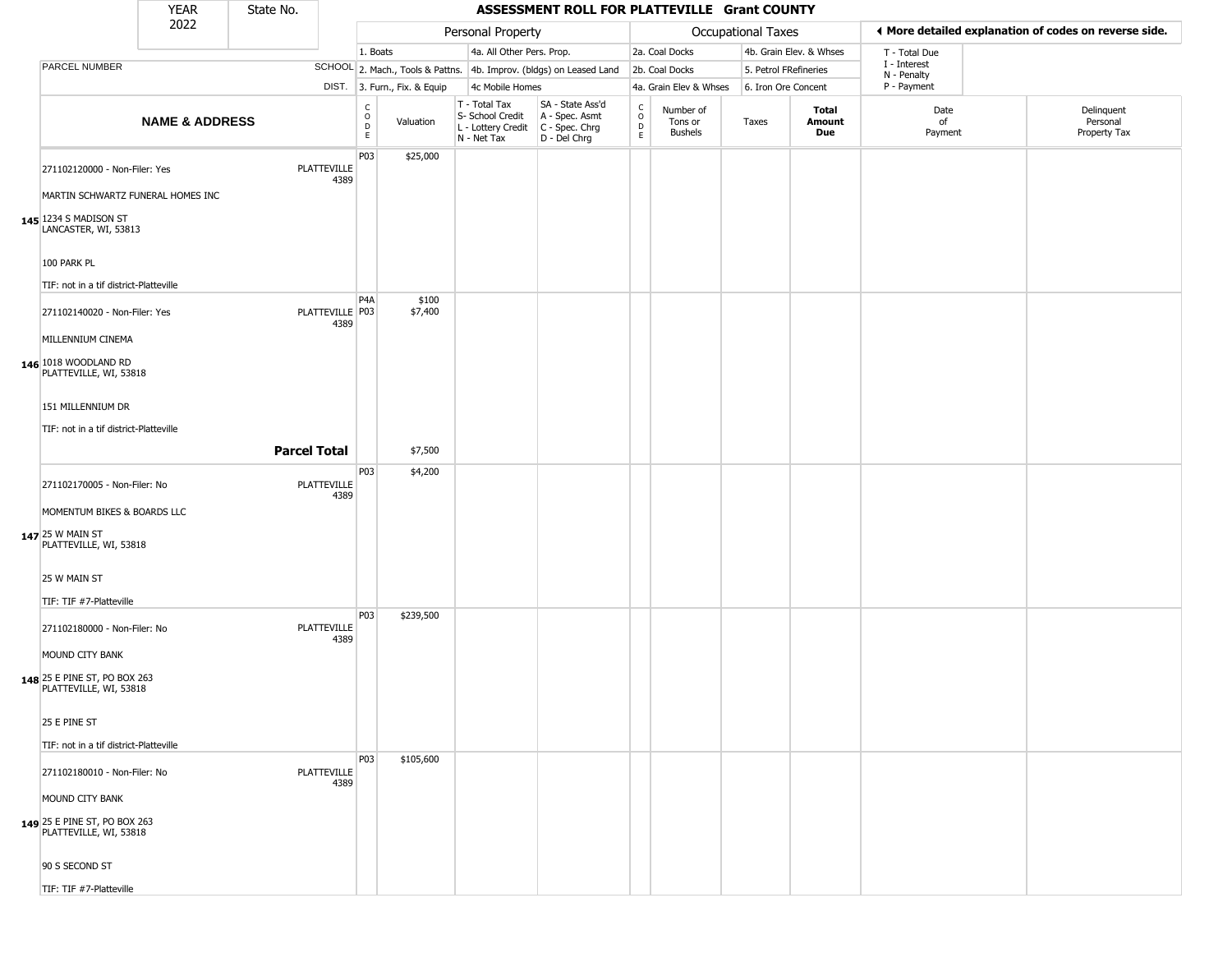|                                                                                    | <b>YEAR</b>               | State No.           |                            |                                                              |                              |                                                                        | ASSESSMENT ROLL FOR PLATTEVILLE Grant COUNTY                           |                                   |                                 |                       |                         |                             |                                                       |
|------------------------------------------------------------------------------------|---------------------------|---------------------|----------------------------|--------------------------------------------------------------|------------------------------|------------------------------------------------------------------------|------------------------------------------------------------------------|-----------------------------------|---------------------------------|-----------------------|-------------------------|-----------------------------|-------------------------------------------------------|
|                                                                                    | 2022                      |                     |                            |                                                              |                              | Personal Property                                                      |                                                                        |                                   |                                 | Occupational Taxes    |                         |                             | ◀ More detailed explanation of codes on reverse side. |
|                                                                                    |                           |                     |                            | 1. Boats                                                     |                              | 4a. All Other Pers. Prop.                                              |                                                                        |                                   | 2a. Coal Docks                  |                       | 4b. Grain Elev. & Whses | T - Total Due               |                                                       |
| PARCEL NUMBER                                                                      |                           |                     |                            |                                                              |                              |                                                                        | SCHOOL 2. Mach., Tools & Pattns. 4b. Improv. (bldgs) on Leased Land    |                                   | 2b. Coal Docks                  | 5. Petrol FRefineries |                         | I - Interest<br>N - Penalty |                                                       |
|                                                                                    |                           |                     |                            |                                                              | DIST. 3. Furn., Fix. & Equip | 4c Mobile Homes                                                        |                                                                        |                                   | 4a. Grain Elev & Whses          | 6. Iron Ore Concent   |                         | P - Payment                 |                                                       |
|                                                                                    | <b>NAME &amp; ADDRESS</b> |                     |                            | $\mathsf{C}$<br>$\begin{array}{c}\n0 \\ D \\ E\n\end{array}$ | Valuation                    | T - Total Tax<br>S- School Credit<br>L - Lottery Credit<br>N - Net Tax | SA - State Ass'd<br>A - Spec. Asmt<br>$C - Spec. Chrg$<br>D - Del Chrg | $\mathsf{C}$<br>$\circ$<br>D<br>E | Number of<br>Tons or<br>Bushels | Taxes                 | Total<br>Amount<br>Due  | Date<br>of<br>Payment       | Delinquent<br>Personal<br>Property Tax                |
| 271102120000 - Non-Filer: Yes                                                      |                           |                     | <b>PLATTEVILLE</b><br>4389 | P03                                                          | \$25,000                     |                                                                        |                                                                        |                                   |                                 |                       |                         |                             |                                                       |
| MARTIN SCHWARTZ FUNERAL HOMES INC<br>145 1234 S MADISON ST<br>LANCASTER, WI, 53813 |                           |                     |                            |                                                              |                              |                                                                        |                                                                        |                                   |                                 |                       |                         |                             |                                                       |
| 100 PARK PL                                                                        |                           |                     |                            |                                                              |                              |                                                                        |                                                                        |                                   |                                 |                       |                         |                             |                                                       |
| TIF: not in a tif district-Platteville                                             |                           |                     |                            |                                                              |                              |                                                                        |                                                                        |                                   |                                 |                       |                         |                             |                                                       |
| 271102140020 - Non-Filer: Yes<br>MILLENNIUM CINEMA                                 |                           |                     | PLATTEVILLE P03<br>4389    | P4A                                                          | \$100<br>\$7,400             |                                                                        |                                                                        |                                   |                                 |                       |                         |                             |                                                       |
| 146 1018 WOODLAND RD<br>PLATTEVILLE, WI, 53818                                     |                           |                     |                            |                                                              |                              |                                                                        |                                                                        |                                   |                                 |                       |                         |                             |                                                       |
| 151 MILLENNIUM DR<br>TIF: not in a tif district-Platteville                        |                           |                     |                            |                                                              |                              |                                                                        |                                                                        |                                   |                                 |                       |                         |                             |                                                       |
|                                                                                    |                           | <b>Parcel Total</b> |                            |                                                              | \$7,500                      |                                                                        |                                                                        |                                   |                                 |                       |                         |                             |                                                       |
|                                                                                    |                           |                     |                            | P03                                                          | \$4,200                      |                                                                        |                                                                        |                                   |                                 |                       |                         |                             |                                                       |
| 271102170005 - Non-Filer: No<br>MOMENTUM BIKES & BOARDS LLC                        |                           |                     | <b>PLATTEVILLE</b><br>4389 |                                                              |                              |                                                                        |                                                                        |                                   |                                 |                       |                         |                             |                                                       |
| 147 25 W MAIN ST<br>PLATTEVILLE, WI, 53818                                         |                           |                     |                            |                                                              |                              |                                                                        |                                                                        |                                   |                                 |                       |                         |                             |                                                       |
| 25 W MAIN ST<br>TIF: TIF #7-Platteville                                            |                           |                     |                            |                                                              |                              |                                                                        |                                                                        |                                   |                                 |                       |                         |                             |                                                       |
| 271102180000 - Non-Filer: No                                                       |                           |                     | <b>PLATTEVILLE</b><br>4389 | P03                                                          | \$239,500                    |                                                                        |                                                                        |                                   |                                 |                       |                         |                             |                                                       |
| MOUND CITY BANK<br>148 25 E PINE ST, PO BOX 263<br>PLATTEVILLE, WI, 53818          |                           |                     |                            |                                                              |                              |                                                                        |                                                                        |                                   |                                 |                       |                         |                             |                                                       |
| 25 E PINE ST<br>TIF: not in a tif district-Platteville                             |                           |                     |                            |                                                              |                              |                                                                        |                                                                        |                                   |                                 |                       |                         |                             |                                                       |
| 271102180010 - Non-Filer: No                                                       |                           |                     | <b>PLATTEVILLE</b><br>4389 | P03                                                          | \$105,600                    |                                                                        |                                                                        |                                   |                                 |                       |                         |                             |                                                       |
| MOUND CITY BANK<br>149 25 E PINE ST, PO BOX 263<br>PLATTEVILLE, WI, 53818          |                           |                     |                            |                                                              |                              |                                                                        |                                                                        |                                   |                                 |                       |                         |                             |                                                       |
| 90 S SECOND ST                                                                     |                           |                     |                            |                                                              |                              |                                                                        |                                                                        |                                   |                                 |                       |                         |                             |                                                       |
| TIF: TIF #7-Platteville                                                            |                           |                     |                            |                                                              |                              |                                                                        |                                                                        |                                   |                                 |                       |                         |                             |                                                       |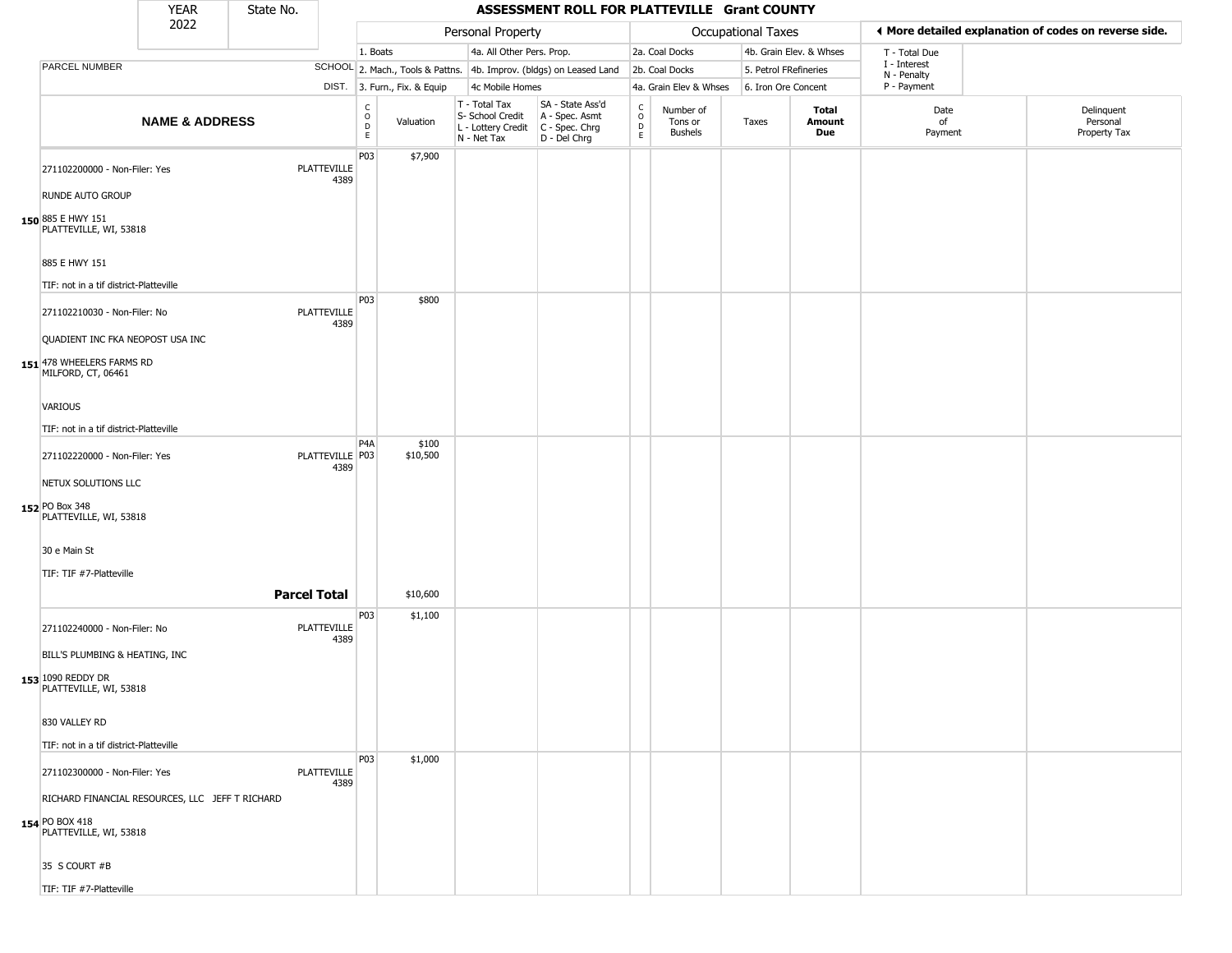|                                                                        | <b>YEAR</b>               | State No.           |                            |                        |                              |                                                                                         | ASSESSMENT ROLL FOR PLATTEVILLE Grant COUNTY                        |                                       |                                        |                           |                         |                             |                                                       |
|------------------------------------------------------------------------|---------------------------|---------------------|----------------------------|------------------------|------------------------------|-----------------------------------------------------------------------------------------|---------------------------------------------------------------------|---------------------------------------|----------------------------------------|---------------------------|-------------------------|-----------------------------|-------------------------------------------------------|
|                                                                        | 2022                      |                     |                            |                        |                              | Personal Property                                                                       |                                                                     |                                       |                                        | <b>Occupational Taxes</b> |                         |                             | ◀ More detailed explanation of codes on reverse side. |
|                                                                        |                           |                     |                            | 1. Boats               |                              | 4a. All Other Pers. Prop.                                                               |                                                                     |                                       | 2a. Coal Docks                         |                           | 4b. Grain Elev. & Whses | T - Total Due               |                                                       |
| PARCEL NUMBER                                                          |                           |                     |                            |                        |                              |                                                                                         | SCHOOL 2. Mach., Tools & Pattns. 4b. Improv. (bldgs) on Leased Land |                                       | 2b. Coal Docks                         |                           | 5. Petrol FRefineries   | I - Interest<br>N - Penalty |                                                       |
|                                                                        |                           |                     |                            |                        | DIST. 3. Furn., Fix. & Equip | 4c Mobile Homes                                                                         |                                                                     |                                       | 4a. Grain Elev & Whses                 | 6. Iron Ore Concent       |                         | P - Payment                 |                                                       |
|                                                                        | <b>NAME &amp; ADDRESS</b> |                     |                            | C<br>$\circ$<br>D<br>E | Valuation                    | T - Total Tax<br>S- School Credit<br>L - Lottery Credit   C - Spec. Chrg<br>N - Net Tax | SA - State Ass'd<br>A - Spec. Asmt<br>$D - Del Chrg$                | $\rm\frac{C}{O}$<br>$\mathsf{D}$<br>E | Number of<br>Tons or<br><b>Bushels</b> | Taxes                     | Total<br>Amount<br>Due  | Date<br>of<br>Payment       | Delinquent<br>Personal<br>Property Tax                |
| 271102200000 - Non-Filer: Yes                                          |                           |                     | <b>PLATTEVILLE</b><br>4389 | P03                    | \$7,900                      |                                                                                         |                                                                     |                                       |                                        |                           |                         |                             |                                                       |
| <b>RUNDE AUTO GROUP</b><br>150 885 E HWY 151<br>PLATTEVILLE, WI, 53818 |                           |                     |                            |                        |                              |                                                                                         |                                                                     |                                       |                                        |                           |                         |                             |                                                       |
| 885 E HWY 151                                                          |                           |                     |                            |                        |                              |                                                                                         |                                                                     |                                       |                                        |                           |                         |                             |                                                       |
| TIF: not in a tif district-Platteville                                 |                           |                     |                            |                        |                              |                                                                                         |                                                                     |                                       |                                        |                           |                         |                             |                                                       |
| 271102210030 - Non-Filer: No                                           |                           |                     | PLATTEVILLE<br>4389        | P03                    | \$800                        |                                                                                         |                                                                     |                                       |                                        |                           |                         |                             |                                                       |
| QUADIENT INC FKA NEOPOST USA INC                                       |                           |                     |                            |                        |                              |                                                                                         |                                                                     |                                       |                                        |                           |                         |                             |                                                       |
| 151 478 WHEELERS FARMS RD<br>MILFORD, CT, 06461                        |                           |                     |                            |                        |                              |                                                                                         |                                                                     |                                       |                                        |                           |                         |                             |                                                       |
| VARIOUS                                                                |                           |                     |                            |                        |                              |                                                                                         |                                                                     |                                       |                                        |                           |                         |                             |                                                       |
| TIF: not in a tif district-Platteville                                 |                           |                     |                            |                        |                              |                                                                                         |                                                                     |                                       |                                        |                           |                         |                             |                                                       |
| 271102220000 - Non-Filer: Yes                                          |                           |                     | PLATTEVILLE P03<br>4389    | P4A                    | \$100<br>\$10,500            |                                                                                         |                                                                     |                                       |                                        |                           |                         |                             |                                                       |
| NETUX SOLUTIONS LLC<br>152 PO Box 348                                  |                           |                     |                            |                        |                              |                                                                                         |                                                                     |                                       |                                        |                           |                         |                             |                                                       |
| PLATTEVILLE, WI, 53818                                                 |                           |                     |                            |                        |                              |                                                                                         |                                                                     |                                       |                                        |                           |                         |                             |                                                       |
| 30 e Main St                                                           |                           |                     |                            |                        |                              |                                                                                         |                                                                     |                                       |                                        |                           |                         |                             |                                                       |
| TIF: TIF #7-Platteville                                                |                           |                     |                            |                        |                              |                                                                                         |                                                                     |                                       |                                        |                           |                         |                             |                                                       |
|                                                                        |                           | <b>Parcel Total</b> |                            |                        | \$10,600                     |                                                                                         |                                                                     |                                       |                                        |                           |                         |                             |                                                       |
| 271102240000 - Non-Filer: No                                           |                           |                     | PLATTEVILLE<br>4389        | P03                    | \$1,100                      |                                                                                         |                                                                     |                                       |                                        |                           |                         |                             |                                                       |
| BILL'S PLUMBING & HEATING, INC                                         |                           |                     |                            |                        |                              |                                                                                         |                                                                     |                                       |                                        |                           |                         |                             |                                                       |
| 153 1090 REDDY DR<br>PLATTEVILLE, WI, 53818                            |                           |                     |                            |                        |                              |                                                                                         |                                                                     |                                       |                                        |                           |                         |                             |                                                       |
| 830 VALLEY RD                                                          |                           |                     |                            |                        |                              |                                                                                         |                                                                     |                                       |                                        |                           |                         |                             |                                                       |
| TIF: not in a tif district-Platteville                                 |                           |                     |                            |                        |                              |                                                                                         |                                                                     |                                       |                                        |                           |                         |                             |                                                       |
| 271102300000 - Non-Filer: Yes                                          |                           |                     | PLATTEVILLE                | P <sub>03</sub>        | \$1,000                      |                                                                                         |                                                                     |                                       |                                        |                           |                         |                             |                                                       |
| RICHARD FINANCIAL RESOURCES, LLC JEFF T RICHARD                        |                           |                     | 4389                       |                        |                              |                                                                                         |                                                                     |                                       |                                        |                           |                         |                             |                                                       |
| 154 PO BOX 418<br>PLATTEVILLE, WI, 53818                               |                           |                     |                            |                        |                              |                                                                                         |                                                                     |                                       |                                        |                           |                         |                             |                                                       |
| 35 S COURT #B                                                          |                           |                     |                            |                        |                              |                                                                                         |                                                                     |                                       |                                        |                           |                         |                             |                                                       |
| TIF: TIF #7-Platteville                                                |                           |                     |                            |                        |                              |                                                                                         |                                                                     |                                       |                                        |                           |                         |                             |                                                       |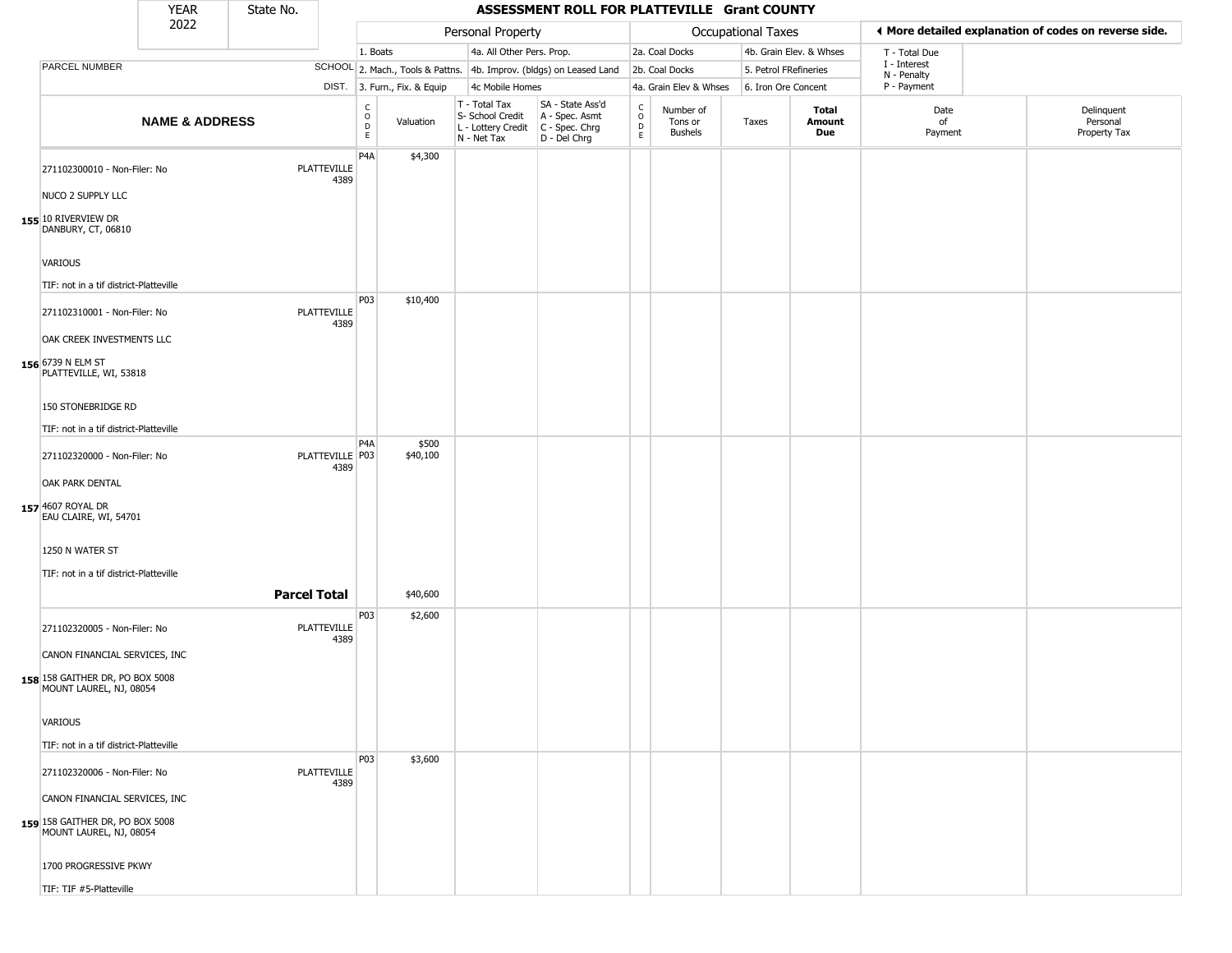|                                                                                             | <b>YEAR</b>               | State No.           |                            |                                                   |                              |                                                                        | ASSESSMENT ROLL FOR PLATTEVILLE Grant COUNTY                         |                                            |                                        |                       |                         |                             |                                                       |
|---------------------------------------------------------------------------------------------|---------------------------|---------------------|----------------------------|---------------------------------------------------|------------------------------|------------------------------------------------------------------------|----------------------------------------------------------------------|--------------------------------------------|----------------------------------------|-----------------------|-------------------------|-----------------------------|-------------------------------------------------------|
|                                                                                             | 2022                      |                     |                            |                                                   |                              | Personal Property                                                      |                                                                      |                                            |                                        | Occupational Taxes    |                         |                             | ♦ More detailed explanation of codes on reverse side. |
|                                                                                             |                           |                     |                            | 1. Boats                                          |                              | 4a. All Other Pers. Prop.                                              |                                                                      |                                            | 2a. Coal Docks                         |                       | 4b. Grain Elev. & Whses | T - Total Due               |                                                       |
| PARCEL NUMBER                                                                               |                           |                     |                            |                                                   |                              |                                                                        | SCHOOL 2. Mach., Tools & Pattns. 4b. Improv. (bldgs) on Leased Land  |                                            | 2b. Coal Docks                         | 5. Petrol FRefineries |                         | I - Interest<br>N - Penalty |                                                       |
|                                                                                             |                           |                     |                            |                                                   | DIST. 3. Furn., Fix. & Equip | 4c Mobile Homes                                                        |                                                                      |                                            | 4a. Grain Elev & Whses                 | 6. Iron Ore Concent   |                         | P - Payment                 |                                                       |
|                                                                                             | <b>NAME &amp; ADDRESS</b> |                     |                            | $\begin{array}{c}\nC \\ O \\ D \\ E\n\end{array}$ | Valuation                    | T - Total Tax<br>S- School Credit<br>L - Lottery Credit<br>N - Net Tax | SA - State Ass'd<br>A - Spec. Asmt<br>C - Spec. Chrg<br>D - Del Chrg | $\begin{array}{c} C \\ O \\ E \end{array}$ | Number of<br>Tons or<br><b>Bushels</b> | Taxes                 | Total<br>Amount<br>Due  | Date<br>of<br>Payment       | Delinquent<br>Personal<br>Property Tax                |
| 271102300010 - Non-Filer: No                                                                |                           |                     | <b>PLATTEVILLE</b><br>4389 | P <sub>4</sub> A                                  | \$4,300                      |                                                                        |                                                                      |                                            |                                        |                       |                         |                             |                                                       |
| NUCO 2 SUPPLY LLC<br>155 10 RIVERVIEW DR<br>DANBURY, CT, 06810                              |                           |                     |                            |                                                   |                              |                                                                        |                                                                      |                                            |                                        |                       |                         |                             |                                                       |
| <b>VARIOUS</b>                                                                              |                           |                     |                            |                                                   |                              |                                                                        |                                                                      |                                            |                                        |                       |                         |                             |                                                       |
| TIF: not in a tif district-Platteville                                                      |                           |                     |                            |                                                   |                              |                                                                        |                                                                      |                                            |                                        |                       |                         |                             |                                                       |
| 271102310001 - Non-Filer: No<br>OAK CREEK INVESTMENTS LLC                                   |                           |                     | <b>PLATTEVILLE</b><br>4389 | P03                                               | \$10,400                     |                                                                        |                                                                      |                                            |                                        |                       |                         |                             |                                                       |
| 156 6739 N ELM ST<br>PLATTEVILLE, WI, 53818                                                 |                           |                     |                            |                                                   |                              |                                                                        |                                                                      |                                            |                                        |                       |                         |                             |                                                       |
| 150 STONEBRIDGE RD                                                                          |                           |                     |                            |                                                   |                              |                                                                        |                                                                      |                                            |                                        |                       |                         |                             |                                                       |
| TIF: not in a tif district-Platteville                                                      |                           |                     |                            |                                                   |                              |                                                                        |                                                                      |                                            |                                        |                       |                         |                             |                                                       |
| 271102320000 - Non-Filer: No                                                                |                           |                     | PLATTEVILLE P03<br>4389    | P <sub>4</sub> A                                  | \$500<br>\$40,100            |                                                                        |                                                                      |                                            |                                        |                       |                         |                             |                                                       |
| OAK PARK DENTAL<br>157 4607 ROYAL DR<br>EAU CLAIRE, WI, 54701                               |                           |                     |                            |                                                   |                              |                                                                        |                                                                      |                                            |                                        |                       |                         |                             |                                                       |
| 1250 N WATER ST<br>TIF: not in a tif district-Platteville                                   |                           |                     |                            |                                                   |                              |                                                                        |                                                                      |                                            |                                        |                       |                         |                             |                                                       |
|                                                                                             |                           | <b>Parcel Total</b> |                            |                                                   | \$40,600                     |                                                                        |                                                                      |                                            |                                        |                       |                         |                             |                                                       |
| 271102320005 - Non-Filer: No                                                                |                           |                     | <b>PLATTEVILLE</b><br>4389 | P03                                               | \$2,600                      |                                                                        |                                                                      |                                            |                                        |                       |                         |                             |                                                       |
| CANON FINANCIAL SERVICES, INC<br>158 158 GAITHER DR, PO BOX 5008<br>MOUNT LAUREL, NJ, 08054 |                           |                     |                            |                                                   |                              |                                                                        |                                                                      |                                            |                                        |                       |                         |                             |                                                       |
| <b>VARIOUS</b>                                                                              |                           |                     |                            |                                                   |                              |                                                                        |                                                                      |                                            |                                        |                       |                         |                             |                                                       |
| TIF: not in a tif district-Platteville                                                      |                           |                     |                            | P03                                               | \$3,600                      |                                                                        |                                                                      |                                            |                                        |                       |                         |                             |                                                       |
| 271102320006 - Non-Filer: No                                                                |                           |                     | <b>PLATTEVILLE</b><br>4389 |                                                   |                              |                                                                        |                                                                      |                                            |                                        |                       |                         |                             |                                                       |
| CANON FINANCIAL SERVICES, INC                                                               |                           |                     |                            |                                                   |                              |                                                                        |                                                                      |                                            |                                        |                       |                         |                             |                                                       |
| 159 158 GAITHER DR, PO BOX 5008<br>MOUNT LAUREL, NJ, 08054                                  |                           |                     |                            |                                                   |                              |                                                                        |                                                                      |                                            |                                        |                       |                         |                             |                                                       |
| 1700 PROGRESSIVE PKWY                                                                       |                           |                     |                            |                                                   |                              |                                                                        |                                                                      |                                            |                                        |                       |                         |                             |                                                       |
| TIF: TIF #5-Platteville                                                                     |                           |                     |                            |                                                   |                              |                                                                        |                                                                      |                                            |                                        |                       |                         |                             |                                                       |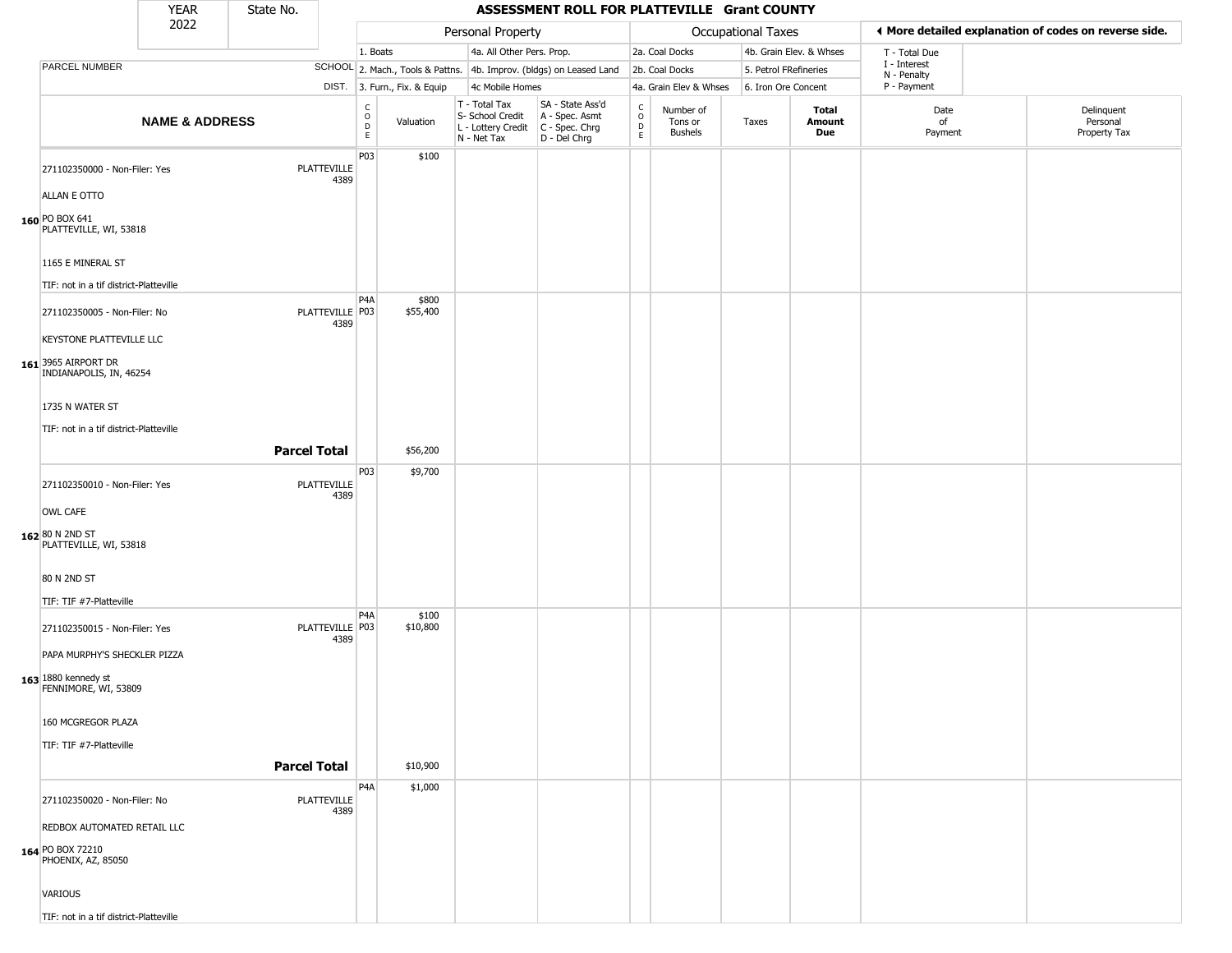|                                                             | <b>YEAR</b>               | State No.           |                            |                                  |                              |                                                                          | ASSESSMENT ROLL FOR PLATTEVILLE Grant COUNTY                         |                                 |                                 |                       |                         |                             |                                                       |
|-------------------------------------------------------------|---------------------------|---------------------|----------------------------|----------------------------------|------------------------------|--------------------------------------------------------------------------|----------------------------------------------------------------------|---------------------------------|---------------------------------|-----------------------|-------------------------|-----------------------------|-------------------------------------------------------|
|                                                             | 2022                      |                     |                            |                                  |                              | Personal Property                                                        |                                                                      |                                 |                                 | Occupational Taxes    |                         |                             | ♦ More detailed explanation of codes on reverse side. |
|                                                             |                           |                     |                            | 1. Boats                         |                              | 4a. All Other Pers. Prop.                                                |                                                                      |                                 | 2a. Coal Docks                  |                       | 4b. Grain Elev. & Whses | T - Total Due               |                                                       |
| PARCEL NUMBER                                               |                           |                     |                            |                                  |                              |                                                                          | SCHOOL 2. Mach., Tools & Pattns. 4b. Improv. (bldgs) on Leased Land  |                                 | 2b. Coal Docks                  | 5. Petrol FRefineries |                         | I - Interest<br>N - Penalty |                                                       |
|                                                             |                           |                     |                            |                                  | DIST. 3. Furn., Fix. & Equip | 4c Mobile Homes                                                          |                                                                      |                                 | 4a. Grain Elev & Whses          | 6. Iron Ore Concent   |                         | P - Payment                 |                                                       |
|                                                             | <b>NAME &amp; ADDRESS</b> |                     |                            | C<br>$\circ$<br>$\mathsf D$<br>E | Valuation                    | $T - Total Tax$<br>S- School Credit<br>L - Lottery Credit<br>N - Net Tax | SA - State Ass'd<br>A - Spec. Asmt<br>C - Spec. Chrg<br>D - Del Chrg | $\rm ^c_o$<br>$\mathsf{D}$<br>E | Number of<br>Tons or<br>Bushels | Taxes                 | Total<br>Amount<br>Due  | Date<br>of<br>Payment       | Delinquent<br>Personal<br>Property Tax                |
| 271102350000 - Non-Filer: Yes                               |                           |                     | <b>PLATTEVILLE</b><br>4389 | P03                              | \$100                        |                                                                          |                                                                      |                                 |                                 |                       |                         |                             |                                                       |
| ALLAN E OTTO                                                |                           |                     |                            |                                  |                              |                                                                          |                                                                      |                                 |                                 |                       |                         |                             |                                                       |
| 160 PO BOX 641<br>PLATTEVILLE, WI, 53818                    |                           |                     |                            |                                  |                              |                                                                          |                                                                      |                                 |                                 |                       |                         |                             |                                                       |
| 1165 E MINERAL ST<br>TIF: not in a tif district-Platteville |                           |                     |                            |                                  |                              |                                                                          |                                                                      |                                 |                                 |                       |                         |                             |                                                       |
|                                                             |                           |                     |                            | P <sub>4</sub> A                 | \$800                        |                                                                          |                                                                      |                                 |                                 |                       |                         |                             |                                                       |
| 271102350005 - Non-Filer: No<br>KEYSTONE PLATTEVILLE LLC    |                           |                     | PLATTEVILLE   P03<br>4389  |                                  | \$55,400                     |                                                                          |                                                                      |                                 |                                 |                       |                         |                             |                                                       |
| 161 3965 AIRPORT DR<br>INDIANAPOLIS, IN, 46254              |                           |                     |                            |                                  |                              |                                                                          |                                                                      |                                 |                                 |                       |                         |                             |                                                       |
| 1735 N WATER ST                                             |                           |                     |                            |                                  |                              |                                                                          |                                                                      |                                 |                                 |                       |                         |                             |                                                       |
| TIF: not in a tif district-Platteville                      |                           | <b>Parcel Total</b> |                            |                                  | \$56,200                     |                                                                          |                                                                      |                                 |                                 |                       |                         |                             |                                                       |
| 271102350010 - Non-Filer: Yes                               |                           |                     | PLATTEVILLE<br>4389        | P03                              | \$9,700                      |                                                                          |                                                                      |                                 |                                 |                       |                         |                             |                                                       |
| <b>OWL CAFE</b>                                             |                           |                     |                            |                                  |                              |                                                                          |                                                                      |                                 |                                 |                       |                         |                             |                                                       |
| 162 80 N 2ND ST<br>PLATTEVILLE, WI, 53818                   |                           |                     |                            |                                  |                              |                                                                          |                                                                      |                                 |                                 |                       |                         |                             |                                                       |
| 80 N 2ND ST                                                 |                           |                     |                            |                                  |                              |                                                                          |                                                                      |                                 |                                 |                       |                         |                             |                                                       |
| TIF: TIF #7-Platteville                                     |                           |                     |                            |                                  |                              |                                                                          |                                                                      |                                 |                                 |                       |                         |                             |                                                       |
| 271102350015 - Non-Filer: Yes                               |                           |                     | PLATTEVILLE P03<br>4389    | P <sub>4</sub> A                 | \$100<br>\$10,800            |                                                                          |                                                                      |                                 |                                 |                       |                         |                             |                                                       |
| PAPA MURPHY'S SHECKLER PIZZA                                |                           |                     |                            |                                  |                              |                                                                          |                                                                      |                                 |                                 |                       |                         |                             |                                                       |
| 163 1880 kennedy st<br>FENNIMORE, WI, 53809                 |                           |                     |                            |                                  |                              |                                                                          |                                                                      |                                 |                                 |                       |                         |                             |                                                       |
| 160 MCGREGOR PLAZA                                          |                           |                     |                            |                                  |                              |                                                                          |                                                                      |                                 |                                 |                       |                         |                             |                                                       |
| TIF: TIF #7-Platteville                                     |                           |                     |                            |                                  |                              |                                                                          |                                                                      |                                 |                                 |                       |                         |                             |                                                       |
|                                                             |                           | <b>Parcel Total</b> |                            |                                  | \$10,900                     |                                                                          |                                                                      |                                 |                                 |                       |                         |                             |                                                       |
|                                                             |                           |                     |                            | P <sub>4</sub> A                 | \$1,000                      |                                                                          |                                                                      |                                 |                                 |                       |                         |                             |                                                       |
| 271102350020 - Non-Filer: No                                |                           |                     | PLATTEVILLE<br>4389        |                                  |                              |                                                                          |                                                                      |                                 |                                 |                       |                         |                             |                                                       |
| REDBOX AUTOMATED RETAIL LLC                                 |                           |                     |                            |                                  |                              |                                                                          |                                                                      |                                 |                                 |                       |                         |                             |                                                       |
| 164 PO BOX 72210<br>PHOENIX, AZ, 85050                      |                           |                     |                            |                                  |                              |                                                                          |                                                                      |                                 |                                 |                       |                         |                             |                                                       |
| VARIOUS                                                     |                           |                     |                            |                                  |                              |                                                                          |                                                                      |                                 |                                 |                       |                         |                             |                                                       |

TIF: not in a tif district-Platteville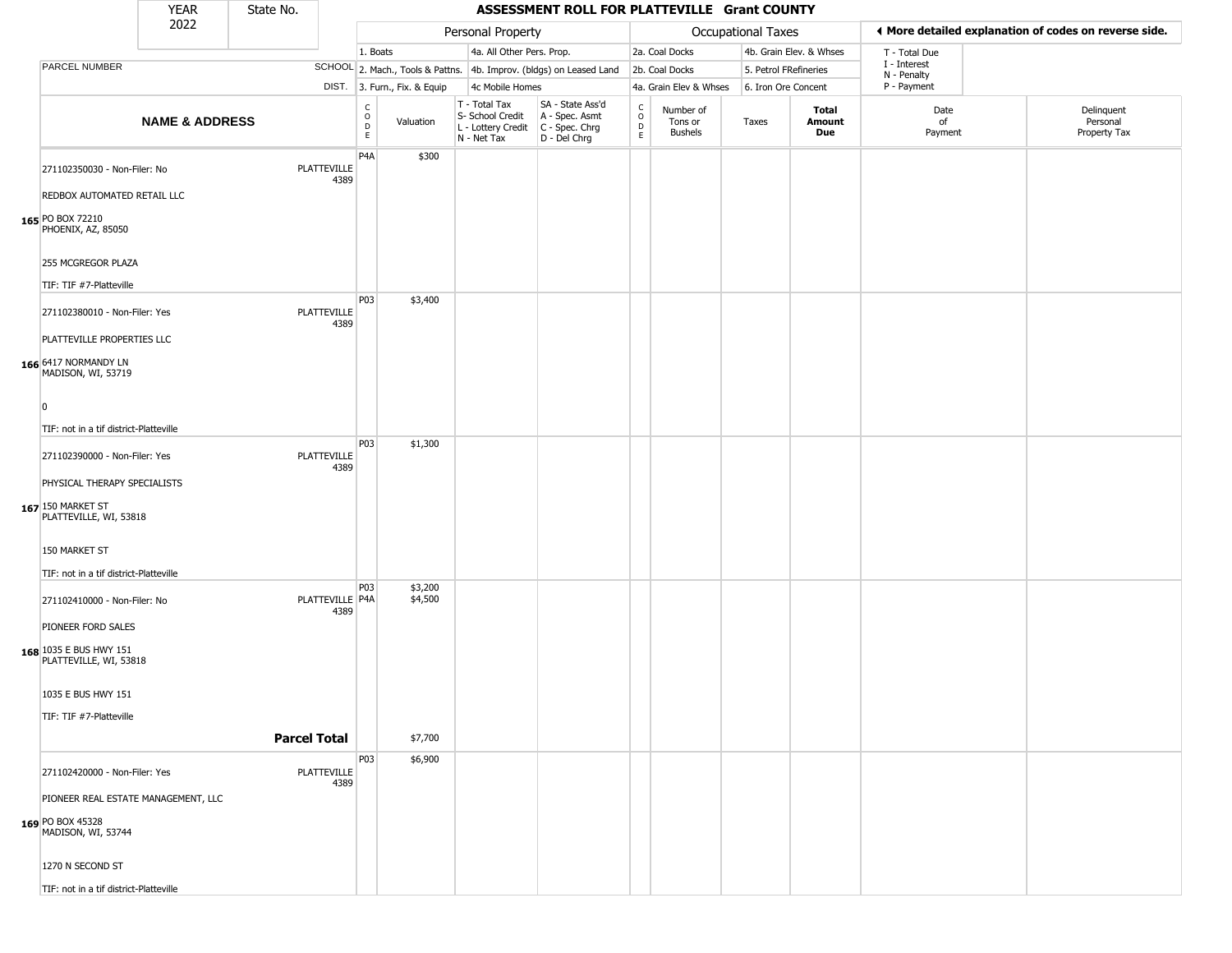|                                                                             | <b>YEAR</b>               | State No. |                            |                                                   |                              |                                                                        | ASSESSMENT ROLL FOR PLATTEVILLE Grant COUNTY                         |                                    |                                        |                       |                         |                             |                                                       |
|-----------------------------------------------------------------------------|---------------------------|-----------|----------------------------|---------------------------------------------------|------------------------------|------------------------------------------------------------------------|----------------------------------------------------------------------|------------------------------------|----------------------------------------|-----------------------|-------------------------|-----------------------------|-------------------------------------------------------|
|                                                                             | 2022                      |           |                            |                                                   |                              | Personal Property                                                      |                                                                      |                                    |                                        | Occupational Taxes    |                         |                             | ◀ More detailed explanation of codes on reverse side. |
|                                                                             |                           |           |                            | 1. Boats                                          |                              | 4a. All Other Pers. Prop.                                              |                                                                      |                                    | 2a. Coal Docks                         |                       | 4b. Grain Elev. & Whses | T - Total Due               |                                                       |
| PARCEL NUMBER                                                               |                           |           |                            |                                                   |                              |                                                                        | SCHOOL 2. Mach., Tools & Pattns. 4b. Improv. (bldgs) on Leased Land  |                                    | 2b. Coal Docks                         | 5. Petrol FRefineries |                         | I - Interest<br>N - Penalty |                                                       |
|                                                                             |                           |           |                            |                                                   | DIST. 3. Furn., Fix. & Equip | 4c Mobile Homes                                                        |                                                                      |                                    | 4a. Grain Elev & Whses                 | 6. Iron Ore Concent   |                         | P - Payment                 |                                                       |
|                                                                             | <b>NAME &amp; ADDRESS</b> |           |                            | c<br>$\begin{array}{c}\n0 \\ D \\ E\n\end{array}$ | Valuation                    | T - Total Tax<br>S- School Credit<br>L - Lottery Credit<br>N - Net Tax | SA - State Ass'd<br>A - Spec. Asmt<br>C - Spec. Chrg<br>D - Del Chrg | $\mathsf{C}$<br>$\circ$<br>D<br>E. | Number of<br>Tons or<br><b>Bushels</b> | Taxes                 | Total<br>Amount<br>Due  | Date<br>of<br>Payment       | Delinquent<br>Personal<br>Property Tax                |
| 271102350030 - Non-Filer: No                                                |                           |           | PLATTEVILLE<br>4389        | P4A                                               | \$300                        |                                                                        |                                                                      |                                    |                                        |                       |                         |                             |                                                       |
| REDBOX AUTOMATED RETAIL LLC<br>165 PO BOX 72210<br>PHOENIX, AZ, 85050       |                           |           |                            |                                                   |                              |                                                                        |                                                                      |                                    |                                        |                       |                         |                             |                                                       |
| 255 MCGREGOR PLAZA                                                          |                           |           |                            |                                                   |                              |                                                                        |                                                                      |                                    |                                        |                       |                         |                             |                                                       |
| TIF: TIF #7-Platteville                                                     |                           |           |                            |                                                   |                              |                                                                        |                                                                      |                                    |                                        |                       |                         |                             |                                                       |
| 271102380010 - Non-Filer: Yes                                               |                           |           | <b>PLATTEVILLE</b><br>4389 | P03                                               | \$3,400                      |                                                                        |                                                                      |                                    |                                        |                       |                         |                             |                                                       |
| PLATTEVILLE PROPERTIES LLC<br>166 6417 NORMANDY LN<br>MADISON, WI, 53719    |                           |           |                            |                                                   |                              |                                                                        |                                                                      |                                    |                                        |                       |                         |                             |                                                       |
| $\Omega$                                                                    |                           |           |                            |                                                   |                              |                                                                        |                                                                      |                                    |                                        |                       |                         |                             |                                                       |
| TIF: not in a tif district-Platteville                                      |                           |           |                            |                                                   |                              |                                                                        |                                                                      |                                    |                                        |                       |                         |                             |                                                       |
| 271102390000 - Non-Filer: Yes                                               |                           |           | PLATTEVILLE<br>4389        | P03                                               | \$1,300                      |                                                                        |                                                                      |                                    |                                        |                       |                         |                             |                                                       |
| PHYSICAL THERAPY SPECIALISTS<br>167 150 MARKET ST<br>PLATTEVILLE, WI, 53818 |                           |           |                            |                                                   |                              |                                                                        |                                                                      |                                    |                                        |                       |                         |                             |                                                       |
| 150 MARKET ST                                                               |                           |           |                            |                                                   |                              |                                                                        |                                                                      |                                    |                                        |                       |                         |                             |                                                       |
| TIF: not in a tif district-Platteville                                      |                           |           |                            | P03                                               | \$3,200                      |                                                                        |                                                                      |                                    |                                        |                       |                         |                             |                                                       |
| 271102410000 - Non-Filer: No<br>PIONEER FORD SALES                          |                           |           | PLATTEVILLE P4A<br>4389    |                                                   | \$4,500                      |                                                                        |                                                                      |                                    |                                        |                       |                         |                             |                                                       |
| 168 1035 E BUS HWY 151<br>PLATTEVILLE, WI, 53818                            |                           |           |                            |                                                   |                              |                                                                        |                                                                      |                                    |                                        |                       |                         |                             |                                                       |
| 1035 E BUS HWY 151                                                          |                           |           |                            |                                                   |                              |                                                                        |                                                                      |                                    |                                        |                       |                         |                             |                                                       |
| TIF: TIF #7-Platteville                                                     |                           |           | <b>Parcel Total</b>        |                                                   | \$7,700                      |                                                                        |                                                                      |                                    |                                        |                       |                         |                             |                                                       |
| 271102420000 - Non-Filer: Yes                                               |                           |           | <b>PLATTEVILLE</b><br>4389 | P03                                               | \$6,900                      |                                                                        |                                                                      |                                    |                                        |                       |                         |                             |                                                       |
| PIONEER REAL ESTATE MANAGEMENT, LLC                                         |                           |           |                            |                                                   |                              |                                                                        |                                                                      |                                    |                                        |                       |                         |                             |                                                       |
| 169 PO BOX 45328<br>MADISON, WI, 53744                                      |                           |           |                            |                                                   |                              |                                                                        |                                                                      |                                    |                                        |                       |                         |                             |                                                       |
| 1270 N SECOND ST                                                            |                           |           |                            |                                                   |                              |                                                                        |                                                                      |                                    |                                        |                       |                         |                             |                                                       |
| TIF: not in a tif district-Platteville                                      |                           |           |                            |                                                   |                              |                                                                        |                                                                      |                                    |                                        |                       |                         |                             |                                                       |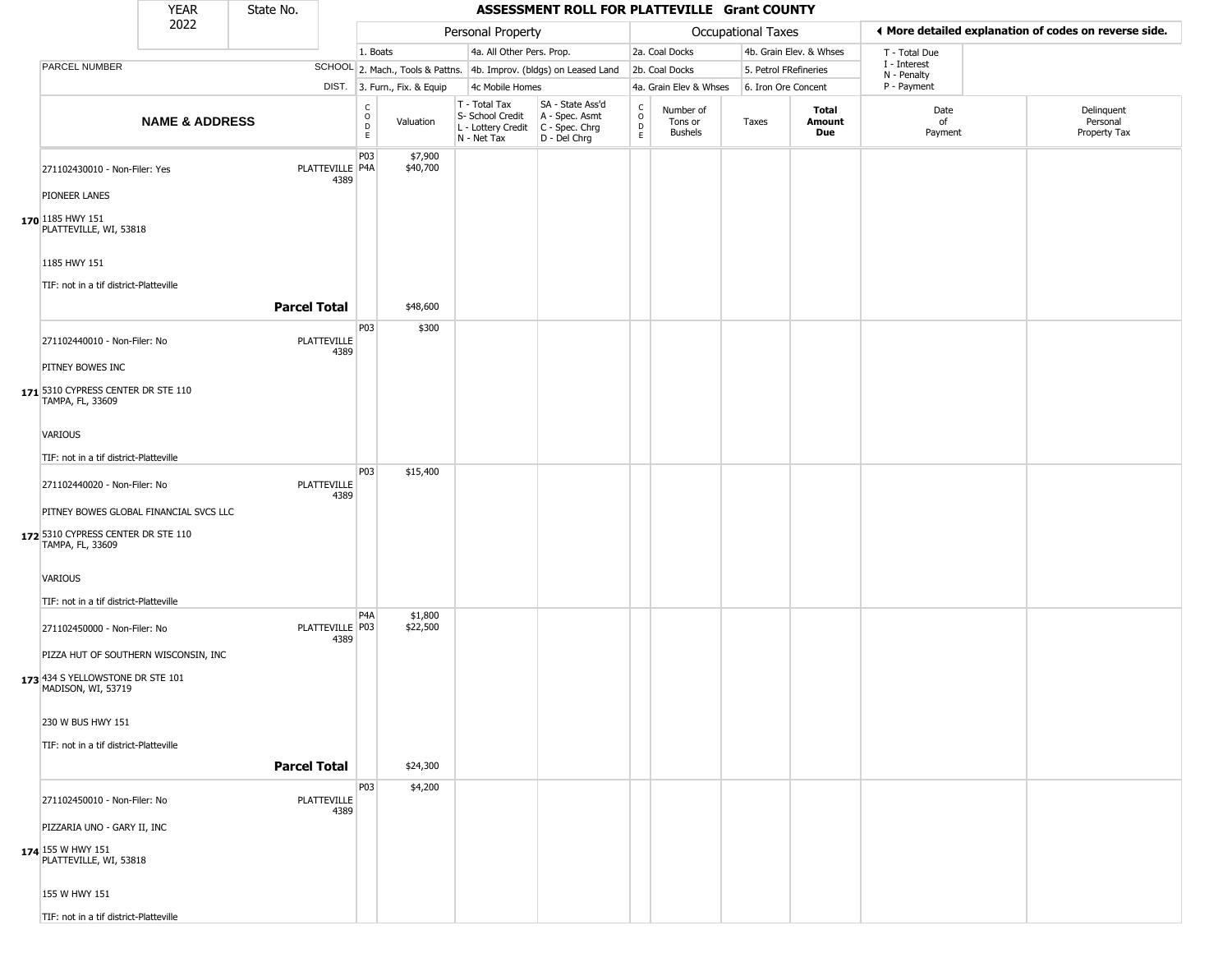|                                                        | <b>YEAR</b>               | State No.           |                         |                                              |                              |                                                                                       | ASSESSMENT ROLL FOR PLATTEVILLE Grant COUNTY                        |                                   |                                        |                       |                         |                             |                                                       |
|--------------------------------------------------------|---------------------------|---------------------|-------------------------|----------------------------------------------|------------------------------|---------------------------------------------------------------------------------------|---------------------------------------------------------------------|-----------------------------------|----------------------------------------|-----------------------|-------------------------|-----------------------------|-------------------------------------------------------|
|                                                        | 2022                      |                     |                         |                                              |                              | Personal Property                                                                     |                                                                     |                                   |                                        | Occupational Taxes    |                         |                             | ◀ More detailed explanation of codes on reverse side. |
|                                                        |                           |                     |                         | 1. Boats                                     |                              | 4a. All Other Pers. Prop.                                                             |                                                                     |                                   | 2a. Coal Docks                         |                       | 4b. Grain Elev. & Whses | T - Total Due               |                                                       |
| <b>PARCEL NUMBER</b>                                   |                           |                     |                         |                                              |                              |                                                                                       | SCHOOL 2. Mach., Tools & Pattns. 4b. Improv. (bldgs) on Leased Land |                                   | 2b. Coal Docks                         | 5. Petrol FRefineries |                         | I - Interest<br>N - Penalty |                                                       |
|                                                        |                           |                     |                         |                                              | DIST. 3. Furn., Fix. & Equip | 4c Mobile Homes                                                                       |                                                                     |                                   | 4a. Grain Elev & Whses                 | 6. Iron Ore Concent   |                         | P - Payment                 |                                                       |
|                                                        | <b>NAME &amp; ADDRESS</b> |                     |                         | $\mathsf{C}$<br>$\circ$<br>$\mathsf{D}$<br>E | Valuation                    | T - Total Tax<br>S- School Credit<br>L - Lottery Credit C - Spec. Chrg<br>N - Net Tax | SA - State Ass'd<br>A - Spec. Asmt<br>D - Del Chrg                  | C<br>$\circ$<br>$\mathsf{D}$<br>E | Number of<br>Tons or<br><b>Bushels</b> | Taxes                 | Total<br>Amount<br>Due  | Date<br>of<br>Payment       | Delinquent<br>Personal<br>Property Tax                |
| 271102430010 - Non-Filer: Yes                          |                           |                     | PLATTEVILLE P4A<br>4389 | P03                                          | \$7,900<br>\$40,700          |                                                                                       |                                                                     |                                   |                                        |                       |                         |                             |                                                       |
| PIONEER LANES                                          |                           |                     |                         |                                              |                              |                                                                                       |                                                                     |                                   |                                        |                       |                         |                             |                                                       |
| 170 1185 HWY 151<br>PLATTEVILLE, WI, 53818             |                           |                     |                         |                                              |                              |                                                                                       |                                                                     |                                   |                                        |                       |                         |                             |                                                       |
| 1185 HWY 151                                           |                           |                     |                         |                                              |                              |                                                                                       |                                                                     |                                   |                                        |                       |                         |                             |                                                       |
| TIF: not in a tif district-Platteville                 |                           |                     |                         |                                              |                              |                                                                                       |                                                                     |                                   |                                        |                       |                         |                             |                                                       |
|                                                        |                           | <b>Parcel Total</b> |                         |                                              | \$48,600                     |                                                                                       |                                                                     |                                   |                                        |                       |                         |                             |                                                       |
| 271102440010 - Non-Filer: No                           |                           | PLATTEVILLE         | 4389                    | P03                                          | \$300                        |                                                                                       |                                                                     |                                   |                                        |                       |                         |                             |                                                       |
| PITNEY BOWES INC                                       |                           |                     |                         |                                              |                              |                                                                                       |                                                                     |                                   |                                        |                       |                         |                             |                                                       |
| 171 5310 CYPRESS CENTER DR STE 110<br>TAMPA, FL, 33609 |                           |                     |                         |                                              |                              |                                                                                       |                                                                     |                                   |                                        |                       |                         |                             |                                                       |
| <b>VARIOUS</b>                                         |                           |                     |                         |                                              |                              |                                                                                       |                                                                     |                                   |                                        |                       |                         |                             |                                                       |
| TIF: not in a tif district-Platteville                 |                           |                     |                         |                                              |                              |                                                                                       |                                                                     |                                   |                                        |                       |                         |                             |                                                       |
| 271102440020 - Non-Filer: No                           |                           | PLATTEVILLE         |                         | P03                                          | \$15,400                     |                                                                                       |                                                                     |                                   |                                        |                       |                         |                             |                                                       |
|                                                        |                           |                     | 4389                    |                                              |                              |                                                                                       |                                                                     |                                   |                                        |                       |                         |                             |                                                       |
| PITNEY BOWES GLOBAL FINANCIAL SVCS LLC                 |                           |                     |                         |                                              |                              |                                                                                       |                                                                     |                                   |                                        |                       |                         |                             |                                                       |
| 172 5310 CYPRESS CENTER DR STE 110<br>TAMPA, FL, 33609 |                           |                     |                         |                                              |                              |                                                                                       |                                                                     |                                   |                                        |                       |                         |                             |                                                       |
| VARIOUS                                                |                           |                     |                         |                                              |                              |                                                                                       |                                                                     |                                   |                                        |                       |                         |                             |                                                       |
| TIF: not in a tif district-Platteville                 |                           |                     |                         |                                              |                              |                                                                                       |                                                                     |                                   |                                        |                       |                         |                             |                                                       |
| 271102450000 - Non-Filer: No                           |                           | PLATTEVILLE P03     | 4389                    | P <sub>4</sub> A                             | \$1,800<br>\$22,500          |                                                                                       |                                                                     |                                   |                                        |                       |                         |                             |                                                       |
| PIZZA HUT OF SOUTHERN WISCONSIN, INC                   |                           |                     |                         |                                              |                              |                                                                                       |                                                                     |                                   |                                        |                       |                         |                             |                                                       |
| 173 434 S YELLOWSTONE DR STE 101<br>MADISON, WI, 53719 |                           |                     |                         |                                              |                              |                                                                                       |                                                                     |                                   |                                        |                       |                         |                             |                                                       |
| 230 W BUS HWY 151                                      |                           |                     |                         |                                              |                              |                                                                                       |                                                                     |                                   |                                        |                       |                         |                             |                                                       |
| TIF: not in a tif district-Platteville                 |                           |                     |                         |                                              |                              |                                                                                       |                                                                     |                                   |                                        |                       |                         |                             |                                                       |
|                                                        |                           | <b>Parcel Total</b> |                         |                                              | \$24,300                     |                                                                                       |                                                                     |                                   |                                        |                       |                         |                             |                                                       |
| 271102450010 - Non-Filer: No                           |                           | PLATTEVILLE         | 4389                    | P03                                          | \$4,200                      |                                                                                       |                                                                     |                                   |                                        |                       |                         |                             |                                                       |
| PIZZARIA UNO - GARY II, INC                            |                           |                     |                         |                                              |                              |                                                                                       |                                                                     |                                   |                                        |                       |                         |                             |                                                       |
| 174 155 W HWY 151<br>PLATTEVILLE, WI, 53818            |                           |                     |                         |                                              |                              |                                                                                       |                                                                     |                                   |                                        |                       |                         |                             |                                                       |
| 155 W HWY 151                                          |                           |                     |                         |                                              |                              |                                                                                       |                                                                     |                                   |                                        |                       |                         |                             |                                                       |
| TIF: not in a tif district-Platteville                 |                           |                     |                         |                                              |                              |                                                                                       |                                                                     |                                   |                                        |                       |                         |                             |                                                       |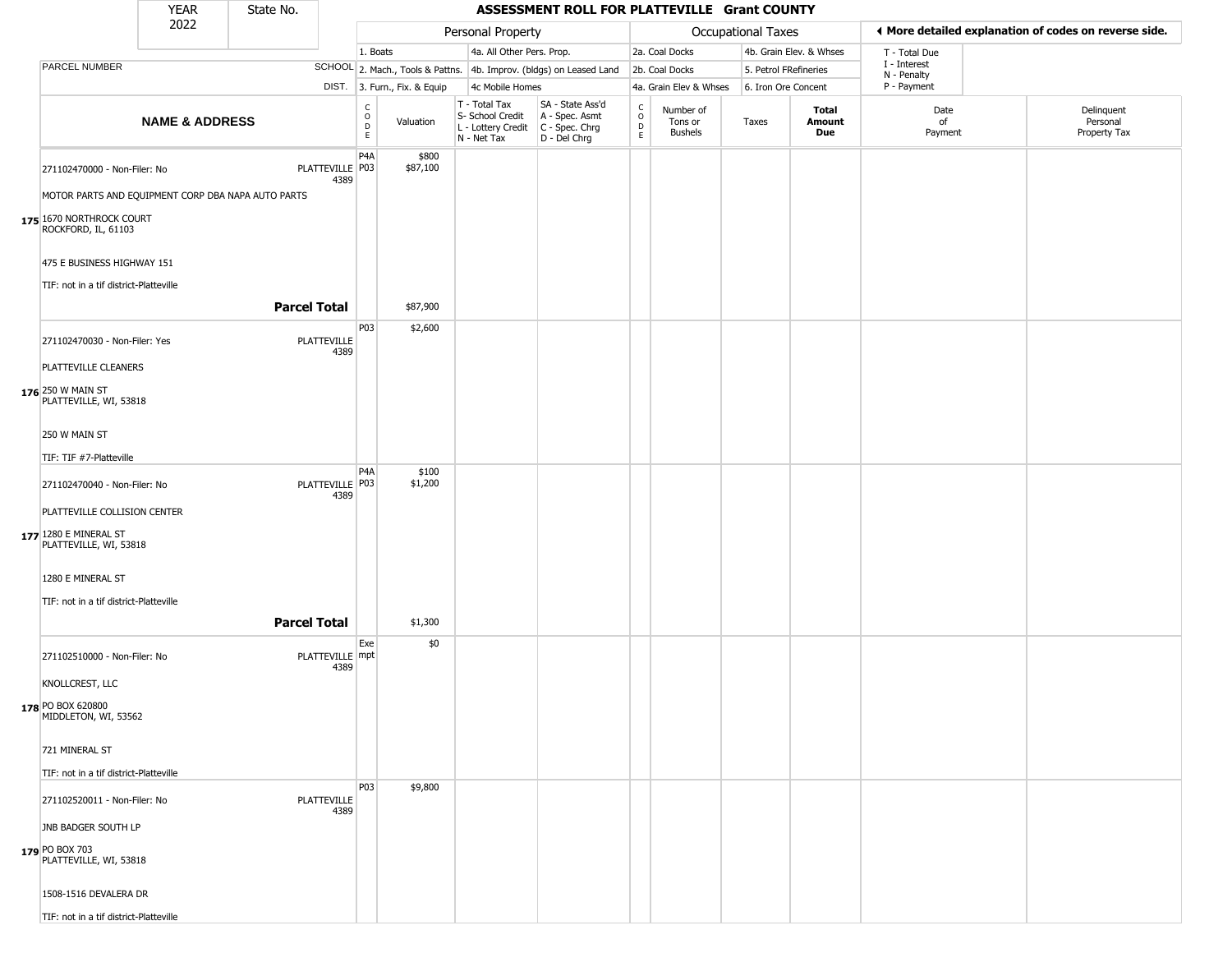|                                                                      | <b>YEAR</b>               | State No.           |                            |                                                           |                              |                                                                                         | ASSESSMENT ROLL FOR PLATTEVILLE Grant COUNTY                        |                                              |                                        |                           |                         |                             |                                                       |
|----------------------------------------------------------------------|---------------------------|---------------------|----------------------------|-----------------------------------------------------------|------------------------------|-----------------------------------------------------------------------------------------|---------------------------------------------------------------------|----------------------------------------------|----------------------------------------|---------------------------|-------------------------|-----------------------------|-------------------------------------------------------|
|                                                                      | 2022                      |                     |                            |                                                           |                              | Personal Property                                                                       |                                                                     |                                              |                                        | <b>Occupational Taxes</b> |                         |                             | ◀ More detailed explanation of codes on reverse side. |
|                                                                      |                           |                     |                            | 1. Boats                                                  |                              | 4a. All Other Pers. Prop.                                                               |                                                                     |                                              | 2a. Coal Docks                         |                           | 4b. Grain Elev. & Whses | T - Total Due               |                                                       |
| PARCEL NUMBER                                                        |                           |                     |                            |                                                           |                              |                                                                                         | SCHOOL 2. Mach., Tools & Pattns. 4b. Improv. (bldgs) on Leased Land |                                              | 2b. Coal Docks                         | 5. Petrol FRefineries     |                         | I - Interest<br>N - Penalty |                                                       |
|                                                                      |                           |                     |                            |                                                           | DIST. 3. Furn., Fix. & Equip | 4c Mobile Homes                                                                         |                                                                     |                                              | 4a. Grain Elev & Whses                 | 6. Iron Ore Concent       |                         | P - Payment                 |                                                       |
|                                                                      | <b>NAME &amp; ADDRESS</b> |                     |                            | $\overset{\mathsf{C}}{\underset{\mathsf{D}}{\circ}}$<br>E | Valuation                    | T - Total Tax<br>S- School Credit<br>L - Lottery Credit   C - Spec. Chrg<br>N - Net Tax | SA - State Ass'd<br>A - Spec. Asmt<br>D - Del Chrg                  | $\mathsf{C}$<br>$\circ$<br>$\mathsf{D}$<br>E | Number of<br>Tons or<br><b>Bushels</b> | Taxes                     | Total<br>Amount<br>Due  | Date<br>of<br>Payment       | Delinquent<br>Personal<br>Property Tax                |
| 271102470000 - Non-Filer: No                                         |                           |                     | PLATTEVILLE   P03<br>4389  | P <sub>4</sub> A                                          | \$800<br>\$87,100            |                                                                                         |                                                                     |                                              |                                        |                           |                         |                             |                                                       |
| MOTOR PARTS AND EQUIPMENT CORP DBA NAPA AUTO PARTS                   |                           |                     |                            |                                                           |                              |                                                                                         |                                                                     |                                              |                                        |                           |                         |                             |                                                       |
| 175 1670 NORTHROCK COURT<br>ROCKFORD, IL, 61103                      |                           |                     |                            |                                                           |                              |                                                                                         |                                                                     |                                              |                                        |                           |                         |                             |                                                       |
| 475 E BUSINESS HIGHWAY 151<br>TIF: not in a tif district-Platteville |                           |                     |                            |                                                           |                              |                                                                                         |                                                                     |                                              |                                        |                           |                         |                             |                                                       |
|                                                                      |                           | <b>Parcel Total</b> |                            |                                                           | \$87,900                     |                                                                                         |                                                                     |                                              |                                        |                           |                         |                             |                                                       |
| 271102470030 - Non-Filer: Yes                                        |                           |                     | PLATTEVILLE<br>4389        | P03                                                       | \$2,600                      |                                                                                         |                                                                     |                                              |                                        |                           |                         |                             |                                                       |
| PLATTEVILLE CLEANERS                                                 |                           |                     |                            |                                                           |                              |                                                                                         |                                                                     |                                              |                                        |                           |                         |                             |                                                       |
| 176 250 W MAIN ST<br>PLATTEVILLE, WI, 53818                          |                           |                     |                            |                                                           |                              |                                                                                         |                                                                     |                                              |                                        |                           |                         |                             |                                                       |
| 250 W MAIN ST                                                        |                           |                     |                            |                                                           |                              |                                                                                         |                                                                     |                                              |                                        |                           |                         |                             |                                                       |
| TIF: TIF #7-Platteville                                              |                           |                     |                            |                                                           |                              |                                                                                         |                                                                     |                                              |                                        |                           |                         |                             |                                                       |
| 271102470040 - Non-Filer: No                                         |                           |                     | PLATTEVILLE P03<br>4389    | P <sub>4</sub> A                                          | \$100<br>\$1,200             |                                                                                         |                                                                     |                                              |                                        |                           |                         |                             |                                                       |
| PLATTEVILLE COLLISION CENTER                                         |                           |                     |                            |                                                           |                              |                                                                                         |                                                                     |                                              |                                        |                           |                         |                             |                                                       |
| 177 1280 E MINERAL ST<br>PLATTEVILLE, WI, 53818                      |                           |                     |                            |                                                           |                              |                                                                                         |                                                                     |                                              |                                        |                           |                         |                             |                                                       |
| 1280 E MINERAL ST                                                    |                           |                     |                            |                                                           |                              |                                                                                         |                                                                     |                                              |                                        |                           |                         |                             |                                                       |
| TIF: not in a tif district-Platteville                               |                           |                     |                            |                                                           |                              |                                                                                         |                                                                     |                                              |                                        |                           |                         |                             |                                                       |
|                                                                      |                           | <b>Parcel Total</b> |                            | Exe                                                       | \$1,300                      |                                                                                         |                                                                     |                                              |                                        |                           |                         |                             |                                                       |
| 271102510000 - Non-Filer: No                                         |                           |                     | PLATTEVILLE mpt<br>4389    |                                                           | \$0                          |                                                                                         |                                                                     |                                              |                                        |                           |                         |                             |                                                       |
| KNOLLCREST, LLC                                                      |                           |                     |                            |                                                           |                              |                                                                                         |                                                                     |                                              |                                        |                           |                         |                             |                                                       |
| 178 PO BOX 620800<br>MIDDLETON, WI, 53562                            |                           |                     |                            |                                                           |                              |                                                                                         |                                                                     |                                              |                                        |                           |                         |                             |                                                       |
| 721 MINERAL ST                                                       |                           |                     |                            |                                                           |                              |                                                                                         |                                                                     |                                              |                                        |                           |                         |                             |                                                       |
| TIF: not in a tif district-Platteville                               |                           |                     |                            |                                                           |                              |                                                                                         |                                                                     |                                              |                                        |                           |                         |                             |                                                       |
| 271102520011 - Non-Filer: No                                         |                           |                     | <b>PLATTEVILLE</b><br>4389 | <b>P03</b>                                                | \$9,800                      |                                                                                         |                                                                     |                                              |                                        |                           |                         |                             |                                                       |
| JNB BADGER SOUTH LP                                                  |                           |                     |                            |                                                           |                              |                                                                                         |                                                                     |                                              |                                        |                           |                         |                             |                                                       |
| 179 PO BOX 703<br>PLATTEVILLE, WI, 53818                             |                           |                     |                            |                                                           |                              |                                                                                         |                                                                     |                                              |                                        |                           |                         |                             |                                                       |
| 1508-1516 DEVALERA DR                                                |                           |                     |                            |                                                           |                              |                                                                                         |                                                                     |                                              |                                        |                           |                         |                             |                                                       |
| TIF: not in a tif district-Platteville                               |                           |                     |                            |                                                           |                              |                                                                                         |                                                                     |                                              |                                        |                           |                         |                             |                                                       |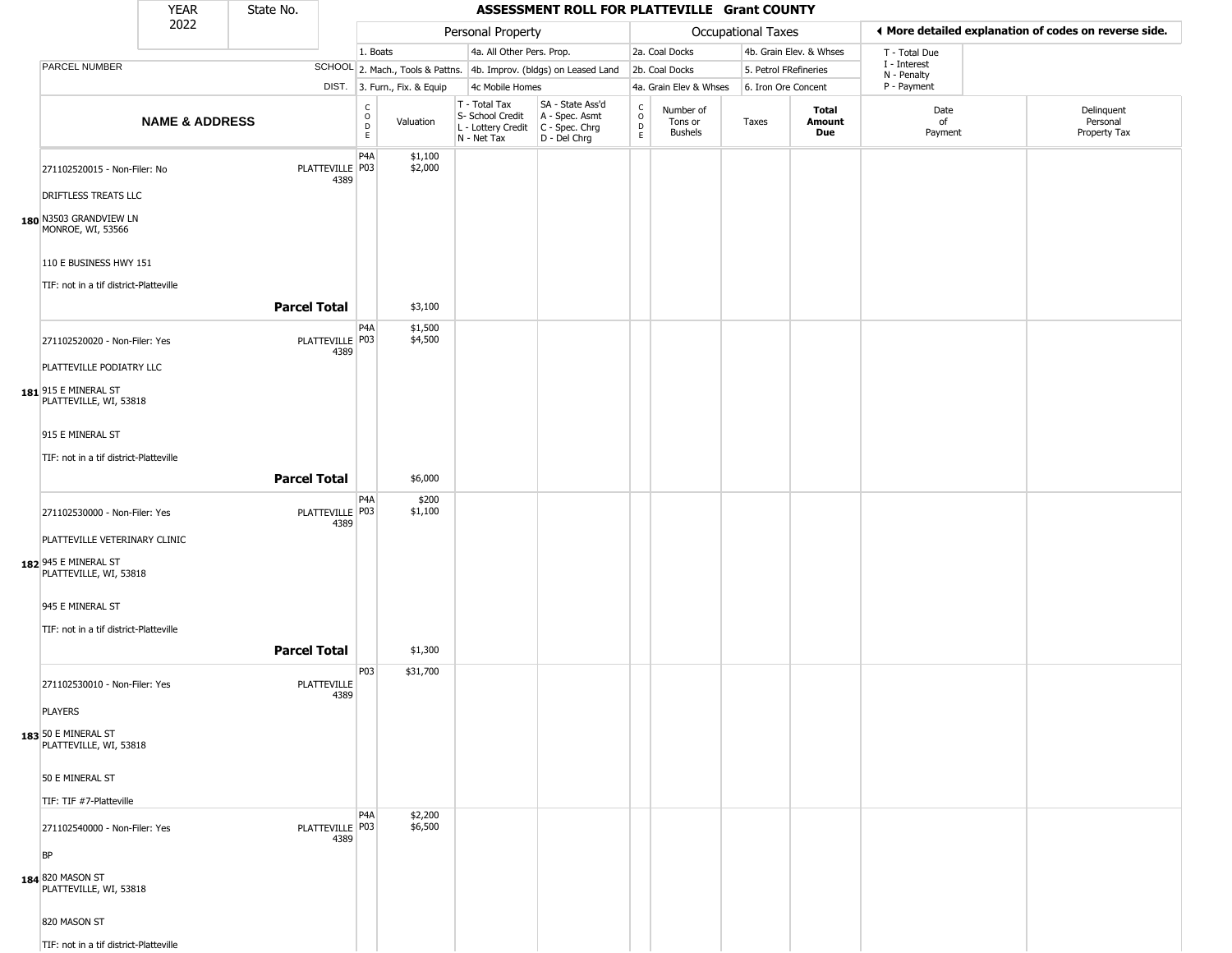|                                                                                 | <b>YEAR</b>               | State No.           |                         |                         |                              |                                                                        | ASSESSMENT ROLL FOR PLATTEVILLE Grant COUNTY                         |                                            |                                        |                           |                         |                             |                                                       |
|---------------------------------------------------------------------------------|---------------------------|---------------------|-------------------------|-------------------------|------------------------------|------------------------------------------------------------------------|----------------------------------------------------------------------|--------------------------------------------|----------------------------------------|---------------------------|-------------------------|-----------------------------|-------------------------------------------------------|
|                                                                                 | 2022                      |                     |                         |                         |                              | Personal Property                                                      |                                                                      |                                            |                                        | <b>Occupational Taxes</b> |                         |                             | ◀ More detailed explanation of codes on reverse side. |
|                                                                                 |                           |                     |                         | 1. Boats                |                              | 4a. All Other Pers. Prop.                                              |                                                                      |                                            | 2a. Coal Docks                         |                           | 4b. Grain Elev. & Whses | T - Total Due               |                                                       |
| PARCEL NUMBER                                                                   |                           |                     |                         |                         |                              |                                                                        | SCHOOL 2. Mach., Tools & Pattns. 4b. Improv. (bldgs) on Leased Land  |                                            | 2b. Coal Docks                         | 5. Petrol FRefineries     |                         | I - Interest<br>N - Penalty |                                                       |
|                                                                                 |                           |                     |                         |                         | DIST. 3. Furn., Fix. & Equip | 4c Mobile Homes                                                        |                                                                      |                                            | 4a. Grain Elev & Whses                 | 6. Iron Ore Concent       |                         | P - Payment                 |                                                       |
|                                                                                 | <b>NAME &amp; ADDRESS</b> |                     |                         | C<br>$\circ$<br>D<br>E. | Valuation                    | T - Total Tax<br>S- School Credit<br>L - Lottery Credit<br>N - Net Tax | SA - State Ass'd<br>A - Spec. Asmt<br>C - Spec. Chrg<br>D - Del Chrg | $\begin{array}{c} C \\ 0 \\ E \end{array}$ | Number of<br>Tons or<br><b>Bushels</b> | Taxes                     | Total<br>Amount<br>Due  | Date<br>of<br>Payment       | Delinquent<br>Personal<br>Property Tax                |
| 271102520015 - Non-Filer: No<br>DRIFTLESS TREATS LLC                            |                           |                     | PLATTEVILLE P03<br>4389 | P <sub>4</sub> A        | \$1,100<br>\$2,000           |                                                                        |                                                                      |                                            |                                        |                           |                         |                             |                                                       |
| 180 N3503 GRANDVIEW LN<br>MONROE, WI, 53566                                     |                           |                     |                         |                         |                              |                                                                        |                                                                      |                                            |                                        |                           |                         |                             |                                                       |
| 110 E BUSINESS HWY 151<br>TIF: not in a tif district-Platteville                |                           |                     |                         |                         |                              |                                                                        |                                                                      |                                            |                                        |                           |                         |                             |                                                       |
|                                                                                 |                           | <b>Parcel Total</b> |                         |                         | \$3,100                      |                                                                        |                                                                      |                                            |                                        |                           |                         |                             |                                                       |
| 271102520020 - Non-Filer: Yes                                                   |                           |                     | PLATTEVILLE P03<br>4389 | P4A                     | \$1,500<br>\$4,500           |                                                                        |                                                                      |                                            |                                        |                           |                         |                             |                                                       |
| PLATTEVILLE PODIATRY LLC<br>181 915 E MINERAL ST<br>PLATTEVILLE, WI, 53818      |                           |                     |                         |                         |                              |                                                                        |                                                                      |                                            |                                        |                           |                         |                             |                                                       |
| 915 E MINERAL ST                                                                |                           |                     |                         |                         |                              |                                                                        |                                                                      |                                            |                                        |                           |                         |                             |                                                       |
| TIF: not in a tif district-Platteville                                          |                           | <b>Parcel Total</b> |                         |                         | \$6,000                      |                                                                        |                                                                      |                                            |                                        |                           |                         |                             |                                                       |
| 271102530000 - Non-Filer: Yes                                                   |                           |                     | PLATTEVILLE P03<br>4389 | P4A                     | \$200<br>\$1,100             |                                                                        |                                                                      |                                            |                                        |                           |                         |                             |                                                       |
| PLATTEVILLE VETERINARY CLINIC<br>182 945 E MINERAL ST<br>PLATTEVILLE, WI, 53818 |                           |                     |                         |                         |                              |                                                                        |                                                                      |                                            |                                        |                           |                         |                             |                                                       |
| 945 E MINERAL ST                                                                |                           |                     |                         |                         |                              |                                                                        |                                                                      |                                            |                                        |                           |                         |                             |                                                       |
| TIF: not in a tif district-Platteville                                          |                           | <b>Parcel Total</b> |                         |                         | \$1,300                      |                                                                        |                                                                      |                                            |                                        |                           |                         |                             |                                                       |
| 271102530010 - Non-Filer: Yes                                                   |                           |                     | PLATTEVILLE<br>4389     | P03                     | \$31,700                     |                                                                        |                                                                      |                                            |                                        |                           |                         |                             |                                                       |
| <b>PLAYERS</b>                                                                  |                           |                     |                         |                         |                              |                                                                        |                                                                      |                                            |                                        |                           |                         |                             |                                                       |
| 183 50 E MINERAL ST<br>PLATTEVILLE, WI, 53818                                   |                           |                     |                         |                         |                              |                                                                        |                                                                      |                                            |                                        |                           |                         |                             |                                                       |
| 50 E MINERAL ST                                                                 |                           |                     |                         |                         |                              |                                                                        |                                                                      |                                            |                                        |                           |                         |                             |                                                       |
| TIF: TIF #7-Platteville                                                         |                           |                     |                         |                         |                              |                                                                        |                                                                      |                                            |                                        |                           |                         |                             |                                                       |
| 271102540000 - Non-Filer: Yes                                                   |                           |                     | PLATTEVILLE P03<br>4389 | P4A                     | \$2,200<br>\$6,500           |                                                                        |                                                                      |                                            |                                        |                           |                         |                             |                                                       |
| <b>BP</b><br>184 820 MASON ST<br>PLATTEVILLE, WI, 53818                         |                           |                     |                         |                         |                              |                                                                        |                                                                      |                                            |                                        |                           |                         |                             |                                                       |
| 820 MASON ST                                                                    |                           |                     |                         |                         |                              |                                                                        |                                                                      |                                            |                                        |                           |                         |                             |                                                       |
| TIF: not in a tif district-Platteville                                          |                           |                     |                         |                         |                              |                                                                        |                                                                      |                                            |                                        |                           |                         |                             |                                                       |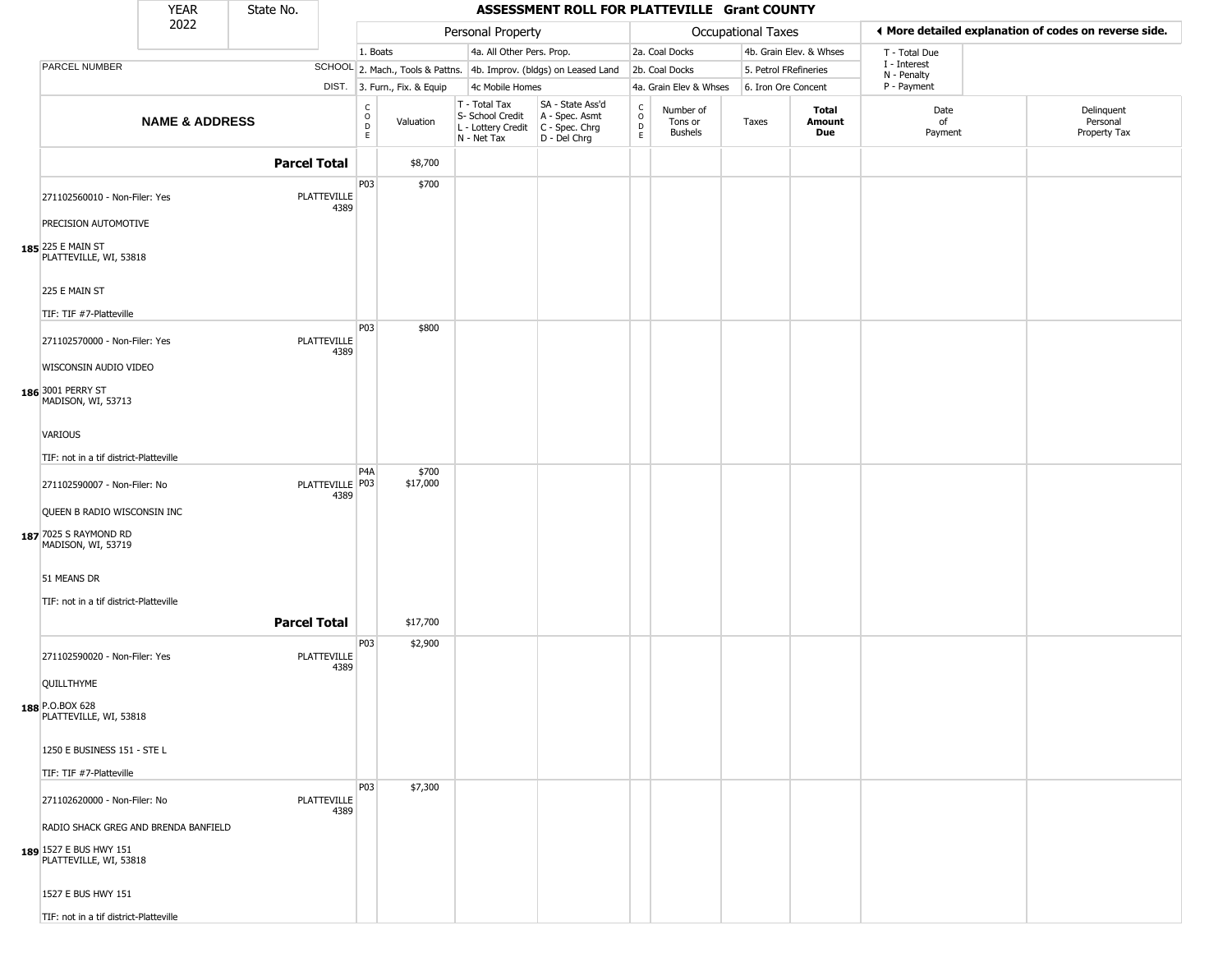|                                                                                                                                                | <b>YEAR</b>               | State No.           |                            |                                        |                              |                                                                        | ASSESSMENT ROLL FOR PLATTEVILLE Grant COUNTY                         |                                                 |                                        |                           |                         |                             |                                                       |
|------------------------------------------------------------------------------------------------------------------------------------------------|---------------------------|---------------------|----------------------------|----------------------------------------|------------------------------|------------------------------------------------------------------------|----------------------------------------------------------------------|-------------------------------------------------|----------------------------------------|---------------------------|-------------------------|-----------------------------|-------------------------------------------------------|
|                                                                                                                                                | 2022                      |                     |                            |                                        |                              | Personal Property                                                      |                                                                      |                                                 |                                        | <b>Occupational Taxes</b> |                         |                             | ◀ More detailed explanation of codes on reverse side. |
|                                                                                                                                                |                           |                     |                            | 1. Boats                               |                              | 4a. All Other Pers. Prop.                                              |                                                                      |                                                 | 2a. Coal Docks                         |                           | 4b. Grain Elev. & Whses | T - Total Due               |                                                       |
| PARCEL NUMBER                                                                                                                                  |                           |                     |                            |                                        |                              |                                                                        | SCHOOL 2. Mach., Tools & Pattns. 4b. Improv. (bldgs) on Leased Land  |                                                 | 2b. Coal Docks                         | 5. Petrol FRefineries     |                         | I - Interest<br>N - Penalty |                                                       |
|                                                                                                                                                |                           |                     |                            |                                        | DIST. 3. Furn., Fix. & Equip | 4c Mobile Homes                                                        |                                                                      |                                                 | 4a. Grain Elev & Whses                 | 6. Iron Ore Concent       |                         | P - Payment                 |                                                       |
|                                                                                                                                                | <b>NAME &amp; ADDRESS</b> |                     |                            | $\mathsf{C}$<br>$\mathsf O$<br>D<br>E. | Valuation                    | T - Total Tax<br>S- School Credit<br>L - Lottery Credit<br>N - Net Tax | SA - State Ass'd<br>A - Spec. Asmt<br>C - Spec. Chrg<br>D - Del Chrg | $\begin{array}{c} C \\ O \\ D \\ E \end{array}$ | Number of<br>Tons or<br><b>Bushels</b> | Taxes                     | Total<br>Amount<br>Due  | Date<br>of<br>Payment       | Delinquent<br>Personal<br>Property Tax                |
|                                                                                                                                                |                           | <b>Parcel Total</b> |                            |                                        | \$8,700                      |                                                                        |                                                                      |                                                 |                                        |                           |                         |                             |                                                       |
| 271102560010 - Non-Filer: Yes<br>PRECISION AUTOMOTIVE<br>185 225 E MAIN ST                                                                     |                           |                     | <b>PLATTEVILLE</b><br>4389 | P03                                    | \$700                        |                                                                        |                                                                      |                                                 |                                        |                           |                         |                             |                                                       |
| PLATTEVILLE, WI, 53818<br>225 E MAIN ST<br>TIF: TIF #7-Platteville                                                                             |                           |                     |                            |                                        |                              |                                                                        |                                                                      |                                                 |                                        |                           |                         |                             |                                                       |
| 271102570000 - Non-Filer: Yes<br>WISCONSIN AUDIO VIDEO                                                                                         |                           |                     | <b>PLATTEVILLE</b><br>4389 | P03                                    | \$800                        |                                                                        |                                                                      |                                                 |                                        |                           |                         |                             |                                                       |
| 186 3001 PERRY ST<br>MADISON, WI, 53713<br>VARIOUS<br>TIF: not in a tif district-Platteville                                                   |                           |                     |                            |                                        |                              |                                                                        |                                                                      |                                                 |                                        |                           |                         |                             |                                                       |
| 271102590007 - Non-Filer: No<br>QUEEN B RADIO WISCONSIN INC                                                                                    |                           |                     | PLATTEVILLE   P03<br>4389  | P <sub>4</sub> A                       | \$700<br>\$17,000            |                                                                        |                                                                      |                                                 |                                        |                           |                         |                             |                                                       |
| 187 7025 S RAYMOND RD<br>MADISON, WI, 53719<br>51 MEANS DR<br>TIF: not in a tif district-Platteville                                           |                           |                     |                            |                                        |                              |                                                                        |                                                                      |                                                 |                                        |                           |                         |                             |                                                       |
|                                                                                                                                                |                           | <b>Parcel Total</b> |                            |                                        | \$17,700                     |                                                                        |                                                                      |                                                 |                                        |                           |                         |                             |                                                       |
| 271102590020 - Non-Filer: Yes<br>QUILLTHYME<br>188 P.O.BOX 628<br>PLATTEVILLE, WI, 53818                                                       |                           |                     | <b>PLATTEVILLE</b><br>4389 | P <sub>03</sub>                        | \$2,900                      |                                                                        |                                                                      |                                                 |                                        |                           |                         |                             |                                                       |
| 1250 E BUSINESS 151 - STE L<br>TIF: TIF #7-Platteville                                                                                         |                           |                     |                            |                                        |                              |                                                                        |                                                                      |                                                 |                                        |                           |                         |                             |                                                       |
| 271102620000 - Non-Filer: No<br>RADIO SHACK GREG AND BRENDA BANFIELD<br>189 1527 E BUS HWY 151<br>PLATTEVILLE, WI, 53818<br>1527 E BUS HWY 151 |                           |                     | <b>PLATTEVILLE</b><br>4389 | P03                                    | \$7,300                      |                                                                        |                                                                      |                                                 |                                        |                           |                         |                             |                                                       |
| TIF: not in a tif district-Platteville                                                                                                         |                           |                     |                            |                                        |                              |                                                                        |                                                                      |                                                 |                                        |                           |                         |                             |                                                       |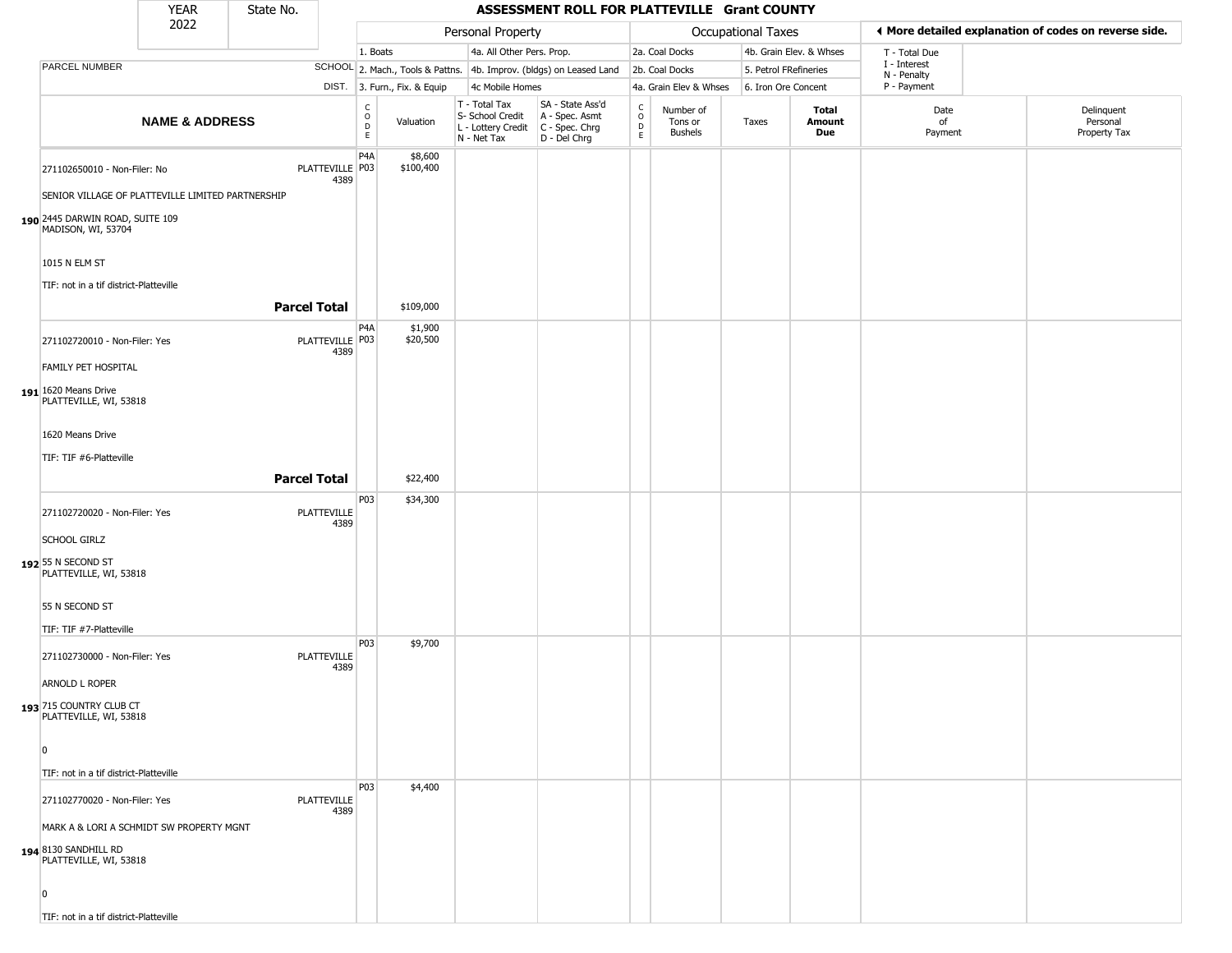|                                                                                                                             | <b>YEAR</b>               | State No.           |                            |                                                          |                              |                                                  | ASSESSMENT ROLL FOR PLATTEVILLE Grant COUNTY                                              |                                   |                                        |                       |                         |                             |                                                       |
|-----------------------------------------------------------------------------------------------------------------------------|---------------------------|---------------------|----------------------------|----------------------------------------------------------|------------------------------|--------------------------------------------------|-------------------------------------------------------------------------------------------|-----------------------------------|----------------------------------------|-----------------------|-------------------------|-----------------------------|-------------------------------------------------------|
|                                                                                                                             | 2022                      |                     |                            |                                                          |                              | Personal Property                                |                                                                                           |                                   |                                        | Occupational Taxes    |                         |                             | ♦ More detailed explanation of codes on reverse side. |
|                                                                                                                             |                           |                     |                            | 1. Boats                                                 |                              | 4a. All Other Pers. Prop.                        |                                                                                           |                                   | 2a. Coal Docks                         |                       | 4b. Grain Elev. & Whses | T - Total Due               |                                                       |
| PARCEL NUMBER                                                                                                               |                           |                     |                            |                                                          |                              |                                                  | SCHOOL 2. Mach., Tools & Pattns. 4b. Improv. (bldgs) on Leased Land                       |                                   | 2b. Coal Docks                         | 5. Petrol FRefineries |                         | I - Interest<br>N - Penalty |                                                       |
|                                                                                                                             |                           |                     |                            |                                                          | DIST. 3. Furn., Fix. & Equip | 4c Mobile Homes                                  |                                                                                           |                                   | 4a. Grain Elev & Whses                 | 6. Iron Ore Concent   |                         | P - Payment                 |                                                       |
|                                                                                                                             | <b>NAME &amp; ADDRESS</b> |                     |                            | $\begin{matrix} 0 \\ 0 \\ D \end{matrix}$<br>$\mathsf E$ | Valuation                    | T - Total Tax<br>S- School Credit<br>N - Net Tax | SA - State Ass'd<br>A - Spec. Asmt<br>L - Lottery Credit   C - Spec. Chrg<br>D - Del Chrg | C<br>$\circ$<br>$\mathsf{D}$<br>E | Number of<br>Tons or<br><b>Bushels</b> | Taxes                 | Total<br>Amount<br>Due  | Date<br>of<br>Payment       | Delinquent<br>Personal<br>Property Tax                |
| 271102650010 - Non-Filer: No<br>SENIOR VILLAGE OF PLATTEVILLE LIMITED PARTNERSHIP                                           |                           |                     | PLATTEVILLE P03<br>4389    | P4A                                                      | \$8,600<br>\$100,400         |                                                  |                                                                                           |                                   |                                        |                       |                         |                             |                                                       |
| 190 2445 DARWIN ROAD, SUITE 109<br>MADISON, WI, 53704                                                                       |                           |                     |                            |                                                          |                              |                                                  |                                                                                           |                                   |                                        |                       |                         |                             |                                                       |
| 1015 N ELM ST<br>TIF: not in a tif district-Platteville                                                                     |                           | <b>Parcel Total</b> |                            |                                                          | \$109,000                    |                                                  |                                                                                           |                                   |                                        |                       |                         |                             |                                                       |
| 271102720010 - Non-Filer: Yes                                                                                               |                           |                     | PLATTEVILLE P03<br>4389    | P4A                                                      | \$1,900<br>\$20,500          |                                                  |                                                                                           |                                   |                                        |                       |                         |                             |                                                       |
| FAMILY PET HOSPITAL<br>191 1620 Means Drive<br>PLATTEVILLE, WI, 53818                                                       |                           |                     |                            |                                                          |                              |                                                  |                                                                                           |                                   |                                        |                       |                         |                             |                                                       |
| 1620 Means Drive                                                                                                            |                           |                     |                            |                                                          |                              |                                                  |                                                                                           |                                   |                                        |                       |                         |                             |                                                       |
| TIF: TIF #6-Platteville                                                                                                     |                           | <b>Parcel Total</b> |                            |                                                          | \$22,400                     |                                                  |                                                                                           |                                   |                                        |                       |                         |                             |                                                       |
| 271102720020 - Non-Filer: Yes<br><b>SCHOOL GIRLZ</b>                                                                        |                           |                     | PLATTEVILLE<br>4389        | P03                                                      | \$34,300                     |                                                  |                                                                                           |                                   |                                        |                       |                         |                             |                                                       |
| 192 55 N SECOND ST<br>PLATTEVILLE, WI, 53818                                                                                |                           |                     |                            |                                                          |                              |                                                  |                                                                                           |                                   |                                        |                       |                         |                             |                                                       |
| 55 N SECOND ST<br>TIF: TIF #7-Platteville                                                                                   |                           |                     |                            |                                                          |                              |                                                  |                                                                                           |                                   |                                        |                       |                         |                             |                                                       |
| 271102730000 - Non-Filer: Yes<br>ARNOLD L ROPER                                                                             |                           |                     | PLATTEVILLE<br>4389        | P03                                                      | \$9,700                      |                                                  |                                                                                           |                                   |                                        |                       |                         |                             |                                                       |
| 193 715 COUNTRY CLUB CT<br>PLATTEVILLE, WI, 53818                                                                           |                           |                     |                            |                                                          |                              |                                                  |                                                                                           |                                   |                                        |                       |                         |                             |                                                       |
| 0<br>TIF: not in a tif district-Platteville                                                                                 |                           |                     |                            |                                                          |                              |                                                  |                                                                                           |                                   |                                        |                       |                         |                             |                                                       |
| 271102770020 - Non-Filer: Yes<br>MARK A & LORI A SCHMIDT SW PROPERTY MGNT<br>194 8130 SANDHILL RD<br>PLATTEVILLE, WI, 53818 |                           |                     | <b>PLATTEVILLE</b><br>4389 | <b>P03</b>                                               | \$4,400                      |                                                  |                                                                                           |                                   |                                        |                       |                         |                             |                                                       |
| 0<br>TIF: not in a tif district-Platteville                                                                                 |                           |                     |                            |                                                          |                              |                                                  |                                                                                           |                                   |                                        |                       |                         |                             |                                                       |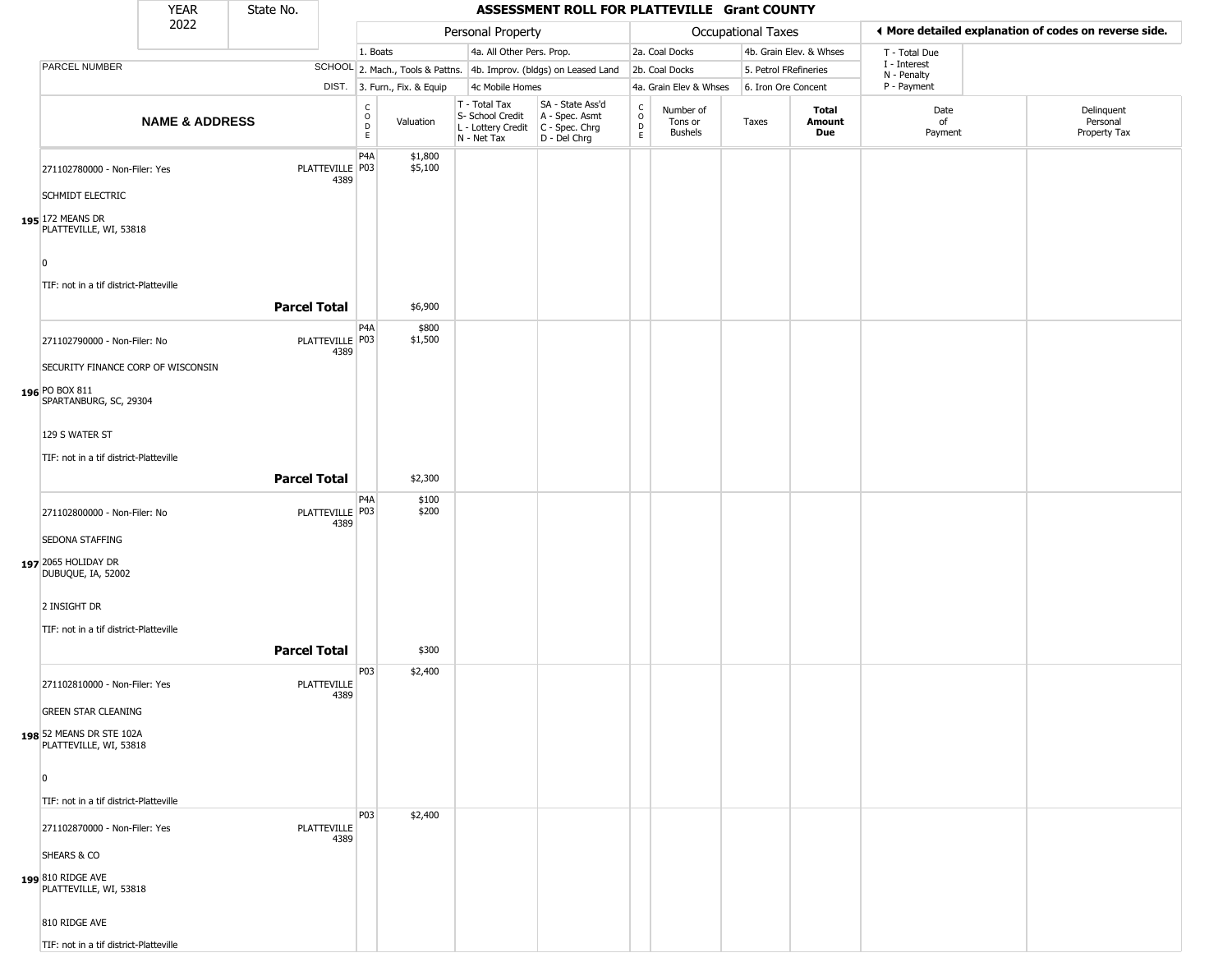|                                                    | <b>YEAR</b>               | State No.           |                            |                         |                              |                                                                        | ASSESSMENT ROLL FOR PLATTEVILLE Grant COUNTY                           |                                                 |                                 |                       |                         |                                                       |                                        |
|----------------------------------------------------|---------------------------|---------------------|----------------------------|-------------------------|------------------------------|------------------------------------------------------------------------|------------------------------------------------------------------------|-------------------------------------------------|---------------------------------|-----------------------|-------------------------|-------------------------------------------------------|----------------------------------------|
|                                                    | 2022                      |                     |                            |                         |                              | Personal Property                                                      |                                                                        |                                                 |                                 | Occupational Taxes    |                         | ♦ More detailed explanation of codes on reverse side. |                                        |
|                                                    |                           |                     |                            | 1. Boats                |                              | 4a. All Other Pers. Prop.                                              |                                                                        |                                                 | 2a. Coal Docks                  |                       | 4b. Grain Elev. & Whses | T - Total Due                                         |                                        |
| PARCEL NUMBER                                      |                           |                     |                            |                         |                              |                                                                        | SCHOOL 2. Mach., Tools & Pattns. 4b. Improv. (bldgs) on Leased Land    |                                                 | 2b. Coal Docks                  | 5. Petrol FRefineries |                         | I - Interest<br>N - Penalty                           |                                        |
|                                                    |                           |                     |                            |                         | DIST. 3. Furn., Fix. & Equip | 4c Mobile Homes                                                        |                                                                        |                                                 | 4a. Grain Elev & Whses          | 6. Iron Ore Concent   |                         | P - Payment                                           |                                        |
|                                                    | <b>NAME &amp; ADDRESS</b> |                     |                            | C<br>$\circ$<br>D<br>E. | Valuation                    | T - Total Tax<br>S- School Credit<br>L - Lottery Credit<br>N - Net Tax | SA - State Ass'd<br>A - Spec. Asmt<br>$C - Spec. Chrg$<br>D - Del Chrg | $\begin{array}{c} C \\ O \\ D \\ E \end{array}$ | Number of<br>Tons or<br>Bushels | Taxes                 | Total<br>Amount<br>Due  | Date<br>of<br>Payment                                 | Delinquent<br>Personal<br>Property Tax |
| 271102780000 - Non-Filer: Yes<br>SCHMIDT ELECTRIC  |                           |                     | PLATTEVILLE P03<br>4389    | P <sub>4</sub> A        | \$1,800<br>\$5,100           |                                                                        |                                                                        |                                                 |                                 |                       |                         |                                                       |                                        |
| 195 172 MEANS DR<br>PLATTEVILLE, WI, 53818<br>0    |                           |                     |                            |                         |                              |                                                                        |                                                                        |                                                 |                                 |                       |                         |                                                       |                                        |
| TIF: not in a tif district-Platteville             |                           | <b>Parcel Total</b> |                            |                         | \$6,900                      |                                                                        |                                                                        |                                                 |                                 |                       |                         |                                                       |                                        |
| 271102790000 - Non-Filer: No                       |                           |                     | PLATTEVILLE P03<br>4389    | P4A                     | \$800<br>\$1,500             |                                                                        |                                                                        |                                                 |                                 |                       |                         |                                                       |                                        |
| SECURITY FINANCE CORP OF WISCONSIN                 |                           |                     |                            |                         |                              |                                                                        |                                                                        |                                                 |                                 |                       |                         |                                                       |                                        |
| 196 PO BOX 811<br>SPARTANBURG, SC, 29304           |                           |                     |                            |                         |                              |                                                                        |                                                                        |                                                 |                                 |                       |                         |                                                       |                                        |
| 129 S WATER ST                                     |                           |                     |                            |                         |                              |                                                                        |                                                                        |                                                 |                                 |                       |                         |                                                       |                                        |
| TIF: not in a tif district-Platteville             |                           |                     |                            |                         |                              |                                                                        |                                                                        |                                                 |                                 |                       |                         |                                                       |                                        |
|                                                    |                           | <b>Parcel Total</b> |                            |                         | \$2,300                      |                                                                        |                                                                        |                                                 |                                 |                       |                         |                                                       |                                        |
| 271102800000 - Non-Filer: No                       |                           |                     | PLATTEVILLE P03<br>4389    | P <sub>4</sub> A        | \$100<br>\$200               |                                                                        |                                                                        |                                                 |                                 |                       |                         |                                                       |                                        |
| SEDONA STAFFING                                    |                           |                     |                            |                         |                              |                                                                        |                                                                        |                                                 |                                 |                       |                         |                                                       |                                        |
| 197 2065 HOLIDAY DR<br>DUBUQUE, IA, 52002          |                           |                     |                            |                         |                              |                                                                        |                                                                        |                                                 |                                 |                       |                         |                                                       |                                        |
| 2 INSIGHT DR                                       |                           |                     |                            |                         |                              |                                                                        |                                                                        |                                                 |                                 |                       |                         |                                                       |                                        |
| TIF: not in a tif district-Platteville             |                           |                     |                            |                         |                              |                                                                        |                                                                        |                                                 |                                 |                       |                         |                                                       |                                        |
|                                                    |                           | <b>Parcel Total</b> |                            |                         | \$300                        |                                                                        |                                                                        |                                                 |                                 |                       |                         |                                                       |                                        |
| 271102810000 - Non-Filer: Yes                      |                           |                     | <b>PLATTEVILLE</b><br>4389 | P03                     | \$2,400                      |                                                                        |                                                                        |                                                 |                                 |                       |                         |                                                       |                                        |
| <b>GREEN STAR CLEANING</b>                         |                           |                     |                            |                         |                              |                                                                        |                                                                        |                                                 |                                 |                       |                         |                                                       |                                        |
| 198 52 MEANS DR STE 102A<br>PLATTEVILLE, WI, 53818 |                           |                     |                            |                         |                              |                                                                        |                                                                        |                                                 |                                 |                       |                         |                                                       |                                        |
| 0                                                  |                           |                     |                            |                         |                              |                                                                        |                                                                        |                                                 |                                 |                       |                         |                                                       |                                        |
| TIF: not in a tif district-Platteville             |                           |                     |                            |                         |                              |                                                                        |                                                                        |                                                 |                                 |                       |                         |                                                       |                                        |
| 271102870000 - Non-Filer: Yes                      |                           |                     | <b>PLATTEVILLE</b><br>4389 | P03                     | \$2,400                      |                                                                        |                                                                        |                                                 |                                 |                       |                         |                                                       |                                        |
| SHEARS & CO                                        |                           |                     |                            |                         |                              |                                                                        |                                                                        |                                                 |                                 |                       |                         |                                                       |                                        |
| 199 810 RIDGE AVE<br>PLATTEVILLE, WI, 53818        |                           |                     |                            |                         |                              |                                                                        |                                                                        |                                                 |                                 |                       |                         |                                                       |                                        |
| 810 RIDGE AVE                                      |                           |                     |                            |                         |                              |                                                                        |                                                                        |                                                 |                                 |                       |                         |                                                       |                                        |
| TIF: not in a tif district-Platteville             |                           |                     |                            |                         |                              |                                                                        |                                                                        |                                                 |                                 |                       |                         |                                                       |                                        |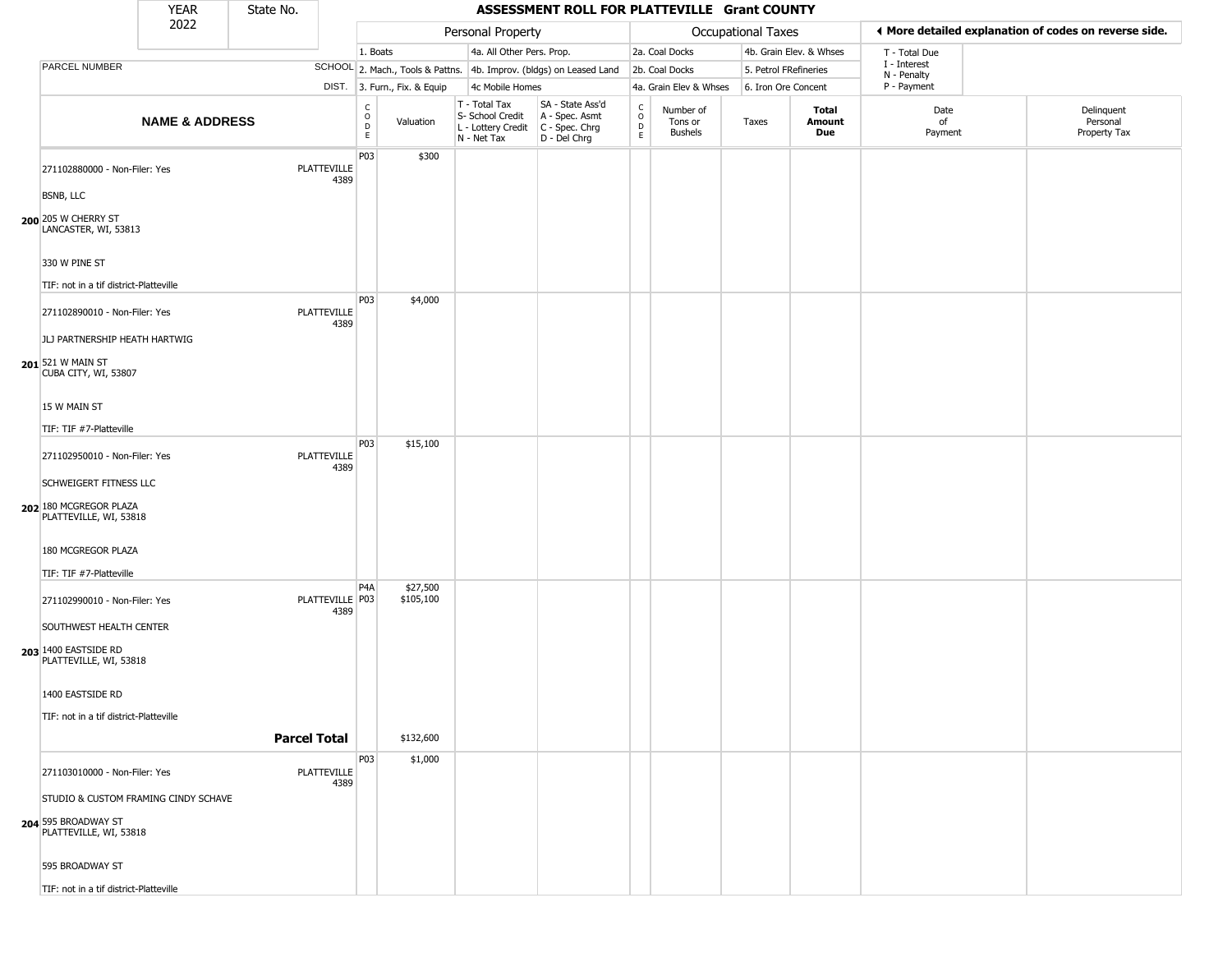|                                                                                       | <b>YEAR</b>               | State No.           |                            |                                   |                              |                                                                        | ASSESSMENT ROLL FOR PLATTEVILLE Grant COUNTY                         |                                   |                                        |                    |                         |                             |                                                       |
|---------------------------------------------------------------------------------------|---------------------------|---------------------|----------------------------|-----------------------------------|------------------------------|------------------------------------------------------------------------|----------------------------------------------------------------------|-----------------------------------|----------------------------------------|--------------------|-------------------------|-----------------------------|-------------------------------------------------------|
|                                                                                       | 2022                      |                     |                            |                                   |                              | Personal Property                                                      |                                                                      |                                   |                                        | Occupational Taxes |                         |                             | ♦ More detailed explanation of codes on reverse side. |
|                                                                                       |                           |                     |                            | 1. Boats                          |                              | 4a. All Other Pers. Prop.                                              |                                                                      |                                   | 2a. Coal Docks                         |                    | 4b. Grain Elev. & Whses | T - Total Due               |                                                       |
| PARCEL NUMBER                                                                         |                           |                     |                            |                                   |                              |                                                                        | SCHOOL 2. Mach., Tools & Pattns. 4b. Improv. (bldgs) on Leased Land  |                                   | 2b. Coal Docks                         |                    | 5. Petrol FRefineries   | I - Interest<br>N - Penalty |                                                       |
|                                                                                       |                           |                     |                            |                                   | DIST. 3. Furn., Fix. & Equip | 4c Mobile Homes                                                        |                                                                      |                                   | 4a. Grain Elev & Whses                 |                    | 6. Iron Ore Concent     | P - Payment                 |                                                       |
|                                                                                       | <b>NAME &amp; ADDRESS</b> |                     |                            | $\mathsf{C}$<br>$\circ$<br>D<br>E | Valuation                    | T - Total Tax<br>S- School Credit<br>L - Lottery Credit<br>N - Net Tax | SA - State Ass'd<br>A - Spec. Asmt<br>C - Spec. Chrg<br>D - Del Chrg | $\rm\frac{C}{O}$<br>$\frac{D}{E}$ | Number of<br>Tons or<br><b>Bushels</b> | Taxes              | Total<br>Amount<br>Due  | Date<br>of<br>Payment       | Delinquent<br>Personal<br>Property Tax                |
| 271102880000 - Non-Filer: Yes                                                         |                           |                     | <b>PLATTEVILLE</b><br>4389 | P03                               | \$300                        |                                                                        |                                                                      |                                   |                                        |                    |                         |                             |                                                       |
| <b>BSNB, LLC</b><br>200 205 W CHERRY ST<br>LANCASTER, WI, 53813                       |                           |                     |                            |                                   |                              |                                                                        |                                                                      |                                   |                                        |                    |                         |                             |                                                       |
| 330 W PINE ST                                                                         |                           |                     |                            |                                   |                              |                                                                        |                                                                      |                                   |                                        |                    |                         |                             |                                                       |
| TIF: not in a tif district-Platteville                                                |                           |                     |                            |                                   |                              |                                                                        |                                                                      |                                   |                                        |                    |                         |                             |                                                       |
| 271102890010 - Non-Filer: Yes                                                         |                           |                     | <b>PLATTEVILLE</b><br>4389 | P03                               | \$4,000                      |                                                                        |                                                                      |                                   |                                        |                    |                         |                             |                                                       |
| JLJ PARTNERSHIP HEATH HARTWIG                                                         |                           |                     |                            |                                   |                              |                                                                        |                                                                      |                                   |                                        |                    |                         |                             |                                                       |
| 201 521 W MAIN ST<br>CUBA CITY, WI, 53807                                             |                           |                     |                            |                                   |                              |                                                                        |                                                                      |                                   |                                        |                    |                         |                             |                                                       |
| 15 W MAIN ST                                                                          |                           |                     |                            |                                   |                              |                                                                        |                                                                      |                                   |                                        |                    |                         |                             |                                                       |
| TIF: TIF #7-Platteville                                                               |                           |                     |                            |                                   |                              |                                                                        |                                                                      |                                   |                                        |                    |                         |                             |                                                       |
|                                                                                       |                           |                     |                            | P03                               | \$15,100                     |                                                                        |                                                                      |                                   |                                        |                    |                         |                             |                                                       |
| 271102950010 - Non-Filer: Yes<br>SCHWEIGERT FITNESS LLC                               |                           |                     | PLATTEVILLE<br>4389        |                                   |                              |                                                                        |                                                                      |                                   |                                        |                    |                         |                             |                                                       |
| 202 180 MCGREGOR PLAZA<br>PLATTEVILLE, WI, 53818                                      |                           |                     |                            |                                   |                              |                                                                        |                                                                      |                                   |                                        |                    |                         |                             |                                                       |
| 180 MCGREGOR PLAZA                                                                    |                           |                     |                            |                                   |                              |                                                                        |                                                                      |                                   |                                        |                    |                         |                             |                                                       |
| TIF: TIF #7-Platteville                                                               |                           |                     |                            |                                   |                              |                                                                        |                                                                      |                                   |                                        |                    |                         |                             |                                                       |
| 271102990010 - Non-Filer: Yes                                                         |                           |                     | PLATTEVILLE P03<br>4389    | P4A                               | \$27,500<br>\$105,100        |                                                                        |                                                                      |                                   |                                        |                    |                         |                             |                                                       |
| SOUTHWEST HEALTH CENTER                                                               |                           |                     |                            |                                   |                              |                                                                        |                                                                      |                                   |                                        |                    |                         |                             |                                                       |
| 203 1400 EASTSIDE RD<br>PLATTEVILLE, WI, 53818                                        |                           |                     |                            |                                   |                              |                                                                        |                                                                      |                                   |                                        |                    |                         |                             |                                                       |
| 1400 EASTSIDE RD                                                                      |                           |                     |                            |                                   |                              |                                                                        |                                                                      |                                   |                                        |                    |                         |                             |                                                       |
| TIF: not in a tif district-Platteville                                                |                           |                     |                            |                                   |                              |                                                                        |                                                                      |                                   |                                        |                    |                         |                             |                                                       |
|                                                                                       |                           | <b>Parcel Total</b> |                            |                                   | \$132,600                    |                                                                        |                                                                      |                                   |                                        |                    |                         |                             |                                                       |
|                                                                                       |                           |                     |                            |                                   |                              |                                                                        |                                                                      |                                   |                                        |                    |                         |                             |                                                       |
| 271103010000 - Non-Filer: Yes                                                         |                           |                     | PLATTEVILLE<br>4389        | P03                               | \$1,000                      |                                                                        |                                                                      |                                   |                                        |                    |                         |                             |                                                       |
| STUDIO & CUSTOM FRAMING CINDY SCHAVE<br>204 595 BROADWAY ST<br>PLATTEVILLE, WI, 53818 |                           |                     |                            |                                   |                              |                                                                        |                                                                      |                                   |                                        |                    |                         |                             |                                                       |
| 595 BROADWAY ST                                                                       |                           |                     |                            |                                   |                              |                                                                        |                                                                      |                                   |                                        |                    |                         |                             |                                                       |
| TIF: not in a tif district-Platteville                                                |                           |                     |                            |                                   |                              |                                                                        |                                                                      |                                   |                                        |                    |                         |                             |                                                       |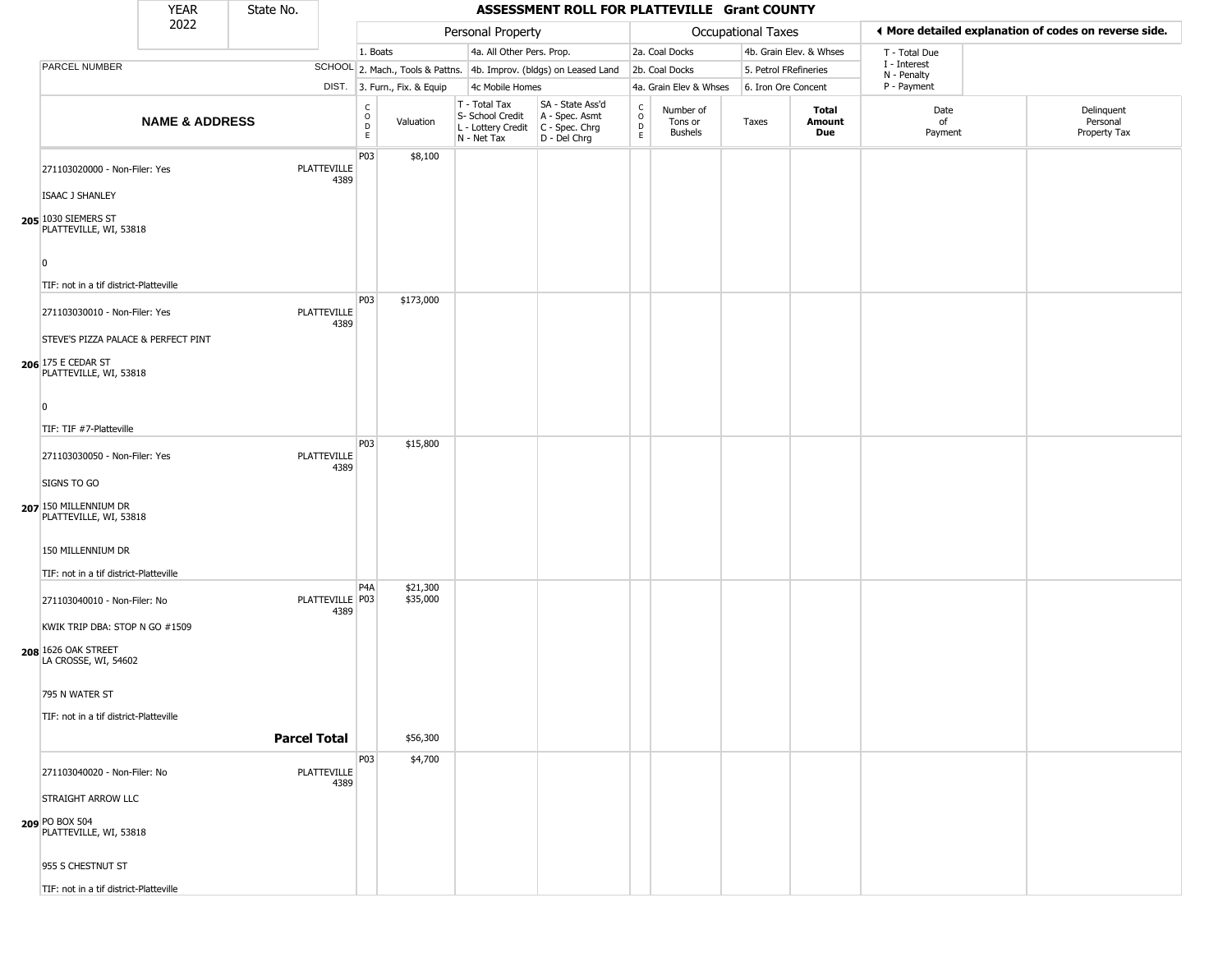|                                                                      | <b>YEAR</b>               | State No.           |                            |                                                  |                              |                                                                        | ASSESSMENT ROLL FOR PLATTEVILLE Grant COUNTY                         |                                        |                                        |                       |                         |                             |                                                       |
|----------------------------------------------------------------------|---------------------------|---------------------|----------------------------|--------------------------------------------------|------------------------------|------------------------------------------------------------------------|----------------------------------------------------------------------|----------------------------------------|----------------------------------------|-----------------------|-------------------------|-----------------------------|-------------------------------------------------------|
|                                                                      | 2022                      |                     |                            |                                                  |                              | Personal Property                                                      |                                                                      |                                        |                                        | Occupational Taxes    |                         |                             | ♦ More detailed explanation of codes on reverse side. |
|                                                                      |                           |                     |                            | 1. Boats                                         |                              | 4a. All Other Pers. Prop.                                              |                                                                      |                                        | 2a. Coal Docks                         |                       | 4b. Grain Elev. & Whses | T - Total Due               |                                                       |
| PARCEL NUMBER                                                        |                           |                     |                            |                                                  |                              |                                                                        | SCHOOL 2. Mach., Tools & Pattns. 4b. Improv. (bldgs) on Leased Land  |                                        | 2b. Coal Docks                         | 5. Petrol FRefineries |                         | I - Interest<br>N - Penalty |                                                       |
|                                                                      |                           |                     |                            |                                                  | DIST. 3. Furn., Fix. & Equip | 4c Mobile Homes                                                        |                                                                      |                                        | 4a. Grain Elev & Whses                 | 6. Iron Ore Concent   |                         | P - Payment                 |                                                       |
|                                                                      | <b>NAME &amp; ADDRESS</b> |                     |                            | $_{\rm o}^{\rm c}$<br>$\mathsf D$<br>$\mathsf E$ | Valuation                    | T - Total Tax<br>S- School Credit<br>L - Lottery Credit<br>N - Net Tax | SA - State Ass'd<br>A - Spec. Asmt<br>C - Spec. Chrg<br>D - Del Chrg | $_{\rm o}^{\rm c}$<br>$\mathsf D$<br>E | Number of<br>Tons or<br><b>Bushels</b> | Taxes                 | Total<br>Amount<br>Due  | Date<br>of<br>Payment       | Delinquent<br>Personal<br>Property Tax                |
| 271103020000 - Non-Filer: Yes                                        |                           |                     | PLATTEVILLE<br>4389        | P03                                              | \$8,100                      |                                                                        |                                                                      |                                        |                                        |                       |                         |                             |                                                       |
| ISAAC J SHANLEY<br>205 1030 SIEMERS ST<br>PLATTEVILLE, WI, 53818     |                           |                     |                            |                                                  |                              |                                                                        |                                                                      |                                        |                                        |                       |                         |                             |                                                       |
| $\overline{0}$<br>TIF: not in a tif district-Platteville             |                           |                     |                            |                                                  |                              |                                                                        |                                                                      |                                        |                                        |                       |                         |                             |                                                       |
| 271103030010 - Non-Filer: Yes<br>STEVE'S PIZZA PALACE & PERFECT PINT |                           |                     | PLATTEVILLE<br>4389        | P03                                              | \$173,000                    |                                                                        |                                                                      |                                        |                                        |                       |                         |                             |                                                       |
| 206 175 E CEDAR ST<br>PLATTEVILLE, WI, 53818<br>$\Omega$             |                           |                     |                            |                                                  |                              |                                                                        |                                                                      |                                        |                                        |                       |                         |                             |                                                       |
| TIF: TIF #7-Platteville                                              |                           |                     |                            |                                                  |                              |                                                                        |                                                                      |                                        |                                        |                       |                         |                             |                                                       |
| 271103030050 - Non-Filer: Yes<br>SIGNS TO GO                         |                           |                     | <b>PLATTEVILLE</b><br>4389 | P03                                              | \$15,800                     |                                                                        |                                                                      |                                        |                                        |                       |                         |                             |                                                       |
| 207 150 MILLENNIUM DR<br>PLATTEVILLE, WI, 53818                      |                           |                     |                            |                                                  |                              |                                                                        |                                                                      |                                        |                                        |                       |                         |                             |                                                       |
| 150 MILLENNIUM DR                                                    |                           |                     |                            |                                                  |                              |                                                                        |                                                                      |                                        |                                        |                       |                         |                             |                                                       |
| TIF: not in a tif district-Platteville                               |                           |                     |                            | P4A                                              | \$21,300                     |                                                                        |                                                                      |                                        |                                        |                       |                         |                             |                                                       |
| 271103040010 - Non-Filer: No<br>KWIK TRIP DBA: STOP N GO #1509       |                           |                     | PLATTEVILLE P03<br>4389    |                                                  | \$35,000                     |                                                                        |                                                                      |                                        |                                        |                       |                         |                             |                                                       |
| 208 1626 OAK STREET<br>LA CROSSE, WI, 54602                          |                           |                     |                            |                                                  |                              |                                                                        |                                                                      |                                        |                                        |                       |                         |                             |                                                       |
| 795 N WATER ST                                                       |                           |                     |                            |                                                  |                              |                                                                        |                                                                      |                                        |                                        |                       |                         |                             |                                                       |
| TIF: not in a tif district-Platteville                               |                           | <b>Parcel Total</b> |                            |                                                  | \$56,300                     |                                                                        |                                                                      |                                        |                                        |                       |                         |                             |                                                       |
| 271103040020 - Non-Filer: No                                         |                           |                     | <b>PLATTEVILLE</b><br>4389 | P03                                              | \$4,700                      |                                                                        |                                                                      |                                        |                                        |                       |                         |                             |                                                       |
| STRAIGHT ARROW LLC                                                   |                           |                     |                            |                                                  |                              |                                                                        |                                                                      |                                        |                                        |                       |                         |                             |                                                       |
| 209 PO BOX 504<br>PLATTEVILLE, WI, 53818                             |                           |                     |                            |                                                  |                              |                                                                        |                                                                      |                                        |                                        |                       |                         |                             |                                                       |
| 955 S CHESTNUT ST                                                    |                           |                     |                            |                                                  |                              |                                                                        |                                                                      |                                        |                                        |                       |                         |                             |                                                       |
| TIF: not in a tif district-Platteville                               |                           |                     |                            |                                                  |                              |                                                                        |                                                                      |                                        |                                        |                       |                         |                             |                                                       |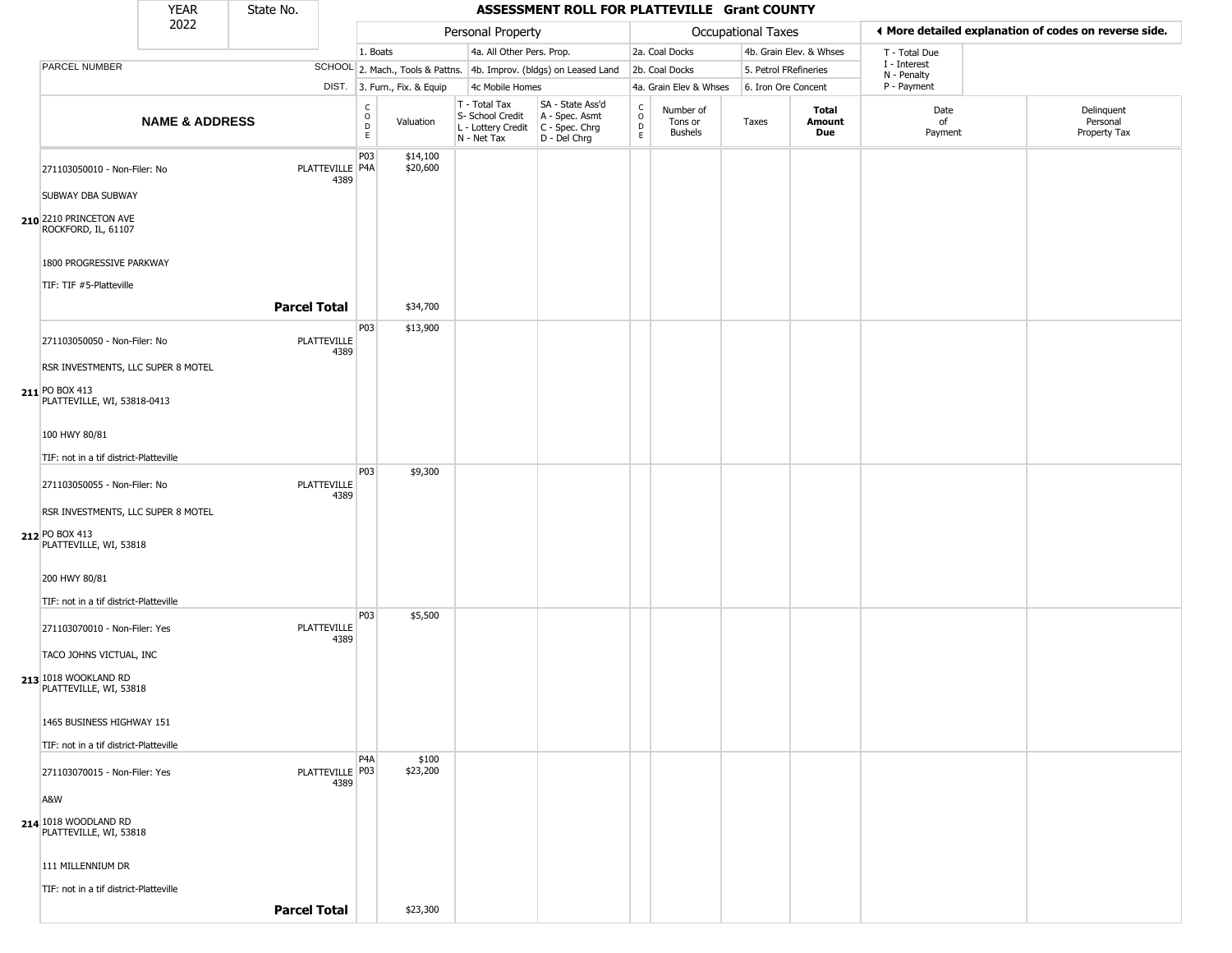|                                                | <b>YEAR</b>               | State No. |                            |                                                 |                              |                                                                                           | ASSESSMENT ROLL FOR PLATTEVILLE Grant COUNTY                        |                                                          |                                        |                           |                         |                             |                                                       |
|------------------------------------------------|---------------------------|-----------|----------------------------|-------------------------------------------------|------------------------------|-------------------------------------------------------------------------------------------|---------------------------------------------------------------------|----------------------------------------------------------|----------------------------------------|---------------------------|-------------------------|-----------------------------|-------------------------------------------------------|
|                                                | 2022                      |           |                            |                                                 |                              | Personal Property                                                                         |                                                                     |                                                          |                                        | <b>Occupational Taxes</b> |                         |                             | ◀ More detailed explanation of codes on reverse side. |
|                                                |                           |           |                            | 1. Boats                                        |                              | 4a. All Other Pers. Prop.                                                                 |                                                                     |                                                          | 2a. Coal Docks                         |                           | 4b. Grain Elev. & Whses | T - Total Due               |                                                       |
| PARCEL NUMBER                                  |                           |           |                            |                                                 |                              |                                                                                           | SCHOOL 2. Mach., Tools & Pattns. 4b. Improv. (bldgs) on Leased Land |                                                          | 2b. Coal Docks                         | 5. Petrol FRefineries     |                         | I - Interest<br>N - Penalty |                                                       |
|                                                |                           |           |                            |                                                 | DIST. 3. Furn., Fix. & Equip | 4c Mobile Homes                                                                           |                                                                     |                                                          | 4a. Grain Elev & Whses                 | 6. Iron Ore Concent       |                         | P - Payment                 |                                                       |
|                                                | <b>NAME &amp; ADDRESS</b> |           |                            | $\begin{array}{c} C \\ C \\ D \\ E \end{array}$ | Valuation                    | T - Total Tax<br>S- School Credit<br>$L$ - Lottery Credit $C$ - Spec. Chrg<br>N - Net Tax | SA - State Ass'd<br>A - Spec. Asmt<br>D - Del Chrg                  | $\begin{matrix} 0 \\ 0 \\ D \end{matrix}$<br>$\mathsf E$ | Number of<br>Tons or<br><b>Bushels</b> | Taxes                     | Total<br>Amount<br>Due  | Date<br>of<br>Payment       | Delinquent<br>Personal<br>Property Tax                |
| 271103050010 - Non-Filer: No                   |                           |           | PLATTEVILLE P4A<br>4389    | P <sub>03</sub>                                 | \$14,100<br>\$20,600         |                                                                                           |                                                                     |                                                          |                                        |                           |                         |                             |                                                       |
| SUBWAY DBA SUBWAY                              |                           |           |                            |                                                 |                              |                                                                                           |                                                                     |                                                          |                                        |                           |                         |                             |                                                       |
| 210 2210 PRINCETON AVE<br>ROCKFORD, IL, 61107  |                           |           |                            |                                                 |                              |                                                                                           |                                                                     |                                                          |                                        |                           |                         |                             |                                                       |
| 1800 PROGRESSIVE PARKWAY                       |                           |           |                            |                                                 |                              |                                                                                           |                                                                     |                                                          |                                        |                           |                         |                             |                                                       |
| TIF: TIF #5-Platteville                        |                           |           | <b>Parcel Total</b>        |                                                 | \$34,700                     |                                                                                           |                                                                     |                                                          |                                        |                           |                         |                             |                                                       |
| 271103050050 - Non-Filer: No                   |                           |           | <b>PLATTEVILLE</b><br>4389 | P03                                             | \$13,900                     |                                                                                           |                                                                     |                                                          |                                        |                           |                         |                             |                                                       |
| RSR INVESTMENTS, LLC SUPER 8 MOTEL             |                           |           |                            |                                                 |                              |                                                                                           |                                                                     |                                                          |                                        |                           |                         |                             |                                                       |
| 211 PO BOX 413<br>PLATTEVILLE, WI, 53818-0413  |                           |           |                            |                                                 |                              |                                                                                           |                                                                     |                                                          |                                        |                           |                         |                             |                                                       |
| 100 HWY 80/81                                  |                           |           |                            |                                                 |                              |                                                                                           |                                                                     |                                                          |                                        |                           |                         |                             |                                                       |
| TIF: not in a tif district-Platteville         |                           |           |                            |                                                 |                              |                                                                                           |                                                                     |                                                          |                                        |                           |                         |                             |                                                       |
| 271103050055 - Non-Filer: No                   |                           |           | PLATTEVILLE<br>4389        | <b>P03</b>                                      | \$9,300                      |                                                                                           |                                                                     |                                                          |                                        |                           |                         |                             |                                                       |
| RSR INVESTMENTS, LLC SUPER 8 MOTEL             |                           |           |                            |                                                 |                              |                                                                                           |                                                                     |                                                          |                                        |                           |                         |                             |                                                       |
| 212 PO BOX 413<br>PLATTEVILLE, WI, 53818       |                           |           |                            |                                                 |                              |                                                                                           |                                                                     |                                                          |                                        |                           |                         |                             |                                                       |
| 200 HWY 80/81                                  |                           |           |                            |                                                 |                              |                                                                                           |                                                                     |                                                          |                                        |                           |                         |                             |                                                       |
| TIF: not in a tif district-Platteville         |                           |           |                            |                                                 |                              |                                                                                           |                                                                     |                                                          |                                        |                           |                         |                             |                                                       |
| 271103070010 - Non-Filer: Yes                  |                           |           | <b>PLATTEVILLE</b><br>4389 | P03                                             | \$5,500                      |                                                                                           |                                                                     |                                                          |                                        |                           |                         |                             |                                                       |
| TACO JOHNS VICTUAL, INC                        |                           |           |                            |                                                 |                              |                                                                                           |                                                                     |                                                          |                                        |                           |                         |                             |                                                       |
| 213 1018 WOOKLAND RD<br>PLATTEVILLE, WI, 53818 |                           |           |                            |                                                 |                              |                                                                                           |                                                                     |                                                          |                                        |                           |                         |                             |                                                       |
| 1465 BUSINESS HIGHWAY 151                      |                           |           |                            |                                                 |                              |                                                                                           |                                                                     |                                                          |                                        |                           |                         |                             |                                                       |
| TIF: not in a tif district-Platteville         |                           |           |                            |                                                 |                              |                                                                                           |                                                                     |                                                          |                                        |                           |                         |                             |                                                       |
| 271103070015 - Non-Filer: Yes                  |                           |           | PLATTEVILLE   P03<br>4389  | P <sub>4</sub> A                                | \$100<br>\$23,200            |                                                                                           |                                                                     |                                                          |                                        |                           |                         |                             |                                                       |
| A&W                                            |                           |           |                            |                                                 |                              |                                                                                           |                                                                     |                                                          |                                        |                           |                         |                             |                                                       |
| 214 1018 WOODLAND RD<br>PLATTEVILLE, WI, 53818 |                           |           |                            |                                                 |                              |                                                                                           |                                                                     |                                                          |                                        |                           |                         |                             |                                                       |
| 111 MILLENNIUM DR                              |                           |           |                            |                                                 |                              |                                                                                           |                                                                     |                                                          |                                        |                           |                         |                             |                                                       |
| TIF: not in a tif district-Platteville         |                           |           | <b>Parcel Total</b>        |                                                 | \$23,300                     |                                                                                           |                                                                     |                                                          |                                        |                           |                         |                             |                                                       |
|                                                |                           |           |                            |                                                 |                              |                                                                                           |                                                                     |                                                          |                                        |                           |                         |                             |                                                       |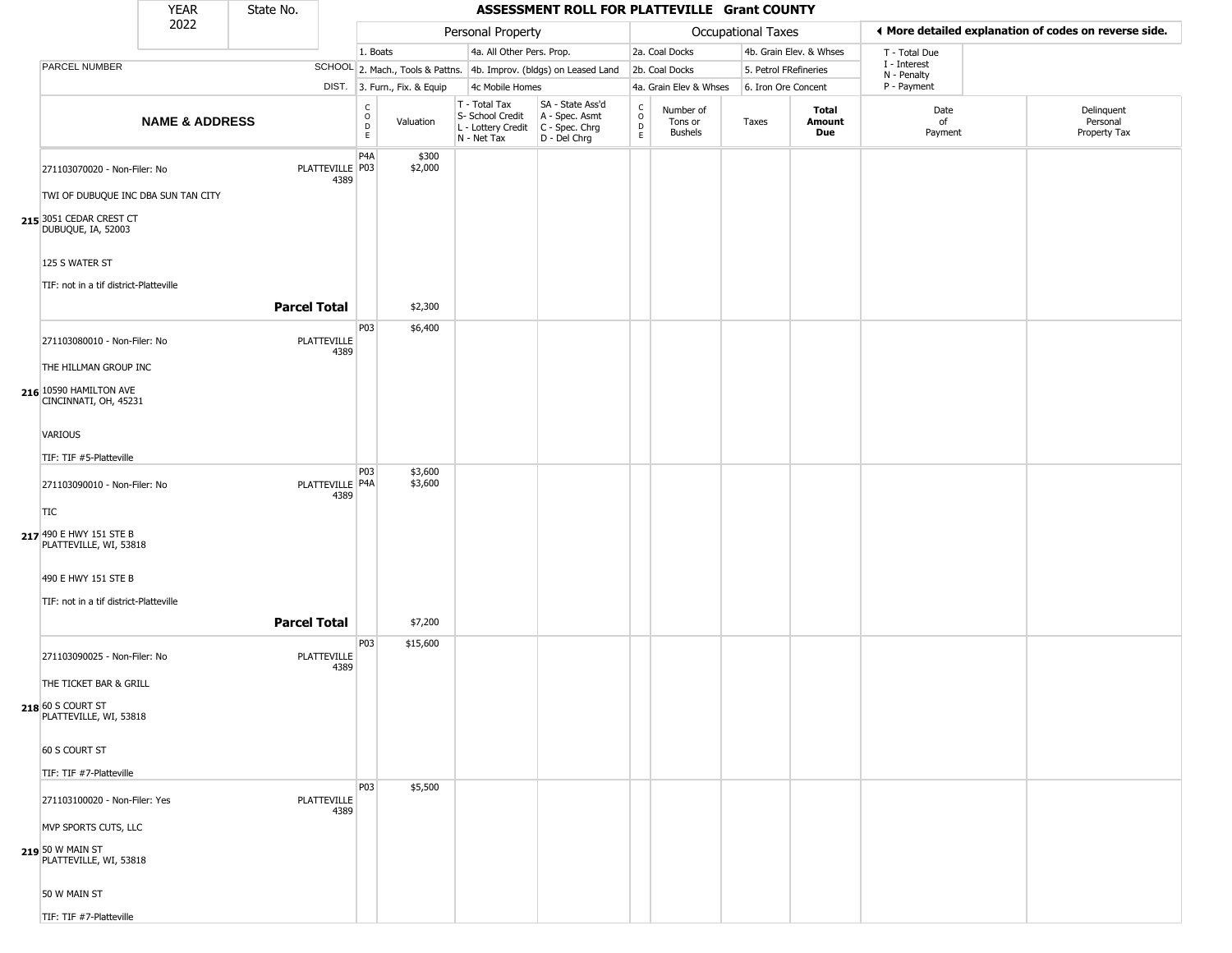|                                                   | <b>YEAR</b>               | State No.           |                         |                                                 |                              |                                                  | ASSESSMENT ROLL FOR PLATTEVILLE Grant COUNTY                                                |                         |                                        |                       |                         |                             |                                                       |
|---------------------------------------------------|---------------------------|---------------------|-------------------------|-------------------------------------------------|------------------------------|--------------------------------------------------|---------------------------------------------------------------------------------------------|-------------------------|----------------------------------------|-----------------------|-------------------------|-----------------------------|-------------------------------------------------------|
|                                                   | 2022                      |                     |                         |                                                 |                              | Personal Property                                |                                                                                             |                         |                                        | Occupational Taxes    |                         |                             | ♦ More detailed explanation of codes on reverse side. |
|                                                   |                           |                     |                         | 1. Boats                                        |                              |                                                  | 4a. All Other Pers. Prop.                                                                   |                         | 2a. Coal Docks                         |                       | 4b. Grain Elev. & Whses | T - Total Due               |                                                       |
| PARCEL NUMBER                                     |                           |                     |                         |                                                 |                              |                                                  | SCHOOL 2. Mach., Tools & Pattns. 4b. Improv. (bldgs) on Leased Land                         |                         | 2b. Coal Docks                         | 5. Petrol FRefineries |                         | I - Interest<br>N - Penalty |                                                       |
|                                                   |                           |                     |                         |                                                 | DIST. 3. Furn., Fix. & Equip | 4c Mobile Homes                                  |                                                                                             |                         | 4a. Grain Elev & Whses                 | 6. Iron Ore Concent   |                         | P - Payment                 |                                                       |
|                                                   | <b>NAME &amp; ADDRESS</b> |                     |                         | $\begin{array}{c} C \\ O \\ D \\ E \end{array}$ | Valuation                    | T - Total Tax<br>S- School Credit<br>N - Net Tax | SA - State Ass'd<br>A - Spec. Asmt<br>$L$ - Lottery Credit $C$ - Spec. Chrg<br>D - Del Chrg | $\frac{c}{0}$<br>D<br>E | Number of<br>Tons or<br><b>Bushels</b> | Taxes                 | Total<br>Amount<br>Due  | Date<br>of<br>Payment       | Delinquent<br>Personal<br>Property Tax                |
| 271103070020 - Non-Filer: No                      |                           |                     | PLATTEVILLE P03<br>4389 | P <sub>4</sub> A                                | \$300<br>\$2,000             |                                                  |                                                                                             |                         |                                        |                       |                         |                             |                                                       |
| TWI OF DUBUQUE INC DBA SUN TAN CITY               |                           |                     |                         |                                                 |                              |                                                  |                                                                                             |                         |                                        |                       |                         |                             |                                                       |
| 215 3051 CEDAR CREST CT<br>DUBUQUE, IA, 52003     |                           |                     |                         |                                                 |                              |                                                  |                                                                                             |                         |                                        |                       |                         |                             |                                                       |
| 125 S WATER ST                                    |                           |                     |                         |                                                 |                              |                                                  |                                                                                             |                         |                                        |                       |                         |                             |                                                       |
| TIF: not in a tif district-Platteville            |                           | <b>Parcel Total</b> |                         |                                                 | \$2,300                      |                                                  |                                                                                             |                         |                                        |                       |                         |                             |                                                       |
|                                                   |                           |                     |                         | P03                                             | \$6,400                      |                                                  |                                                                                             |                         |                                        |                       |                         |                             |                                                       |
| 271103080010 - Non-Filer: No                      |                           |                     | PLATTEVILLE<br>4389     |                                                 |                              |                                                  |                                                                                             |                         |                                        |                       |                         |                             |                                                       |
| THE HILLMAN GROUP INC                             |                           |                     |                         |                                                 |                              |                                                  |                                                                                             |                         |                                        |                       |                         |                             |                                                       |
| 216 10590 HAMILTON AVE<br>CINCINNATI, OH, 45231   |                           |                     |                         |                                                 |                              |                                                  |                                                                                             |                         |                                        |                       |                         |                             |                                                       |
| <b>VARIOUS</b>                                    |                           |                     |                         |                                                 |                              |                                                  |                                                                                             |                         |                                        |                       |                         |                             |                                                       |
| TIF: TIF #5-Platteville                           |                           |                     |                         |                                                 |                              |                                                  |                                                                                             |                         |                                        |                       |                         |                             |                                                       |
| 271103090010 - Non-Filer: No                      |                           |                     | PLATTEVILLE P4A<br>4389 | P03                                             | \$3,600<br>\$3,600           |                                                  |                                                                                             |                         |                                        |                       |                         |                             |                                                       |
| TIC                                               |                           |                     |                         |                                                 |                              |                                                  |                                                                                             |                         |                                        |                       |                         |                             |                                                       |
| 217 490 E HWY 151 STE B<br>PLATTEVILLE, WI, 53818 |                           |                     |                         |                                                 |                              |                                                  |                                                                                             |                         |                                        |                       |                         |                             |                                                       |
| 490 E HWY 151 STE B                               |                           |                     |                         |                                                 |                              |                                                  |                                                                                             |                         |                                        |                       |                         |                             |                                                       |
| TIF: not in a tif district-Platteville            |                           |                     |                         |                                                 |                              |                                                  |                                                                                             |                         |                                        |                       |                         |                             |                                                       |
|                                                   |                           | <b>Parcel Total</b> |                         |                                                 | \$7,200                      |                                                  |                                                                                             |                         |                                        |                       |                         |                             |                                                       |
| 271103090025 - Non-Filer: No                      |                           |                     | PLATTEVILLE<br>4389     | P03                                             | \$15,600                     |                                                  |                                                                                             |                         |                                        |                       |                         |                             |                                                       |
| THE TICKET BAR & GRILL                            |                           |                     |                         |                                                 |                              |                                                  |                                                                                             |                         |                                        |                       |                         |                             |                                                       |
| 218 60 S COURT ST<br>PLATTEVILLE, WI, 53818       |                           |                     |                         |                                                 |                              |                                                  |                                                                                             |                         |                                        |                       |                         |                             |                                                       |
| 60 S COURT ST                                     |                           |                     |                         |                                                 |                              |                                                  |                                                                                             |                         |                                        |                       |                         |                             |                                                       |
| TIF: TIF #7-Platteville                           |                           |                     |                         |                                                 |                              |                                                  |                                                                                             |                         |                                        |                       |                         |                             |                                                       |
| 271103100020 - Non-Filer: Yes                     |                           |                     | PLATTEVILLE<br>4389     | P03                                             | \$5,500                      |                                                  |                                                                                             |                         |                                        |                       |                         |                             |                                                       |
| MVP SPORTS CUTS, LLC                              |                           |                     |                         |                                                 |                              |                                                  |                                                                                             |                         |                                        |                       |                         |                             |                                                       |
| 219 50 W MAIN ST<br>PLATTEVILLE, WI, 53818        |                           |                     |                         |                                                 |                              |                                                  |                                                                                             |                         |                                        |                       |                         |                             |                                                       |
| 50 W MAIN ST                                      |                           |                     |                         |                                                 |                              |                                                  |                                                                                             |                         |                                        |                       |                         |                             |                                                       |
| TIF: TIF #7-Platteville                           |                           |                     |                         |                                                 |                              |                                                  |                                                                                             |                         |                                        |                       |                         |                             |                                                       |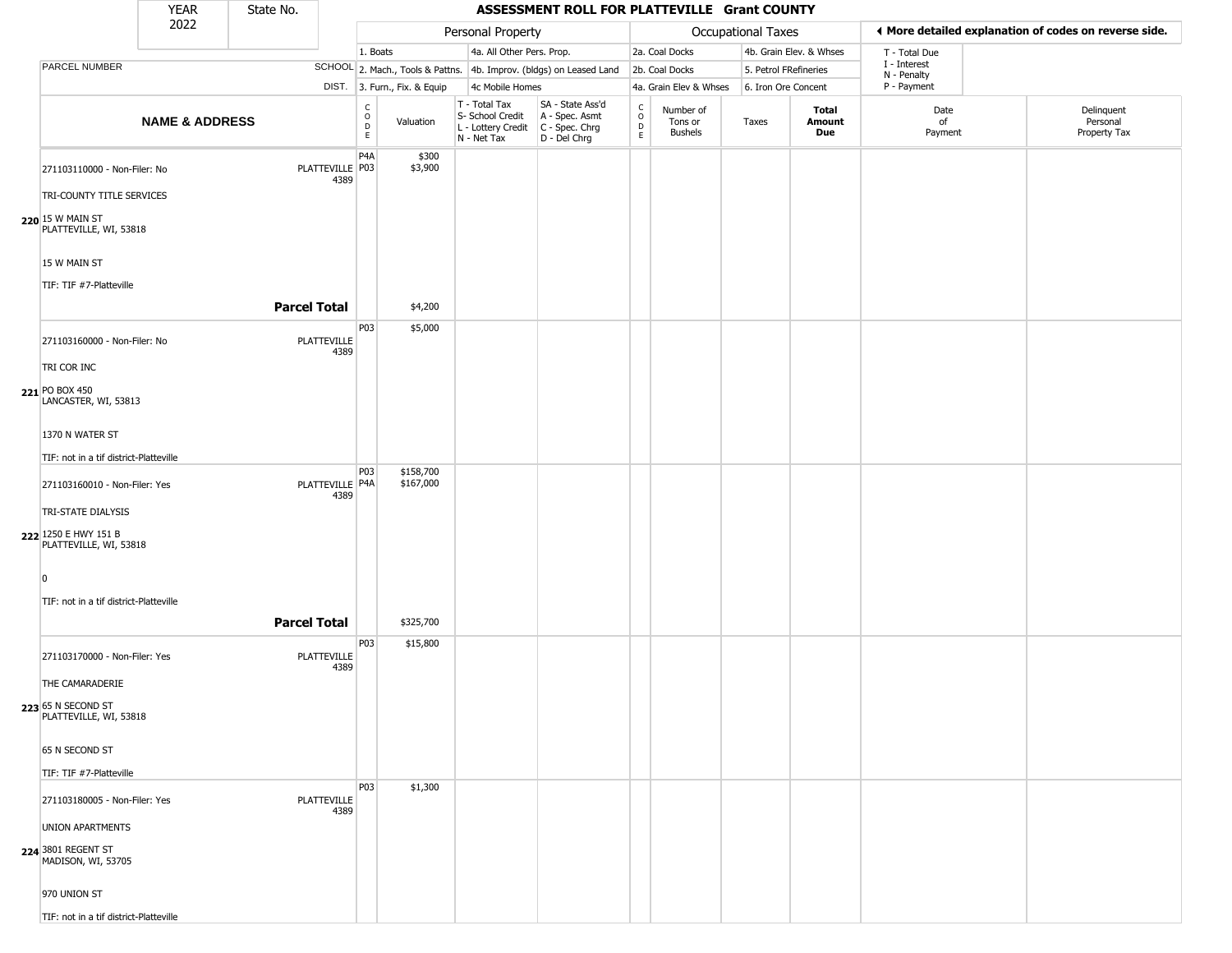|                                                | <b>YEAR</b>               | State No.           |                         |                                                 |                              |                                                                                           | ASSESSMENT ROLL FOR PLATTEVILLE Grant COUNTY                        |                                            |                                 |                       |                         |                             |                                                       |
|------------------------------------------------|---------------------------|---------------------|-------------------------|-------------------------------------------------|------------------------------|-------------------------------------------------------------------------------------------|---------------------------------------------------------------------|--------------------------------------------|---------------------------------|-----------------------|-------------------------|-----------------------------|-------------------------------------------------------|
|                                                | 2022                      |                     |                         |                                                 |                              | Personal Property                                                                         |                                                                     |                                            |                                 | Occupational Taxes    |                         |                             | ♦ More detailed explanation of codes on reverse side. |
|                                                |                           |                     |                         | 1. Boats                                        |                              | 4a. All Other Pers. Prop.                                                                 |                                                                     |                                            | 2a. Coal Docks                  |                       | 4b. Grain Elev. & Whses | T - Total Due               |                                                       |
| PARCEL NUMBER                                  |                           |                     |                         |                                                 |                              |                                                                                           | SCHOOL 2. Mach., Tools & Pattns. 4b. Improv. (bldgs) on Leased Land |                                            | 2b. Coal Docks                  | 5. Petrol FRefineries |                         | I - Interest<br>N - Penalty |                                                       |
|                                                |                           |                     |                         |                                                 | DIST. 3. Furn., Fix. & Equip | 4c Mobile Homes                                                                           |                                                                     |                                            | 4a. Grain Elev & Whses          | 6. Iron Ore Concent   |                         | P - Payment                 |                                                       |
|                                                | <b>NAME &amp; ADDRESS</b> |                     |                         | $\begin{array}{c} C \\ O \\ D \\ E \end{array}$ | Valuation                    | $T - Total Tax$<br>S- School Credit<br>L - Lottery Credit   C - Spec. Chrg<br>N - Net Tax | SA - State Ass'd<br>A - Spec. Asmt<br>D - Del Chrg                  | $\begin{array}{c} C \\ O \\ E \end{array}$ | Number of<br>Tons or<br>Bushels | Taxes                 | Total<br>Amount<br>Due  | Date<br>of<br>Payment       | Delinquent<br>Personal<br>Property Tax                |
| 271103110000 - Non-Filer: No                   |                           |                     | PLATTEVILLE P03<br>4389 | P <sub>4</sub> A                                | \$300<br>\$3,900             |                                                                                           |                                                                     |                                            |                                 |                       |                         |                             |                                                       |
| TRI-COUNTY TITLE SERVICES                      |                           |                     |                         |                                                 |                              |                                                                                           |                                                                     |                                            |                                 |                       |                         |                             |                                                       |
| 220 15 W MAIN ST<br>PLATTEVILLE, WI, 53818     |                           |                     |                         |                                                 |                              |                                                                                           |                                                                     |                                            |                                 |                       |                         |                             |                                                       |
| 15 W MAIN ST                                   |                           |                     |                         |                                                 |                              |                                                                                           |                                                                     |                                            |                                 |                       |                         |                             |                                                       |
| TIF: TIF #7-Platteville                        |                           |                     |                         |                                                 |                              |                                                                                           |                                                                     |                                            |                                 |                       |                         |                             |                                                       |
|                                                |                           | <b>Parcel Total</b> |                         |                                                 | \$4,200                      |                                                                                           |                                                                     |                                            |                                 |                       |                         |                             |                                                       |
| 271103160000 - Non-Filer: No                   |                           |                     | PLATTEVILLE<br>4389     | P03                                             | \$5,000                      |                                                                                           |                                                                     |                                            |                                 |                       |                         |                             |                                                       |
| TRI COR INC                                    |                           |                     |                         |                                                 |                              |                                                                                           |                                                                     |                                            |                                 |                       |                         |                             |                                                       |
| 221 PO BOX 450<br>LANCASTER, WI, 53813         |                           |                     |                         |                                                 |                              |                                                                                           |                                                                     |                                            |                                 |                       |                         |                             |                                                       |
| 1370 N WATER ST                                |                           |                     |                         |                                                 |                              |                                                                                           |                                                                     |                                            |                                 |                       |                         |                             |                                                       |
| TIF: not in a tif district-Platteville         |                           |                     |                         |                                                 |                              |                                                                                           |                                                                     |                                            |                                 |                       |                         |                             |                                                       |
| 271103160010 - Non-Filer: Yes                  |                           |                     | PLATTEVILLE P4A         | <b>P03</b>                                      | \$158,700<br>\$167,000       |                                                                                           |                                                                     |                                            |                                 |                       |                         |                             |                                                       |
|                                                |                           |                     | 4389                    |                                                 |                              |                                                                                           |                                                                     |                                            |                                 |                       |                         |                             |                                                       |
| TRI-STATE DIALYSIS                             |                           |                     |                         |                                                 |                              |                                                                                           |                                                                     |                                            |                                 |                       |                         |                             |                                                       |
| 222 1250 E HWY 151 B<br>PLATTEVILLE, WI, 53818 |                           |                     |                         |                                                 |                              |                                                                                           |                                                                     |                                            |                                 |                       |                         |                             |                                                       |
|                                                |                           |                     |                         |                                                 |                              |                                                                                           |                                                                     |                                            |                                 |                       |                         |                             |                                                       |
| n                                              |                           |                     |                         |                                                 |                              |                                                                                           |                                                                     |                                            |                                 |                       |                         |                             |                                                       |
| TIF: not in a tif district-Platteville         |                           |                     |                         |                                                 |                              |                                                                                           |                                                                     |                                            |                                 |                       |                         |                             |                                                       |
|                                                |                           | <b>Parcel Total</b> |                         |                                                 | \$325,700                    |                                                                                           |                                                                     |                                            |                                 |                       |                         |                             |                                                       |
| 271103170000 - Non-Filer: Yes                  |                           |                     | PLATTEVILLE<br>4389     | P03                                             | \$15,800                     |                                                                                           |                                                                     |                                            |                                 |                       |                         |                             |                                                       |
| THE CAMARADERIE                                |                           |                     |                         |                                                 |                              |                                                                                           |                                                                     |                                            |                                 |                       |                         |                             |                                                       |
| 223 65 N SECOND ST<br>PLATTEVILLE, WI, 53818   |                           |                     |                         |                                                 |                              |                                                                                           |                                                                     |                                            |                                 |                       |                         |                             |                                                       |
| 65 N SECOND ST                                 |                           |                     |                         |                                                 |                              |                                                                                           |                                                                     |                                            |                                 |                       |                         |                             |                                                       |
| TIF: TIF #7-Platteville                        |                           |                     |                         |                                                 |                              |                                                                                           |                                                                     |                                            |                                 |                       |                         |                             |                                                       |
| 271103180005 - Non-Filer: Yes                  |                           |                     | PLATTEVILLE<br>4389     | P03                                             | \$1,300                      |                                                                                           |                                                                     |                                            |                                 |                       |                         |                             |                                                       |
| <b>UNION APARTMENTS</b>                        |                           |                     |                         |                                                 |                              |                                                                                           |                                                                     |                                            |                                 |                       |                         |                             |                                                       |
| 224 3801 REGENT ST<br>MADISON, WI, 53705       |                           |                     |                         |                                                 |                              |                                                                                           |                                                                     |                                            |                                 |                       |                         |                             |                                                       |
| 970 UNION ST                                   |                           |                     |                         |                                                 |                              |                                                                                           |                                                                     |                                            |                                 |                       |                         |                             |                                                       |
| TIF: not in a tif district-Platteville         |                           |                     |                         |                                                 |                              |                                                                                           |                                                                     |                                            |                                 |                       |                         |                             |                                                       |

TIF: not in a tif district-Platteville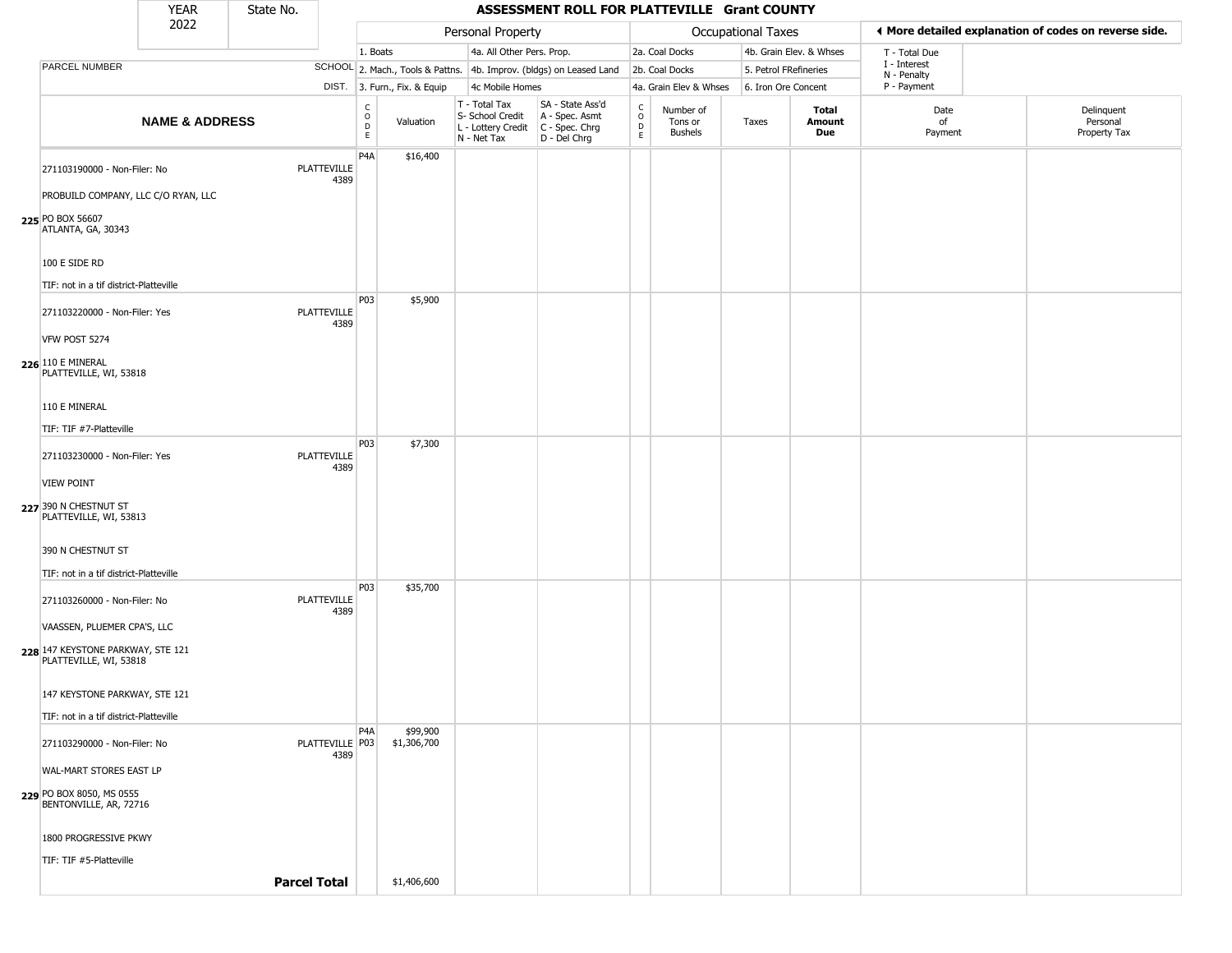|                                                             | <b>YEAR</b>               | State No.           |                            |                            |                              |                                                                                         | ASSESSMENT ROLL FOR PLATTEVILLE Grant COUNTY                        |                                          |                                        |                           |                         |                             |                                                       |
|-------------------------------------------------------------|---------------------------|---------------------|----------------------------|----------------------------|------------------------------|-----------------------------------------------------------------------------------------|---------------------------------------------------------------------|------------------------------------------|----------------------------------------|---------------------------|-------------------------|-----------------------------|-------------------------------------------------------|
|                                                             | 2022                      |                     |                            |                            |                              | Personal Property                                                                       |                                                                     |                                          |                                        | <b>Occupational Taxes</b> |                         |                             | ◀ More detailed explanation of codes on reverse side. |
|                                                             |                           |                     |                            | 1. Boats                   |                              | 4a. All Other Pers. Prop.                                                               |                                                                     |                                          | 2a. Coal Docks                         |                           | 4b. Grain Elev. & Whses | T - Total Due               |                                                       |
| PARCEL NUMBER                                               |                           |                     |                            |                            |                              |                                                                                         | SCHOOL 2. Mach., Tools & Pattns. 4b. Improv. (bldgs) on Leased Land |                                          | 2b. Coal Docks                         | 5. Petrol FRefineries     |                         | I - Interest<br>N - Penalty |                                                       |
|                                                             |                           |                     |                            |                            | DIST. 3. Furn., Fix. & Equip | 4c Mobile Homes                                                                         |                                                                     |                                          | 4a. Grain Elev & Whses                 | 6. Iron Ore Concent       |                         | P - Payment                 |                                                       |
|                                                             | <b>NAME &amp; ADDRESS</b> |                     |                            | C<br>$\mathsf O$<br>D<br>E | Valuation                    | T - Total Tax<br>S- School Credit<br>L - Lottery Credit   C - Spec. Chrg<br>N - Net Tax | SA - State Ass'd<br>A - Spec. Asmt<br>D - Del Chrg                  | $\rm _o^C$<br>$\mathsf D$<br>$\mathsf E$ | Number of<br>Tons or<br><b>Bushels</b> | Taxes                     | Total<br>Amount<br>Due  | Date<br>of<br>Payment       | Delinquent<br>Personal<br>Property Tax                |
| 271103190000 - Non-Filer: No                                |                           |                     | <b>PLATTEVILLE</b><br>4389 | P <sub>4</sub> A           | \$16,400                     |                                                                                         |                                                                     |                                          |                                        |                           |                         |                             |                                                       |
| PROBUILD COMPANY, LLC C/O RYAN, LLC                         |                           |                     |                            |                            |                              |                                                                                         |                                                                     |                                          |                                        |                           |                         |                             |                                                       |
| 225 PO BOX 56607<br>ATLANTA, GA, 30343                      |                           |                     |                            |                            |                              |                                                                                         |                                                                     |                                          |                                        |                           |                         |                             |                                                       |
| 100 E SIDE RD                                               |                           |                     |                            |                            |                              |                                                                                         |                                                                     |                                          |                                        |                           |                         |                             |                                                       |
| TIF: not in a tif district-Platteville                      |                           |                     |                            | P03                        | \$5,900                      |                                                                                         |                                                                     |                                          |                                        |                           |                         |                             |                                                       |
| 271103220000 - Non-Filer: Yes                               |                           |                     | <b>PLATTEVILLE</b><br>4389 |                            |                              |                                                                                         |                                                                     |                                          |                                        |                           |                         |                             |                                                       |
| VFW POST 5274                                               |                           |                     |                            |                            |                              |                                                                                         |                                                                     |                                          |                                        |                           |                         |                             |                                                       |
| <b>226</b> 110 E MINERAL<br>PLATTEVILLE, WI, 53818          |                           |                     |                            |                            |                              |                                                                                         |                                                                     |                                          |                                        |                           |                         |                             |                                                       |
| 110 E MINERAL                                               |                           |                     |                            |                            |                              |                                                                                         |                                                                     |                                          |                                        |                           |                         |                             |                                                       |
| TIF: TIF #7-Platteville                                     |                           |                     |                            |                            |                              |                                                                                         |                                                                     |                                          |                                        |                           |                         |                             |                                                       |
| 271103230000 - Non-Filer: Yes                               |                           |                     | PLATTEVILLE<br>4389        | P <sub>03</sub>            | \$7,300                      |                                                                                         |                                                                     |                                          |                                        |                           |                         |                             |                                                       |
| <b>VIEW POINT</b>                                           |                           |                     |                            |                            |                              |                                                                                         |                                                                     |                                          |                                        |                           |                         |                             |                                                       |
| 227 390 N CHESTNUT ST<br>PLATTEVILLE, WI, 53813             |                           |                     |                            |                            |                              |                                                                                         |                                                                     |                                          |                                        |                           |                         |                             |                                                       |
| 390 N CHESTNUT ST                                           |                           |                     |                            |                            |                              |                                                                                         |                                                                     |                                          |                                        |                           |                         |                             |                                                       |
| TIF: not in a tif district-Platteville                      |                           |                     |                            | P <sub>0</sub> 3           | \$35,700                     |                                                                                         |                                                                     |                                          |                                        |                           |                         |                             |                                                       |
| 271103260000 - Non-Filer: No                                |                           |                     | <b>PLATTEVILLE</b><br>4389 |                            |                              |                                                                                         |                                                                     |                                          |                                        |                           |                         |                             |                                                       |
| VAASSEN, PLUEMER CPA'S, LLC                                 |                           |                     |                            |                            |                              |                                                                                         |                                                                     |                                          |                                        |                           |                         |                             |                                                       |
| 228 147 KEYSTONE PARKWAY, STE 121<br>PLATTEVILLE, WI, 53818 |                           |                     |                            |                            |                              |                                                                                         |                                                                     |                                          |                                        |                           |                         |                             |                                                       |
| 147 KEYSTONE PARKWAY, STE 121                               |                           |                     |                            |                            |                              |                                                                                         |                                                                     |                                          |                                        |                           |                         |                             |                                                       |
| TIF: not in a tif district-Platteville                      |                           |                     |                            |                            |                              |                                                                                         |                                                                     |                                          |                                        |                           |                         |                             |                                                       |
| 271103290000 - Non-Filer: No                                |                           |                     | PLATTEVILLE P03<br>4389    | P4A                        | \$99,900<br>\$1,306,700      |                                                                                         |                                                                     |                                          |                                        |                           |                         |                             |                                                       |
| WAL-MART STORES EAST LP                                     |                           |                     |                            |                            |                              |                                                                                         |                                                                     |                                          |                                        |                           |                         |                             |                                                       |
| 229 PO BOX 8050, MS 0555<br>BENTONVILLE, AR, 72716          |                           |                     |                            |                            |                              |                                                                                         |                                                                     |                                          |                                        |                           |                         |                             |                                                       |
| 1800 PROGRESSIVE PKWY                                       |                           |                     |                            |                            |                              |                                                                                         |                                                                     |                                          |                                        |                           |                         |                             |                                                       |
| TIF: TIF #5-Platteville                                     |                           |                     |                            |                            |                              |                                                                                         |                                                                     |                                          |                                        |                           |                         |                             |                                                       |
|                                                             |                           | <b>Parcel Total</b> |                            |                            | \$1,406,600                  |                                                                                         |                                                                     |                                          |                                        |                           |                         |                             |                                                       |
|                                                             |                           |                     |                            |                            |                              |                                                                                         |                                                                     |                                          |                                        |                           |                         |                             |                                                       |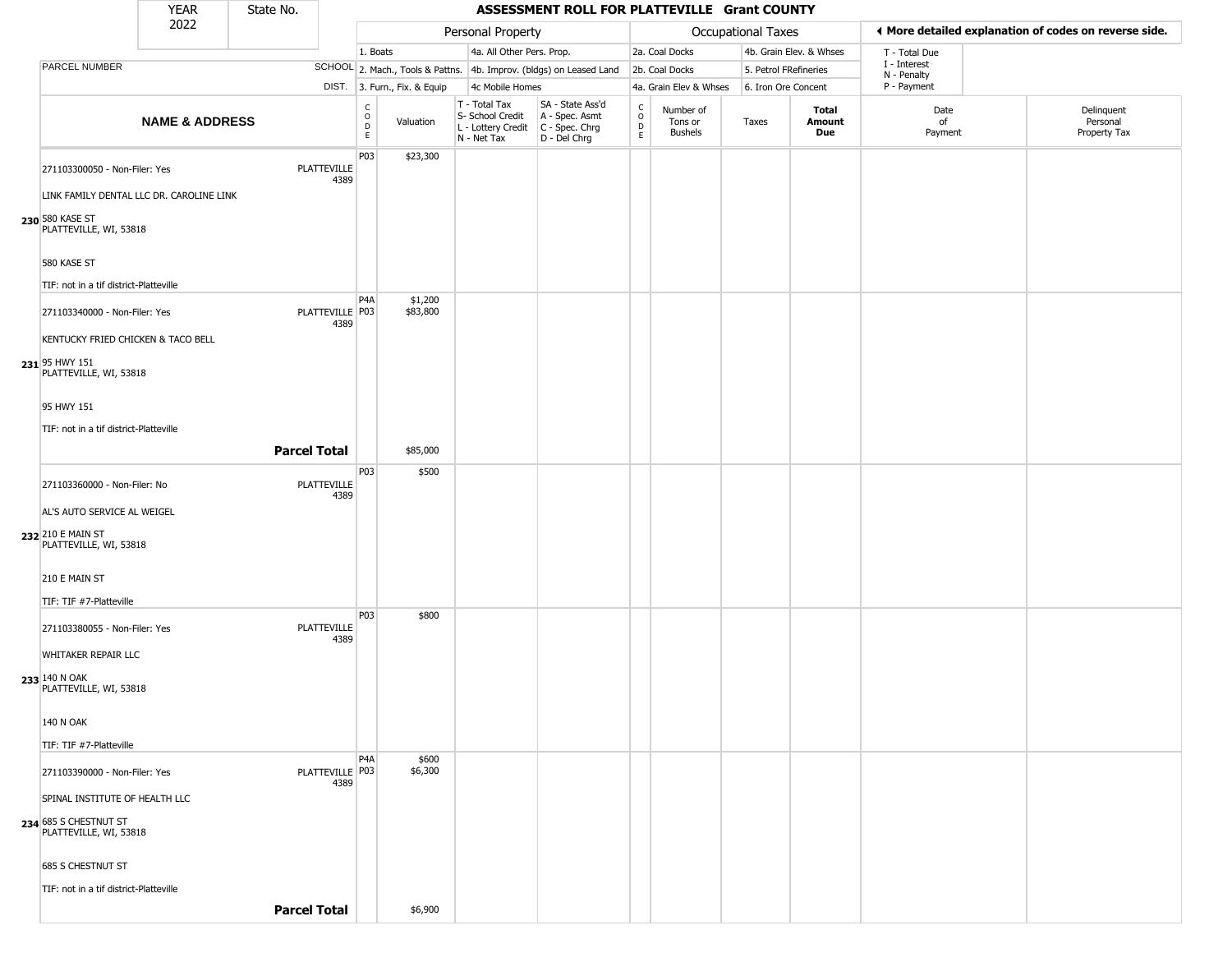|                                                                           | <b>YEAR</b>               | State No. |                         |                                          |                              |                                                                        | ASSESSMENT ROLL FOR PLATTEVILLE Grant COUNTY                         |                                                 |                                 |                    |                         |                             |                                                       |
|---------------------------------------------------------------------------|---------------------------|-----------|-------------------------|------------------------------------------|------------------------------|------------------------------------------------------------------------|----------------------------------------------------------------------|-------------------------------------------------|---------------------------------|--------------------|-------------------------|-----------------------------|-------------------------------------------------------|
|                                                                           | 2022                      |           |                         |                                          |                              | Personal Property                                                      |                                                                      |                                                 |                                 | Occupational Taxes |                         |                             | ◀ More detailed explanation of codes on reverse side. |
|                                                                           |                           |           |                         | 1. Boats                                 |                              | 4a. All Other Pers. Prop.                                              |                                                                      |                                                 | 2a. Coal Docks                  |                    | 4b. Grain Elev. & Whses | T - Total Due               |                                                       |
| PARCEL NUMBER                                                             |                           |           |                         |                                          |                              |                                                                        | SCHOOL 2. Mach., Tools & Pattns. 4b. Improv. (bldgs) on Leased Land  |                                                 | 2b. Coal Docks                  |                    | 5. Petrol FRefineries   | I - Interest<br>N - Penalty |                                                       |
|                                                                           |                           |           |                         |                                          | DIST. 3. Furn., Fix. & Equip | 4c Mobile Homes                                                        |                                                                      |                                                 | 4a. Grain Elev & Whses          |                    | 6. Iron Ore Concent     | P - Payment                 |                                                       |
|                                                                           | <b>NAME &amp; ADDRESS</b> |           |                         | $\mathsf{C}$<br>$\circ$<br>$\frac{D}{E}$ | Valuation                    | T - Total Tax<br>S- School Credit<br>L - Lottery Credit<br>N - Net Tax | SA - State Ass'd<br>A - Spec. Asmt<br>C - Spec. Chrg<br>D - Del Chrg | $\begin{array}{c} C \\ O \\ D \\ E \end{array}$ | Number of<br>Tons or<br>Bushels | Taxes              | Total<br>Amount<br>Due  | Date<br>of<br>Payment       | Delinquent<br>Personal<br>Property Tax                |
| 271103300050 - Non-Filer: Yes<br>LINK FAMILY DENTAL LLC DR. CAROLINE LINK |                           |           | PLATTEVILLE<br>4389     | P03                                      | \$23,300                     |                                                                        |                                                                      |                                                 |                                 |                    |                         |                             |                                                       |
| 230 580 KASE ST<br>PLATTEVILLE, WI, 53818                                 |                           |           |                         |                                          |                              |                                                                        |                                                                      |                                                 |                                 |                    |                         |                             |                                                       |
| 580 KASE ST<br>TIF: not in a tif district-Platteville                     |                           |           |                         |                                          |                              |                                                                        |                                                                      |                                                 |                                 |                    |                         |                             |                                                       |
| 271103340000 - Non-Filer: Yes<br>KENTUCKY FRIED CHICKEN & TACO BELL       |                           |           | PLATTEVILLE P03<br>4389 | P <sub>4</sub> A                         | \$1,200<br>\$83,800          |                                                                        |                                                                      |                                                 |                                 |                    |                         |                             |                                                       |
| 231 95 HWY 151<br>PLATTEVILLE, WI, 53818                                  |                           |           |                         |                                          |                              |                                                                        |                                                                      |                                                 |                                 |                    |                         |                             |                                                       |
| 95 HWY 151<br>TIF: not in a tif district-Platteville                      |                           |           |                         |                                          |                              |                                                                        |                                                                      |                                                 |                                 |                    |                         |                             |                                                       |
|                                                                           |                           |           | <b>Parcel Total</b>     |                                          | \$85,000                     |                                                                        |                                                                      |                                                 |                                 |                    |                         |                             |                                                       |
| 271103360000 - Non-Filer: No<br>AL'S AUTO SERVICE AL WEIGEL               |                           |           | PLATTEVILLE<br>4389     | P03                                      | \$500                        |                                                                        |                                                                      |                                                 |                                 |                    |                         |                             |                                                       |
| 232 210 E MAIN ST<br>PLATTEVILLE, WI, 53818                               |                           |           |                         |                                          |                              |                                                                        |                                                                      |                                                 |                                 |                    |                         |                             |                                                       |
| 210 E MAIN ST<br>TIF: TIF #7-Platteville                                  |                           |           |                         |                                          |                              |                                                                        |                                                                      |                                                 |                                 |                    |                         |                             |                                                       |
| 271103380055 - Non-Filer: Yes<br>WHITAKER REPAIR LLC                      |                           |           | PLATTEVILLE<br>4389     | P03                                      | \$800                        |                                                                        |                                                                      |                                                 |                                 |                    |                         |                             |                                                       |
| 233 140 N OAK<br>PLATTEVILLE, WI, 53818                                   |                           |           |                         |                                          |                              |                                                                        |                                                                      |                                                 |                                 |                    |                         |                             |                                                       |
| <b>140 N OAK</b>                                                          |                           |           |                         |                                          |                              |                                                                        |                                                                      |                                                 |                                 |                    |                         |                             |                                                       |
| TIF: TIF #7-Platteville                                                   |                           |           |                         | P <sub>4</sub> A                         | \$600                        |                                                                        |                                                                      |                                                 |                                 |                    |                         |                             |                                                       |
| 271103390000 - Non-Filer: Yes<br>SPINAL INSTITUTE OF HEALTH LLC           |                           |           | PLATTEVILLE P03<br>4389 |                                          | \$6,300                      |                                                                        |                                                                      |                                                 |                                 |                    |                         |                             |                                                       |
| 234 685 S CHESTNUT ST<br>PLATTEVILLE, WI, 53818                           |                           |           |                         |                                          |                              |                                                                        |                                                                      |                                                 |                                 |                    |                         |                             |                                                       |
| 685 S CHESTNUT ST                                                         |                           |           |                         |                                          |                              |                                                                        |                                                                      |                                                 |                                 |                    |                         |                             |                                                       |
| TIF: not in a tif district-Platteville                                    |                           |           |                         |                                          |                              |                                                                        |                                                                      |                                                 |                                 |                    |                         |                             |                                                       |
|                                                                           |                           |           | <b>Parcel Total</b>     |                                          | \$6,900                      |                                                                        |                                                                      |                                                 |                                 |                    |                         |                             |                                                       |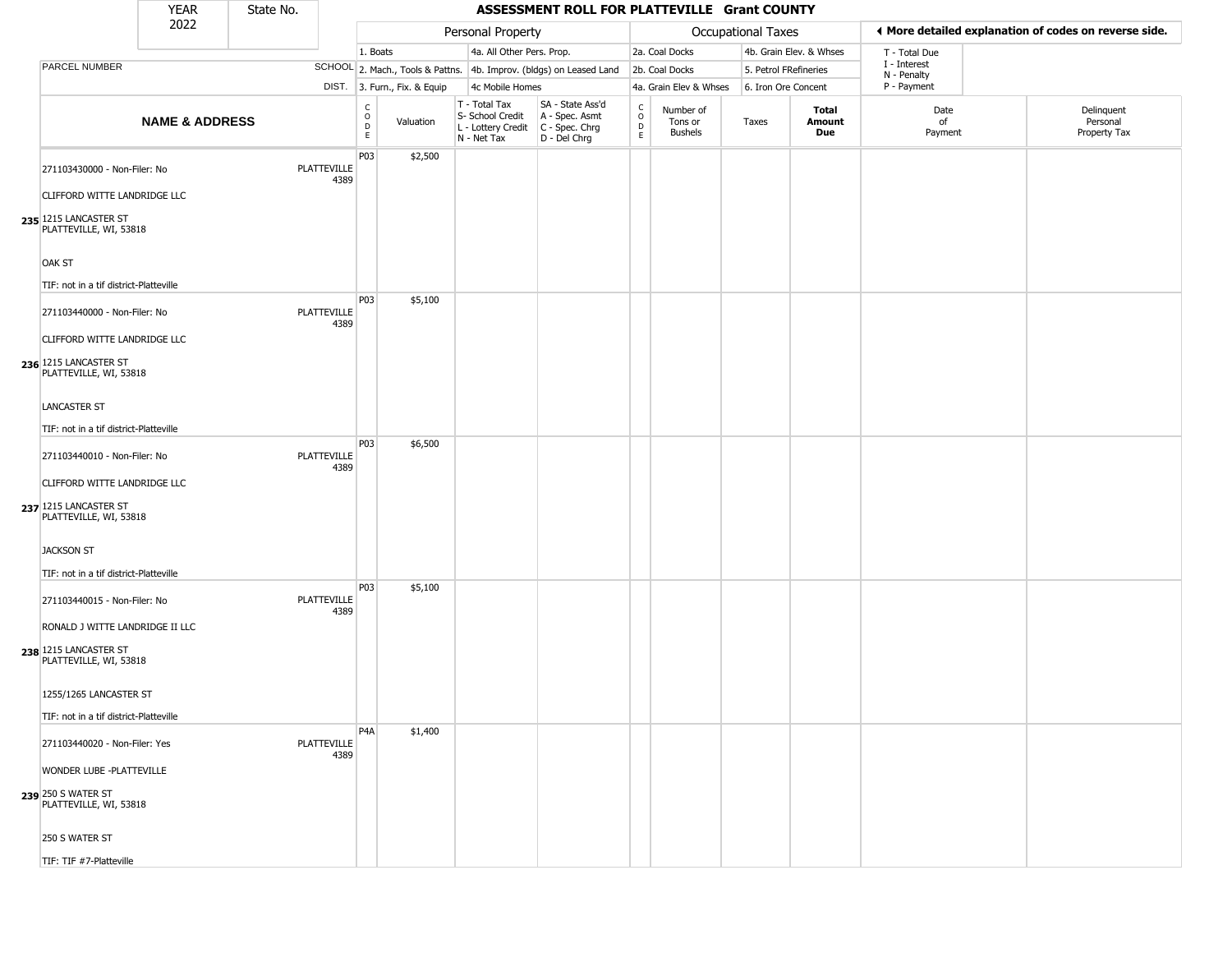|                                                                                                                 | <b>YEAR</b>               | State No. |                            |                                        |                              |                                                                                         | ASSESSMENT ROLL FOR PLATTEVILLE Grant COUNTY                        |                                 |                                        |                       |                         |                             |                                                       |
|-----------------------------------------------------------------------------------------------------------------|---------------------------|-----------|----------------------------|----------------------------------------|------------------------------|-----------------------------------------------------------------------------------------|---------------------------------------------------------------------|---------------------------------|----------------------------------------|-----------------------|-------------------------|-----------------------------|-------------------------------------------------------|
|                                                                                                                 | 2022                      |           |                            |                                        |                              | Personal Property                                                                       |                                                                     |                                 |                                        | Occupational Taxes    |                         |                             | ◀ More detailed explanation of codes on reverse side. |
|                                                                                                                 |                           |           |                            | 1. Boats                               |                              | 4a. All Other Pers. Prop.                                                               |                                                                     |                                 | 2a. Coal Docks                         |                       | 4b. Grain Elev. & Whses | T - Total Due               |                                                       |
| PARCEL NUMBER                                                                                                   |                           |           |                            |                                        |                              |                                                                                         | SCHOOL 2. Mach., Tools & Pattns. 4b. Improv. (bldgs) on Leased Land |                                 | 2b. Coal Docks                         | 5. Petrol FRefineries |                         | I - Interest<br>N - Penalty |                                                       |
|                                                                                                                 |                           |           |                            |                                        | DIST. 3. Furn., Fix. & Equip | 4c Mobile Homes                                                                         |                                                                     |                                 | 4a. Grain Elev & Whses                 | 6. Iron Ore Concent   |                         | P - Payment                 |                                                       |
|                                                                                                                 | <b>NAME &amp; ADDRESS</b> |           |                            | $_{\rm o}^{\rm c}$<br>$\mathsf D$<br>E | Valuation                    | T - Total Tax<br>S- School Credit<br>L - Lottery Credit   C - Spec. Chrg<br>N - Net Tax | SA - State Ass'd<br>A - Spec. Asmt<br>D - Del Chrg                  | $\rm _o^C$<br>$\mathsf{D}$<br>E | Number of<br>Tons or<br><b>Bushels</b> | Taxes                 | Total<br>Amount<br>Due  | Date<br>of<br>Payment       | Delinquent<br>Personal<br>Property Tax                |
| 271103430000 - Non-Filer: No<br>CLIFFORD WITTE LANDRIDGE LLC                                                    |                           |           | <b>PLATTEVILLE</b><br>4389 | P03                                    | \$2,500                      |                                                                                         |                                                                     |                                 |                                        |                       |                         |                             |                                                       |
| 235 1215 LANCASTER ST<br>PLATTEVILLE, WI, 53818                                                                 |                           |           |                            |                                        |                              |                                                                                         |                                                                     |                                 |                                        |                       |                         |                             |                                                       |
| OAK ST<br>TIF: not in a tif district-Platteville                                                                |                           |           |                            |                                        |                              |                                                                                         |                                                                     |                                 |                                        |                       |                         |                             |                                                       |
| 271103440000 - Non-Filer: No<br>CLIFFORD WITTE LANDRIDGE LLC<br>236 1215 LANCASTER ST<br>PLATTEVILLE, WI, 53818 |                           |           | <b>PLATTEVILLE</b><br>4389 | P03                                    | \$5,100                      |                                                                                         |                                                                     |                                 |                                        |                       |                         |                             |                                                       |
| <b>LANCASTER ST</b><br>TIF: not in a tif district-Platteville                                                   |                           |           |                            | P03                                    |                              |                                                                                         |                                                                     |                                 |                                        |                       |                         |                             |                                                       |
| 271103440010 - Non-Filer: No<br>CLIFFORD WITTE LANDRIDGE LLC<br>237 1215 LANCASTER ST<br>PLATTEVILLE, WI, 53818 |                           |           | <b>PLATTEVILLE</b><br>4389 |                                        | \$6,500                      |                                                                                         |                                                                     |                                 |                                        |                       |                         |                             |                                                       |
| <b>JACKSON ST</b><br>TIF: not in a tif district-Platteville                                                     |                           |           |                            |                                        |                              |                                                                                         |                                                                     |                                 |                                        |                       |                         |                             |                                                       |
| 271103440015 - Non-Filer: No<br>RONALD J WITTE LANDRIDGE II LLC                                                 |                           |           | <b>PLATTEVILLE</b><br>4389 | P03                                    | \$5,100                      |                                                                                         |                                                                     |                                 |                                        |                       |                         |                             |                                                       |
| 238 1215 LANCASTER ST<br>PLATTEVILLE, WI, 53818<br>1255/1265 LANCASTER ST                                       |                           |           |                            |                                        |                              |                                                                                         |                                                                     |                                 |                                        |                       |                         |                             |                                                       |
| TIF: not in a tif district-Platteville                                                                          |                           |           |                            |                                        |                              |                                                                                         |                                                                     |                                 |                                        |                       |                         |                             |                                                       |
| 271103440020 - Non-Filer: Yes                                                                                   |                           |           | <b>PLATTEVILLE</b><br>4389 | P4A                                    | \$1,400                      |                                                                                         |                                                                     |                                 |                                        |                       |                         |                             |                                                       |
| WONDER LUBE -PLATTEVILLE<br>239 250 S WATER ST<br>PLATTEVILLE, WI, 53818                                        |                           |           |                            |                                        |                              |                                                                                         |                                                                     |                                 |                                        |                       |                         |                             |                                                       |
| 250 S WATER ST                                                                                                  |                           |           |                            |                                        |                              |                                                                                         |                                                                     |                                 |                                        |                       |                         |                             |                                                       |
| TIF: TIF #7-Platteville                                                                                         |                           |           |                            |                                        |                              |                                                                                         |                                                                     |                                 |                                        |                       |                         |                             |                                                       |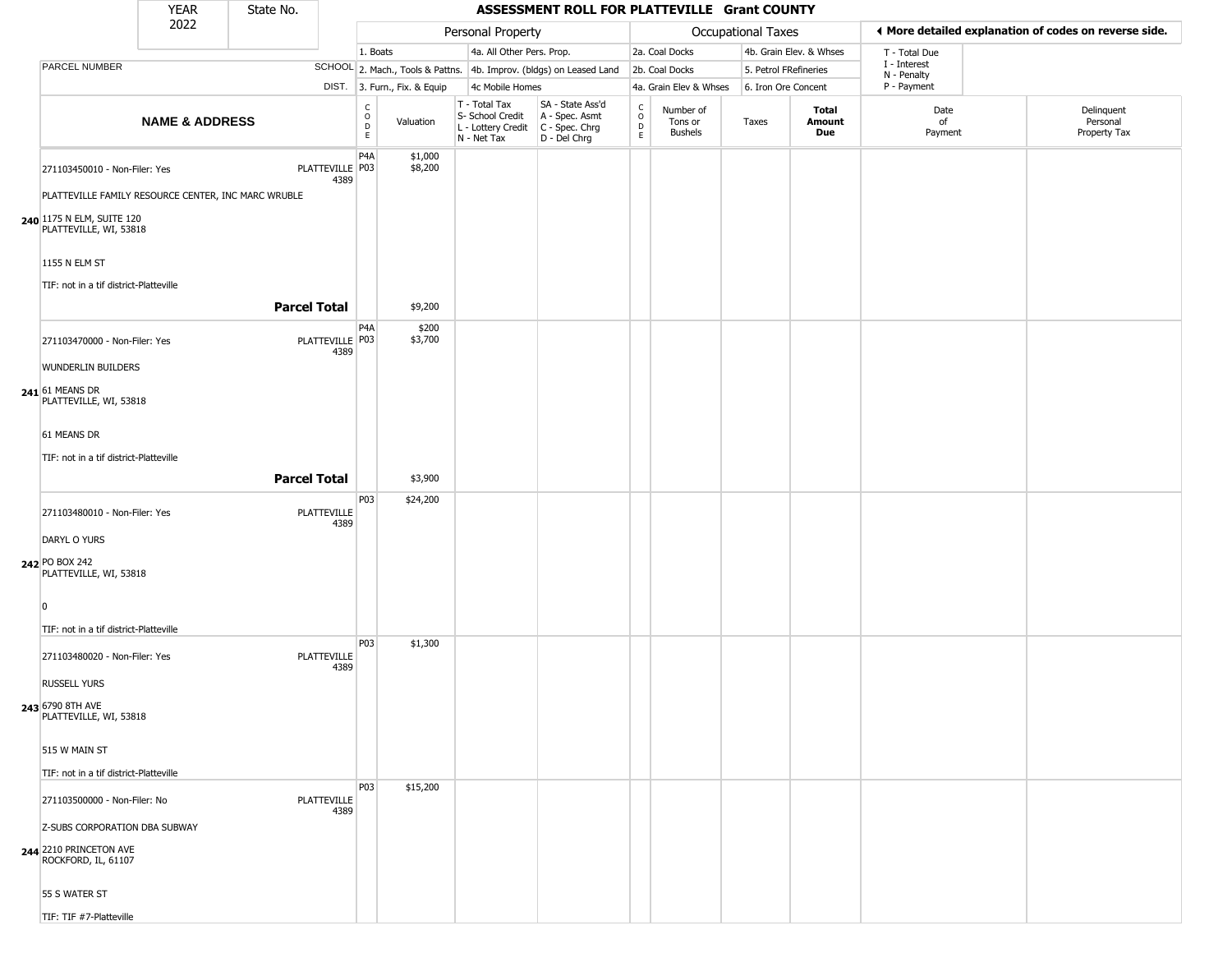|                                                                                                                                                                                                        | <b>YEAR</b>               | State No.           |                            |                                            |                              |                                                                        | ASSESSMENT ROLL FOR PLATTEVILLE Grant COUNTY                         |                                                          |                                        |                       |                               |                             |                                                       |
|--------------------------------------------------------------------------------------------------------------------------------------------------------------------------------------------------------|---------------------------|---------------------|----------------------------|--------------------------------------------|------------------------------|------------------------------------------------------------------------|----------------------------------------------------------------------|----------------------------------------------------------|----------------------------------------|-----------------------|-------------------------------|-----------------------------|-------------------------------------------------------|
|                                                                                                                                                                                                        | 2022                      |                     |                            |                                            |                              | Personal Property                                                      |                                                                      |                                                          |                                        | Occupational Taxes    |                               |                             | ♦ More detailed explanation of codes on reverse side. |
|                                                                                                                                                                                                        |                           |                     |                            | 1. Boats                                   |                              | 4a. All Other Pers. Prop.                                              |                                                                      |                                                          | 2a. Coal Docks                         |                       | 4b. Grain Elev. & Whses       | T - Total Due               |                                                       |
| PARCEL NUMBER                                                                                                                                                                                          |                           |                     |                            |                                            |                              |                                                                        | SCHOOL 2. Mach., Tools & Pattns. 4b. Improv. (bldgs) on Leased Land  |                                                          | 2b. Coal Docks                         | 5. Petrol FRefineries |                               | I - Interest<br>N - Penalty |                                                       |
|                                                                                                                                                                                                        |                           |                     |                            |                                            | DIST. 3. Furn., Fix. & Equip | 4c Mobile Homes                                                        |                                                                      |                                                          | 4a. Grain Elev & Whses                 | 6. Iron Ore Concent   |                               | P - Payment                 |                                                       |
|                                                                                                                                                                                                        | <b>NAME &amp; ADDRESS</b> |                     |                            | C<br>$\circ$<br>$\mathsf D$<br>$\mathsf E$ | Valuation                    | T - Total Tax<br>S- School Credit<br>L - Lottery Credit<br>N - Net Tax | SA - State Ass'd<br>A - Spec. Asmt<br>C - Spec. Chrg<br>D - Del Chrg | $\begin{matrix} 0 \\ 0 \\ 0 \end{matrix}$<br>$\mathsf E$ | Number of<br>Tons or<br><b>Bushels</b> | Taxes                 | <b>Total</b><br>Amount<br>Due | Date<br>of<br>Payment       | Delinquent<br>Personal<br>Property Tax                |
| 271103450010 - Non-Filer: Yes<br>PLATTEVILLE FAMILY RESOURCE CENTER, INC MARC WRUBLE<br>240 1175 N ELM, SUITE 120<br>PLATTEVILLE, WI, 53818<br>1155 N ELM ST<br>TIF: not in a tif district-Platteville |                           |                     | PLATTEVILLE P03<br>4389    | P4A                                        | \$1,000<br>\$8,200           |                                                                        |                                                                      |                                                          |                                        |                       |                               |                             |                                                       |
|                                                                                                                                                                                                        |                           | <b>Parcel Total</b> |                            |                                            | \$9,200                      |                                                                        |                                                                      |                                                          |                                        |                       |                               |                             |                                                       |
| 271103470000 - Non-Filer: Yes<br><b>WUNDERLIN BUILDERS</b><br>241 61 MEANS DR<br>PLATTEVILLE, WI, 53818<br>61 MEANS DR                                                                                 |                           |                     | PLATTEVILLE P03<br>4389    | P <sub>4</sub> A                           | \$200<br>\$3,700             |                                                                        |                                                                      |                                                          |                                        |                       |                               |                             |                                                       |
| TIF: not in a tif district-Platteville                                                                                                                                                                 |                           |                     |                            |                                            |                              |                                                                        |                                                                      |                                                          |                                        |                       |                               |                             |                                                       |
|                                                                                                                                                                                                        |                           | <b>Parcel Total</b> |                            |                                            | \$3,900                      |                                                                        |                                                                      |                                                          |                                        |                       |                               |                             |                                                       |
| 271103480010 - Non-Filer: Yes<br>DARYL O YURS<br>242 PO BOX 242                                                                                                                                        |                           |                     | <b>PLATTEVILLE</b><br>4389 | P03                                        | \$24,200                     |                                                                        |                                                                      |                                                          |                                        |                       |                               |                             |                                                       |
| PLATTEVILLE, WI, 53818<br>$\overline{0}$<br>TIF: not in a tif district-Platteville                                                                                                                     |                           |                     |                            |                                            |                              |                                                                        |                                                                      |                                                          |                                        |                       |                               |                             |                                                       |
| 271103480020 - Non-Filer: Yes<br><b>RUSSELL YURS</b><br>243 6790 8TH AVE<br>PLATTEVILLE, WI, 53818                                                                                                     |                           |                     | <b>PLATTEVILLE</b><br>4389 | P03                                        | \$1,300                      |                                                                        |                                                                      |                                                          |                                        |                       |                               |                             |                                                       |
| 515 W MAIN ST<br>TIF: not in a tif district-Platteville                                                                                                                                                |                           |                     |                            | P03                                        |                              |                                                                        |                                                                      |                                                          |                                        |                       |                               |                             |                                                       |
| 271103500000 - Non-Filer: No<br><b>Z-SUBS CORPORATION DBA SUBWAY</b><br>244 2210 PRINCETON AVE<br>ROCKFORD, IL, 61107<br>55 S WATER ST                                                                 |                           |                     | <b>PLATTEVILLE</b><br>4389 |                                            | \$15,200                     |                                                                        |                                                                      |                                                          |                                        |                       |                               |                             |                                                       |
| TIF: TIF #7-Platteville                                                                                                                                                                                |                           |                     |                            |                                            |                              |                                                                        |                                                                      |                                                          |                                        |                       |                               |                             |                                                       |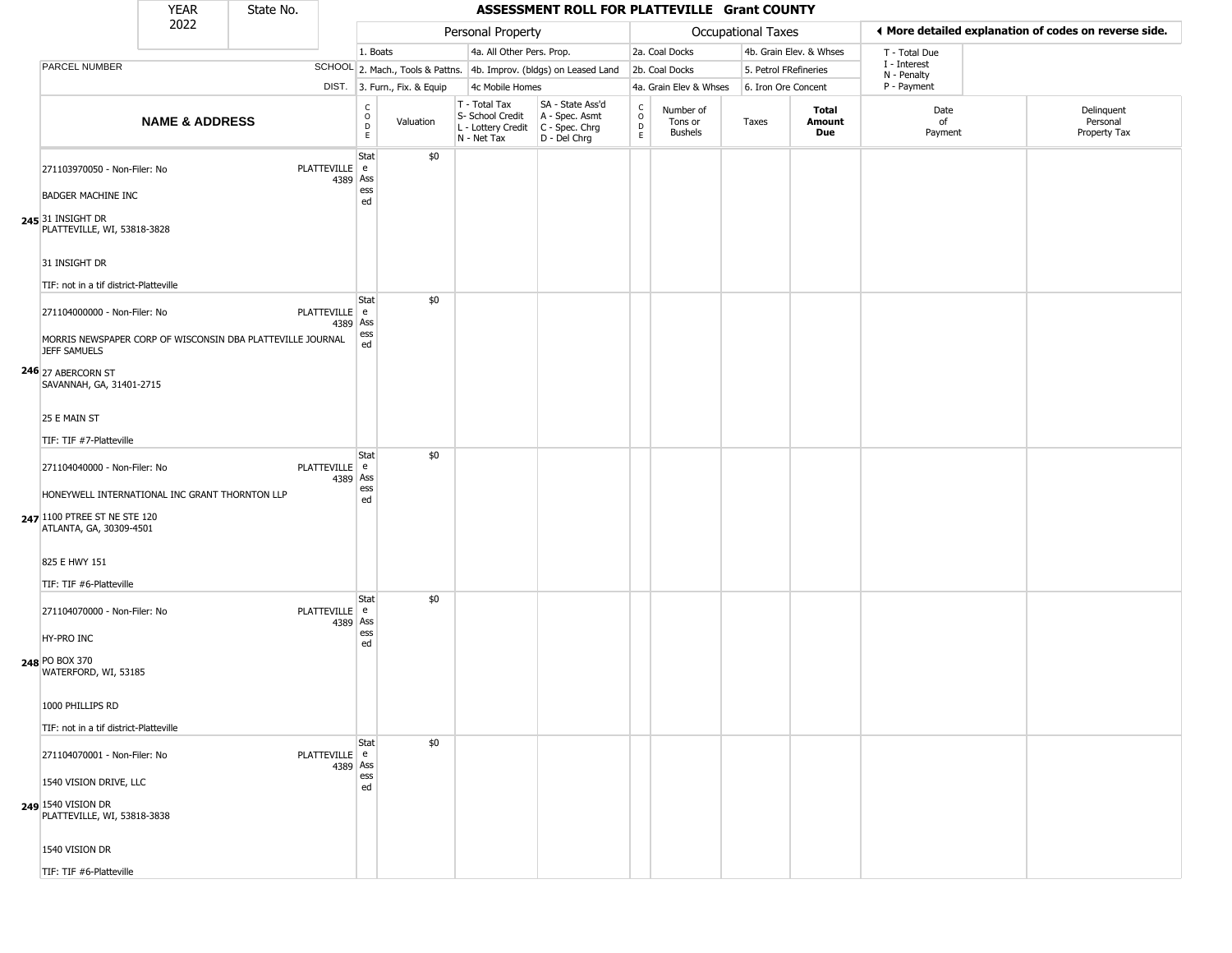|                                                                                                           | <b>YEAR</b>               | State No. |               |                           |                         |                              |                                                                        | ASSESSMENT ROLL FOR PLATTEVILLE Grant COUNTY                           |                                                          |                                 |                    |                         |                             |                                                       |
|-----------------------------------------------------------------------------------------------------------|---------------------------|-----------|---------------|---------------------------|-------------------------|------------------------------|------------------------------------------------------------------------|------------------------------------------------------------------------|----------------------------------------------------------|---------------------------------|--------------------|-------------------------|-----------------------------|-------------------------------------------------------|
|                                                                                                           | 2022                      |           |               |                           |                         |                              | Personal Property                                                      |                                                                        |                                                          |                                 | Occupational Taxes |                         |                             | ◀ More detailed explanation of codes on reverse side. |
|                                                                                                           |                           |           |               |                           | 1. Boats                |                              | 4a. All Other Pers. Prop.                                              |                                                                        |                                                          | 2a. Coal Docks                  |                    | 4b. Grain Elev. & Whses | T - Total Due               |                                                       |
| PARCEL NUMBER                                                                                             |                           |           |               |                           |                         |                              |                                                                        | SCHOOL 2. Mach., Tools & Pattns. 4b. Improv. (bldgs) on Leased Land    |                                                          | 2b. Coal Docks                  |                    | 5. Petrol FRefineries   | I - Interest<br>N - Penalty |                                                       |
|                                                                                                           |                           |           |               |                           |                         | DIST. 3. Furn., Fix. & Equip | 4c Mobile Homes                                                        |                                                                        |                                                          | 4a. Grain Elev & Whses          |                    | 6. Iron Ore Concent     | P - Payment                 |                                                       |
|                                                                                                           | <b>NAME &amp; ADDRESS</b> |           |               |                           | C<br>$\circ$<br>D<br>E. | Valuation                    | T - Total Tax<br>S- School Credit<br>L - Lottery Credit<br>N - Net Tax | SA - State Ass'd<br>A - Spec. Asmt<br>$C - Spec. Chrg$<br>D - Del Chrg | $\begin{matrix} C \\ O \\ D \end{matrix}$<br>$\mathsf E$ | Number of<br>Tons or<br>Bushels | Taxes              | Total<br>Amount<br>Due  | Date<br>0f<br>Payment       | Delinquent<br>Personal<br>Property Tax                |
| 271103970050 - Non-Filer: No<br><b>BADGER MACHINE INC</b>                                                 |                           |           | PLATTEVILLE e | 4389 Ass                  | Stat<br>ess             | \$0                          |                                                                        |                                                                        |                                                          |                                 |                    |                         |                             |                                                       |
| 245 31 INSIGHT DR<br>PLATTEVILLE, WI, 53818-3828                                                          |                           |           |               |                           | ed                      |                              |                                                                        |                                                                        |                                                          |                                 |                    |                         |                             |                                                       |
| 31 INSIGHT DR                                                                                             |                           |           |               |                           |                         |                              |                                                                        |                                                                        |                                                          |                                 |                    |                         |                             |                                                       |
| TIF: not in a tif district-Platteville                                                                    |                           |           |               |                           |                         |                              |                                                                        |                                                                        |                                                          |                                 |                    |                         |                             |                                                       |
| 271104000000 - Non-Filer: No                                                                              |                           |           |               | PLATTEVILLE e<br>4389 Ass | Stat                    | \$0                          |                                                                        |                                                                        |                                                          |                                 |                    |                         |                             |                                                       |
| MORRIS NEWSPAPER CORP OF WISCONSIN DBA PLATTEVILLE JOURNAL<br><b>JEFF SAMUELS</b>                         |                           |           |               |                           | ess<br>ed               |                              |                                                                        |                                                                        |                                                          |                                 |                    |                         |                             |                                                       |
| 246 27 ABERCORN ST<br>SAVANNAH, GA, 31401-2715                                                            |                           |           |               |                           |                         |                              |                                                                        |                                                                        |                                                          |                                 |                    |                         |                             |                                                       |
| 25 E MAIN ST                                                                                              |                           |           |               |                           |                         |                              |                                                                        |                                                                        |                                                          |                                 |                    |                         |                             |                                                       |
| TIF: TIF #7-Platteville                                                                                   |                           |           |               |                           |                         |                              |                                                                        |                                                                        |                                                          |                                 |                    |                         |                             |                                                       |
| 271104040000 - Non-Filer: No                                                                              |                           |           | PLATTEVILLE e | 4389 Ass                  | Stat                    | \$0                          |                                                                        |                                                                        |                                                          |                                 |                    |                         |                             |                                                       |
| HONEYWELL INTERNATIONAL INC GRANT THORNTON LLP<br>247 1100 PTREE ST NE STE 120<br>ATLANTA, GA, 30309-4501 |                           |           |               |                           | ess<br>ed               |                              |                                                                        |                                                                        |                                                          |                                 |                    |                         |                             |                                                       |
| 825 E HWY 151                                                                                             |                           |           |               |                           |                         |                              |                                                                        |                                                                        |                                                          |                                 |                    |                         |                             |                                                       |
| TIF: TIF #6-Platteville                                                                                   |                           |           |               |                           |                         |                              |                                                                        |                                                                        |                                                          |                                 |                    |                         |                             |                                                       |
| 271104070000 - Non-Filer: No                                                                              |                           |           |               | PLATTEVILLE e<br>4389 Ass | Stat                    | \$0                          |                                                                        |                                                                        |                                                          |                                 |                    |                         |                             |                                                       |
| HY-PRO INC                                                                                                |                           |           |               |                           | ess<br>ed               |                              |                                                                        |                                                                        |                                                          |                                 |                    |                         |                             |                                                       |
| 248 PO BOX 370<br>WATERFORD, WI, 53185                                                                    |                           |           |               |                           |                         |                              |                                                                        |                                                                        |                                                          |                                 |                    |                         |                             |                                                       |
| 1000 PHILLIPS RD                                                                                          |                           |           |               |                           |                         |                              |                                                                        |                                                                        |                                                          |                                 |                    |                         |                             |                                                       |
| TIF: not in a tif district-Platteville                                                                    |                           |           |               |                           |                         |                              |                                                                        |                                                                        |                                                          |                                 |                    |                         |                             |                                                       |
| 271104070001 - Non-Filer: No                                                                              |                           |           |               | PLATTEVILLE e<br>4389 Ass | Stat                    | \$0                          |                                                                        |                                                                        |                                                          |                                 |                    |                         |                             |                                                       |
| 1540 VISION DRIVE, LLC                                                                                    |                           |           |               |                           | ess<br>ed               |                              |                                                                        |                                                                        |                                                          |                                 |                    |                         |                             |                                                       |
| 249 1540 VISION DR<br>PLATTEVILLE, WI, 53818-3838                                                         |                           |           |               |                           |                         |                              |                                                                        |                                                                        |                                                          |                                 |                    |                         |                             |                                                       |

1540 VISION DR TIF: TIF #6-Platteville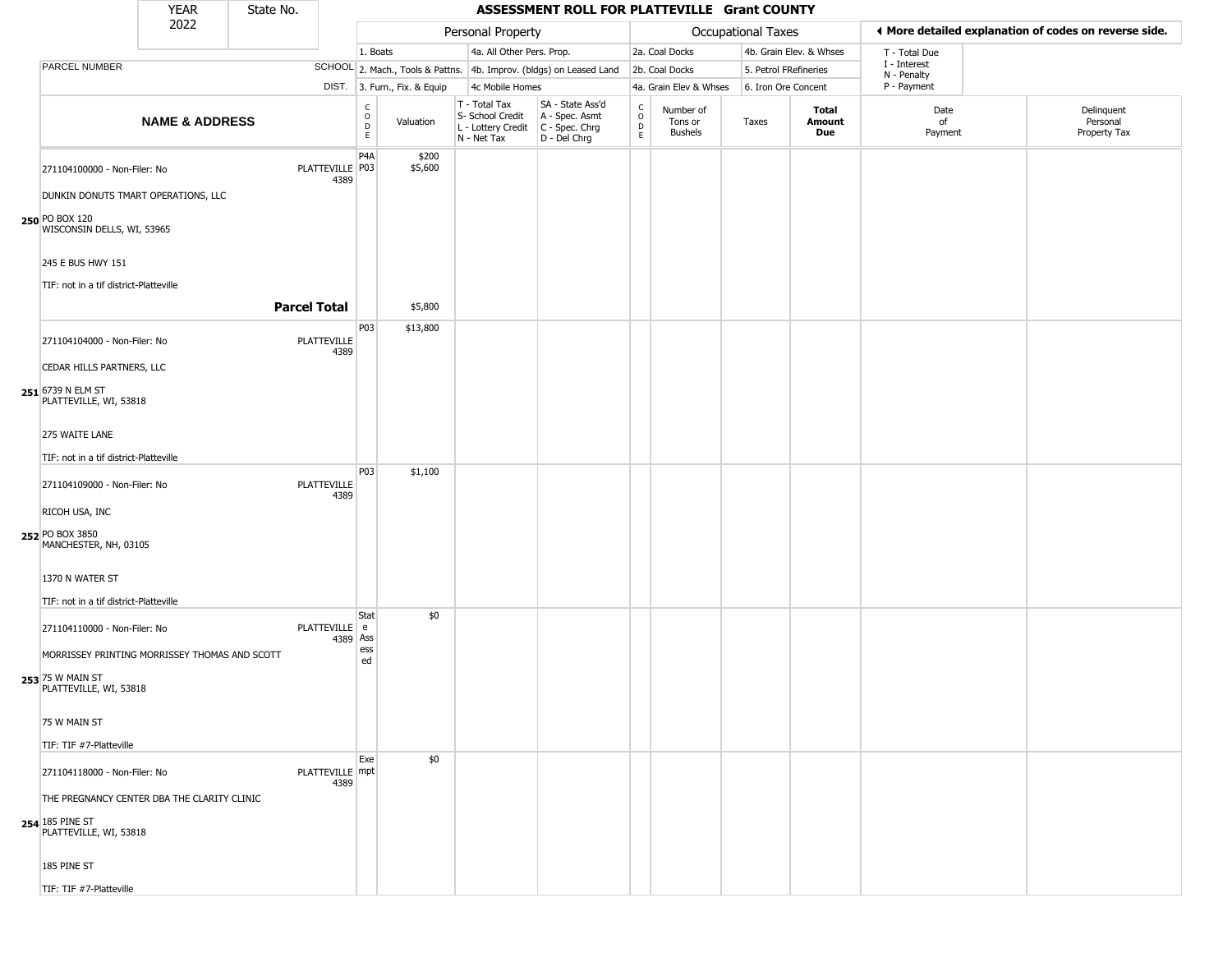|                                                                                          | <b>YEAR</b>               | State No. |                            |                                  |                              |                                                                        | ASSESSMENT ROLL FOR PLATTEVILLE Grant COUNTY                           |                                                 |                                        |                       |                         |                             |                                                       |
|------------------------------------------------------------------------------------------|---------------------------|-----------|----------------------------|----------------------------------|------------------------------|------------------------------------------------------------------------|------------------------------------------------------------------------|-------------------------------------------------|----------------------------------------|-----------------------|-------------------------|-----------------------------|-------------------------------------------------------|
|                                                                                          | 2022                      |           |                            |                                  |                              | Personal Property                                                      |                                                                        |                                                 |                                        | Occupational Taxes    |                         |                             | ◀ More detailed explanation of codes on reverse side. |
|                                                                                          |                           |           |                            | 1. Boats                         |                              | 4a. All Other Pers. Prop.                                              |                                                                        |                                                 | 2a. Coal Docks                         |                       | 4b. Grain Elev. & Whses | T - Total Due               |                                                       |
| <b>PARCEL NUMBER</b>                                                                     |                           |           |                            |                                  |                              |                                                                        | SCHOOL 2. Mach., Tools & Pattns. 4b. Improv. (bldgs) on Leased Land    |                                                 | 2b. Coal Docks                         | 5. Petrol FRefineries |                         | I - Interest<br>N - Penalty |                                                       |
|                                                                                          |                           |           |                            |                                  | DIST. 3. Furn., Fix. & Equip | 4c Mobile Homes                                                        |                                                                        |                                                 | 4a. Grain Elev & Whses                 | 6. Iron Ore Concent   |                         | P - Payment                 |                                                       |
|                                                                                          | <b>NAME &amp; ADDRESS</b> |           |                            | $\mathsf C$<br>$\circ$<br>D<br>E | Valuation                    | T - Total Tax<br>S- School Credit<br>L - Lottery Credit<br>N - Net Tax | SA - State Ass'd<br>A - Spec. Asmt<br>C - Spec. Chrg<br>$D - Del Chrg$ | $_{\rm o}^{\rm c}$<br>$\mathsf{D}_{\mathsf{E}}$ | Number of<br>Tons or<br><b>Bushels</b> | Taxes                 | Total<br>Amount<br>Due  | Date<br>of<br>Payment       | Delinquent<br>Personal<br>Property Tax                |
| 271104100000 - Non-Filer: No                                                             |                           |           | PLATTEVILLE P03<br>4389    | P4A                              | \$200<br>\$5,600             |                                                                        |                                                                        |                                                 |                                        |                       |                         |                             |                                                       |
| DUNKIN DONUTS TMART OPERATIONS, LLC<br>250 PO BOX 120<br>WISCONSIN DELLS, WI, 53965      |                           |           |                            |                                  |                              |                                                                        |                                                                        |                                                 |                                        |                       |                         |                             |                                                       |
| 245 E BUS HWY 151                                                                        |                           |           |                            |                                  |                              |                                                                        |                                                                        |                                                 |                                        |                       |                         |                             |                                                       |
| TIF: not in a tif district-Platteville                                                   |                           |           |                            |                                  |                              |                                                                        |                                                                        |                                                 |                                        |                       |                         |                             |                                                       |
|                                                                                          |                           |           | <b>Parcel Total</b>        |                                  | \$5,800                      |                                                                        |                                                                        |                                                 |                                        |                       |                         |                             |                                                       |
| 271104104000 - Non-Filer: No                                                             |                           |           | PLATTEVILLE<br>4389        | P03                              | \$13,800                     |                                                                        |                                                                        |                                                 |                                        |                       |                         |                             |                                                       |
| CEDAR HILLS PARTNERS, LLC<br>251 6739 N ELM ST<br>PLATTEVILLE, WI, 53818                 |                           |           |                            |                                  |                              |                                                                        |                                                                        |                                                 |                                        |                       |                         |                             |                                                       |
| 275 WAITE LANE                                                                           |                           |           |                            |                                  |                              |                                                                        |                                                                        |                                                 |                                        |                       |                         |                             |                                                       |
| TIF: not in a tif district-Platteville                                                   |                           |           |                            | P03                              | \$1,100                      |                                                                        |                                                                        |                                                 |                                        |                       |                         |                             |                                                       |
| 271104109000 - Non-Filer: No                                                             |                           |           | <b>PLATTEVILLE</b><br>4389 |                                  |                              |                                                                        |                                                                        |                                                 |                                        |                       |                         |                             |                                                       |
| RICOH USA, INC                                                                           |                           |           |                            |                                  |                              |                                                                        |                                                                        |                                                 |                                        |                       |                         |                             |                                                       |
| 252 PO BOX 3850<br>MANCHESTER, NH, 03105                                                 |                           |           |                            |                                  |                              |                                                                        |                                                                        |                                                 |                                        |                       |                         |                             |                                                       |
| 1370 N WATER ST<br>TIF: not in a tif district-Platteville                                |                           |           |                            |                                  |                              |                                                                        |                                                                        |                                                 |                                        |                       |                         |                             |                                                       |
| 271104110000 - Non-Filer: No                                                             |                           |           | PLATTEVILLE e<br>4389 Ass  | Stat                             | \$0                          |                                                                        |                                                                        |                                                 |                                        |                       |                         |                             |                                                       |
| MORRISSEY PRINTING MORRISSEY THOMAS AND SCOTT                                            |                           |           |                            | ess<br>ed                        |                              |                                                                        |                                                                        |                                                 |                                        |                       |                         |                             |                                                       |
| 253 75 W MAIN ST<br>PLATTEVILLE, WI, 53818                                               |                           |           |                            |                                  |                              |                                                                        |                                                                        |                                                 |                                        |                       |                         |                             |                                                       |
| 75 W MAIN ST                                                                             |                           |           |                            |                                  |                              |                                                                        |                                                                        |                                                 |                                        |                       |                         |                             |                                                       |
| TIF: TIF #7-Platteville                                                                  |                           |           |                            |                                  |                              |                                                                        |                                                                        |                                                 |                                        |                       |                         |                             |                                                       |
| 271104118000 - Non-Filer: No                                                             |                           |           | PLATTEVILLE mpt<br>4389    | Exe                              | \$0                          |                                                                        |                                                                        |                                                 |                                        |                       |                         |                             |                                                       |
| THE PREGNANCY CENTER DBA THE CLARITY CLINIC<br>254 185 PINE ST<br>PLATTEVILLE, WI, 53818 |                           |           |                            |                                  |                              |                                                                        |                                                                        |                                                 |                                        |                       |                         |                             |                                                       |
| 185 PINE ST                                                                              |                           |           |                            |                                  |                              |                                                                        |                                                                        |                                                 |                                        |                       |                         |                             |                                                       |
| TIF: TIF #7-Platteville                                                                  |                           |           |                            |                                  |                              |                                                                        |                                                                        |                                                 |                                        |                       |                         |                             |                                                       |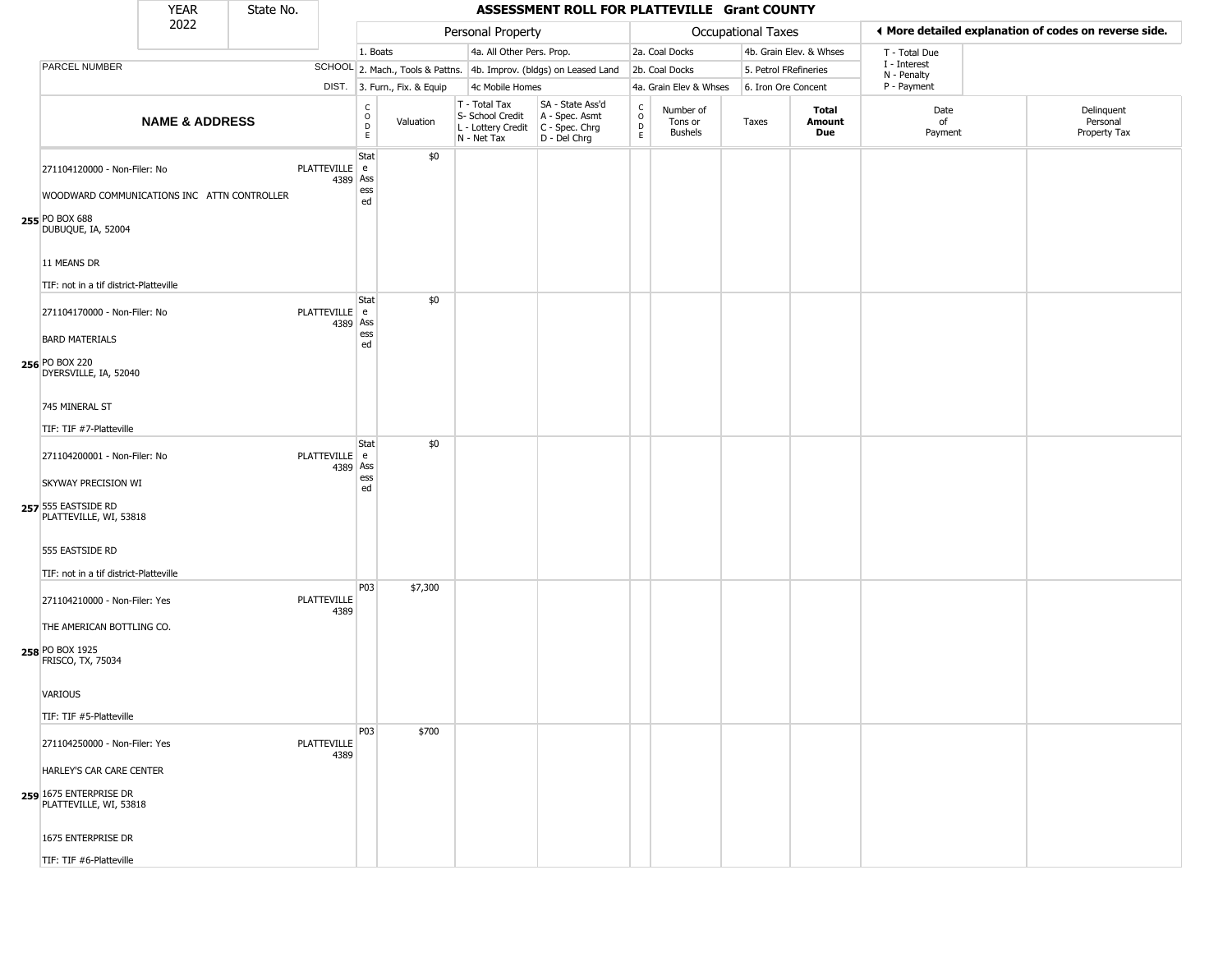|                                                                             | <b>YEAR</b>               | State No. |                            |                        |                              |                                                                        | ASSESSMENT ROLL FOR PLATTEVILLE Grant COUNTY                         |                                 |                                        |       |                         |                             |                                                       |
|-----------------------------------------------------------------------------|---------------------------|-----------|----------------------------|------------------------|------------------------------|------------------------------------------------------------------------|----------------------------------------------------------------------|---------------------------------|----------------------------------------|-------|-------------------------|-----------------------------|-------------------------------------------------------|
|                                                                             | 2022                      |           |                            |                        |                              | Personal Property                                                      |                                                                      |                                 |                                        |       | Occupational Taxes      |                             | ◀ More detailed explanation of codes on reverse side. |
|                                                                             |                           |           |                            | 1. Boats               |                              | 4a. All Other Pers. Prop.                                              |                                                                      |                                 | 2a. Coal Docks                         |       | 4b. Grain Elev. & Whses | T - Total Due               |                                                       |
| PARCEL NUMBER                                                               |                           |           |                            |                        |                              |                                                                        | SCHOOL 2. Mach., Tools & Pattns. 4b. Improv. (bldgs) on Leased Land  |                                 | 2b. Coal Docks                         |       | 5. Petrol FRefineries   | I - Interest<br>N - Penalty |                                                       |
|                                                                             |                           |           |                            |                        | DIST. 3. Furn., Fix. & Equip | 4c Mobile Homes                                                        |                                                                      |                                 | 4a. Grain Elev & Whses                 |       | 6. Iron Ore Concent     | P - Payment                 |                                                       |
|                                                                             | <b>NAME &amp; ADDRESS</b> |           |                            | c<br>$\circ$<br>D<br>E | Valuation                    | T - Total Tax<br>S- School Credit<br>L - Lottery Credit<br>N - Net Tax | SA - State Ass'd<br>A - Spec. Asmt<br>C - Spec. Chrg<br>D - Del Chrg | $\rm ^c_o$<br>$\mathsf{D}$<br>E | Number of<br>Tons or<br><b>Bushels</b> | Taxes | Total<br>Amount<br>Due  | Date<br>of<br>Payment       | Delinquent<br>Personal<br>Property Tax                |
| 271104120000 - Non-Filer: No<br>WOODWARD COMMUNICATIONS INC ATTN CONTROLLER |                           |           | PLATTEVILLE e<br>4389 Ass  | Stat<br>ess<br>ed      | \$0                          |                                                                        |                                                                      |                                 |                                        |       |                         |                             |                                                       |
| 255 PO BOX 688<br>DUBUQUE, IA, 52004                                        |                           |           |                            |                        |                              |                                                                        |                                                                      |                                 |                                        |       |                         |                             |                                                       |
| 11 MEANS DR<br>TIF: not in a tif district-Platteville                       |                           |           |                            |                        |                              |                                                                        |                                                                      |                                 |                                        |       |                         |                             |                                                       |
| 271104170000 - Non-Filer: No                                                |                           |           | PLATTEVILLE e<br>4389 Ass  | Stat<br>ess            | \$0                          |                                                                        |                                                                      |                                 |                                        |       |                         |                             |                                                       |
| <b>BARD MATERIALS</b><br>256 PO BOX 220<br>DYERSVILLE, IA, 52040            |                           |           |                            | ed                     |                              |                                                                        |                                                                      |                                 |                                        |       |                         |                             |                                                       |
| 745 MINERAL ST<br>TIF: TIF #7-Platteville                                   |                           |           |                            |                        |                              |                                                                        |                                                                      |                                 |                                        |       |                         |                             |                                                       |
| 271104200001 - Non-Filer: No<br>SKYWAY PRECISION WI                         |                           |           | PLATTEVILLE e<br>4389 Ass  | Stat<br>ess<br>ed      | \$0                          |                                                                        |                                                                      |                                 |                                        |       |                         |                             |                                                       |
| 257 555 EASTSIDE RD<br>PLATTEVILLE, WI, 53818                               |                           |           |                            |                        |                              |                                                                        |                                                                      |                                 |                                        |       |                         |                             |                                                       |
| 555 EASTSIDE RD<br>TIF: not in a tif district-Platteville                   |                           |           |                            |                        |                              |                                                                        |                                                                      |                                 |                                        |       |                         |                             |                                                       |
| 271104210000 - Non-Filer: Yes                                               |                           |           | <b>PLATTEVILLE</b><br>4389 | P03                    | \$7,300                      |                                                                        |                                                                      |                                 |                                        |       |                         |                             |                                                       |
| THE AMERICAN BOTTLING CO.<br>258 PO BOX 1925<br>FRISCO, TX, 75034           |                           |           |                            |                        |                              |                                                                        |                                                                      |                                 |                                        |       |                         |                             |                                                       |
| VARIOUS                                                                     |                           |           |                            |                        |                              |                                                                        |                                                                      |                                 |                                        |       |                         |                             |                                                       |
| TIF: TIF #5-Platteville                                                     |                           |           |                            | P03                    | \$700                        |                                                                        |                                                                      |                                 |                                        |       |                         |                             |                                                       |
| 271104250000 - Non-Filer: Yes<br>HARLEY'S CAR CARE CENTER                   |                           |           | PLATTEVILLE<br>4389        |                        |                              |                                                                        |                                                                      |                                 |                                        |       |                         |                             |                                                       |
| 259 1675 ENTERPRISE DR<br>PLATTEVILLE, WI, 53818                            |                           |           |                            |                        |                              |                                                                        |                                                                      |                                 |                                        |       |                         |                             |                                                       |
| 1675 ENTERPRISE DR                                                          |                           |           |                            |                        |                              |                                                                        |                                                                      |                                 |                                        |       |                         |                             |                                                       |

TIF: TIF #6-Platteville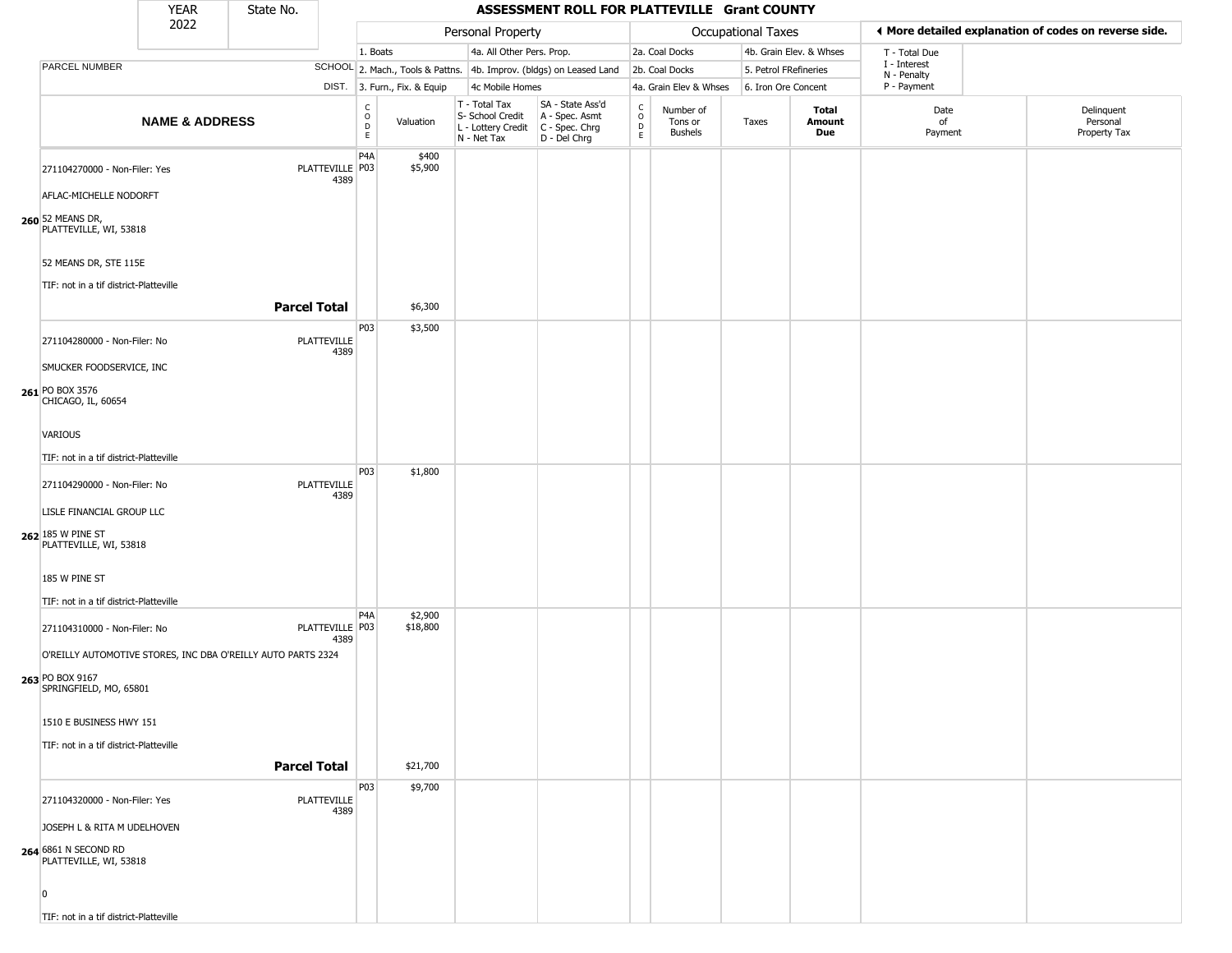|                                                                                              | <b>YEAR</b>               | State No.           |                            |                        |                              |                                                                        | ASSESSMENT ROLL FOR PLATTEVILLE Grant COUNTY                         |                                       |                                        |                       |                         |                             |                                                       |
|----------------------------------------------------------------------------------------------|---------------------------|---------------------|----------------------------|------------------------|------------------------------|------------------------------------------------------------------------|----------------------------------------------------------------------|---------------------------------------|----------------------------------------|-----------------------|-------------------------|-----------------------------|-------------------------------------------------------|
|                                                                                              | 2022                      |                     |                            |                        |                              | Personal Property                                                      |                                                                      |                                       |                                        | Occupational Taxes    |                         |                             | ◀ More detailed explanation of codes on reverse side. |
|                                                                                              |                           |                     |                            | 1. Boats               |                              | 4a. All Other Pers. Prop.                                              |                                                                      |                                       | 2a. Coal Docks                         |                       | 4b. Grain Elev. & Whses | T - Total Due               |                                                       |
| <b>PARCEL NUMBER</b>                                                                         |                           |                     |                            |                        |                              |                                                                        | SCHOOL 2. Mach., Tools & Pattns. 4b. Improv. (bldgs) on Leased Land  |                                       | 2b. Coal Docks                         | 5. Petrol FRefineries |                         | I - Interest<br>N - Penalty |                                                       |
|                                                                                              |                           |                     |                            |                        | DIST. 3. Furn., Fix. & Equip | 4c Mobile Homes                                                        |                                                                      |                                       | 4a. Grain Elev & Whses                 | 6. Iron Ore Concent   |                         | P - Payment                 |                                                       |
|                                                                                              | <b>NAME &amp; ADDRESS</b> |                     |                            | C<br>$\circ$<br>D<br>E | Valuation                    | T - Total Tax<br>S- School Credit<br>L - Lottery Credit<br>N - Net Tax | SA - State Ass'd<br>A - Spec. Asmt<br>C - Spec. Chrg<br>D - Del Chrg | $\mathsf{C}$<br>$\mathsf O$<br>D<br>E | Number of<br>Tons or<br><b>Bushels</b> | Taxes                 | Total<br>Amount<br>Due  | Date<br>of<br>Payment       | Delinquent<br>Personal<br>Property Tax                |
| 271104270000 - Non-Filer: Yes<br>AFLAC-MICHELLE NODORFT                                      |                           |                     | PLATTEVILLE P03<br>4389    | P4A                    | \$400<br>\$5,900             |                                                                        |                                                                      |                                       |                                        |                       |                         |                             |                                                       |
| 260 52 MEANS DR,<br>PLATTEVILLE, WI, 53818                                                   |                           |                     |                            |                        |                              |                                                                        |                                                                      |                                       |                                        |                       |                         |                             |                                                       |
| 52 MEANS DR, STE 115E                                                                        |                           |                     |                            |                        |                              |                                                                        |                                                                      |                                       |                                        |                       |                         |                             |                                                       |
| TIF: not in a tif district-Platteville                                                       |                           |                     |                            |                        |                              |                                                                        |                                                                      |                                       |                                        |                       |                         |                             |                                                       |
|                                                                                              |                           | <b>Parcel Total</b> |                            |                        | \$6,300                      |                                                                        |                                                                      |                                       |                                        |                       |                         |                             |                                                       |
| 271104280000 - Non-Filer: No<br>SMUCKER FOODSERVICE, INC                                     |                           |                     | PLATTEVILLE<br>4389        | P03                    | \$3,500                      |                                                                        |                                                                      |                                       |                                        |                       |                         |                             |                                                       |
| 261 PO BOX 3576<br>CHICAGO, IL, 60654                                                        |                           |                     |                            |                        |                              |                                                                        |                                                                      |                                       |                                        |                       |                         |                             |                                                       |
| VARIOUS                                                                                      |                           |                     |                            |                        |                              |                                                                        |                                                                      |                                       |                                        |                       |                         |                             |                                                       |
| TIF: not in a tif district-Platteville                                                       |                           |                     |                            |                        |                              |                                                                        |                                                                      |                                       |                                        |                       |                         |                             |                                                       |
| 271104290000 - Non-Filer: No                                                                 |                           |                     | <b>PLATTEVILLE</b><br>4389 | P03                    | \$1,800                      |                                                                        |                                                                      |                                       |                                        |                       |                         |                             |                                                       |
| LISLE FINANCIAL GROUP LLC<br>262 185 W PINE ST<br>PLATTEVILLE, WI, 53818                     |                           |                     |                            |                        |                              |                                                                        |                                                                      |                                       |                                        |                       |                         |                             |                                                       |
| 185 W PINE ST                                                                                |                           |                     |                            |                        |                              |                                                                        |                                                                      |                                       |                                        |                       |                         |                             |                                                       |
| TIF: not in a tif district-Platteville                                                       |                           |                     |                            | P4A                    | \$2,900                      |                                                                        |                                                                      |                                       |                                        |                       |                         |                             |                                                       |
| 271104310000 - Non-Filer: No<br>O'REILLY AUTOMOTIVE STORES, INC DBA O'REILLY AUTO PARTS 2324 |                           |                     | PLATTEVILLE   P03<br>4389  |                        | \$18,800                     |                                                                        |                                                                      |                                       |                                        |                       |                         |                             |                                                       |
| 263 PO BOX 9167<br>SPRINGFIELD, MO, 65801                                                    |                           |                     |                            |                        |                              |                                                                        |                                                                      |                                       |                                        |                       |                         |                             |                                                       |
| 1510 E BUSINESS HWY 151                                                                      |                           |                     |                            |                        |                              |                                                                        |                                                                      |                                       |                                        |                       |                         |                             |                                                       |
| TIF: not in a tif district-Platteville                                                       |                           |                     |                            |                        |                              |                                                                        |                                                                      |                                       |                                        |                       |                         |                             |                                                       |
|                                                                                              |                           | <b>Parcel Total</b> |                            |                        | \$21,700                     |                                                                        |                                                                      |                                       |                                        |                       |                         |                             |                                                       |
| 271104320000 - Non-Filer: Yes                                                                |                           |                     | <b>PLATTEVILLE</b><br>4389 | P03                    | \$9,700                      |                                                                        |                                                                      |                                       |                                        |                       |                         |                             |                                                       |
| JOSEPH L & RITA M UDELHOVEN<br>264 6861 N SECOND RD<br>PLATTEVILLE, WI, 53818                |                           |                     |                            |                        |                              |                                                                        |                                                                      |                                       |                                        |                       |                         |                             |                                                       |
| $\Omega$<br>TIF: not in a tif district-Platteville                                           |                           |                     |                            |                        |                              |                                                                        |                                                                      |                                       |                                        |                       |                         |                             |                                                       |

TIF: not in a tif district-Platteville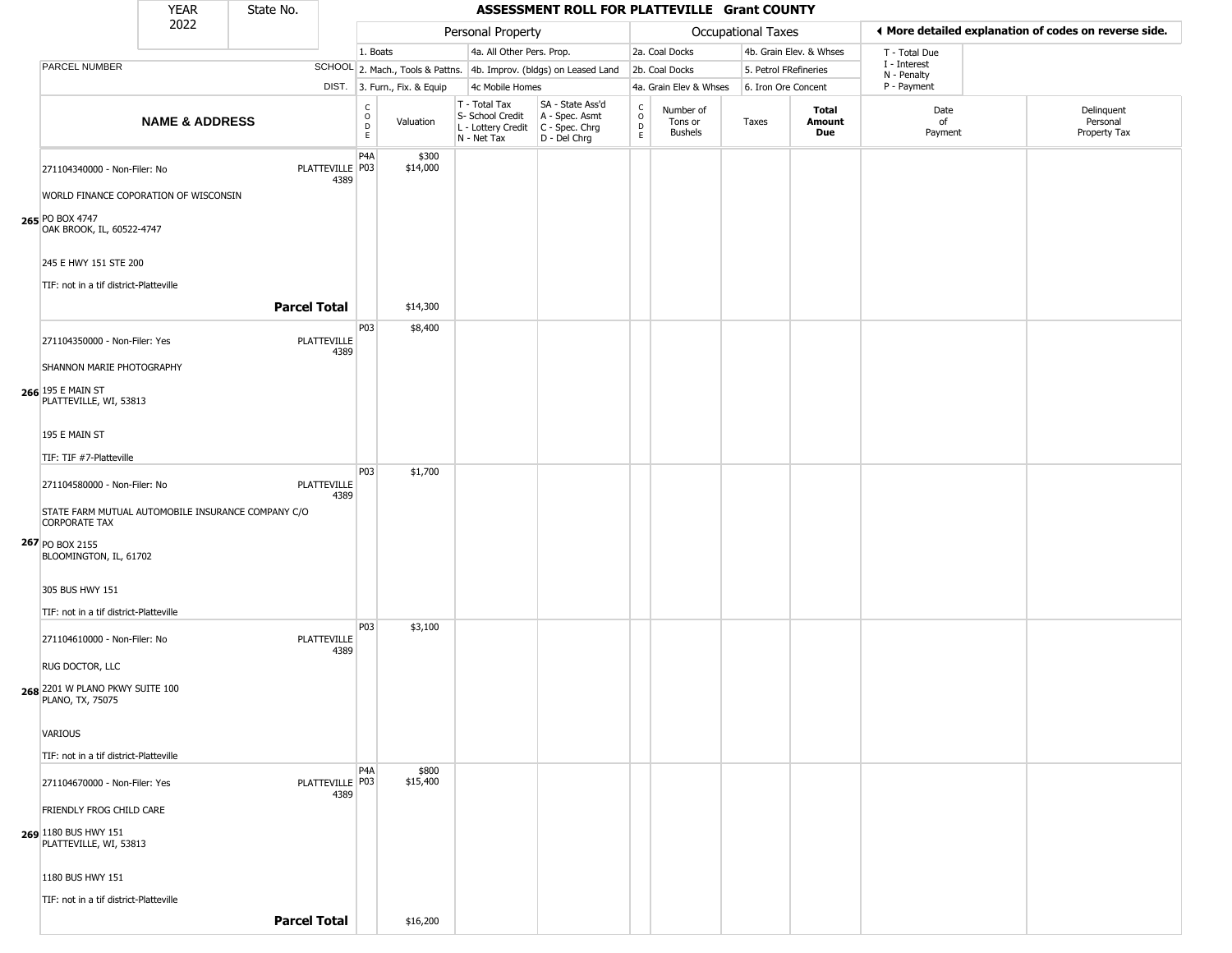|                                                                            |                           |  |                           |                        | ASSESSMENT ROLL FOR PLATTEVILLE Grant COUNTY |                                                                                         |                                                                     |                                                 |                                        |                    |                         |                             |                                                       |
|----------------------------------------------------------------------------|---------------------------|--|---------------------------|------------------------|----------------------------------------------|-----------------------------------------------------------------------------------------|---------------------------------------------------------------------|-------------------------------------------------|----------------------------------------|--------------------|-------------------------|-----------------------------|-------------------------------------------------------|
|                                                                            | 2022                      |  |                           |                        |                                              | Personal Property                                                                       |                                                                     |                                                 |                                        | Occupational Taxes |                         |                             | ◀ More detailed explanation of codes on reverse side. |
|                                                                            |                           |  |                           | 1. Boats               |                                              | 4a. All Other Pers. Prop.                                                               |                                                                     |                                                 | 2a. Coal Docks                         |                    | 4b. Grain Elev. & Whses | T - Total Due               |                                                       |
| PARCEL NUMBER                                                              |                           |  |                           |                        |                                              |                                                                                         | SCHOOL 2. Mach., Tools & Pattns. 4b. Improv. (bldgs) on Leased Land |                                                 | 2b. Coal Docks                         |                    | 5. Petrol FRefineries   | I - Interest<br>N - Penalty |                                                       |
|                                                                            |                           |  |                           |                        | DIST. 3. Furn., Fix. & Equip                 | 4c Mobile Homes                                                                         |                                                                     |                                                 | 4a. Grain Elev & Whses                 |                    | 6. Iron Ore Concent     | P - Payment                 |                                                       |
|                                                                            | <b>NAME &amp; ADDRESS</b> |  |                           | C<br>$\circ$<br>D<br>E | Valuation                                    | T - Total Tax<br>S- School Credit<br>L - Lottery Credit   C - Spec. Chrg<br>N - Net Tax | SA - State Ass'd<br>A - Spec. Asmt<br>D - Del Chrg                  | $\begin{array}{c} C \\ O \\ D \\ E \end{array}$ | Number of<br>Tons or<br><b>Bushels</b> | Taxes              | Total<br>Amount<br>Due  | Date<br>of<br>Payment       | Delinquent<br>Personal<br>Property Tax                |
| 271104340000 - Non-Filer: No                                               |                           |  | PLATTEVILLE   P03<br>4389 | P4A                    | \$300<br>\$14,000                            |                                                                                         |                                                                     |                                                 |                                        |                    |                         |                             |                                                       |
| WORLD FINANCE COPORATION OF WISCONSIN                                      |                           |  |                           |                        |                                              |                                                                                         |                                                                     |                                                 |                                        |                    |                         |                             |                                                       |
| 265 PO BOX 4747<br>OAK BROOK, IL, 60522-4747                               |                           |  |                           |                        |                                              |                                                                                         |                                                                     |                                                 |                                        |                    |                         |                             |                                                       |
| 245 E HWY 151 STE 200                                                      |                           |  |                           |                        |                                              |                                                                                         |                                                                     |                                                 |                                        |                    |                         |                             |                                                       |
| TIF: not in a tif district-Platteville                                     |                           |  | <b>Parcel Total</b>       |                        | \$14,300                                     |                                                                                         |                                                                     |                                                 |                                        |                    |                         |                             |                                                       |
|                                                                            |                           |  |                           | P03                    | \$8,400                                      |                                                                                         |                                                                     |                                                 |                                        |                    |                         |                             |                                                       |
| 271104350000 - Non-Filer: Yes                                              |                           |  | PLATTEVILLE<br>4389       |                        |                                              |                                                                                         |                                                                     |                                                 |                                        |                    |                         |                             |                                                       |
| SHANNON MARIE PHOTOGRAPHY                                                  |                           |  |                           |                        |                                              |                                                                                         |                                                                     |                                                 |                                        |                    |                         |                             |                                                       |
| 266 195 E MAIN ST<br>PLATTEVILLE, WI, 53813                                |                           |  |                           |                        |                                              |                                                                                         |                                                                     |                                                 |                                        |                    |                         |                             |                                                       |
| 195 E MAIN ST                                                              |                           |  |                           |                        |                                              |                                                                                         |                                                                     |                                                 |                                        |                    |                         |                             |                                                       |
| TIF: TIF #7-Platteville                                                    |                           |  |                           |                        |                                              |                                                                                         |                                                                     |                                                 |                                        |                    |                         |                             |                                                       |
| 271104580000 - Non-Filer: No                                               |                           |  | PLATTEVILLE<br>4389       | P03                    | \$1,700                                      |                                                                                         |                                                                     |                                                 |                                        |                    |                         |                             |                                                       |
| STATE FARM MUTUAL AUTOMOBILE INSURANCE COMPANY C/O<br><b>CORPORATE TAX</b> |                           |  |                           |                        |                                              |                                                                                         |                                                                     |                                                 |                                        |                    |                         |                             |                                                       |
| 267 PO BOX 2155<br>BLOOMINGTON, IL, 61702                                  |                           |  |                           |                        |                                              |                                                                                         |                                                                     |                                                 |                                        |                    |                         |                             |                                                       |
| 305 BUS HWY 151                                                            |                           |  |                           |                        |                                              |                                                                                         |                                                                     |                                                 |                                        |                    |                         |                             |                                                       |
| TIF: not in a tif district-Platteville                                     |                           |  |                           |                        |                                              |                                                                                         |                                                                     |                                                 |                                        |                    |                         |                             |                                                       |
| 271104610000 - Non-Filer: No                                               |                           |  | PLATTEVILLE<br>4389       | P03                    | \$3,100                                      |                                                                                         |                                                                     |                                                 |                                        |                    |                         |                             |                                                       |
| RUG DOCTOR, LLC                                                            |                           |  |                           |                        |                                              |                                                                                         |                                                                     |                                                 |                                        |                    |                         |                             |                                                       |
| 268 2201 W PLANO PKWY SUITE 100<br>PLANO, TX, 75075                        |                           |  |                           |                        |                                              |                                                                                         |                                                                     |                                                 |                                        |                    |                         |                             |                                                       |
| VARIOUS                                                                    |                           |  |                           |                        |                                              |                                                                                         |                                                                     |                                                 |                                        |                    |                         |                             |                                                       |
| TIF: not in a tif district-Platteville                                     |                           |  |                           |                        |                                              |                                                                                         |                                                                     |                                                 |                                        |                    |                         |                             |                                                       |
| 271104670000 - Non-Filer: Yes                                              |                           |  | PLATTEVILLE P03<br>4389   | P <sub>4</sub> A       | \$800<br>\$15,400                            |                                                                                         |                                                                     |                                                 |                                        |                    |                         |                             |                                                       |
| FRIENDLY FROG CHILD CARE                                                   |                           |  |                           |                        |                                              |                                                                                         |                                                                     |                                                 |                                        |                    |                         |                             |                                                       |
| 269 1180 BUS HWY 151<br>PLATTEVILLE, WI, 53813                             |                           |  |                           |                        |                                              |                                                                                         |                                                                     |                                                 |                                        |                    |                         |                             |                                                       |
| 1180 BUS HWY 151                                                           |                           |  |                           |                        |                                              |                                                                                         |                                                                     |                                                 |                                        |                    |                         |                             |                                                       |
| TIF: not in a tif district-Platteville                                     |                           |  |                           |                        |                                              |                                                                                         |                                                                     |                                                 |                                        |                    |                         |                             |                                                       |
|                                                                            |                           |  | <b>Parcel Total</b>       |                        | \$16,200                                     |                                                                                         |                                                                     |                                                 |                                        |                    |                         |                             |                                                       |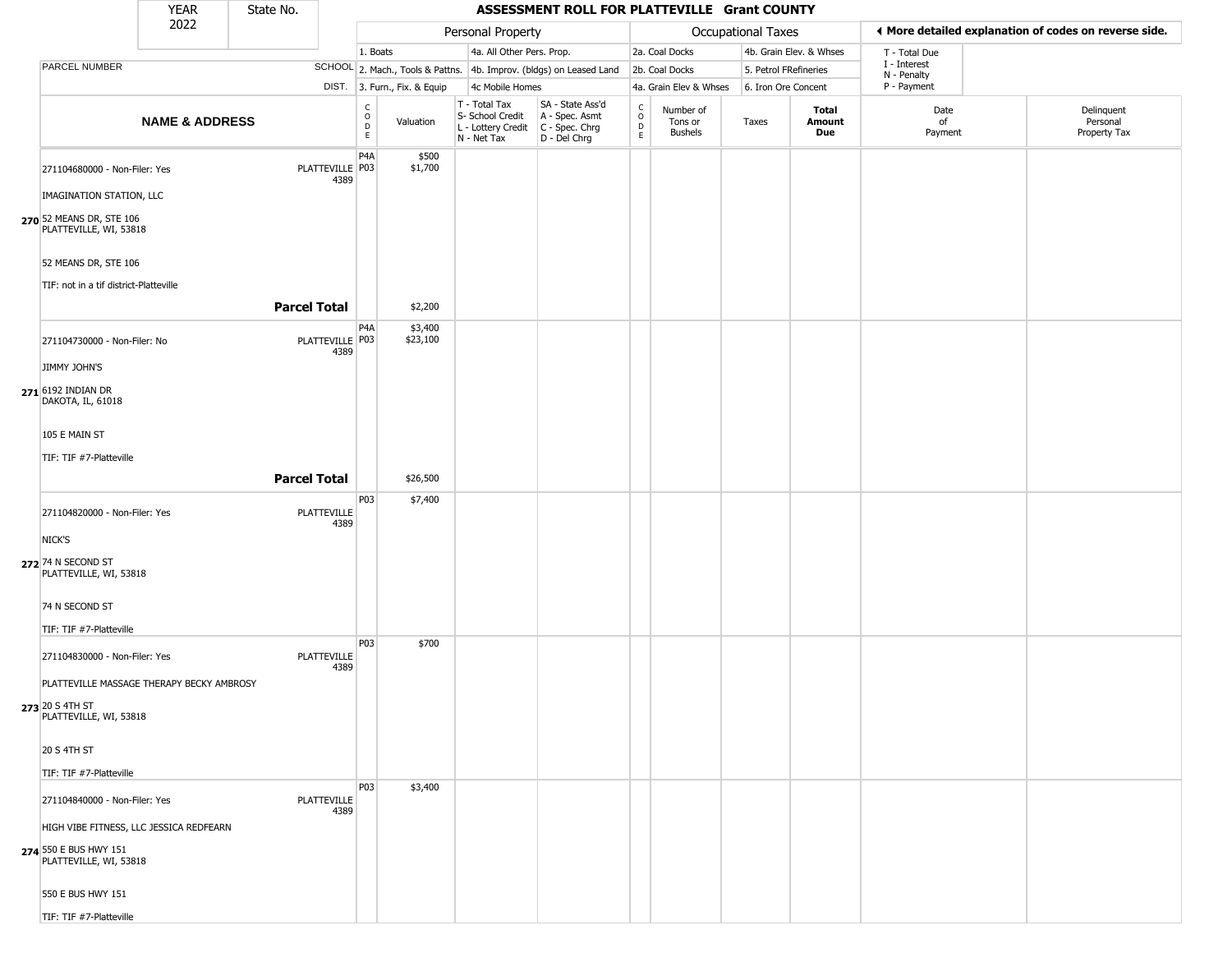|                                                    | <b>YEAR</b>               | State No.           |                         |                                   |                              |                                                                        | ASSESSMENT ROLL FOR PLATTEVILLE Grant COUNTY                         |                                              |                                        |                       |                         |                             |                                                       |
|----------------------------------------------------|---------------------------|---------------------|-------------------------|-----------------------------------|------------------------------|------------------------------------------------------------------------|----------------------------------------------------------------------|----------------------------------------------|----------------------------------------|-----------------------|-------------------------|-----------------------------|-------------------------------------------------------|
|                                                    | 2022                      |                     |                         |                                   |                              | Personal Property                                                      |                                                                      |                                              |                                        | Occupational Taxes    |                         |                             | ♦ More detailed explanation of codes on reverse side. |
|                                                    |                           |                     |                         | 1. Boats                          |                              | 4a. All Other Pers. Prop.                                              |                                                                      |                                              | 2a. Coal Docks                         |                       | 4b. Grain Elev. & Whses | T - Total Due               |                                                       |
| PARCEL NUMBER                                      |                           |                     |                         |                                   |                              |                                                                        | SCHOOL 2. Mach., Tools & Pattns. 4b. Improv. (bldgs) on Leased Land  |                                              | 2b. Coal Docks                         | 5. Petrol FRefineries |                         | I - Interest<br>N - Penalty |                                                       |
|                                                    |                           |                     |                         |                                   | DIST. 3. Furn., Fix. & Equip | 4c Mobile Homes                                                        |                                                                      |                                              | 4a. Grain Elev & Whses                 | 6. Iron Ore Concent   |                         | P - Payment                 |                                                       |
|                                                    | <b>NAME &amp; ADDRESS</b> |                     |                         | C<br>$\circ$<br>$\mathsf{D}$<br>E | Valuation                    | T - Total Tax<br>S- School Credit<br>L - Lottery Credit<br>N - Net Tax | SA - State Ass'd<br>A - Spec. Asmt<br>C - Spec. Chrg<br>D - Del Chrg | $\begin{array}{c}\nC \\ D \\ E\n\end{array}$ | Number of<br>Tons or<br><b>Bushels</b> | Taxes                 | Total<br>Amount<br>Due  | Date<br>of<br>Payment       | Delinquent<br>Personal<br>Property Tax                |
| 271104680000 - Non-Filer: Yes                      |                           |                     | PLATTEVILLE P03<br>4389 | P4A                               | \$500<br>\$1,700             |                                                                        |                                                                      |                                              |                                        |                       |                         |                             |                                                       |
| IMAGINATION STATION, LLC                           |                           |                     |                         |                                   |                              |                                                                        |                                                                      |                                              |                                        |                       |                         |                             |                                                       |
| 270 52 MEANS DR, STE 106<br>PLATTEVILLE, WI, 53818 |                           |                     |                         |                                   |                              |                                                                        |                                                                      |                                              |                                        |                       |                         |                             |                                                       |
| 52 MEANS DR, STE 106                               |                           |                     |                         |                                   |                              |                                                                        |                                                                      |                                              |                                        |                       |                         |                             |                                                       |
| TIF: not in a tif district-Platteville             |                           |                     |                         |                                   |                              |                                                                        |                                                                      |                                              |                                        |                       |                         |                             |                                                       |
|                                                    |                           | <b>Parcel Total</b> |                         |                                   | \$2,200                      |                                                                        |                                                                      |                                              |                                        |                       |                         |                             |                                                       |
| 271104730000 - Non-Filer: No                       |                           |                     | PLATTEVILLE P03<br>4389 | P <sub>4</sub> A                  | \$3,400<br>\$23,100          |                                                                        |                                                                      |                                              |                                        |                       |                         |                             |                                                       |
| JIMMY JOHN'S                                       |                           |                     |                         |                                   |                              |                                                                        |                                                                      |                                              |                                        |                       |                         |                             |                                                       |
| 271 6192 INDIAN DR<br>DAKOTA, IL, 61018            |                           |                     |                         |                                   |                              |                                                                        |                                                                      |                                              |                                        |                       |                         |                             |                                                       |
| 105 E MAIN ST                                      |                           |                     |                         |                                   |                              |                                                                        |                                                                      |                                              |                                        |                       |                         |                             |                                                       |
| TIF: TIF #7-Platteville                            |                           |                     |                         |                                   |                              |                                                                        |                                                                      |                                              |                                        |                       |                         |                             |                                                       |
|                                                    |                           | <b>Parcel Total</b> |                         |                                   | \$26,500                     |                                                                        |                                                                      |                                              |                                        |                       |                         |                             |                                                       |
|                                                    |                           |                     |                         | P03                               | \$7,400                      |                                                                        |                                                                      |                                              |                                        |                       |                         |                             |                                                       |
| 271104820000 - Non-Filer: Yes<br>NICK'S            |                           |                     | PLATTEVILLE<br>4389     |                                   |                              |                                                                        |                                                                      |                                              |                                        |                       |                         |                             |                                                       |
|                                                    |                           |                     |                         |                                   |                              |                                                                        |                                                                      |                                              |                                        |                       |                         |                             |                                                       |
| 272 74 N SECOND ST<br>PLATTEVILLE, WI, 53818       |                           |                     |                         |                                   |                              |                                                                        |                                                                      |                                              |                                        |                       |                         |                             |                                                       |
| 74 N SECOND ST                                     |                           |                     |                         |                                   |                              |                                                                        |                                                                      |                                              |                                        |                       |                         |                             |                                                       |
| TIF: TIF #7-Platteville                            |                           |                     |                         |                                   |                              |                                                                        |                                                                      |                                              |                                        |                       |                         |                             |                                                       |
| 271104830000 - Non-Filer: Yes                      |                           |                     | PLATTEVILLE<br>4389     | P <sub>03</sub>                   | \$700                        |                                                                        |                                                                      |                                              |                                        |                       |                         |                             |                                                       |
| PLATTEVILLE MASSAGE THERAPY BECKY AMBROSY          |                           |                     |                         |                                   |                              |                                                                        |                                                                      |                                              |                                        |                       |                         |                             |                                                       |
| 273 20 S 4TH ST<br>PLATTEVILLE, WI, 53818          |                           |                     |                         |                                   |                              |                                                                        |                                                                      |                                              |                                        |                       |                         |                             |                                                       |
| 20 S 4TH ST                                        |                           |                     |                         |                                   |                              |                                                                        |                                                                      |                                              |                                        |                       |                         |                             |                                                       |
| TIF: TIF #7-Platteville                            |                           |                     |                         |                                   |                              |                                                                        |                                                                      |                                              |                                        |                       |                         |                             |                                                       |
| 271104840000 - Non-Filer: Yes                      |                           |                     | PLATTEVILLE<br>4389     | P03                               | \$3,400                      |                                                                        |                                                                      |                                              |                                        |                       |                         |                             |                                                       |
| HIGH VIBE FITNESS, LLC JESSICA REDFEARN            |                           |                     |                         |                                   |                              |                                                                        |                                                                      |                                              |                                        |                       |                         |                             |                                                       |
| 274 550 E BUS HWY 151<br>PLATTEVILLE, WI, 53818    |                           |                     |                         |                                   |                              |                                                                        |                                                                      |                                              |                                        |                       |                         |                             |                                                       |
| 550 E BUS HWY 151                                  |                           |                     |                         |                                   |                              |                                                                        |                                                                      |                                              |                                        |                       |                         |                             |                                                       |
| TIF: TIF #7-Platteville                            |                           |                     |                         |                                   |                              |                                                                        |                                                                      |                                              |                                        |                       |                         |                             |                                                       |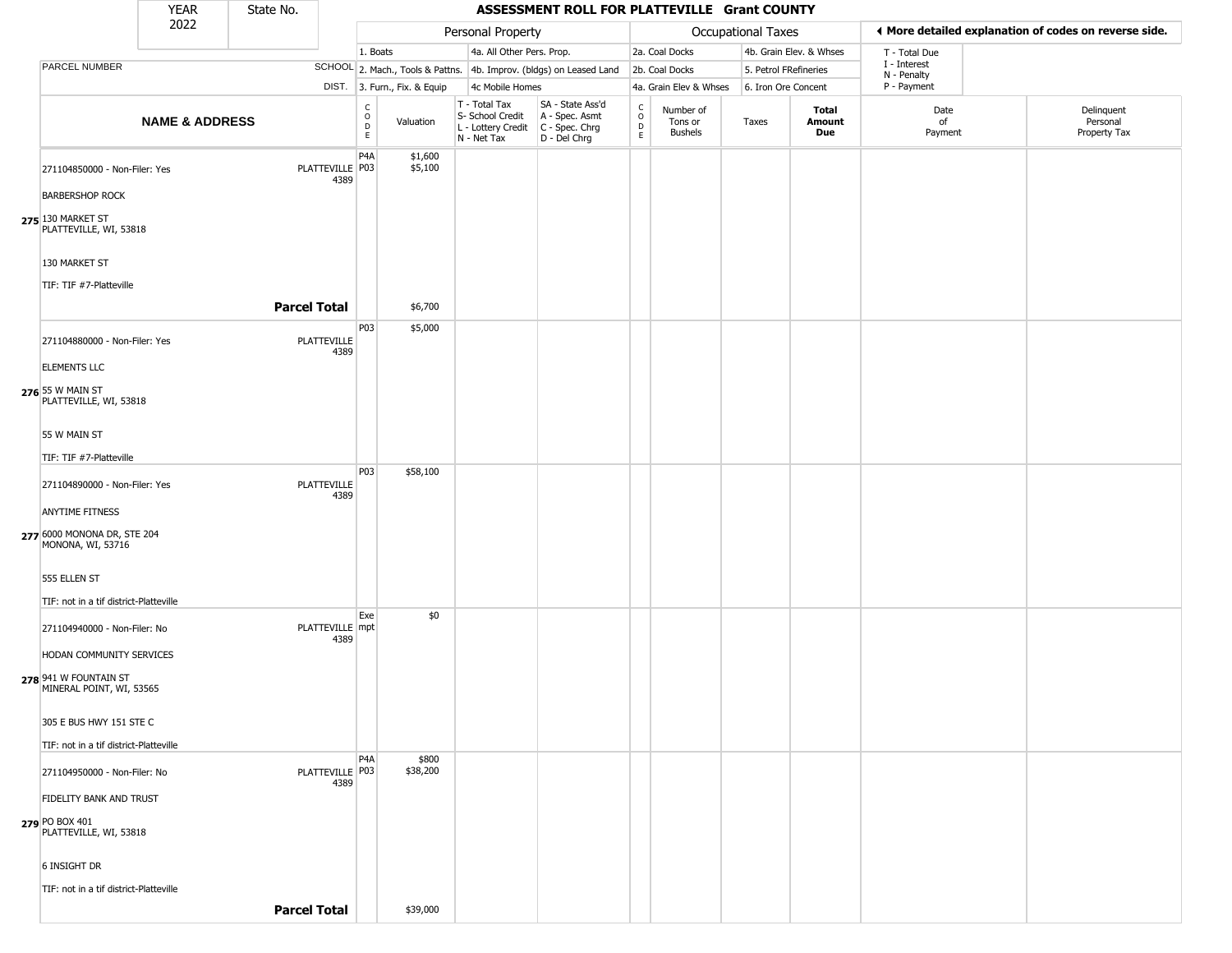|                                                   | <b>YEAR</b>               | State No.           |                         |                                                 |                              |                                                                                           | ASSESSMENT ROLL FOR PLATTEVILLE Grant COUNTY                        |                                   |                                        |                       |                         |                             |                                                       |
|---------------------------------------------------|---------------------------|---------------------|-------------------------|-------------------------------------------------|------------------------------|-------------------------------------------------------------------------------------------|---------------------------------------------------------------------|-----------------------------------|----------------------------------------|-----------------------|-------------------------|-----------------------------|-------------------------------------------------------|
|                                                   | 2022                      |                     |                         |                                                 |                              | Personal Property                                                                         |                                                                     |                                   |                                        | Occupational Taxes    |                         |                             | ♦ More detailed explanation of codes on reverse side. |
|                                                   |                           |                     |                         | 1. Boats                                        |                              | 4a. All Other Pers. Prop.                                                                 |                                                                     |                                   | 2a. Coal Docks                         |                       | 4b. Grain Elev. & Whses | T - Total Due               |                                                       |
| PARCEL NUMBER                                     |                           |                     |                         |                                                 |                              |                                                                                           | SCHOOL 2. Mach., Tools & Pattns. 4b. Improv. (bldgs) on Leased Land |                                   | 2b. Coal Docks                         | 5. Petrol FRefineries |                         | I - Interest<br>N - Penalty |                                                       |
|                                                   |                           |                     |                         |                                                 | DIST. 3. Furn., Fix. & Equip | 4c Mobile Homes                                                                           |                                                                     |                                   | 4a. Grain Elev & Whses                 | 6. Iron Ore Concent   |                         | P - Payment                 |                                                       |
|                                                   | <b>NAME &amp; ADDRESS</b> |                     |                         | $\begin{array}{c} C \\ C \\ D \\ E \end{array}$ | Valuation                    | T - Total Tax<br>S- School Credit<br>$L$ - Lottery Credit $C$ - Spec. Chrg<br>N - Net Tax | SA - State Ass'd<br>A - Spec. Asmt<br>D - Del Chrg                  | $\frac{c}{0}$<br>$\mathsf D$<br>E | Number of<br>Tons or<br><b>Bushels</b> | Taxes                 | Total<br>Amount<br>Due  | Date<br>of<br>Payment       | Delinquent<br>Personal<br>Property Tax                |
| 271104850000 - Non-Filer: Yes                     |                           |                     | PLATTEVILLE P03<br>4389 | P <sub>4</sub> A                                | \$1,600<br>\$5,100           |                                                                                           |                                                                     |                                   |                                        |                       |                         |                             |                                                       |
| <b>BARBERSHOP ROCK</b>                            |                           |                     |                         |                                                 |                              |                                                                                           |                                                                     |                                   |                                        |                       |                         |                             |                                                       |
| 275 130 MARKET ST<br>PLATTEVILLE, WI, 53818       |                           |                     |                         |                                                 |                              |                                                                                           |                                                                     |                                   |                                        |                       |                         |                             |                                                       |
| 130 MARKET ST                                     |                           |                     |                         |                                                 |                              |                                                                                           |                                                                     |                                   |                                        |                       |                         |                             |                                                       |
| TIF: TIF #7-Platteville                           |                           |                     |                         |                                                 |                              |                                                                                           |                                                                     |                                   |                                        |                       |                         |                             |                                                       |
|                                                   |                           | <b>Parcel Total</b> |                         |                                                 | \$6,700                      |                                                                                           |                                                                     |                                   |                                        |                       |                         |                             |                                                       |
|                                                   |                           |                     |                         | P03                                             | \$5,000                      |                                                                                           |                                                                     |                                   |                                        |                       |                         |                             |                                                       |
| 271104880000 - Non-Filer: Yes                     |                           |                     | PLATTEVILLE<br>4389     |                                                 |                              |                                                                                           |                                                                     |                                   |                                        |                       |                         |                             |                                                       |
| <b>ELEMENTS LLC</b>                               |                           |                     |                         |                                                 |                              |                                                                                           |                                                                     |                                   |                                        |                       |                         |                             |                                                       |
| 276 55 W MAIN ST<br>PLATTEVILLE, WI, 53818        |                           |                     |                         |                                                 |                              |                                                                                           |                                                                     |                                   |                                        |                       |                         |                             |                                                       |
| 55 W MAIN ST                                      |                           |                     |                         |                                                 |                              |                                                                                           |                                                                     |                                   |                                        |                       |                         |                             |                                                       |
| TIF: TIF #7-Platteville                           |                           |                     |                         |                                                 |                              |                                                                                           |                                                                     |                                   |                                        |                       |                         |                             |                                                       |
|                                                   |                           |                     |                         | <b>P03</b>                                      | \$58,100                     |                                                                                           |                                                                     |                                   |                                        |                       |                         |                             |                                                       |
| 271104890000 - Non-Filer: Yes                     |                           |                     | PLATTEVILLE<br>4389     |                                                 |                              |                                                                                           |                                                                     |                                   |                                        |                       |                         |                             |                                                       |
| <b>ANYTIME FITNESS</b>                            |                           |                     |                         |                                                 |                              |                                                                                           |                                                                     |                                   |                                        |                       |                         |                             |                                                       |
| 277 6000 MONONA DR, STE 204<br>MONONA, WI, 53716  |                           |                     |                         |                                                 |                              |                                                                                           |                                                                     |                                   |                                        |                       |                         |                             |                                                       |
| 555 ELLEN ST                                      |                           |                     |                         |                                                 |                              |                                                                                           |                                                                     |                                   |                                        |                       |                         |                             |                                                       |
| TIF: not in a tif district-Platteville            |                           |                     |                         |                                                 |                              |                                                                                           |                                                                     |                                   |                                        |                       |                         |                             |                                                       |
| 271104940000 - Non-Filer: No                      |                           |                     | PLATTEVILLE mpt<br>4389 | Exe                                             | \$0                          |                                                                                           |                                                                     |                                   |                                        |                       |                         |                             |                                                       |
| HODAN COMMUNITY SERVICES                          |                           |                     |                         |                                                 |                              |                                                                                           |                                                                     |                                   |                                        |                       |                         |                             |                                                       |
| 278 941 W FOUNTAIN ST<br>MINERAL POINT, WI, 53565 |                           |                     |                         |                                                 |                              |                                                                                           |                                                                     |                                   |                                        |                       |                         |                             |                                                       |
| 305 E BUS HWY 151 STE C                           |                           |                     |                         |                                                 |                              |                                                                                           |                                                                     |                                   |                                        |                       |                         |                             |                                                       |
| TIF: not in a tif district-Platteville            |                           |                     |                         |                                                 |                              |                                                                                           |                                                                     |                                   |                                        |                       |                         |                             |                                                       |
| 271104950000 - Non-Filer: No                      |                           |                     | PLATTEVILLE   P03       | P <sub>4</sub> A                                | \$800<br>\$38,200            |                                                                                           |                                                                     |                                   |                                        |                       |                         |                             |                                                       |
|                                                   |                           |                     | 4389                    |                                                 |                              |                                                                                           |                                                                     |                                   |                                        |                       |                         |                             |                                                       |
| FIDELITY BANK AND TRUST                           |                           |                     |                         |                                                 |                              |                                                                                           |                                                                     |                                   |                                        |                       |                         |                             |                                                       |
| 279 PO BOX 401<br>PLATTEVILLE, WI, 53818          |                           |                     |                         |                                                 |                              |                                                                                           |                                                                     |                                   |                                        |                       |                         |                             |                                                       |
| 6 INSIGHT DR                                      |                           |                     |                         |                                                 |                              |                                                                                           |                                                                     |                                   |                                        |                       |                         |                             |                                                       |
| TIF: not in a tif district-Platteville            |                           |                     |                         |                                                 |                              |                                                                                           |                                                                     |                                   |                                        |                       |                         |                             |                                                       |
|                                                   |                           | <b>Parcel Total</b> |                         |                                                 | \$39,000                     |                                                                                           |                                                                     |                                   |                                        |                       |                         |                             |                                                       |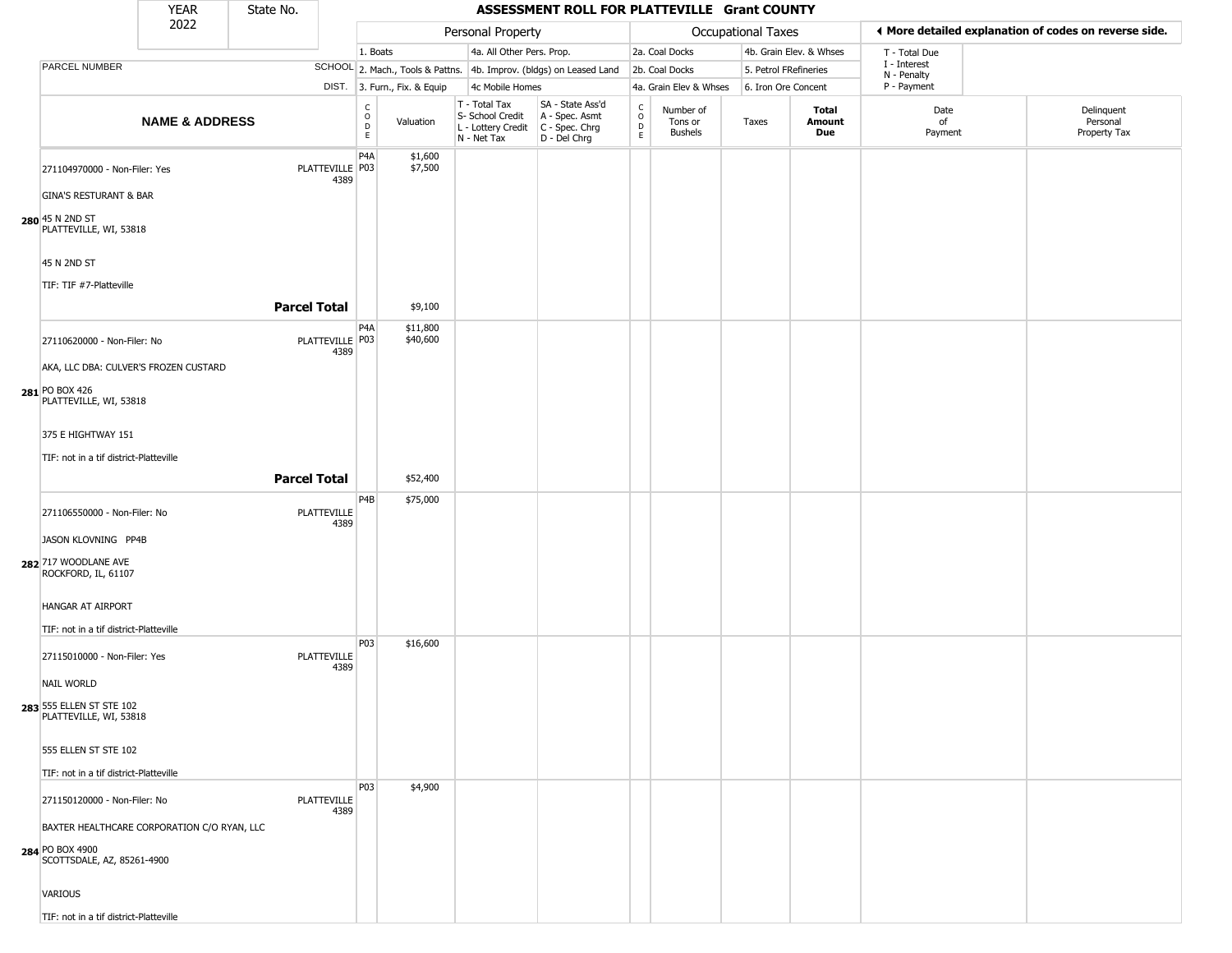|                                                    | YEAR                      | State No.           |                            |                                                  |                              |                                                                        | ASSESSMENT ROLL FOR PLATTEVILLE Grant COUNTY                         |                                |                                        |                       |                         |                             |                                                       |
|----------------------------------------------------|---------------------------|---------------------|----------------------------|--------------------------------------------------|------------------------------|------------------------------------------------------------------------|----------------------------------------------------------------------|--------------------------------|----------------------------------------|-----------------------|-------------------------|-----------------------------|-------------------------------------------------------|
|                                                    | 2022                      |                     |                            |                                                  |                              | Personal Property                                                      |                                                                      |                                |                                        | Occupational Taxes    |                         |                             | ◀ More detailed explanation of codes on reverse side. |
|                                                    |                           |                     |                            | 1. Boats                                         |                              | 4a. All Other Pers. Prop.                                              |                                                                      |                                | 2a. Coal Docks                         |                       | 4b. Grain Elev. & Whses | T - Total Due               |                                                       |
| PARCEL NUMBER                                      |                           |                     |                            |                                                  |                              |                                                                        | SCHOOL 2. Mach., Tools & Pattns. 4b. Improv. (bldgs) on Leased Land  |                                | 2b. Coal Docks                         | 5. Petrol FRefineries |                         | I - Interest<br>N - Penalty |                                                       |
|                                                    |                           |                     |                            |                                                  | DIST. 3. Furn., Fix. & Equip | 4c Mobile Homes                                                        |                                                                      |                                | 4a. Grain Elev & Whses                 | 6. Iron Ore Concent   |                         | P - Payment                 |                                                       |
|                                                    | <b>NAME &amp; ADDRESS</b> |                     |                            | $_{\rm o}^{\rm c}$<br>$\mathsf D$<br>$\mathsf E$ | Valuation                    | T - Total Tax<br>S- School Credit<br>L - Lottery Credit<br>N - Net Tax | SA - State Ass'd<br>A - Spec. Asmt<br>C - Spec. Chrg<br>D - Del Chrg | $\frac{c}{0}$<br>$\frac{D}{E}$ | Number of<br>Tons or<br><b>Bushels</b> | Taxes                 | Total<br>Amount<br>Due  | Date<br>of<br>Payment       | Delinquent<br>Personal<br>Property Tax                |
| 271104970000 - Non-Filer: Yes                      |                           |                     | PLATTEVILLE P03<br>4389    | P <sub>4</sub> A                                 | \$1,600<br>\$7,500           |                                                                        |                                                                      |                                |                                        |                       |                         |                             |                                                       |
| <b>GINA'S RESTURANT &amp; BAR</b>                  |                           |                     |                            |                                                  |                              |                                                                        |                                                                      |                                |                                        |                       |                         |                             |                                                       |
| 280 45 N 2ND ST<br>PLATTEVILLE, WI, 53818          |                           |                     |                            |                                                  |                              |                                                                        |                                                                      |                                |                                        |                       |                         |                             |                                                       |
| 45 N 2ND ST                                        |                           |                     |                            |                                                  |                              |                                                                        |                                                                      |                                |                                        |                       |                         |                             |                                                       |
| TIF: TIF #7-Platteville                            |                           |                     |                            |                                                  |                              |                                                                        |                                                                      |                                |                                        |                       |                         |                             |                                                       |
|                                                    |                           | <b>Parcel Total</b> |                            |                                                  | \$9,100                      |                                                                        |                                                                      |                                |                                        |                       |                         |                             |                                                       |
|                                                    |                           |                     |                            | P4A                                              | \$11,800                     |                                                                        |                                                                      |                                |                                        |                       |                         |                             |                                                       |
| 27110620000 - Non-Filer: No                        |                           |                     | PLATTEVILLE P03<br>4389    |                                                  | \$40,600                     |                                                                        |                                                                      |                                |                                        |                       |                         |                             |                                                       |
| AKA, LLC DBA: CULVER'S FROZEN CUSTARD              |                           |                     |                            |                                                  |                              |                                                                        |                                                                      |                                |                                        |                       |                         |                             |                                                       |
| 281 PO BOX 426<br>PLATTEVILLE, WI, 53818           |                           |                     |                            |                                                  |                              |                                                                        |                                                                      |                                |                                        |                       |                         |                             |                                                       |
| 375 E HIGHTWAY 151                                 |                           |                     |                            |                                                  |                              |                                                                        |                                                                      |                                |                                        |                       |                         |                             |                                                       |
| TIF: not in a tif district-Platteville             |                           |                     |                            |                                                  |                              |                                                                        |                                                                      |                                |                                        |                       |                         |                             |                                                       |
|                                                    |                           | <b>Parcel Total</b> |                            |                                                  | \$52,400                     |                                                                        |                                                                      |                                |                                        |                       |                         |                             |                                                       |
| 271106550000 - Non-Filer: No                       |                           |                     | <b>PLATTEVILLE</b><br>4389 | P <sub>4</sub> B                                 | \$75,000                     |                                                                        |                                                                      |                                |                                        |                       |                         |                             |                                                       |
| JASON KLOVNING PP4B                                |                           |                     |                            |                                                  |                              |                                                                        |                                                                      |                                |                                        |                       |                         |                             |                                                       |
| 282 717 WOODLANE AVE<br>ROCKFORD, IL, 61107        |                           |                     |                            |                                                  |                              |                                                                        |                                                                      |                                |                                        |                       |                         |                             |                                                       |
| HANGAR AT AIRPORT                                  |                           |                     |                            |                                                  |                              |                                                                        |                                                                      |                                |                                        |                       |                         |                             |                                                       |
| TIF: not in a tif district-Platteville             |                           |                     |                            | P03                                              | \$16,600                     |                                                                        |                                                                      |                                |                                        |                       |                         |                             |                                                       |
| 27115010000 - Non-Filer: Yes                       |                           |                     | <b>PLATTEVILLE</b><br>4389 |                                                  |                              |                                                                        |                                                                      |                                |                                        |                       |                         |                             |                                                       |
| <b>NAIL WORLD</b>                                  |                           |                     |                            |                                                  |                              |                                                                        |                                                                      |                                |                                        |                       |                         |                             |                                                       |
| 283 555 ELLEN ST STE 102<br>PLATTEVILLE, WI, 53818 |                           |                     |                            |                                                  |                              |                                                                        |                                                                      |                                |                                        |                       |                         |                             |                                                       |
| 555 ELLEN ST STE 102                               |                           |                     |                            |                                                  |                              |                                                                        |                                                                      |                                |                                        |                       |                         |                             |                                                       |
| TIF: not in a tif district-Platteville             |                           |                     |                            |                                                  |                              |                                                                        |                                                                      |                                |                                        |                       |                         |                             |                                                       |
| 271150120000 - Non-Filer: No                       |                           |                     | <b>PLATTEVILLE</b><br>4389 | P03                                              | \$4,900                      |                                                                        |                                                                      |                                |                                        |                       |                         |                             |                                                       |
| BAXTER HEALTHCARE CORPORATION C/O RYAN, LLC        |                           |                     |                            |                                                  |                              |                                                                        |                                                                      |                                |                                        |                       |                         |                             |                                                       |
| 284 PO BOX 4900<br>SCOTTSDALE, AZ, 85261-4900      |                           |                     |                            |                                                  |                              |                                                                        |                                                                      |                                |                                        |                       |                         |                             |                                                       |
| VARIOUS                                            |                           |                     |                            |                                                  |                              |                                                                        |                                                                      |                                |                                        |                       |                         |                             |                                                       |

TIF: not in a tif district-Platteville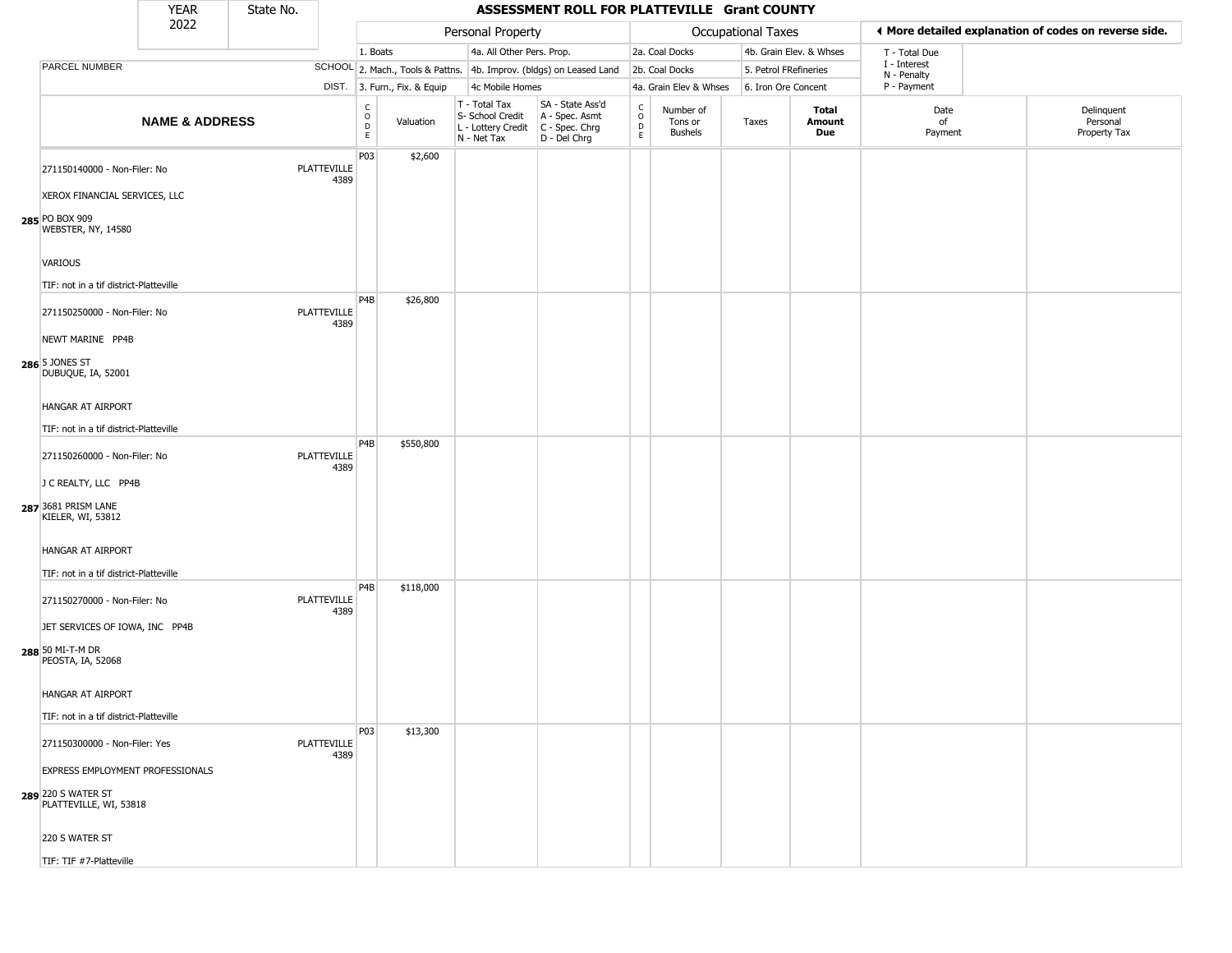|                                                                         | <b>YEAR</b>               | State No. |                            |                         |                              |                                                                        | ASSESSMENT ROLL FOR PLATTEVILLE Grant COUNTY                         |                                     |                                        |                       |                         |                             |                                                       |
|-------------------------------------------------------------------------|---------------------------|-----------|----------------------------|-------------------------|------------------------------|------------------------------------------------------------------------|----------------------------------------------------------------------|-------------------------------------|----------------------------------------|-----------------------|-------------------------|-----------------------------|-------------------------------------------------------|
|                                                                         | 2022                      |           |                            |                         |                              | Personal Property                                                      |                                                                      |                                     |                                        | Occupational Taxes    |                         |                             | ◀ More detailed explanation of codes on reverse side. |
|                                                                         |                           |           |                            | 1. Boats                |                              | 4a. All Other Pers. Prop.                                              |                                                                      |                                     | 2a. Coal Docks                         |                       | 4b. Grain Elev. & Whses | T - Total Due               |                                                       |
| PARCEL NUMBER                                                           |                           |           |                            |                         |                              |                                                                        | SCHOOL 2. Mach., Tools & Pattns. 4b. Improv. (bldgs) on Leased Land  |                                     | 2b. Coal Docks                         | 5. Petrol FRefineries |                         | I - Interest<br>N - Penalty |                                                       |
|                                                                         |                           |           |                            |                         | DIST. 3. Furn., Fix. & Equip | 4c Mobile Homes                                                        |                                                                      |                                     | 4a. Grain Elev & Whses                 | 6. Iron Ore Concent   |                         | P - Payment                 |                                                       |
|                                                                         | <b>NAME &amp; ADDRESS</b> |           |                            | C<br>$\circ$<br>D<br>E. | Valuation                    | T - Total Tax<br>S- School Credit<br>L - Lottery Credit<br>N - Net Tax | SA - State Ass'd<br>A - Spec. Asmt<br>C - Spec. Chrg<br>D - Del Chrg | $\rm ^c_{o}$<br>$\overline{D}$<br>E | Number of<br>Tons or<br><b>Bushels</b> | Taxes                 | Total<br>Amount<br>Due  | Date<br>of<br>Payment       | Delinquent<br>Personal<br>Property Tax                |
| 271150140000 - Non-Filer: No<br>XEROX FINANCIAL SERVICES, LLC           |                           |           | PLATTEVILLE<br>4389        | P03                     | \$2,600                      |                                                                        |                                                                      |                                     |                                        |                       |                         |                             |                                                       |
| 285 PO BOX 909<br>WEBSTER, NY, 14580                                    |                           |           |                            |                         |                              |                                                                        |                                                                      |                                     |                                        |                       |                         |                             |                                                       |
| VARIOUS<br>TIF: not in a tif district-Platteville                       |                           |           |                            | P <sub>4</sub> B        | \$26,800                     |                                                                        |                                                                      |                                     |                                        |                       |                         |                             |                                                       |
| 271150250000 - Non-Filer: No<br>NEWT MARINE PP4B                        |                           |           | <b>PLATTEVILLE</b><br>4389 |                         |                              |                                                                        |                                                                      |                                     |                                        |                       |                         |                             |                                                       |
| 286 5 JONES ST<br>DUBUQUE, IA, 52001                                    |                           |           |                            |                         |                              |                                                                        |                                                                      |                                     |                                        |                       |                         |                             |                                                       |
| HANGAR AT AIRPORT                                                       |                           |           |                            |                         |                              |                                                                        |                                                                      |                                     |                                        |                       |                         |                             |                                                       |
| TIF: not in a tif district-Platteville                                  |                           |           |                            |                         |                              |                                                                        |                                                                      |                                     |                                        |                       |                         |                             |                                                       |
| 271150260000 - Non-Filer: No                                            |                           |           | PLATTEVILLE<br>4389        | P <sub>4</sub> B        | \$550,800                    |                                                                        |                                                                      |                                     |                                        |                       |                         |                             |                                                       |
| J C REALTY, LLC PP4B<br>287 3681 PRISM LANE<br>KIELER, WI, 53812        |                           |           |                            |                         |                              |                                                                        |                                                                      |                                     |                                        |                       |                         |                             |                                                       |
| HANGAR AT AIRPORT<br>TIF: not in a tif district-Platteville             |                           |           |                            |                         |                              |                                                                        |                                                                      |                                     |                                        |                       |                         |                             |                                                       |
| 271150270000 - Non-Filer: No                                            |                           |           | <b>PLATTEVILLE</b><br>4389 | P4B                     | \$118,000                    |                                                                        |                                                                      |                                     |                                        |                       |                         |                             |                                                       |
| JET SERVICES OF IOWA, INC PP4B<br>288 50 MI-T-M DR<br>PEOSTA, IA, 52068 |                           |           |                            |                         |                              |                                                                        |                                                                      |                                     |                                        |                       |                         |                             |                                                       |
| HANGAR AT AIRPORT<br>TIF: not in a tif district-Platteville             |                           |           |                            |                         |                              |                                                                        |                                                                      |                                     |                                        |                       |                         |                             |                                                       |
| 271150300000 - Non-Filer: Yes                                           |                           |           | PLATTEVILLE<br>4389        | P03                     | \$13,300                     |                                                                        |                                                                      |                                     |                                        |                       |                         |                             |                                                       |
| <b>EXPRESS EMPLOYMENT PROFESSIONALS</b>                                 |                           |           |                            |                         |                              |                                                                        |                                                                      |                                     |                                        |                       |                         |                             |                                                       |
| 289 220 S WATER ST<br>PLATTEVILLE, WI, 53818                            |                           |           |                            |                         |                              |                                                                        |                                                                      |                                     |                                        |                       |                         |                             |                                                       |
| 220 S WATER ST                                                          |                           |           |                            |                         |                              |                                                                        |                                                                      |                                     |                                        |                       |                         |                             |                                                       |
| TIF: TIF #7-Platteville                                                 |                           |           |                            |                         |                              |                                                                        |                                                                      |                                     |                                        |                       |                         |                             |                                                       |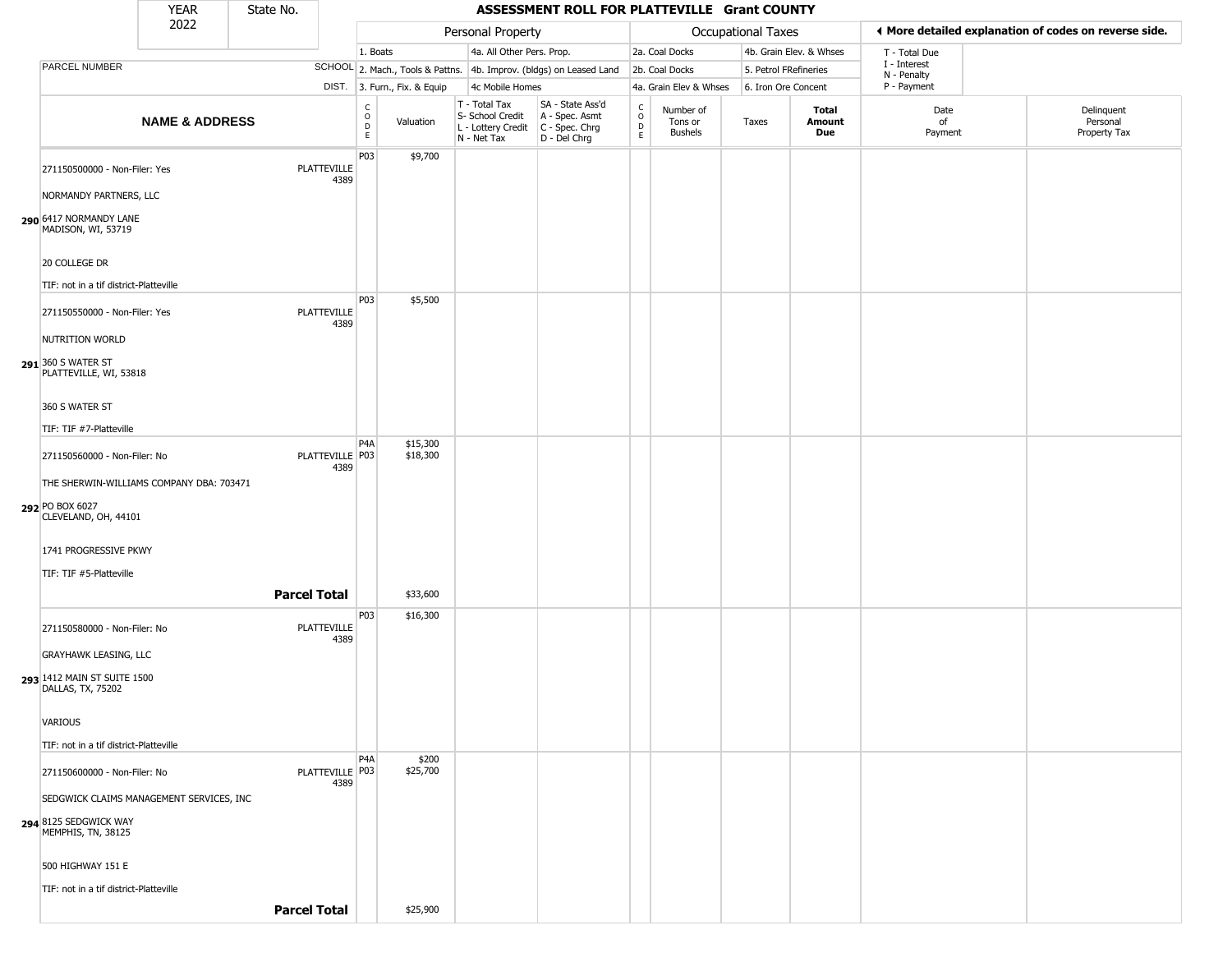|                                                                                     | <b>YEAR</b>               | State No.           |                            |                            |                              |                                                                        | ASSESSMENT ROLL FOR PLATTEVILLE Grant COUNTY                           |                                                          |                                        |                       |                         |                             |                                                       |
|-------------------------------------------------------------------------------------|---------------------------|---------------------|----------------------------|----------------------------|------------------------------|------------------------------------------------------------------------|------------------------------------------------------------------------|----------------------------------------------------------|----------------------------------------|-----------------------|-------------------------|-----------------------------|-------------------------------------------------------|
|                                                                                     | 2022                      |                     |                            |                            |                              | Personal Property                                                      |                                                                        |                                                          |                                        | Occupational Taxes    |                         |                             | ♦ More detailed explanation of codes on reverse side. |
|                                                                                     |                           |                     |                            | 1. Boats                   |                              | 4a. All Other Pers. Prop.                                              |                                                                        |                                                          | 2a. Coal Docks                         |                       | 4b. Grain Elev. & Whses | T - Total Due               |                                                       |
| PARCEL NUMBER                                                                       |                           |                     |                            |                            |                              |                                                                        | SCHOOL 2. Mach., Tools & Pattns. 4b. Improv. (bldgs) on Leased Land    |                                                          | 2b. Coal Docks                         | 5. Petrol FRefineries |                         | I - Interest<br>N - Penalty |                                                       |
|                                                                                     |                           |                     |                            |                            | DIST. 3. Furn., Fix. & Equip | 4c Mobile Homes                                                        |                                                                        |                                                          | 4a. Grain Elev & Whses                 | 6. Iron Ore Concent   |                         | P - Payment                 |                                                       |
|                                                                                     | <b>NAME &amp; ADDRESS</b> |                     |                            | C<br>0<br>D<br>$\mathsf E$ | Valuation                    | T - Total Tax<br>S- School Credit<br>L - Lottery Credit<br>N - Net Tax | SA - State Ass'd<br>A - Spec. Asmt<br>$C - Spec. Chrg$<br>D - Del Chrg | $\begin{matrix} 0 \\ 0 \\ D \end{matrix}$<br>$\mathsf E$ | Number of<br>Tons or<br><b>Bushels</b> | Taxes                 | Total<br>Amount<br>Due  | Date<br>of<br>Payment       | Delinquent<br>Personal<br>Property Tax                |
| 271150500000 - Non-Filer: Yes<br>NORMANDY PARTNERS, LLC                             |                           |                     | <b>PLATTEVILLE</b><br>4389 | <b>P03</b>                 | \$9,700                      |                                                                        |                                                                        |                                                          |                                        |                       |                         |                             |                                                       |
| 290 6417 NORMANDY LANE<br>MADISON, WI, 53719                                        |                           |                     |                            |                            |                              |                                                                        |                                                                        |                                                          |                                        |                       |                         |                             |                                                       |
| 20 COLLEGE DR<br>TIF: not in a tif district-Platteville                             |                           |                     |                            |                            |                              |                                                                        |                                                                        |                                                          |                                        |                       |                         |                             |                                                       |
| 271150550000 - Non-Filer: Yes                                                       |                           |                     | <b>PLATTEVILLE</b><br>4389 | P03                        | \$5,500                      |                                                                        |                                                                        |                                                          |                                        |                       |                         |                             |                                                       |
| NUTRITION WORLD<br>291 360 S WATER ST<br>PLATTEVILLE, WI, 53818                     |                           |                     |                            |                            |                              |                                                                        |                                                                        |                                                          |                                        |                       |                         |                             |                                                       |
| 360 S WATER ST<br>TIF: TIF #7-Platteville                                           |                           |                     |                            |                            |                              |                                                                        |                                                                        |                                                          |                                        |                       |                         |                             |                                                       |
| 271150560000 - Non-Filer: No                                                        |                           |                     | PLATTEVILLE   P03<br>4389  | P <sub>4</sub> A           | \$15,300<br>\$18,300         |                                                                        |                                                                        |                                                          |                                        |                       |                         |                             |                                                       |
| THE SHERWIN-WILLIAMS COMPANY DBA: 703471<br>292 PO BOX 6027<br>CLEVELAND, OH, 44101 |                           |                     |                            |                            |                              |                                                                        |                                                                        |                                                          |                                        |                       |                         |                             |                                                       |
| 1741 PROGRESSIVE PKWY<br>TIF: TIF #5-Platteville                                    |                           |                     |                            |                            |                              |                                                                        |                                                                        |                                                          |                                        |                       |                         |                             |                                                       |
|                                                                                     |                           |                     | <b>Parcel Total</b>        |                            | \$33,600                     |                                                                        |                                                                        |                                                          |                                        |                       |                         |                             |                                                       |
| 271150580000 - Non-Filer: No<br>GRAYHAWK LEASING, LLC                               |                           |                     | <b>PLATTEVILLE</b><br>4389 | P03                        | \$16,300                     |                                                                        |                                                                        |                                                          |                                        |                       |                         |                             |                                                       |
| 293 1412 MAIN ST SUITE 1500<br>DALLAS, TX, 75202                                    |                           |                     |                            |                            |                              |                                                                        |                                                                        |                                                          |                                        |                       |                         |                             |                                                       |
| VARIOUS                                                                             |                           |                     |                            |                            |                              |                                                                        |                                                                        |                                                          |                                        |                       |                         |                             |                                                       |
| TIF: not in a tif district-Platteville<br>271150600000 - Non-Filer: No              |                           |                     | PLATTEVILLE   P03          | P <sub>4</sub> A           | \$200<br>\$25,700            |                                                                        |                                                                        |                                                          |                                        |                       |                         |                             |                                                       |
| SEDGWICK CLAIMS MANAGEMENT SERVICES, INC                                            |                           |                     | 4389                       |                            |                              |                                                                        |                                                                        |                                                          |                                        |                       |                         |                             |                                                       |
| 294 8125 SEDGWICK WAY<br>MEMPHIS, TN, 38125                                         |                           |                     |                            |                            |                              |                                                                        |                                                                        |                                                          |                                        |                       |                         |                             |                                                       |
| 500 HIGHWAY 151 E                                                                   |                           |                     |                            |                            |                              |                                                                        |                                                                        |                                                          |                                        |                       |                         |                             |                                                       |
| TIF: not in a tif district-Platteville                                              |                           | <b>Parcel Total</b> |                            |                            | \$25,900                     |                                                                        |                                                                        |                                                          |                                        |                       |                         |                             |                                                       |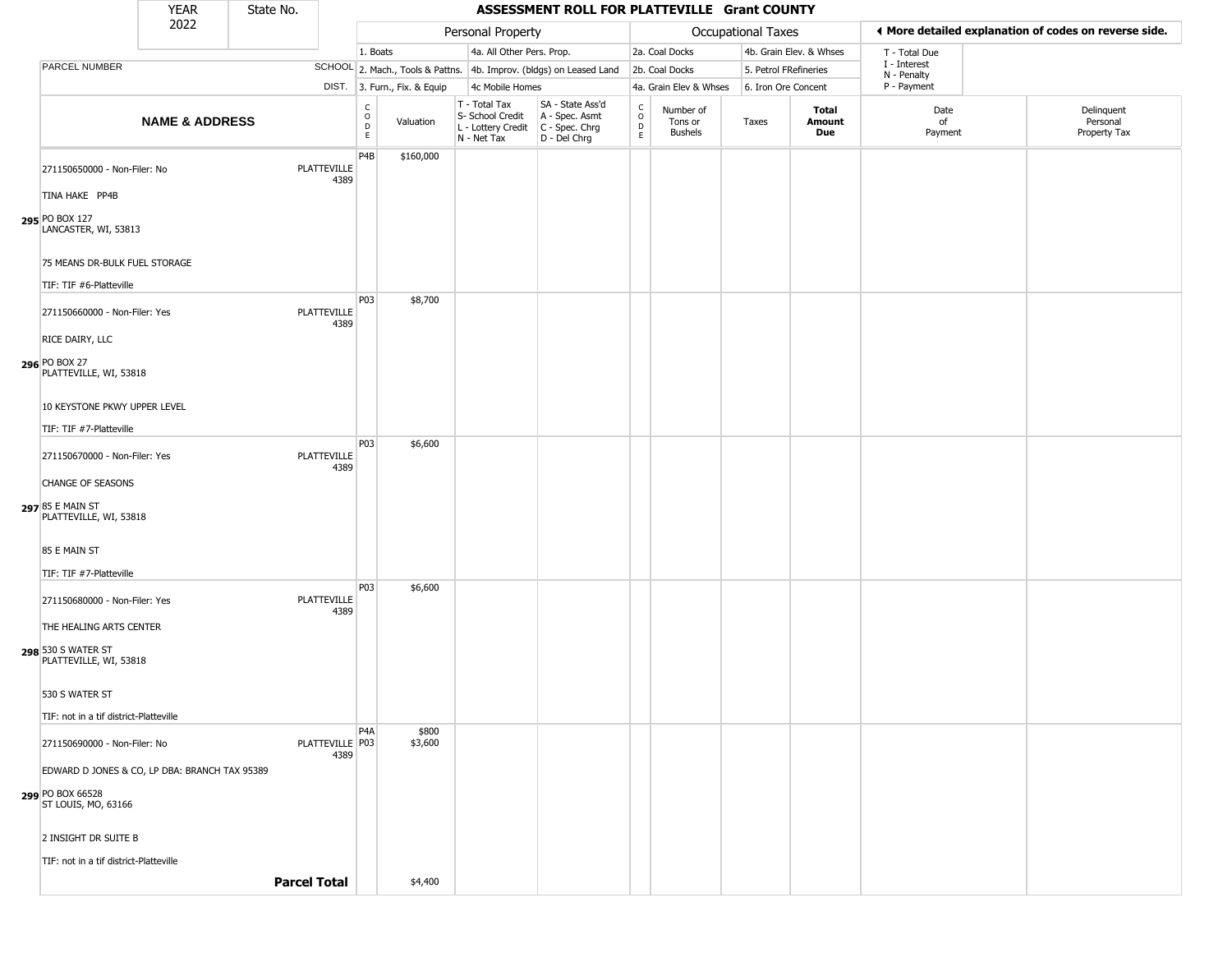|                                                            | <b>YEAR</b>               | State No.           |                            |                                                       |                              |                                                                                         | ASSESSMENT ROLL FOR PLATTEVILLE Grant COUNTY                        |                                |                                        |                       |                         |                             |                                                       |
|------------------------------------------------------------|---------------------------|---------------------|----------------------------|-------------------------------------------------------|------------------------------|-----------------------------------------------------------------------------------------|---------------------------------------------------------------------|--------------------------------|----------------------------------------|-----------------------|-------------------------|-----------------------------|-------------------------------------------------------|
|                                                            | 2022                      |                     |                            |                                                       |                              | Personal Property                                                                       |                                                                     |                                |                                        | Occupational Taxes    |                         |                             | ◀ More detailed explanation of codes on reverse side. |
|                                                            |                           |                     |                            | 1. Boats                                              |                              | 4a. All Other Pers. Prop.                                                               |                                                                     |                                | 2a. Coal Docks                         |                       | 4b. Grain Elev. & Whses | T - Total Due               |                                                       |
| PARCEL NUMBER                                              |                           |                     |                            |                                                       |                              |                                                                                         | SCHOOL 2. Mach., Tools & Pattns. 4b. Improv. (bldgs) on Leased Land |                                | 2b. Coal Docks                         | 5. Petrol FRefineries |                         | I - Interest<br>N - Penalty |                                                       |
|                                                            |                           |                     |                            |                                                       | DIST. 3. Furn., Fix. & Equip | 4c Mobile Homes                                                                         |                                                                     |                                | 4a. Grain Elev & Whses                 | 6. Iron Ore Concent   |                         | P - Payment                 |                                                       |
|                                                            | <b>NAME &amp; ADDRESS</b> |                     |                            | $\mathsf{C}$<br>$\circ$<br>$\mathsf D$<br>$\mathsf E$ | Valuation                    | T - Total Tax<br>S- School Credit<br>L - Lottery Credit   C - Spec. Chrg<br>N - Net Tax | SA - State Ass'd<br>A - Spec. Asmt<br>D - Del Chrg                  | $\frac{c}{0}$<br>$\frac{D}{E}$ | Number of<br>Tons or<br><b>Bushels</b> | Taxes                 | Total<br>Amount<br>Due  | Date<br>of<br>Payment       | Delinquent<br>Personal<br>Property Tax                |
| 271150650000 - Non-Filer: No                               |                           |                     | PLATTEVILLE<br>4389        | P4B                                                   | \$160,000                    |                                                                                         |                                                                     |                                |                                        |                       |                         |                             |                                                       |
| TINA HAKE PP4B<br>295 PO BOX 127<br>LANCASTER, WI, 53813   |                           |                     |                            |                                                       |                              |                                                                                         |                                                                     |                                |                                        |                       |                         |                             |                                                       |
| 75 MEANS DR-BULK FUEL STORAGE                              |                           |                     |                            |                                                       |                              |                                                                                         |                                                                     |                                |                                        |                       |                         |                             |                                                       |
| TIF: TIF #6-Platteville<br>271150660000 - Non-Filer: Yes   |                           |                     | <b>PLATTEVILLE</b><br>4389 | P03                                                   | \$8,700                      |                                                                                         |                                                                     |                                |                                        |                       |                         |                             |                                                       |
| RICE DAIRY, LLC<br>296 PO BOX 27<br>PLATTEVILLE, WI, 53818 |                           |                     |                            |                                                       |                              |                                                                                         |                                                                     |                                |                                        |                       |                         |                             |                                                       |
| 10 KEYSTONE PKWY UPPER LEVEL                               |                           |                     |                            |                                                       |                              |                                                                                         |                                                                     |                                |                                        |                       |                         |                             |                                                       |
| TIF: TIF #7-Platteville                                    |                           |                     |                            | P03                                                   |                              |                                                                                         |                                                                     |                                |                                        |                       |                         |                             |                                                       |
| 271150670000 - Non-Filer: Yes<br><b>CHANGE OF SEASONS</b>  |                           |                     | <b>PLATTEVILLE</b><br>4389 |                                                       | \$6,600                      |                                                                                         |                                                                     |                                |                                        |                       |                         |                             |                                                       |
| 297 85 E MAIN ST<br>PLATTEVILLE, WI, 53818                 |                           |                     |                            |                                                       |                              |                                                                                         |                                                                     |                                |                                        |                       |                         |                             |                                                       |
| 85 E MAIN ST                                               |                           |                     |                            |                                                       |                              |                                                                                         |                                                                     |                                |                                        |                       |                         |                             |                                                       |
| TIF: TIF #7-Platteville                                    |                           |                     |                            | P03                                                   | \$6,600                      |                                                                                         |                                                                     |                                |                                        |                       |                         |                             |                                                       |
| 271150680000 - Non-Filer: Yes<br>THE HEALING ARTS CENTER   |                           |                     | <b>PLATTEVILLE</b><br>4389 |                                                       |                              |                                                                                         |                                                                     |                                |                                        |                       |                         |                             |                                                       |
| 298 530 S WATER ST<br>PLATTEVILLE, WI, 53818               |                           |                     |                            |                                                       |                              |                                                                                         |                                                                     |                                |                                        |                       |                         |                             |                                                       |
| 530 S WATER ST                                             |                           |                     |                            |                                                       |                              |                                                                                         |                                                                     |                                |                                        |                       |                         |                             |                                                       |
| TIF: not in a tif district-Platteville                     |                           |                     |                            | P <sub>4</sub> A                                      | \$800                        |                                                                                         |                                                                     |                                |                                        |                       |                         |                             |                                                       |
| 271150690000 - Non-Filer: No                               |                           |                     | PLATTEVILLE P03<br>4389    |                                                       | \$3,600                      |                                                                                         |                                                                     |                                |                                        |                       |                         |                             |                                                       |
| EDWARD D JONES & CO, LP DBA: BRANCH TAX 95389              |                           |                     |                            |                                                       |                              |                                                                                         |                                                                     |                                |                                        |                       |                         |                             |                                                       |
| 299 PO BOX 66528<br>ST LOUIS, MO, 63166                    |                           |                     |                            |                                                       |                              |                                                                                         |                                                                     |                                |                                        |                       |                         |                             |                                                       |
| 2 INSIGHT DR SUITE B                                       |                           |                     |                            |                                                       |                              |                                                                                         |                                                                     |                                |                                        |                       |                         |                             |                                                       |
| TIF: not in a tif district-Platteville                     |                           |                     |                            |                                                       |                              |                                                                                         |                                                                     |                                |                                        |                       |                         |                             |                                                       |
|                                                            |                           | <b>Parcel Total</b> |                            |                                                       | \$4,400                      |                                                                                         |                                                                     |                                |                                        |                       |                         |                             |                                                       |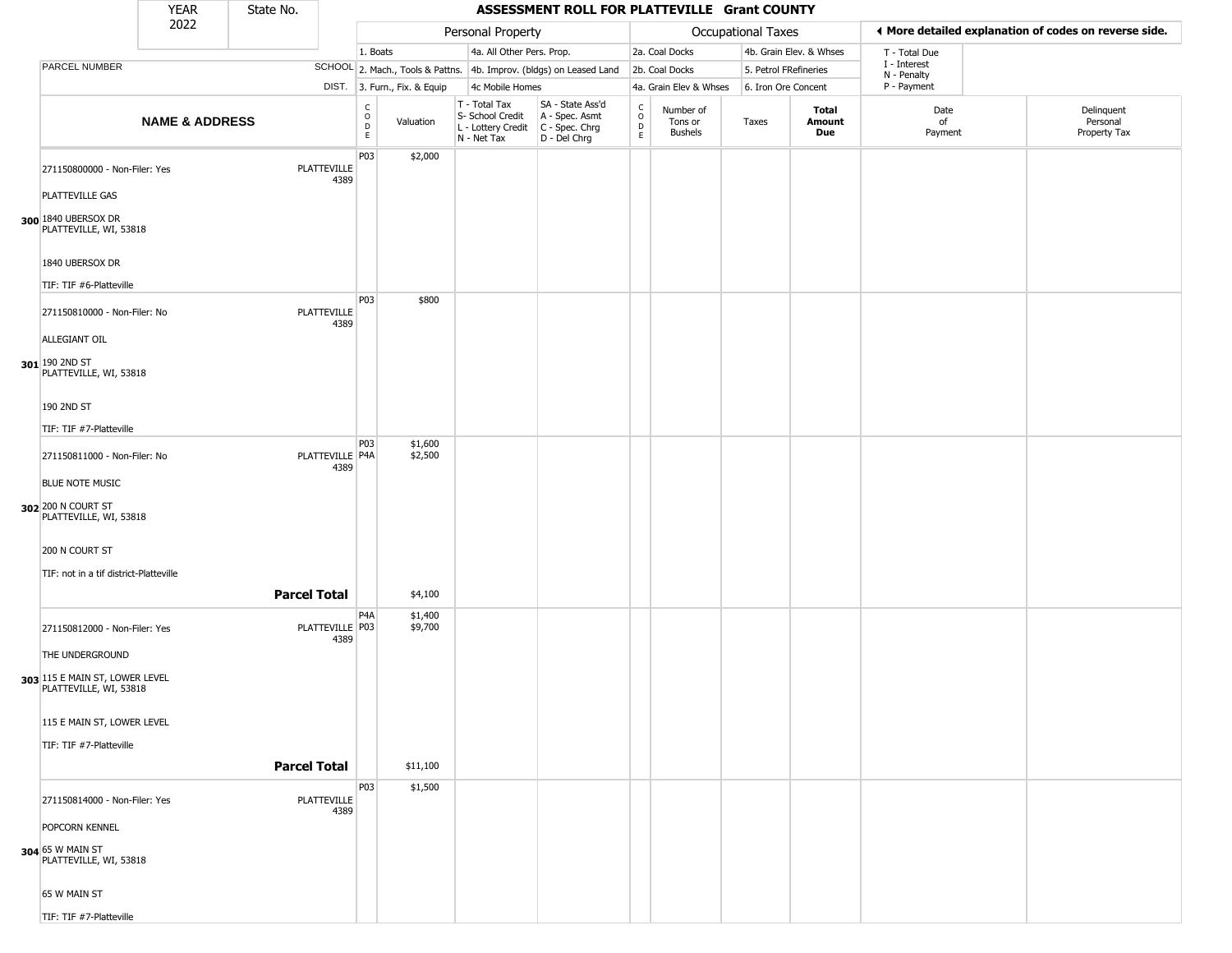|                                                          | <b>YEAR</b>               | State No. |                            |                                                |                              |                                                                        | ASSESSMENT ROLL FOR PLATTEVILLE Grant COUNTY                           |                                |                                        |                     |                         |                             |                                                       |  |
|----------------------------------------------------------|---------------------------|-----------|----------------------------|------------------------------------------------|------------------------------|------------------------------------------------------------------------|------------------------------------------------------------------------|--------------------------------|----------------------------------------|---------------------|-------------------------|-----------------------------|-------------------------------------------------------|--|
|                                                          | 2022                      |           |                            |                                                |                              | Personal Property                                                      |                                                                        |                                |                                        | Occupational Taxes  |                         |                             | ♦ More detailed explanation of codes on reverse side. |  |
|                                                          |                           |           |                            | 1. Boats                                       |                              | 4a. All Other Pers. Prop.                                              |                                                                        |                                | 2a. Coal Docks                         |                     | 4b. Grain Elev. & Whses | T - Total Due               |                                                       |  |
| PARCEL NUMBER                                            |                           |           |                            |                                                |                              |                                                                        | SCHOOL 2. Mach., Tools & Pattns. 4b. Improv. (bldgs) on Leased Land    |                                | 2b. Coal Docks                         |                     | 5. Petrol FRefineries   | I - Interest<br>N - Penalty |                                                       |  |
|                                                          |                           |           |                            |                                                | DIST. 3. Furn., Fix. & Equip | 4c Mobile Homes                                                        |                                                                        |                                | 4a. Grain Elev & Whses                 | 6. Iron Ore Concent |                         | P - Payment                 |                                                       |  |
|                                                          | <b>NAME &amp; ADDRESS</b> |           |                            | C<br>$\mathsf O$<br>$\mathsf D$<br>$\mathsf E$ | Valuation                    | T - Total Tax<br>S- School Credit<br>L - Lottery Credit<br>N - Net Tax | SA - State Ass'd<br>A - Spec. Asmt<br>$C - Spec. Chrg$<br>D - Del Chrg | $\rm ^c_o$<br>$\mathsf D$<br>E | Number of<br>Tons or<br><b>Bushels</b> | Taxes               | Total<br>Amount<br>Due  | Date<br>of<br>Payment       | Delinquent<br>Personal<br>Property Tax                |  |
| 271150800000 - Non-Filer: Yes                            |                           |           | <b>PLATTEVILLE</b><br>4389 | P03                                            | \$2,000                      |                                                                        |                                                                        |                                |                                        |                     |                         |                             |                                                       |  |
| PLATTEVILLE GAS                                          |                           |           |                            |                                                |                              |                                                                        |                                                                        |                                |                                        |                     |                         |                             |                                                       |  |
| 300 1840 UBERSOX DR<br>PLATTEVILLE, WI, 53818            |                           |           |                            |                                                |                              |                                                                        |                                                                        |                                |                                        |                     |                         |                             |                                                       |  |
| 1840 UBERSOX DR<br>TIF: TIF #6-Platteville               |                           |           |                            |                                                |                              |                                                                        |                                                                        |                                |                                        |                     |                         |                             |                                                       |  |
|                                                          |                           |           |                            | P03                                            | \$800                        |                                                                        |                                                                        |                                |                                        |                     |                         |                             |                                                       |  |
| 271150810000 - Non-Filer: No<br>ALLEGIANT OIL            |                           |           | PLATTEVILLE<br>4389        |                                                |                              |                                                                        |                                                                        |                                |                                        |                     |                         |                             |                                                       |  |
| 301 190 2ND ST<br>PLATTEVILLE, WI, 53818                 |                           |           |                            |                                                |                              |                                                                        |                                                                        |                                |                                        |                     |                         |                             |                                                       |  |
| 190 2ND ST<br>TIF: TIF #7-Platteville                    |                           |           |                            |                                                |                              |                                                                        |                                                                        |                                |                                        |                     |                         |                             |                                                       |  |
|                                                          |                           |           |                            | P03                                            | \$1,600                      |                                                                        |                                                                        |                                |                                        |                     |                         |                             |                                                       |  |
| 271150811000 - Non-Filer: No<br><b>BLUE NOTE MUSIC</b>   |                           |           | PLATTEVILLE P4A<br>4389    |                                                | \$2,500                      |                                                                        |                                                                        |                                |                                        |                     |                         |                             |                                                       |  |
| 302 200 N COURT ST<br>PLATTEVILLE, WI, 53818             |                           |           |                            |                                                |                              |                                                                        |                                                                        |                                |                                        |                     |                         |                             |                                                       |  |
| 200 N COURT ST                                           |                           |           |                            |                                                |                              |                                                                        |                                                                        |                                |                                        |                     |                         |                             |                                                       |  |
| TIF: not in a tif district-Platteville                   |                           |           |                            |                                                |                              |                                                                        |                                                                        |                                |                                        |                     |                         |                             |                                                       |  |
|                                                          |                           |           | <b>Parcel Total</b>        |                                                | \$4,100                      |                                                                        |                                                                        |                                |                                        |                     |                         |                             |                                                       |  |
| 271150812000 - Non-Filer: Yes                            |                           |           | PLATTEVILLE P03<br>4389    | P <sub>4</sub> A                               | \$1,400<br>\$9,700           |                                                                        |                                                                        |                                |                                        |                     |                         |                             |                                                       |  |
| THE UNDERGROUND                                          |                           |           |                            |                                                |                              |                                                                        |                                                                        |                                |                                        |                     |                         |                             |                                                       |  |
| 303 115 E MAIN ST, LOWER LEVEL<br>PLATTEVILLE, WI, 53818 |                           |           |                            |                                                |                              |                                                                        |                                                                        |                                |                                        |                     |                         |                             |                                                       |  |
| 115 E MAIN ST, LOWER LEVEL                               |                           |           |                            |                                                |                              |                                                                        |                                                                        |                                |                                        |                     |                         |                             |                                                       |  |
| TIF: TIF #7-Platteville                                  |                           |           |                            |                                                |                              |                                                                        |                                                                        |                                |                                        |                     |                         |                             |                                                       |  |
|                                                          |                           |           | <b>Parcel Total</b>        |                                                | \$11,100                     |                                                                        |                                                                        |                                |                                        |                     |                         |                             |                                                       |  |
| 271150814000 - Non-Filer: Yes                            |                           |           | PLATTEVILLE<br>4389        | P03                                            | \$1,500                      |                                                                        |                                                                        |                                |                                        |                     |                         |                             |                                                       |  |
| POPCORN KENNEL                                           |                           |           |                            |                                                |                              |                                                                        |                                                                        |                                |                                        |                     |                         |                             |                                                       |  |
| 304 65 W MAIN ST<br>PLATTEVILLE, WI, 53818               |                           |           |                            |                                                |                              |                                                                        |                                                                        |                                |                                        |                     |                         |                             |                                                       |  |
| 65 W MAIN ST                                             |                           |           |                            |                                                |                              |                                                                        |                                                                        |                                |                                        |                     |                         |                             |                                                       |  |
| TIF: TIF #7-Platteville                                  |                           |           |                            |                                                |                              |                                                                        |                                                                        |                                |                                        |                     |                         |                             |                                                       |  |

TIF: TIF #7-Platteville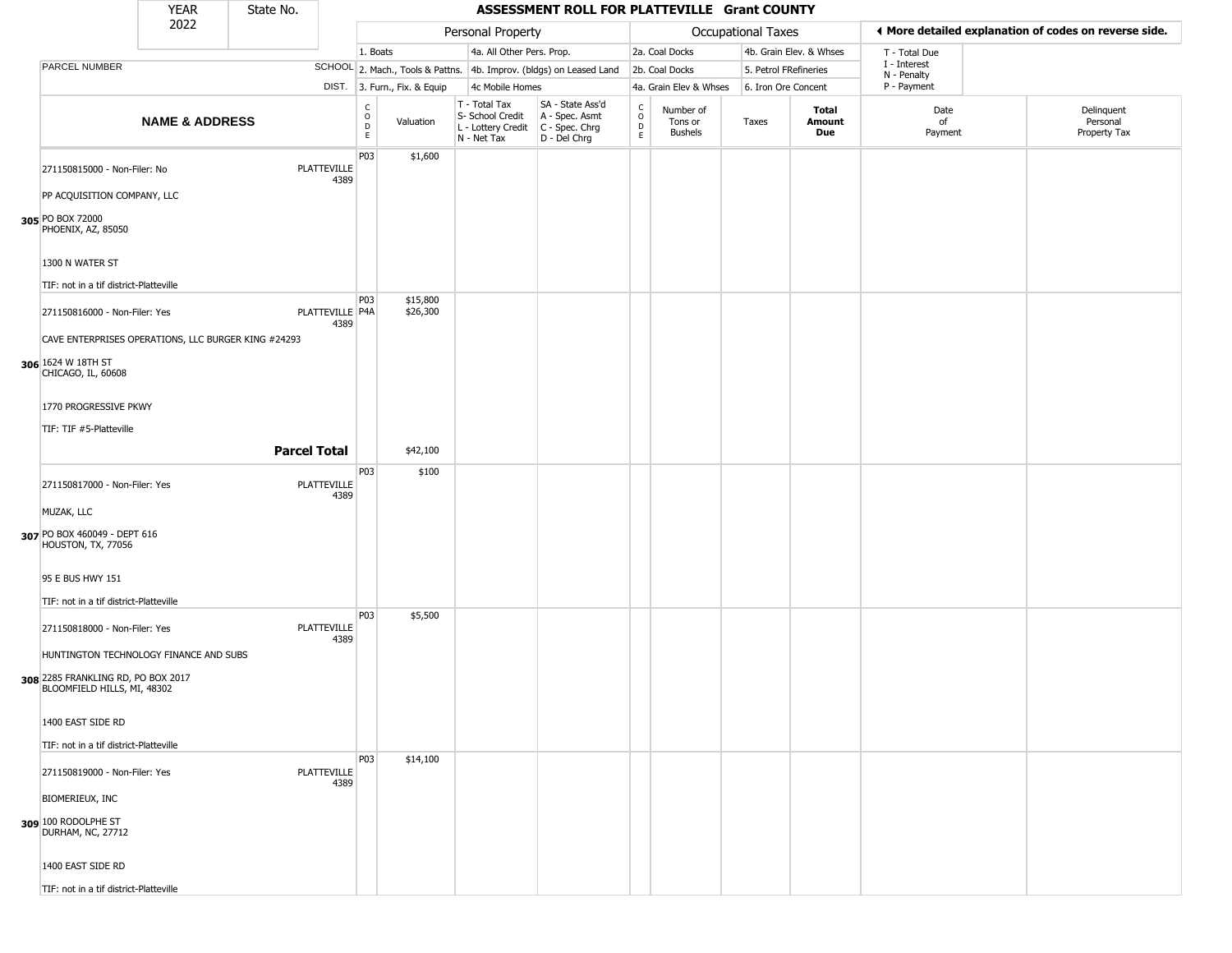|                                                                   | <b>YEAR</b>               | State No.           |                            |                             |                              |                                                                        | ASSESSMENT ROLL FOR PLATTEVILLE Grant COUNTY                           |                                                          |                                        |                    |                         |                        |                             |                                                       |
|-------------------------------------------------------------------|---------------------------|---------------------|----------------------------|-----------------------------|------------------------------|------------------------------------------------------------------------|------------------------------------------------------------------------|----------------------------------------------------------|----------------------------------------|--------------------|-------------------------|------------------------|-----------------------------|-------------------------------------------------------|
|                                                                   | 2022                      |                     |                            |                             |                              | Personal Property                                                      |                                                                        |                                                          |                                        | Occupational Taxes |                         |                        |                             | ♦ More detailed explanation of codes on reverse side. |
|                                                                   |                           |                     |                            | 1. Boats                    |                              | 4a. All Other Pers. Prop.                                              |                                                                        |                                                          | 2a. Coal Docks                         |                    | 4b. Grain Elev. & Whses |                        | T - Total Due               |                                                       |
| PARCEL NUMBER                                                     |                           |                     |                            |                             |                              |                                                                        | SCHOOL 2. Mach., Tools & Pattns. 4b. Improv. (bldgs) on Leased Land    |                                                          | 2b. Coal Docks                         |                    | 5. Petrol FRefineries   |                        | I - Interest<br>N - Penalty |                                                       |
|                                                                   |                           |                     |                            |                             | DIST. 3. Furn., Fix. & Equip | 4c Mobile Homes                                                        |                                                                        |                                                          | 4a. Grain Elev & Whses                 |                    | 6. Iron Ore Concent     |                        | P - Payment                 |                                                       |
|                                                                   | <b>NAME &amp; ADDRESS</b> |                     |                            | C<br>$\mathsf{O}$<br>D<br>E | Valuation                    | T - Total Tax<br>S- School Credit<br>L - Lottery Credit<br>N - Net Tax | SA - State Ass'd<br>A - Spec. Asmt<br>$C - Spec. Chrg$<br>D - Del Chrg | $\begin{smallmatrix} C \\ 0 \\ D \end{smallmatrix}$<br>E | Number of<br>Tons or<br><b>Bushels</b> | Taxes              |                         | Total<br>Amount<br>Due | Date<br>of<br>Payment       | Delinquent<br>Personal<br>Property Tax                |
| 271150815000 - Non-Filer: No                                      |                           |                     | <b>PLATTEVILLE</b><br>4389 | P03                         | \$1,600                      |                                                                        |                                                                        |                                                          |                                        |                    |                         |                        |                             |                                                       |
| PP ACQUISITION COMPANY, LLC                                       |                           |                     |                            |                             |                              |                                                                        |                                                                        |                                                          |                                        |                    |                         |                        |                             |                                                       |
| 305 PO BOX 72000<br>PHOENIX, AZ, 85050                            |                           |                     |                            |                             |                              |                                                                        |                                                                        |                                                          |                                        |                    |                         |                        |                             |                                                       |
| 1300 N WATER ST                                                   |                           |                     |                            |                             |                              |                                                                        |                                                                        |                                                          |                                        |                    |                         |                        |                             |                                                       |
| TIF: not in a tif district-Platteville                            |                           |                     |                            |                             |                              |                                                                        |                                                                        |                                                          |                                        |                    |                         |                        |                             |                                                       |
| 271150816000 - Non-Filer: Yes                                     |                           |                     | PLATTEVILLE P4A<br>4389    | P03                         | \$15,800<br>\$26,300         |                                                                        |                                                                        |                                                          |                                        |                    |                         |                        |                             |                                                       |
| CAVE ENTERPRISES OPERATIONS, LLC BURGER KING #24293               |                           |                     |                            |                             |                              |                                                                        |                                                                        |                                                          |                                        |                    |                         |                        |                             |                                                       |
| 306 1624 W 18TH ST<br>CHICAGO, IL, 60608                          |                           |                     |                            |                             |                              |                                                                        |                                                                        |                                                          |                                        |                    |                         |                        |                             |                                                       |
| 1770 PROGRESSIVE PKWY                                             |                           |                     |                            |                             |                              |                                                                        |                                                                        |                                                          |                                        |                    |                         |                        |                             |                                                       |
| TIF: TIF #5-Platteville                                           |                           |                     |                            |                             |                              |                                                                        |                                                                        |                                                          |                                        |                    |                         |                        |                             |                                                       |
|                                                                   |                           | <b>Parcel Total</b> |                            |                             | \$42,100                     |                                                                        |                                                                        |                                                          |                                        |                    |                         |                        |                             |                                                       |
|                                                                   |                           |                     |                            | P03                         | \$100                        |                                                                        |                                                                        |                                                          |                                        |                    |                         |                        |                             |                                                       |
| 271150817000 - Non-Filer: Yes                                     |                           |                     | PLATTEVILLE<br>4389        |                             |                              |                                                                        |                                                                        |                                                          |                                        |                    |                         |                        |                             |                                                       |
| MUZAK, LLC                                                        |                           |                     |                            |                             |                              |                                                                        |                                                                        |                                                          |                                        |                    |                         |                        |                             |                                                       |
| 307 PO BOX 460049 - DEPT 616<br>HOUSTON, TX, 77056                |                           |                     |                            |                             |                              |                                                                        |                                                                        |                                                          |                                        |                    |                         |                        |                             |                                                       |
| 95 E BUS HWY 151                                                  |                           |                     |                            |                             |                              |                                                                        |                                                                        |                                                          |                                        |                    |                         |                        |                             |                                                       |
| TIF: not in a tif district-Platteville                            |                           |                     |                            |                             |                              |                                                                        |                                                                        |                                                          |                                        |                    |                         |                        |                             |                                                       |
| 271150818000 - Non-Filer: Yes                                     |                           |                     | PLATTEVILLE<br>4389        | P03                         | \$5,500                      |                                                                        |                                                                        |                                                          |                                        |                    |                         |                        |                             |                                                       |
| HUNTINGTON TECHNOLOGY FINANCE AND SUBS                            |                           |                     |                            |                             |                              |                                                                        |                                                                        |                                                          |                                        |                    |                         |                        |                             |                                                       |
| 308 2285 FRANKLING RD, PO BOX 2017<br>BLOOMFIELD HILLS, MI, 48302 |                           |                     |                            |                             |                              |                                                                        |                                                                        |                                                          |                                        |                    |                         |                        |                             |                                                       |
| 1400 EAST SIDE RD                                                 |                           |                     |                            |                             |                              |                                                                        |                                                                        |                                                          |                                        |                    |                         |                        |                             |                                                       |
| TIF: not in a tif district-Platteville                            |                           |                     |                            |                             |                              |                                                                        |                                                                        |                                                          |                                        |                    |                         |                        |                             |                                                       |
| 271150819000 - Non-Filer: Yes                                     |                           |                     | <b>PLATTEVILLE</b><br>4389 | P03                         | \$14,100                     |                                                                        |                                                                        |                                                          |                                        |                    |                         |                        |                             |                                                       |
| BIOMERIEUX, INC                                                   |                           |                     |                            |                             |                              |                                                                        |                                                                        |                                                          |                                        |                    |                         |                        |                             |                                                       |
| 309 100 RODOLPHE ST<br>DURHAM, NC, 27712                          |                           |                     |                            |                             |                              |                                                                        |                                                                        |                                                          |                                        |                    |                         |                        |                             |                                                       |
| 1400 EAST SIDE RD                                                 |                           |                     |                            |                             |                              |                                                                        |                                                                        |                                                          |                                        |                    |                         |                        |                             |                                                       |
| TIF: not in a tif district-Platteville                            |                           |                     |                            |                             |                              |                                                                        |                                                                        |                                                          |                                        |                    |                         |                        |                             |                                                       |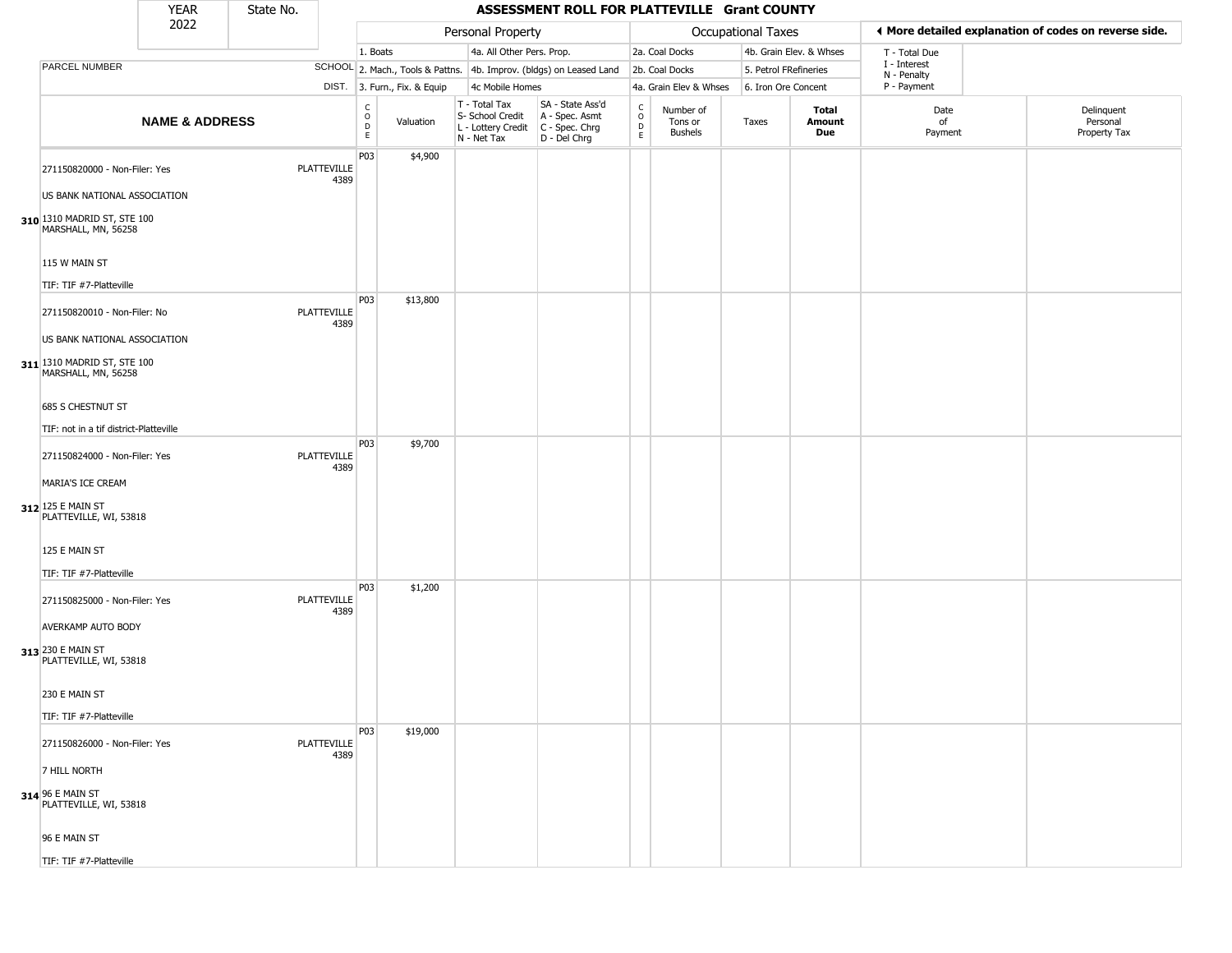|                                                                  | <b>YEAR</b>               | State No. |                            |                         |                              |                                                                        | ASSESSMENT ROLL FOR PLATTEVILLE Grant COUNTY                         |                                 |                                        |                       |                         |                             |                                                       |
|------------------------------------------------------------------|---------------------------|-----------|----------------------------|-------------------------|------------------------------|------------------------------------------------------------------------|----------------------------------------------------------------------|---------------------------------|----------------------------------------|-----------------------|-------------------------|-----------------------------|-------------------------------------------------------|
|                                                                  | 2022                      |           |                            |                         |                              | Personal Property                                                      |                                                                      |                                 |                                        | Occupational Taxes    |                         |                             | ◀ More detailed explanation of codes on reverse side. |
|                                                                  |                           |           |                            | 1. Boats                |                              | 4a. All Other Pers. Prop.                                              |                                                                      |                                 | 2a. Coal Docks                         |                       | 4b. Grain Elev. & Whses | T - Total Due               |                                                       |
| PARCEL NUMBER                                                    |                           |           |                            |                         |                              |                                                                        | SCHOOL 2. Mach., Tools & Pattns. 4b. Improv. (bldgs) on Leased Land  |                                 | 2b. Coal Docks                         | 5. Petrol FRefineries |                         | I - Interest<br>N - Penalty |                                                       |
|                                                                  |                           |           |                            |                         | DIST. 3. Furn., Fix. & Equip | 4c Mobile Homes                                                        |                                                                      |                                 | 4a. Grain Elev & Whses                 | 6. Iron Ore Concent   |                         | P - Payment                 |                                                       |
|                                                                  | <b>NAME &amp; ADDRESS</b> |           |                            | C<br>$\circ$<br>D<br>E. | Valuation                    | T - Total Tax<br>S- School Credit<br>L - Lottery Credit<br>N - Net Tax | SA - State Ass'd<br>A - Spec. Asmt<br>C - Spec. Chrg<br>D - Del Chrg | $\rm ^c_o$<br>$\mathsf{D}$<br>E | Number of<br>Tons or<br><b>Bushels</b> | Taxes                 | Total<br>Amount<br>Due  | Date<br>of<br>Payment       | Delinquent<br>Personal<br>Property Tax                |
| 271150820000 - Non-Filer: Yes                                    |                           |           | <b>PLATTEVILLE</b><br>4389 | P03                     | \$4,900                      |                                                                        |                                                                      |                                 |                                        |                       |                         |                             |                                                       |
| US BANK NATIONAL ASSOCIATION                                     |                           |           |                            |                         |                              |                                                                        |                                                                      |                                 |                                        |                       |                         |                             |                                                       |
| 310 1310 MADRID ST, STE 100<br>MARSHALL, MN, 56258               |                           |           |                            |                         |                              |                                                                        |                                                                      |                                 |                                        |                       |                         |                             |                                                       |
| 115 W MAIN ST<br>TIF: TIF #7-Platteville                         |                           |           |                            |                         |                              |                                                                        |                                                                      |                                 |                                        |                       |                         |                             |                                                       |
| 271150820010 - Non-Filer: No                                     |                           |           | <b>PLATTEVILLE</b>         | P <sub>03</sub>         | \$13,800                     |                                                                        |                                                                      |                                 |                                        |                       |                         |                             |                                                       |
| US BANK NATIONAL ASSOCIATION                                     |                           |           | 4389                       |                         |                              |                                                                        |                                                                      |                                 |                                        |                       |                         |                             |                                                       |
| 311 1310 MADRID ST, STE 100<br>MARSHALL, MN, 56258               |                           |           |                            |                         |                              |                                                                        |                                                                      |                                 |                                        |                       |                         |                             |                                                       |
| 685 S CHESTNUT ST                                                |                           |           |                            |                         |                              |                                                                        |                                                                      |                                 |                                        |                       |                         |                             |                                                       |
|                                                                  |                           |           |                            |                         |                              |                                                                        |                                                                      |                                 |                                        |                       |                         |                             |                                                       |
| TIF: not in a tif district-Platteville                           |                           |           |                            | P03                     | \$9,700                      |                                                                        |                                                                      |                                 |                                        |                       |                         |                             |                                                       |
| 271150824000 - Non-Filer: Yes                                    |                           |           | <b>PLATTEVILLE</b><br>4389 |                         |                              |                                                                        |                                                                      |                                 |                                        |                       |                         |                             |                                                       |
| MARIA'S ICE CREAM<br>312 125 E MAIN ST<br>PLATTEVILLE, WI, 53818 |                           |           |                            |                         |                              |                                                                        |                                                                      |                                 |                                        |                       |                         |                             |                                                       |
| 125 E MAIN ST                                                    |                           |           |                            |                         |                              |                                                                        |                                                                      |                                 |                                        |                       |                         |                             |                                                       |
| TIF: TIF #7-Platteville                                          |                           |           |                            |                         |                              |                                                                        |                                                                      |                                 |                                        |                       |                         |                             |                                                       |
| 271150825000 - Non-Filer: Yes                                    |                           |           | <b>PLATTEVILLE</b><br>4389 | P03                     | \$1,200                      |                                                                        |                                                                      |                                 |                                        |                       |                         |                             |                                                       |
| AVERKAMP AUTO BODY                                               |                           |           |                            |                         |                              |                                                                        |                                                                      |                                 |                                        |                       |                         |                             |                                                       |
| 313 230 E MAIN ST<br>PLATTEVILLE, WI, 53818                      |                           |           |                            |                         |                              |                                                                        |                                                                      |                                 |                                        |                       |                         |                             |                                                       |
| 230 E MAIN ST                                                    |                           |           |                            |                         |                              |                                                                        |                                                                      |                                 |                                        |                       |                         |                             |                                                       |
| TIF: TIF #7-Platteville                                          |                           |           |                            |                         |                              |                                                                        |                                                                      |                                 |                                        |                       |                         |                             |                                                       |
| 271150826000 - Non-Filer: Yes                                    |                           |           | PLATTEVILLE<br>4389        | P <sub>03</sub>         | \$19,000                     |                                                                        |                                                                      |                                 |                                        |                       |                         |                             |                                                       |
| 7 HILL NORTH                                                     |                           |           |                            |                         |                              |                                                                        |                                                                      |                                 |                                        |                       |                         |                             |                                                       |
| 314 96 E MAIN ST<br>PLATTEVILLE, WI, 53818                       |                           |           |                            |                         |                              |                                                                        |                                                                      |                                 |                                        |                       |                         |                             |                                                       |
| 96 E MAIN ST                                                     |                           |           |                            |                         |                              |                                                                        |                                                                      |                                 |                                        |                       |                         |                             |                                                       |
| TIF: TIF #7-Platteville                                          |                           |           |                            |                         |                              |                                                                        |                                                                      |                                 |                                        |                       |                         |                             |                                                       |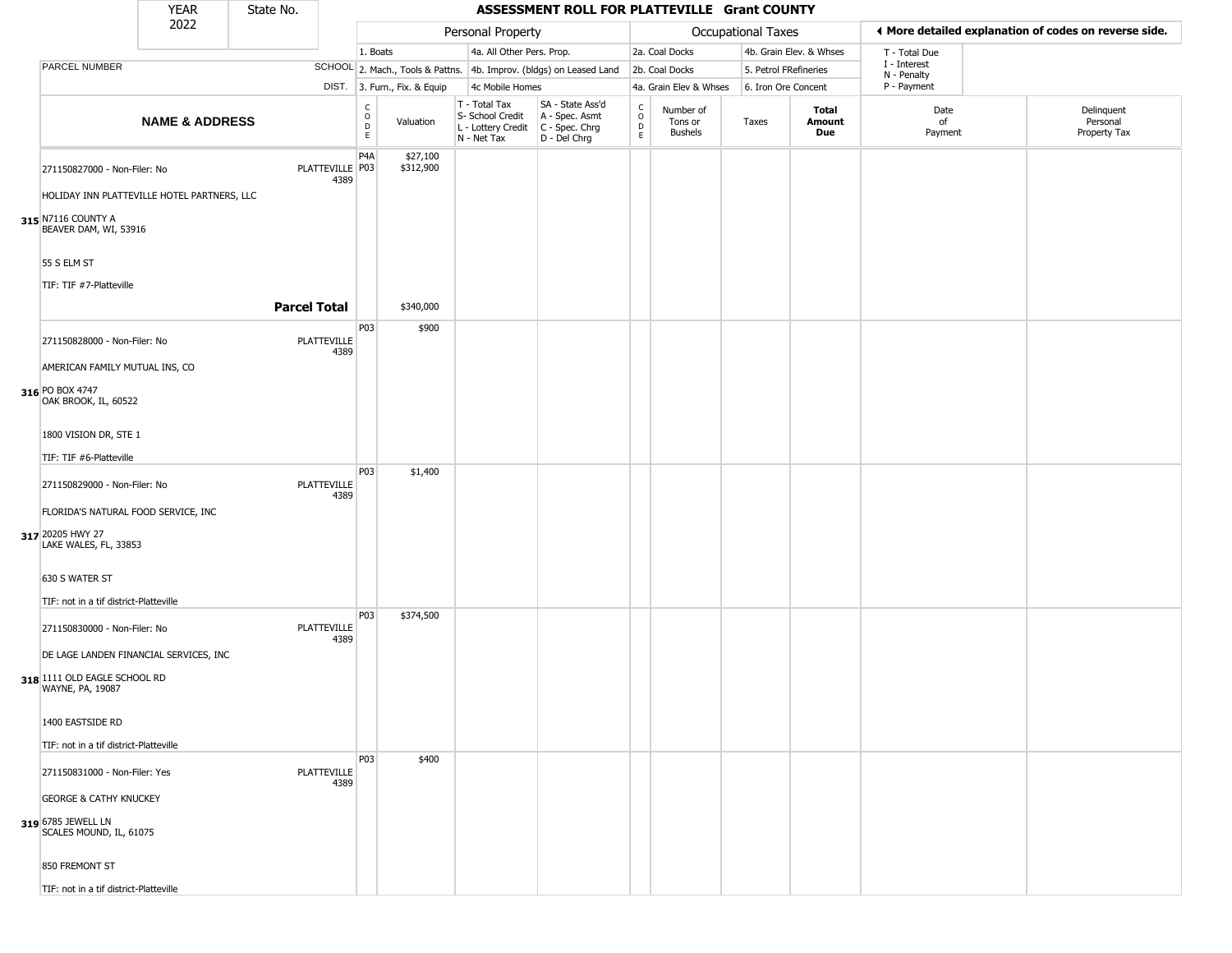|                                                                             | <b>YEAR</b>               | State No.           |                         |                                   |                              |                                                                                       | ASSESSMENT ROLL FOR PLATTEVILLE Grant COUNTY                        |                                       |                                        |                       |                         |                             |                                                       |
|-----------------------------------------------------------------------------|---------------------------|---------------------|-------------------------|-----------------------------------|------------------------------|---------------------------------------------------------------------------------------|---------------------------------------------------------------------|---------------------------------------|----------------------------------------|-----------------------|-------------------------|-----------------------------|-------------------------------------------------------|
|                                                                             | 2022                      |                     |                         |                                   |                              | Personal Property                                                                     |                                                                     |                                       |                                        | Occupational Taxes    |                         |                             | ◀ More detailed explanation of codes on reverse side. |
|                                                                             |                           |                     |                         | 1. Boats                          |                              | 4a. All Other Pers. Prop.                                                             |                                                                     |                                       | 2a. Coal Docks                         |                       | 4b. Grain Elev. & Whses | T - Total Due               |                                                       |
| PARCEL NUMBER                                                               |                           |                     |                         |                                   |                              |                                                                                       | SCHOOL 2. Mach., Tools & Pattns. 4b. Improv. (bldgs) on Leased Land |                                       | 2b. Coal Docks                         | 5. Petrol FRefineries |                         | I - Interest<br>N - Penalty |                                                       |
|                                                                             |                           |                     |                         |                                   | DIST. 3. Furn., Fix. & Equip | 4c Mobile Homes                                                                       |                                                                     |                                       | 4a. Grain Elev & Whses                 | 6. Iron Ore Concent   |                         | P - Payment                 |                                                       |
|                                                                             | <b>NAME &amp; ADDRESS</b> |                     |                         | $\mathsf{C}$<br>$\circ$<br>D<br>E | Valuation                    | T - Total Tax<br>S- School Credit<br>L - Lottery Credit C - Spec. Chrg<br>N - Net Tax | SA - State Ass'd<br>A - Spec. Asmt<br>D - Del Chrg                  | C<br>$\mathsf{o}$<br>$\mathsf D$<br>E | Number of<br>Tons or<br><b>Bushels</b> | Taxes                 | Total<br>Amount<br>Due  | Date<br>of<br>Payment       | Delinquent<br>Personal<br>Property Tax                |
| 271150827000 - Non-Filer: No<br>HOLIDAY INN PLATTEVILLE HOTEL PARTNERS, LLC |                           |                     | PLATTEVILLE P03<br>4389 | P4A                               | \$27,100<br>\$312,900        |                                                                                       |                                                                     |                                       |                                        |                       |                         |                             |                                                       |
| 315 N7116 COUNTY A<br>BEAVER DAM, WI, 53916                                 |                           |                     |                         |                                   |                              |                                                                                       |                                                                     |                                       |                                        |                       |                         |                             |                                                       |
| 55 S ELM ST                                                                 |                           |                     |                         |                                   |                              |                                                                                       |                                                                     |                                       |                                        |                       |                         |                             |                                                       |
| TIF: TIF #7-Platteville                                                     |                           | <b>Parcel Total</b> |                         |                                   | \$340,000                    |                                                                                       |                                                                     |                                       |                                        |                       |                         |                             |                                                       |
| 271150828000 - Non-Filer: No                                                |                           |                     | <b>PLATTEVILLE</b>      | P03                               | \$900                        |                                                                                       |                                                                     |                                       |                                        |                       |                         |                             |                                                       |
| AMERICAN FAMILY MUTUAL INS, CO                                              |                           |                     | 4389                    |                                   |                              |                                                                                       |                                                                     |                                       |                                        |                       |                         |                             |                                                       |
| 316 PO BOX 4747<br>OAK BROOK, IL, 60522                                     |                           |                     |                         |                                   |                              |                                                                                       |                                                                     |                                       |                                        |                       |                         |                             |                                                       |
| 1800 VISION DR, STE 1                                                       |                           |                     |                         |                                   |                              |                                                                                       |                                                                     |                                       |                                        |                       |                         |                             |                                                       |
| TIF: TIF #6-Platteville                                                     |                           |                     |                         |                                   |                              |                                                                                       |                                                                     |                                       |                                        |                       |                         |                             |                                                       |
| 271150829000 - Non-Filer: No                                                |                           |                     | PLATTEVILLE<br>4389     | P03                               | \$1,400                      |                                                                                       |                                                                     |                                       |                                        |                       |                         |                             |                                                       |
| FLORIDA'S NATURAL FOOD SERVICE, INC                                         |                           |                     |                         |                                   |                              |                                                                                       |                                                                     |                                       |                                        |                       |                         |                             |                                                       |
| 317 20205 HWY 27<br>LAKE WALES, FL, 33853                                   |                           |                     |                         |                                   |                              |                                                                                       |                                                                     |                                       |                                        |                       |                         |                             |                                                       |
| 630 S WATER ST                                                              |                           |                     |                         |                                   |                              |                                                                                       |                                                                     |                                       |                                        |                       |                         |                             |                                                       |
| TIF: not in a tif district-Platteville                                      |                           |                     |                         | <b>P03</b>                        | \$374,500                    |                                                                                       |                                                                     |                                       |                                        |                       |                         |                             |                                                       |
| 271150830000 - Non-Filer: No                                                |                           |                     | PLATTEVILLE<br>4389     |                                   |                              |                                                                                       |                                                                     |                                       |                                        |                       |                         |                             |                                                       |
| DE LAGE LANDEN FINANCIAL SERVICES, INC                                      |                           |                     |                         |                                   |                              |                                                                                       |                                                                     |                                       |                                        |                       |                         |                             |                                                       |
| 318 1111 OLD EAGLE SCHOOL RD<br>WAYNE, PA, 19087                            |                           |                     |                         |                                   |                              |                                                                                       |                                                                     |                                       |                                        |                       |                         |                             |                                                       |
| 1400 EASTSIDE RD                                                            |                           |                     |                         |                                   |                              |                                                                                       |                                                                     |                                       |                                        |                       |                         |                             |                                                       |
| TIF: not in a tif district-Platteville                                      |                           |                     |                         |                                   |                              |                                                                                       |                                                                     |                                       |                                        |                       |                         |                             |                                                       |
| 271150831000 - Non-Filer: Yes                                               |                           |                     | PLATTEVILLE<br>4389     | P03                               | \$400                        |                                                                                       |                                                                     |                                       |                                        |                       |                         |                             |                                                       |
| <b>GEORGE &amp; CATHY KNUCKEY</b>                                           |                           |                     |                         |                                   |                              |                                                                                       |                                                                     |                                       |                                        |                       |                         |                             |                                                       |
| 319 6785 JEWELL LN<br>SCALES MOUND, IL, 61075                               |                           |                     |                         |                                   |                              |                                                                                       |                                                                     |                                       |                                        |                       |                         |                             |                                                       |
| 850 FREMONT ST                                                              |                           |                     |                         |                                   |                              |                                                                                       |                                                                     |                                       |                                        |                       |                         |                             |                                                       |
| TIF: not in a tif district-Platteville                                      |                           |                     |                         |                                   |                              |                                                                                       |                                                                     |                                       |                                        |                       |                         |                             |                                                       |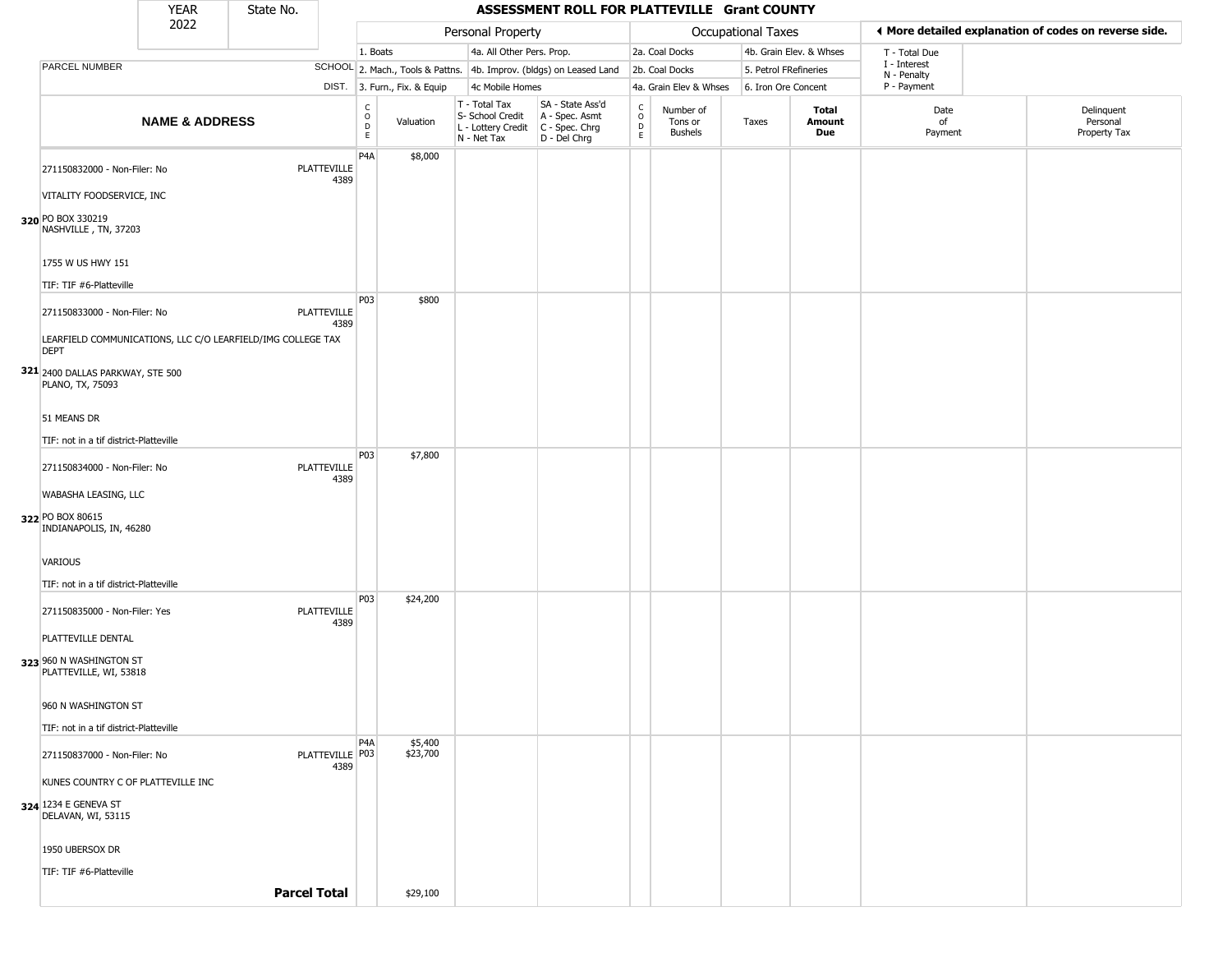|                                                                            | <b>YEAR</b>               | State No. |                            |                                                 |                     |                                                                        | ASSESSMENT ROLL FOR PLATTEVILLE Grant COUNTY                           |                                        |                                        |                     |                         |                             |                                                       |
|----------------------------------------------------------------------------|---------------------------|-----------|----------------------------|-------------------------------------------------|---------------------|------------------------------------------------------------------------|------------------------------------------------------------------------|----------------------------------------|----------------------------------------|---------------------|-------------------------|-----------------------------|-------------------------------------------------------|
|                                                                            | 2022                      |           |                            |                                                 |                     | Personal Property                                                      |                                                                        |                                        |                                        | Occupational Taxes  |                         |                             | ♦ More detailed explanation of codes on reverse side. |
|                                                                            |                           |           |                            | 1. Boats                                        |                     | 4a. All Other Pers. Prop.                                              |                                                                        |                                        | 2a. Coal Docks                         |                     | 4b. Grain Elev. & Whses | T - Total Due               |                                                       |
| PARCEL NUMBER                                                              |                           |           |                            |                                                 |                     |                                                                        | SCHOOL 2. Mach., Tools & Pattns. 4b. Improv. (bldgs) on Leased Land    |                                        | 2b. Coal Docks                         |                     | 5. Petrol FRefineries   | I - Interest<br>N - Penalty |                                                       |
|                                                                            |                           |           |                            | DIST. 3. Furn., Fix. & Equip                    |                     | 4c Mobile Homes                                                        |                                                                        |                                        | 4a. Grain Elev & Whses                 | 6. Iron Ore Concent |                         | P - Payment                 |                                                       |
|                                                                            | <b>NAME &amp; ADDRESS</b> |           |                            | $\mathsf{C}$<br>$\circ$<br>Valuation<br>D<br>E. |                     | T - Total Tax<br>S- School Credit<br>L - Lottery Credit<br>N - Net Tax | SA - State Ass'd<br>A - Spec. Asmt<br>$C - Spec. Chrg$<br>D - Del Chrg | $_{\rm o}^{\rm c}$<br>D<br>$\mathsf E$ | Number of<br>Tons or<br><b>Bushels</b> | Taxes               | Total<br>Amount<br>Due  | Date<br>of<br>Payment       | Delinquent<br>Personal<br>Property Tax                |
| 271150832000 - Non-Filer: No                                               |                           |           | <b>PLATTEVILLE</b><br>4389 | P <sub>4</sub> A                                | \$8,000             |                                                                        |                                                                        |                                        |                                        |                     |                         |                             |                                                       |
| VITALITY FOODSERVICE, INC<br>320 PO BOX 330219<br>NASHVILLE, TN, 37203     |                           |           |                            |                                                 |                     |                                                                        |                                                                        |                                        |                                        |                     |                         |                             |                                                       |
| 1755 W US HWY 151                                                          |                           |           |                            |                                                 |                     |                                                                        |                                                                        |                                        |                                        |                     |                         |                             |                                                       |
| TIF: TIF #6-Platteville                                                    |                           |           |                            |                                                 |                     |                                                                        |                                                                        |                                        |                                        |                     |                         |                             |                                                       |
| 271150833000 - Non-Filer: No                                               |                           |           | <b>PLATTEVILLE</b><br>4389 | P03                                             | \$800               |                                                                        |                                                                        |                                        |                                        |                     |                         |                             |                                                       |
| LEARFIELD COMMUNICATIONS, LLC C/O LEARFIELD/IMG COLLEGE TAX<br><b>DEPT</b> |                           |           |                            |                                                 |                     |                                                                        |                                                                        |                                        |                                        |                     |                         |                             |                                                       |
| 321 2400 DALLAS PARKWAY, STE 500<br>PLANO, TX, 75093                       |                           |           |                            |                                                 |                     |                                                                        |                                                                        |                                        |                                        |                     |                         |                             |                                                       |
| 51 MEANS DR                                                                |                           |           |                            |                                                 |                     |                                                                        |                                                                        |                                        |                                        |                     |                         |                             |                                                       |
| TIF: not in a tif district-Platteville                                     |                           |           |                            |                                                 |                     |                                                                        |                                                                        |                                        |                                        |                     |                         |                             |                                                       |
| 271150834000 - Non-Filer: No                                               |                           |           | PLATTEVILLE<br>4389        | P03                                             | \$7,800             |                                                                        |                                                                        |                                        |                                        |                     |                         |                             |                                                       |
| WABASHA LEASING, LLC                                                       |                           |           |                            |                                                 |                     |                                                                        |                                                                        |                                        |                                        |                     |                         |                             |                                                       |
| 322 PO BOX 80615<br>INDIANAPOLIS, IN, 46280                                |                           |           |                            |                                                 |                     |                                                                        |                                                                        |                                        |                                        |                     |                         |                             |                                                       |
| VARIOUS                                                                    |                           |           |                            |                                                 |                     |                                                                        |                                                                        |                                        |                                        |                     |                         |                             |                                                       |
| TIF: not in a tif district-Platteville                                     |                           |           |                            |                                                 |                     |                                                                        |                                                                        |                                        |                                        |                     |                         |                             |                                                       |
| 271150835000 - Non-Filer: Yes                                              |                           |           | <b>PLATTEVILLE</b><br>4389 | P03                                             | \$24,200            |                                                                        |                                                                        |                                        |                                        |                     |                         |                             |                                                       |
| PLATTEVILLE DENTAL<br>323 960 N WASHINGTON ST<br>PLATTEVILLE, WI, 53818    |                           |           |                            |                                                 |                     |                                                                        |                                                                        |                                        |                                        |                     |                         |                             |                                                       |
| 960 N WASHINGTON ST                                                        |                           |           |                            |                                                 |                     |                                                                        |                                                                        |                                        |                                        |                     |                         |                             |                                                       |
| TIF: not in a tif district-Platteville                                     |                           |           |                            |                                                 |                     |                                                                        |                                                                        |                                        |                                        |                     |                         |                             |                                                       |
| 271150837000 - Non-Filer: No                                               |                           |           | PLATTEVILLE P03<br>4389    | P <sub>4</sub> A                                | \$5,400<br>\$23,700 |                                                                        |                                                                        |                                        |                                        |                     |                         |                             |                                                       |
| KUNES COUNTRY C OF PLATTEVILLE INC                                         |                           |           |                            |                                                 |                     |                                                                        |                                                                        |                                        |                                        |                     |                         |                             |                                                       |
| 324 1234 E GENEVA ST<br>DELAVAN, WI, 53115                                 |                           |           |                            |                                                 |                     |                                                                        |                                                                        |                                        |                                        |                     |                         |                             |                                                       |
| 1950 UBERSOX DR                                                            |                           |           |                            |                                                 |                     |                                                                        |                                                                        |                                        |                                        |                     |                         |                             |                                                       |
| TIF: TIF #6-Platteville                                                    |                           |           |                            |                                                 |                     |                                                                        |                                                                        |                                        |                                        |                     |                         |                             |                                                       |
|                                                                            |                           |           | <b>Parcel Total</b>        | \$29,100                                        |                     |                                                                        |                                                                        |                                        |                                        |                     |                         |                             |                                                       |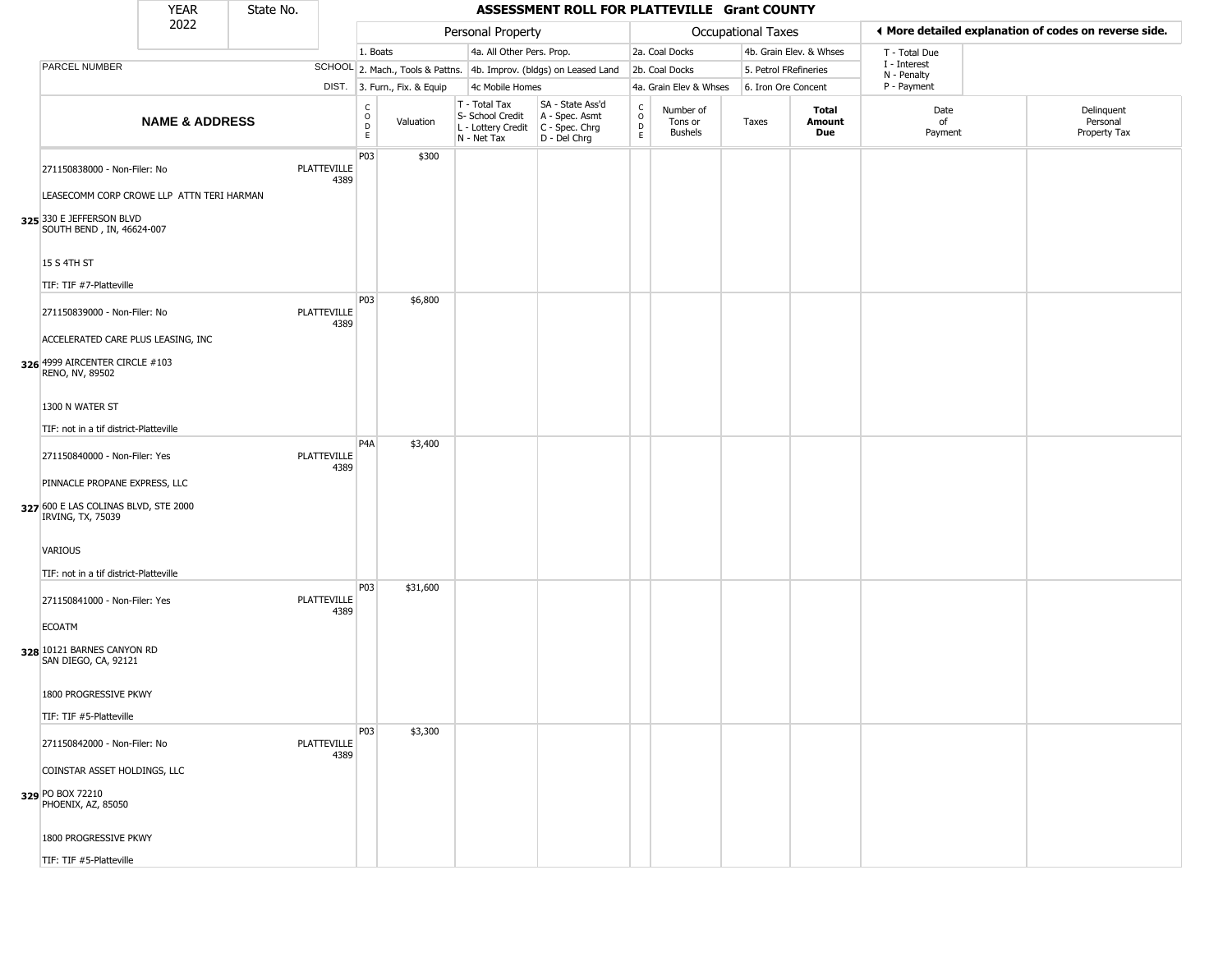|                                                                                            | <b>YEAR</b>               | State No. |                     |                              |                              |                                                                        | ASSESSMENT ROLL FOR PLATTEVILLE Grant COUNTY                           |                                |                                        |       |                     |                               |                             |                                                       |
|--------------------------------------------------------------------------------------------|---------------------------|-----------|---------------------|------------------------------|------------------------------|------------------------------------------------------------------------|------------------------------------------------------------------------|--------------------------------|----------------------------------------|-------|---------------------|-------------------------------|-----------------------------|-------------------------------------------------------|
|                                                                                            | 2022                      |           |                     |                              |                              | Personal Property                                                      |                                                                        |                                |                                        |       | Occupational Taxes  |                               |                             | ♦ More detailed explanation of codes on reverse side. |
|                                                                                            |                           |           |                     | 1. Boats                     |                              | 4a. All Other Pers. Prop.                                              |                                                                        |                                | 2a. Coal Docks                         |       |                     | 4b. Grain Elev. & Whses       | T - Total Due               |                                                       |
| PARCEL NUMBER                                                                              |                           |           |                     |                              |                              |                                                                        | SCHOOL 2. Mach., Tools & Pattns. 4b. Improv. (bldgs) on Leased Land    |                                | 2b. Coal Docks                         |       |                     | 5. Petrol FRefineries         | I - Interest<br>N - Penalty |                                                       |
|                                                                                            |                           |           |                     |                              | DIST. 3. Furn., Fix. & Equip | 4c Mobile Homes                                                        |                                                                        |                                | 4a. Grain Elev & Whses                 |       | 6. Iron Ore Concent |                               | P - Payment                 |                                                       |
|                                                                                            | <b>NAME &amp; ADDRESS</b> |           |                     | $_{\rm o}^{\rm c}$<br>D<br>E | Valuation                    | T - Total Tax<br>S- School Credit<br>L - Lottery Credit<br>N - Net Tax | SA - State Ass'd<br>A - Spec. Asmt<br>$C - Spec. Chrg$<br>D - Del Chrg | $\rm _o^c$<br>D<br>$\mathsf E$ | Number of<br>Tons or<br><b>Bushels</b> | Taxes |                     | Total<br>Amount<br><b>Due</b> | Date<br>of<br>Payment       | Delinquent<br>Personal<br>Property Tax                |
| 271150838000 - Non-Filer: No<br>LEASECOMM CORP CROWE LLP ATTN TERI HARMAN                  |                           |           | PLATTEVILLE<br>4389 | P03                          | \$300                        |                                                                        |                                                                        |                                |                                        |       |                     |                               |                             |                                                       |
| 325 330 E JEFFERSON BLVD<br>SOUTH BEND, IN, 46624-007<br>15 S 4TH ST                       |                           |           |                     |                              |                              |                                                                        |                                                                        |                                |                                        |       |                     |                               |                             |                                                       |
| TIF: TIF #7-Platteville                                                                    |                           |           |                     |                              |                              |                                                                        |                                                                        |                                |                                        |       |                     |                               |                             |                                                       |
| 271150839000 - Non-Filer: No                                                               |                           |           | PLATTEVILLE<br>4389 | P03                          | \$6,800                      |                                                                        |                                                                        |                                |                                        |       |                     |                               |                             |                                                       |
| ACCELERATED CARE PLUS LEASING, INC<br>326 4999 AIRCENTER CIRCLE #103<br>RENO, NV, 89502    |                           |           |                     |                              |                              |                                                                        |                                                                        |                                |                                        |       |                     |                               |                             |                                                       |
| 1300 N WATER ST                                                                            |                           |           |                     |                              |                              |                                                                        |                                                                        |                                |                                        |       |                     |                               |                             |                                                       |
| TIF: not in a tif district-Platteville                                                     |                           |           |                     |                              |                              |                                                                        |                                                                        |                                |                                        |       |                     |                               |                             |                                                       |
| 271150840000 - Non-Filer: Yes                                                              |                           |           | PLATTEVILLE<br>4389 | P <sub>4</sub> A             | \$3,400                      |                                                                        |                                                                        |                                |                                        |       |                     |                               |                             |                                                       |
| PINNACLE PROPANE EXPRESS, LLC<br>327 600 E LAS COLINAS BLVD, STE 2000<br>IRVING, TX, 75039 |                           |           |                     |                              |                              |                                                                        |                                                                        |                                |                                        |       |                     |                               |                             |                                                       |
| VARIOUS                                                                                    |                           |           |                     |                              |                              |                                                                        |                                                                        |                                |                                        |       |                     |                               |                             |                                                       |
| TIF: not in a tif district-Platteville<br>271150841000 - Non-Filer: Yes                    |                           |           | PLATTEVILLE<br>4389 | P03                          | \$31,600                     |                                                                        |                                                                        |                                |                                        |       |                     |                               |                             |                                                       |
| <b>ECOATM</b><br>328 10121 BARNES CANYON RD<br>SAN DIEGO, CA, 92121                        |                           |           |                     |                              |                              |                                                                        |                                                                        |                                |                                        |       |                     |                               |                             |                                                       |
| 1800 PROGRESSIVE PKWY                                                                      |                           |           |                     |                              |                              |                                                                        |                                                                        |                                |                                        |       |                     |                               |                             |                                                       |
| TIF: TIF #5-Platteville                                                                    |                           |           |                     |                              |                              |                                                                        |                                                                        |                                |                                        |       |                     |                               |                             |                                                       |
| 271150842000 - Non-Filer: No                                                               |                           |           | PLATTEVILLE<br>4389 | P03                          | \$3,300                      |                                                                        |                                                                        |                                |                                        |       |                     |                               |                             |                                                       |
| COINSTAR ASSET HOLDINGS, LLC                                                               |                           |           |                     |                              |                              |                                                                        |                                                                        |                                |                                        |       |                     |                               |                             |                                                       |
| 329 PO BOX 72210<br>PHOENIX, AZ, 85050                                                     |                           |           |                     |                              |                              |                                                                        |                                                                        |                                |                                        |       |                     |                               |                             |                                                       |
| 1800 PROGRESSIVE PKWY                                                                      |                           |           |                     |                              |                              |                                                                        |                                                                        |                                |                                        |       |                     |                               |                             |                                                       |
| TIF: TIF #5-Platteville                                                                    |                           |           |                     |                              |                              |                                                                        |                                                                        |                                |                                        |       |                     |                               |                             |                                                       |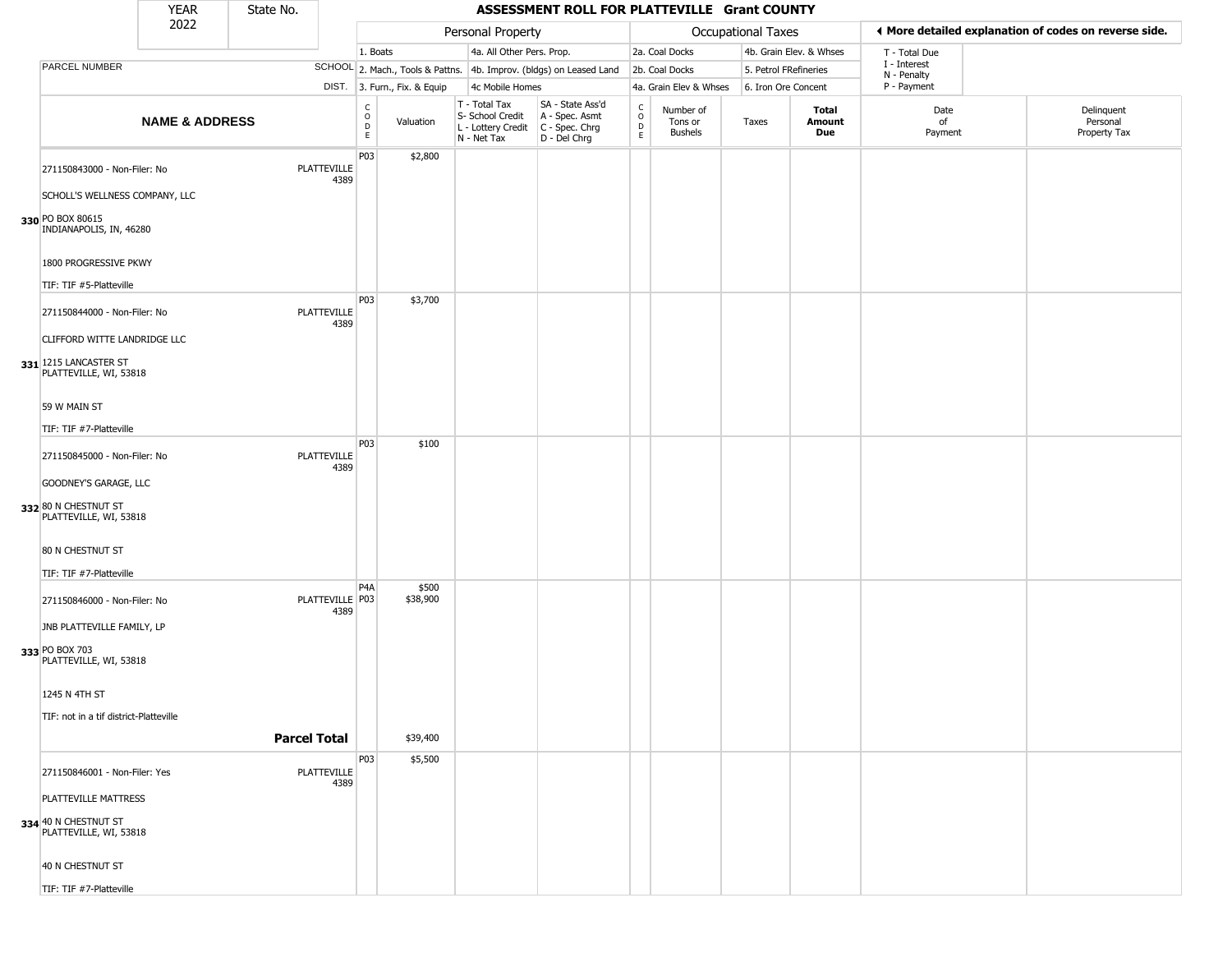|                                                                                 | <b>YEAR</b>               | State No.           |                            |                  |                              |                                                                        | ASSESSMENT ROLL FOR PLATTEVILLE Grant COUNTY                         |                                                          |                                 |                     |                         |                             |                                                       |
|---------------------------------------------------------------------------------|---------------------------|---------------------|----------------------------|------------------|------------------------------|------------------------------------------------------------------------|----------------------------------------------------------------------|----------------------------------------------------------|---------------------------------|---------------------|-------------------------|-----------------------------|-------------------------------------------------------|
|                                                                                 | 2022                      |                     |                            |                  |                              | Personal Property                                                      |                                                                      |                                                          |                                 | Occupational Taxes  |                         |                             | ◀ More detailed explanation of codes on reverse side. |
|                                                                                 |                           |                     |                            | 1. Boats         |                              | 4a. All Other Pers. Prop.                                              |                                                                      |                                                          | 2a. Coal Docks                  |                     | 4b. Grain Elev. & Whses | T - Total Due               |                                                       |
| PARCEL NUMBER                                                                   |                           |                     |                            |                  |                              |                                                                        | SCHOOL 2. Mach., Tools & Pattns. 4b. Improv. (bldgs) on Leased Land  |                                                          | 2b. Coal Docks                  |                     | 5. Petrol FRefineries   | I - Interest<br>N - Penalty |                                                       |
|                                                                                 |                           |                     |                            |                  | DIST. 3. Furn., Fix. & Equip | 4c Mobile Homes                                                        |                                                                      |                                                          | 4a. Grain Elev & Whses          | 6. Iron Ore Concent |                         | P - Payment                 |                                                       |
|                                                                                 | <b>NAME &amp; ADDRESS</b> |                     |                            | C<br>O<br>D<br>E | Valuation                    | T - Total Tax<br>S- School Credit<br>L - Lottery Credit<br>N - Net Tax | SA - State Ass'd<br>A - Spec. Asmt<br>C - Spec. Chrg<br>D - Del Chrg | $\begin{matrix} 0 \\ 0 \\ D \end{matrix}$<br>$\mathsf E$ | Number of<br>Tons or<br>Bushels | Taxes               | Total<br>Amount<br>Due  | Date<br>of<br>Payment       | Delinquent<br>Personal<br>Property Tax                |
| 271150843000 - Non-Filer: No<br>SCHOLL'S WELLNESS COMPANY, LLC                  |                           |                     | PLATTEVILLE<br>4389        | P03              | \$2,800                      |                                                                        |                                                                      |                                                          |                                 |                     |                         |                             |                                                       |
| 330 PO BOX 80615<br>INDIANAPOLIS, IN, 46280                                     |                           |                     |                            |                  |                              |                                                                        |                                                                      |                                                          |                                 |                     |                         |                             |                                                       |
| 1800 PROGRESSIVE PKWY<br>TIF: TIF #5-Platteville                                |                           |                     |                            |                  |                              |                                                                        |                                                                      |                                                          |                                 |                     |                         |                             |                                                       |
| 271150844000 - Non-Filer: No                                                    |                           |                     | <b>PLATTEVILLE</b><br>4389 | P03              | \$3,700                      |                                                                        |                                                                      |                                                          |                                 |                     |                         |                             |                                                       |
| CLIFFORD WITTE LANDRIDGE LLC<br>331 1215 LANCASTER ST<br>PLATTEVILLE, WI, 53818 |                           |                     |                            |                  |                              |                                                                        |                                                                      |                                                          |                                 |                     |                         |                             |                                                       |
| 59 W MAIN ST                                                                    |                           |                     |                            |                  |                              |                                                                        |                                                                      |                                                          |                                 |                     |                         |                             |                                                       |
| TIF: TIF #7-Platteville<br>271150845000 - Non-Filer: No                         |                           |                     | <b>PLATTEVILLE</b><br>4389 | P <sub>03</sub>  | \$100                        |                                                                        |                                                                      |                                                          |                                 |                     |                         |                             |                                                       |
| GOODNEY'S GARAGE, LLC<br>332 80 N CHESTNUT ST<br>PLATTEVILLE, WI, 53818         |                           |                     |                            |                  |                              |                                                                        |                                                                      |                                                          |                                 |                     |                         |                             |                                                       |
| 80 N CHESTNUT ST                                                                |                           |                     |                            |                  |                              |                                                                        |                                                                      |                                                          |                                 |                     |                         |                             |                                                       |
| TIF: TIF #7-Platteville<br>271150846000 - Non-Filer: No                         |                           |                     | PLATTEVILLE   P03<br>4389  | P <sub>4</sub> A | \$500<br>\$38,900            |                                                                        |                                                                      |                                                          |                                 |                     |                         |                             |                                                       |
| JNB PLATTEVILLE FAMILY, LP<br>333 PO BOX 703                                    |                           |                     |                            |                  |                              |                                                                        |                                                                      |                                                          |                                 |                     |                         |                             |                                                       |
| PLATTEVILLE, WI, 53818<br>1245 N 4TH ST                                         |                           |                     |                            |                  |                              |                                                                        |                                                                      |                                                          |                                 |                     |                         |                             |                                                       |
| TIF: not in a tif district-Platteville                                          |                           |                     |                            |                  |                              |                                                                        |                                                                      |                                                          |                                 |                     |                         |                             |                                                       |
|                                                                                 |                           | <b>Parcel Total</b> |                            |                  | \$39,400                     |                                                                        |                                                                      |                                                          |                                 |                     |                         |                             |                                                       |
| 271150846001 - Non-Filer: Yes                                                   |                           |                     | <b>PLATTEVILLE</b><br>4389 | P03              | \$5,500                      |                                                                        |                                                                      |                                                          |                                 |                     |                         |                             |                                                       |
| PLATTEVILLE MATTRESS<br>334 40 N CHESTNUT ST<br>PLATTEVILLE, WI, 53818          |                           |                     |                            |                  |                              |                                                                        |                                                                      |                                                          |                                 |                     |                         |                             |                                                       |
| 40 N CHESTNUT ST                                                                |                           |                     |                            |                  |                              |                                                                        |                                                                      |                                                          |                                 |                     |                         |                             |                                                       |

TIF: TIF #7-Platteville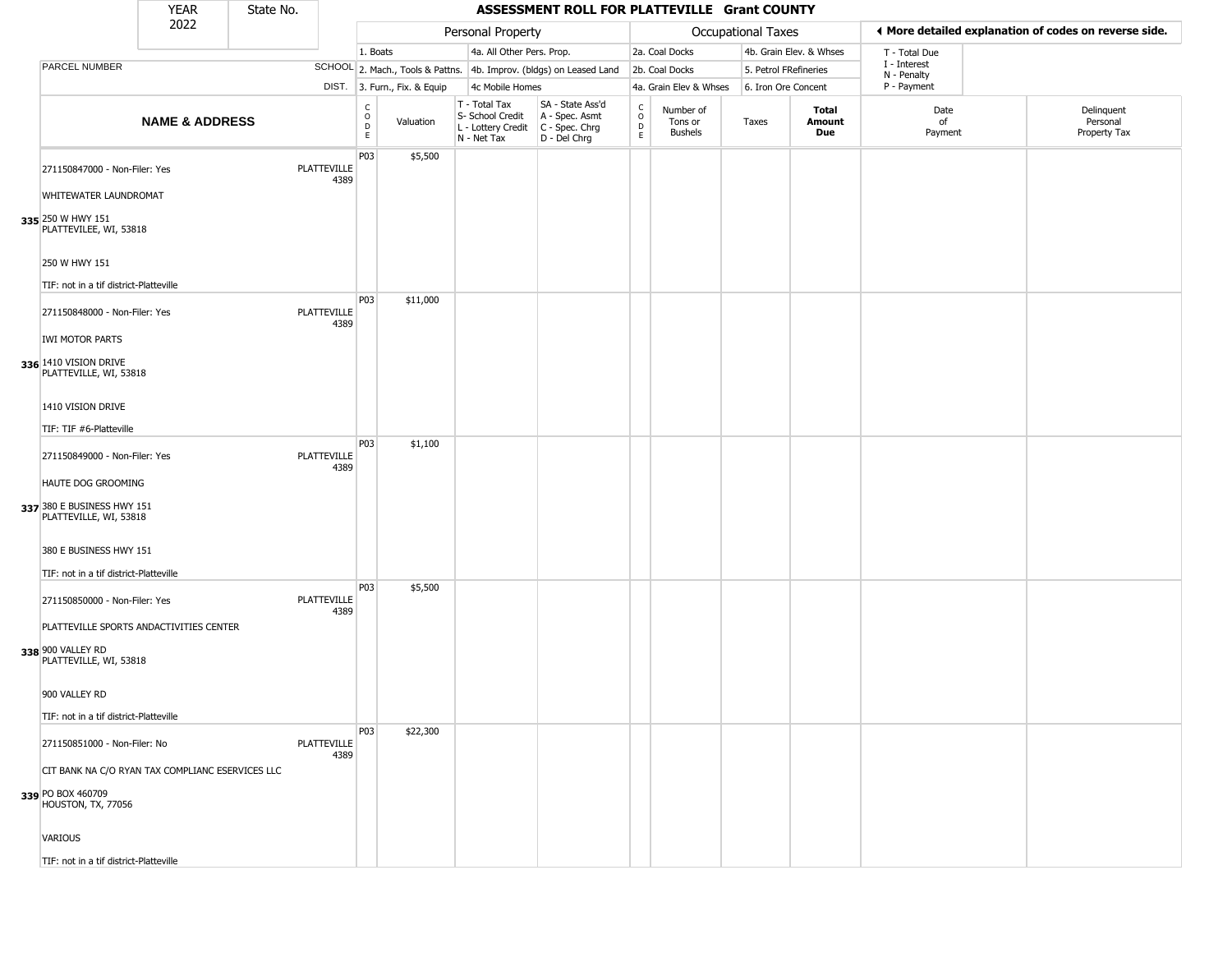|                                                                            | <b>YEAR</b>               | State No. |                            |                        |                              |                                                                        | ASSESSMENT ROLL FOR PLATTEVILLE Grant COUNTY                           |                                                          |                                        |       |                         |                             |                                                       |
|----------------------------------------------------------------------------|---------------------------|-----------|----------------------------|------------------------|------------------------------|------------------------------------------------------------------------|------------------------------------------------------------------------|----------------------------------------------------------|----------------------------------------|-------|-------------------------|-----------------------------|-------------------------------------------------------|
|                                                                            | 2022                      |           |                            |                        |                              | Personal Property                                                      |                                                                        |                                                          | <b>Occupational Taxes</b>              |       |                         |                             | ◀ More detailed explanation of codes on reverse side. |
|                                                                            |                           |           |                            | 1. Boats               |                              | 4a. All Other Pers. Prop.                                              |                                                                        |                                                          | 2a. Coal Docks                         |       | 4b. Grain Elev. & Whses | T - Total Due               |                                                       |
| PARCEL NUMBER                                                              |                           |           |                            |                        |                              |                                                                        | SCHOOL 2. Mach., Tools & Pattns. 4b. Improv. (bldgs) on Leased Land    |                                                          | 2b. Coal Docks                         |       | 5. Petrol FRefineries   | I - Interest<br>N - Penalty |                                                       |
|                                                                            |                           |           |                            |                        | DIST. 3. Furn., Fix. & Equip | 4c Mobile Homes                                                        |                                                                        |                                                          | 4a. Grain Elev & Whses                 |       | 6. Iron Ore Concent     | P - Payment                 |                                                       |
|                                                                            | <b>NAME &amp; ADDRESS</b> |           |                            | C<br>$\circ$<br>D<br>E | Valuation                    | T - Total Tax<br>S- School Credit<br>L - Lottery Credit<br>N - Net Tax | SA - State Ass'd<br>A - Spec. Asmt<br>$C - Spec. Chrg$<br>D - Del Chrg | $\begin{smallmatrix} C \\ O \\ D \end{smallmatrix}$<br>E | Number of<br>Tons or<br><b>Bushels</b> | Taxes | Total<br>Amount<br>Due  | Date<br>of<br>Payment       | Delinquent<br>Personal<br>Property Tax                |
| 271150847000 - Non-Filer: Yes                                              |                           |           | PLATTEVILLE<br>4389        | P03                    | \$5,500                      |                                                                        |                                                                        |                                                          |                                        |       |                         |                             |                                                       |
| WHITEWATER LAUNDROMAT                                                      |                           |           |                            |                        |                              |                                                                        |                                                                        |                                                          |                                        |       |                         |                             |                                                       |
| 335 250 W HWY 151<br>PLATTEVILEE, WI, 53818                                |                           |           |                            |                        |                              |                                                                        |                                                                        |                                                          |                                        |       |                         |                             |                                                       |
| 250 W HWY 151<br>TIF: not in a tif district-Platteville                    |                           |           |                            |                        |                              |                                                                        |                                                                        |                                                          |                                        |       |                         |                             |                                                       |
|                                                                            |                           |           |                            | P03                    | \$11,000                     |                                                                        |                                                                        |                                                          |                                        |       |                         |                             |                                                       |
| 271150848000 - Non-Filer: Yes                                              |                           |           | <b>PLATTEVILLE</b><br>4389 |                        |                              |                                                                        |                                                                        |                                                          |                                        |       |                         |                             |                                                       |
| <b>IWI MOTOR PARTS</b><br>336 1410 VISION DRIVE<br>PLATTEVILLE, WI, 53818  |                           |           |                            |                        |                              |                                                                        |                                                                        |                                                          |                                        |       |                         |                             |                                                       |
| 1410 VISION DRIVE                                                          |                           |           |                            |                        |                              |                                                                        |                                                                        |                                                          |                                        |       |                         |                             |                                                       |
| TIF: TIF #6-Platteville                                                    |                           |           |                            |                        |                              |                                                                        |                                                                        |                                                          |                                        |       |                         |                             |                                                       |
| 271150849000 - Non-Filer: Yes                                              |                           |           | <b>PLATTEVILLE</b><br>4389 | P03                    | \$1,100                      |                                                                        |                                                                        |                                                          |                                        |       |                         |                             |                                                       |
| HAUTE DOG GROOMING<br>337 380 E BUSINESS HWY 151<br>PLATTEVILLE, WI, 53818 |                           |           |                            |                        |                              |                                                                        |                                                                        |                                                          |                                        |       |                         |                             |                                                       |
| 380 E BUSINESS HWY 151                                                     |                           |           |                            |                        |                              |                                                                        |                                                                        |                                                          |                                        |       |                         |                             |                                                       |
| TIF: not in a tif district-Platteville<br>271150850000 - Non-Filer: Yes    |                           |           | PLATTEVILLE<br>4389        | P03                    | \$5,500                      |                                                                        |                                                                        |                                                          |                                        |       |                         |                             |                                                       |
| PLATTEVILLE SPORTS ANDACTIVITIES CENTER                                    |                           |           |                            |                        |                              |                                                                        |                                                                        |                                                          |                                        |       |                         |                             |                                                       |
| 338 900 VALLEY RD<br>PLATTEVILLE, WI, 53818                                |                           |           |                            |                        |                              |                                                                        |                                                                        |                                                          |                                        |       |                         |                             |                                                       |
| 900 VALLEY RD                                                              |                           |           |                            |                        |                              |                                                                        |                                                                        |                                                          |                                        |       |                         |                             |                                                       |
| TIF: not in a tif district-Platteville                                     |                           |           |                            |                        |                              |                                                                        |                                                                        |                                                          |                                        |       |                         |                             |                                                       |
| 271150851000 - Non-Filer: No                                               |                           |           | PLATTEVILLE<br>4389        | P <sub>03</sub>        | \$22,300                     |                                                                        |                                                                        |                                                          |                                        |       |                         |                             |                                                       |
| CIT BANK NA C/O RYAN TAX COMPLIANC ESERVICES LLC                           |                           |           |                            |                        |                              |                                                                        |                                                                        |                                                          |                                        |       |                         |                             |                                                       |
| 339 PO BOX 460709<br>HOUSTON, TX, 77056                                    |                           |           |                            |                        |                              |                                                                        |                                                                        |                                                          |                                        |       |                         |                             |                                                       |
| VARIOUS                                                                    |                           |           |                            |                        |                              |                                                                        |                                                                        |                                                          |                                        |       |                         |                             |                                                       |
| TIF: not in a tif district-Platteville                                     |                           |           |                            |                        |                              |                                                                        |                                                                        |                                                          |                                        |       |                         |                             |                                                       |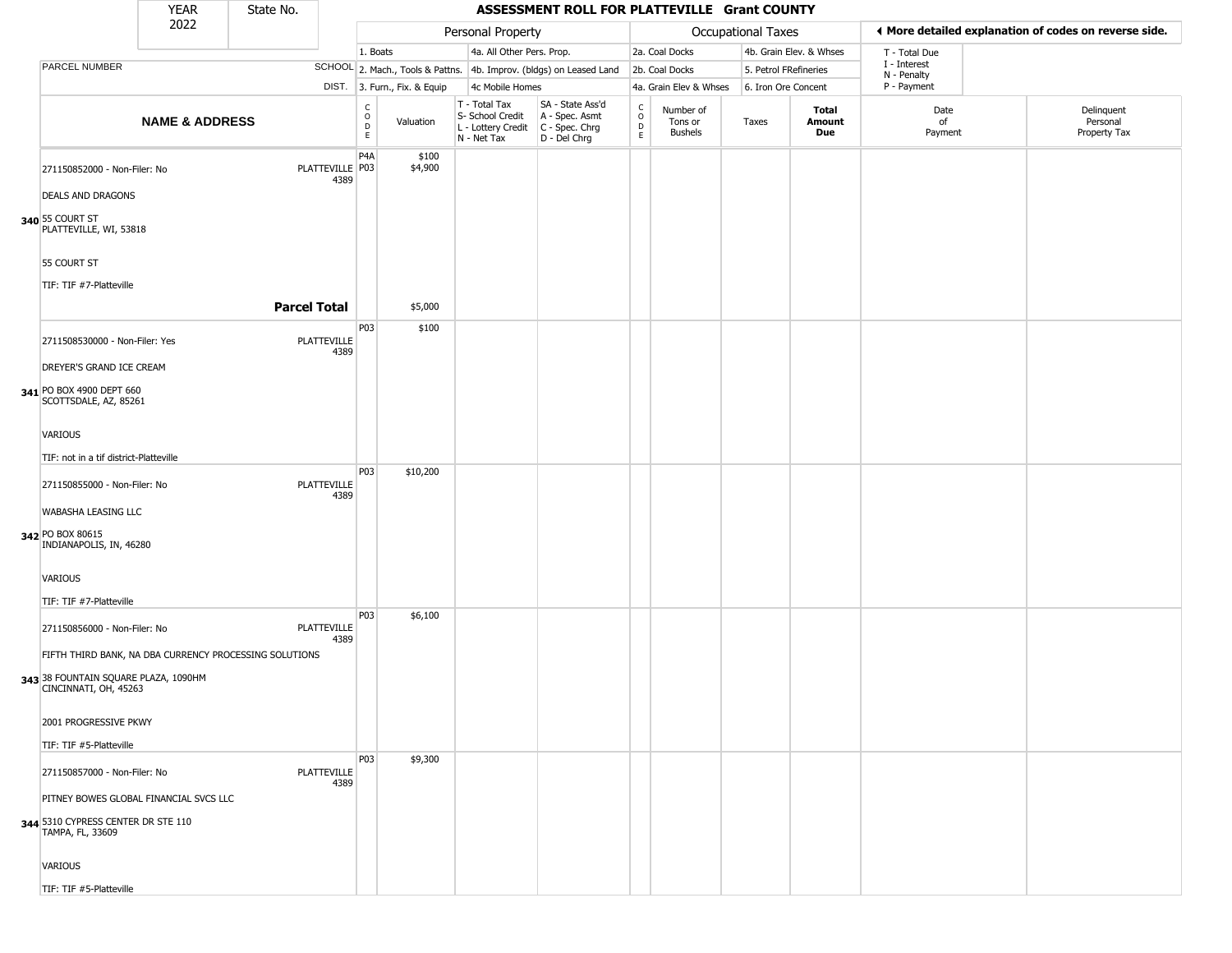|                                                                       | <b>YEAR</b>               | State No.           |                            |                        |                              |                                                                          | ASSESSMENT ROLL FOR PLATTEVILLE Grant COUNTY                           |                                   |                                        |                       |                         |                                                       |                                        |
|-----------------------------------------------------------------------|---------------------------|---------------------|----------------------------|------------------------|------------------------------|--------------------------------------------------------------------------|------------------------------------------------------------------------|-----------------------------------|----------------------------------------|-----------------------|-------------------------|-------------------------------------------------------|----------------------------------------|
|                                                                       | 2022                      |                     |                            |                        |                              | Personal Property                                                        |                                                                        |                                   |                                        | Occupational Taxes    |                         | ◀ More detailed explanation of codes on reverse side. |                                        |
|                                                                       |                           |                     |                            | 1. Boats               |                              | 4a. All Other Pers. Prop.                                                |                                                                        |                                   | 2a. Coal Docks                         |                       | 4b. Grain Elev. & Whses | T - Total Due                                         |                                        |
| <b>PARCEL NUMBER</b>                                                  |                           |                     |                            |                        |                              |                                                                          | SCHOOL 2. Mach., Tools & Pattns. 4b. Improv. (bldgs) on Leased Land    |                                   | 2b. Coal Docks                         | 5. Petrol FRefineries |                         | I - Interest<br>N - Penalty                           |                                        |
|                                                                       |                           |                     |                            |                        | DIST. 3. Furn., Fix. & Equip | 4c Mobile Homes                                                          |                                                                        |                                   | 4a. Grain Elev & Whses                 | 6. Iron Ore Concent   |                         | P - Payment                                           |                                        |
|                                                                       | <b>NAME &amp; ADDRESS</b> |                     |                            | C<br>$\circ$<br>D<br>E | Valuation                    | $T - Total Tax$<br>S- School Credit<br>L - Lottery Credit<br>N - Net Tax | SA - State Ass'd<br>A - Spec. Asmt<br>$C - Spec. Chrg$<br>D - Del Chrg | $\mathsf{C}$<br>$\circ$<br>D<br>E | Number of<br>Tons or<br><b>Bushels</b> | Taxes                 | Total<br>Amount<br>Due  | Date<br>of<br>Payment                                 | Delinquent<br>Personal<br>Property Tax |
| 271150852000 - Non-Filer: No                                          |                           |                     | PLATTEVILLE P03<br>4389    | P4A                    | \$100<br>\$4,900             |                                                                          |                                                                        |                                   |                                        |                       |                         |                                                       |                                        |
| <b>DEALS AND DRAGONS</b><br>340 55 COURT ST<br>PLATTEVILLE, WI, 53818 |                           |                     |                            |                        |                              |                                                                          |                                                                        |                                   |                                        |                       |                         |                                                       |                                        |
| 55 COURT ST                                                           |                           |                     |                            |                        |                              |                                                                          |                                                                        |                                   |                                        |                       |                         |                                                       |                                        |
| TIF: TIF #7-Platteville                                               |                           | <b>Parcel Total</b> |                            |                        | \$5,000                      |                                                                          |                                                                        |                                   |                                        |                       |                         |                                                       |                                        |
|                                                                       |                           |                     |                            | P03                    |                              |                                                                          |                                                                        |                                   |                                        |                       |                         |                                                       |                                        |
| 2711508530000 - Non-Filer: Yes                                        |                           |                     | PLATTEVILLE<br>4389        |                        | \$100                        |                                                                          |                                                                        |                                   |                                        |                       |                         |                                                       |                                        |
| DREYER'S GRAND ICE CREAM                                              |                           |                     |                            |                        |                              |                                                                          |                                                                        |                                   |                                        |                       |                         |                                                       |                                        |
| 341 PO BOX 4900 DEPT 660<br>SCOTTSDALE, AZ, 85261                     |                           |                     |                            |                        |                              |                                                                          |                                                                        |                                   |                                        |                       |                         |                                                       |                                        |
| VARIOUS                                                               |                           |                     |                            |                        |                              |                                                                          |                                                                        |                                   |                                        |                       |                         |                                                       |                                        |
| TIF: not in a tif district-Platteville                                |                           |                     |                            |                        |                              |                                                                          |                                                                        |                                   |                                        |                       |                         |                                                       |                                        |
| 271150855000 - Non-Filer: No                                          |                           |                     | PLATTEVILLE<br>4389        | P03                    | \$10,200                     |                                                                          |                                                                        |                                   |                                        |                       |                         |                                                       |                                        |
| WABASHA LEASING LLC                                                   |                           |                     |                            |                        |                              |                                                                          |                                                                        |                                   |                                        |                       |                         |                                                       |                                        |
| 342 PO BOX 80615<br>INDIANAPOLIS, IN, 46280                           |                           |                     |                            |                        |                              |                                                                          |                                                                        |                                   |                                        |                       |                         |                                                       |                                        |
| VARIOUS                                                               |                           |                     |                            |                        |                              |                                                                          |                                                                        |                                   |                                        |                       |                         |                                                       |                                        |
| TIF: TIF #7-Platteville                                               |                           |                     |                            |                        |                              |                                                                          |                                                                        |                                   |                                        |                       |                         |                                                       |                                        |
| 271150856000 - Non-Filer: No                                          |                           |                     | <b>PLATTEVILLE</b><br>4389 | P03                    | \$6,100                      |                                                                          |                                                                        |                                   |                                        |                       |                         |                                                       |                                        |
| FIFTH THIRD BANK, NA DBA CURRENCY PROCESSING SOLUTIONS                |                           |                     |                            |                        |                              |                                                                          |                                                                        |                                   |                                        |                       |                         |                                                       |                                        |
| 343 38 FOUNTAIN SQUARE PLAZA, 1090HM<br>CINCINNATI, OH, 45263         |                           |                     |                            |                        |                              |                                                                          |                                                                        |                                   |                                        |                       |                         |                                                       |                                        |
| 2001 PROGRESSIVE PKWY                                                 |                           |                     |                            |                        |                              |                                                                          |                                                                        |                                   |                                        |                       |                         |                                                       |                                        |
| TIF: TIF #5-Platteville                                               |                           |                     |                            |                        |                              |                                                                          |                                                                        |                                   |                                        |                       |                         |                                                       |                                        |
| 271150857000 - Non-Filer: No                                          |                           |                     | <b>PLATTEVILLE</b><br>4389 | P03                    | \$9,300                      |                                                                          |                                                                        |                                   |                                        |                       |                         |                                                       |                                        |
| PITNEY BOWES GLOBAL FINANCIAL SVCS LLC                                |                           |                     |                            |                        |                              |                                                                          |                                                                        |                                   |                                        |                       |                         |                                                       |                                        |
| 344 5310 CYPRESS CENTER DR STE 110<br>TAMPA, FL, 33609                |                           |                     |                            |                        |                              |                                                                          |                                                                        |                                   |                                        |                       |                         |                                                       |                                        |
| VARIOUS                                                               |                           |                     |                            |                        |                              |                                                                          |                                                                        |                                   |                                        |                       |                         |                                                       |                                        |
| TIF: TIF #5-Platteville                                               |                           |                     |                            |                        |                              |                                                                          |                                                                        |                                   |                                        |                       |                         |                                                       |                                        |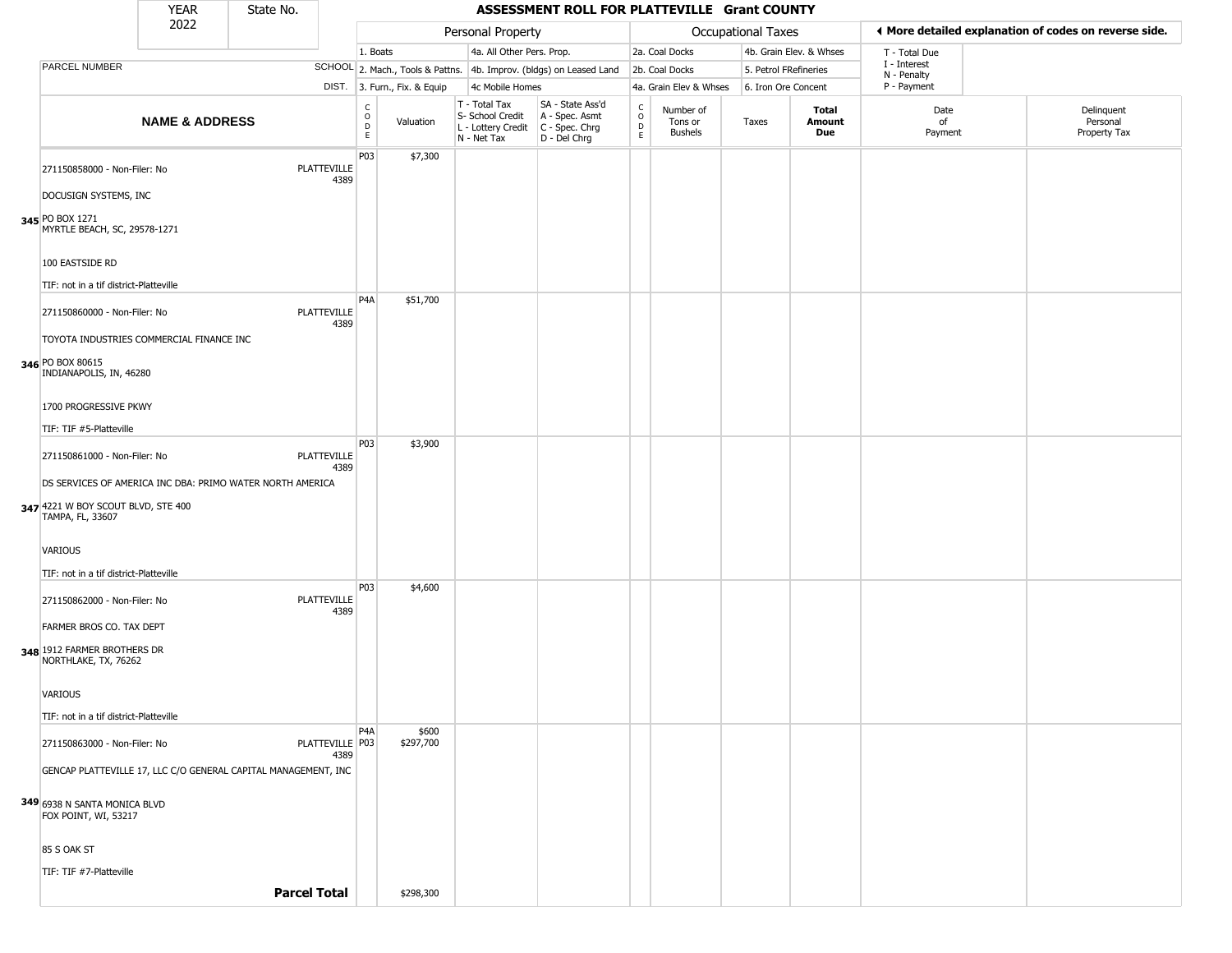|                                                                                                                     | <b>YEAR</b>               | State No. |                            |                    |                              |                                                                        | ASSESSMENT ROLL FOR PLATTEVILLE Grant COUNTY                           |                                                |                                 |                    |                         |                             |                                                       |
|---------------------------------------------------------------------------------------------------------------------|---------------------------|-----------|----------------------------|--------------------|------------------------------|------------------------------------------------------------------------|------------------------------------------------------------------------|------------------------------------------------|---------------------------------|--------------------|-------------------------|-----------------------------|-------------------------------------------------------|
|                                                                                                                     | 2022                      |           |                            |                    |                              | Personal Property                                                      |                                                                        |                                                |                                 | Occupational Taxes |                         |                             | ♦ More detailed explanation of codes on reverse side. |
|                                                                                                                     |                           |           |                            | 1. Boats           |                              | 4a. All Other Pers. Prop.                                              |                                                                        |                                                | 2a. Coal Docks                  |                    | 4b. Grain Elev. & Whses | T - Total Due               |                                                       |
| <b>PARCEL NUMBER</b>                                                                                                |                           |           |                            |                    |                              |                                                                        | SCHOOL 2. Mach., Tools & Pattns. 4b. Improv. (bldgs) on Leased Land    |                                                | 2b. Coal Docks                  |                    | 5. Petrol FRefineries   | I - Interest<br>N - Penalty |                                                       |
|                                                                                                                     |                           |           |                            |                    | DIST. 3. Furn., Fix. & Equip | 4c Mobile Homes                                                        |                                                                        |                                                | 4a. Grain Elev & Whses          |                    | 6. Iron Ore Concent     | P - Payment                 |                                                       |
|                                                                                                                     | <b>NAME &amp; ADDRESS</b> |           |                            | C.<br>O<br>D<br>E. | Valuation                    | T - Total Tax<br>S- School Credit<br>L - Lottery Credit<br>N - Net Tax | SA - State Ass'd<br>A - Spec. Asmt<br>$C - Spec. Chrg$<br>D - Del Chrg | $\begin{matrix} 0 \\ 0 \\ 0 \end{matrix}$<br>E | Number of<br>Tons or<br>Bushels | Taxes              | Total<br>Amount<br>Due  | Date<br>0f<br>Payment       | Delinquent<br>Personal<br>Property Tax                |
| 271150858000 - Non-Filer: No<br>DOCUSIGN SYSTEMS, INC                                                               |                           |           | PLATTEVILLE<br>4389        | P03                | \$7,300                      |                                                                        |                                                                        |                                                |                                 |                    |                         |                             |                                                       |
| 345 PO BOX 1271<br>MYRTLE BEACH, SC, 29578-1271                                                                     |                           |           |                            |                    |                              |                                                                        |                                                                        |                                                |                                 |                    |                         |                             |                                                       |
| 100 EASTSIDE RD<br>TIF: not in a tif district-Platteville                                                           |                           |           |                            |                    |                              |                                                                        |                                                                        |                                                |                                 |                    |                         |                             |                                                       |
| 271150860000 - Non-Filer: No<br>TOYOTA INDUSTRIES COMMERCIAL FINANCE INC                                            |                           |           | <b>PLATTEVILLE</b><br>4389 | P <sub>4</sub> A   | \$51,700                     |                                                                        |                                                                        |                                                |                                 |                    |                         |                             |                                                       |
| 346 PO BOX 80615<br>INDIANAPOLIS, IN, 46280                                                                         |                           |           |                            |                    |                              |                                                                        |                                                                        |                                                |                                 |                    |                         |                             |                                                       |
| 1700 PROGRESSIVE PKWY<br>TIF: TIF #5-Platteville                                                                    |                           |           |                            |                    |                              |                                                                        |                                                                        |                                                |                                 |                    |                         |                             |                                                       |
| 271150861000 - Non-Filer: No                                                                                        |                           |           | PLATTEVILLE<br>4389        | P03                | \$3,900                      |                                                                        |                                                                        |                                                |                                 |                    |                         |                             |                                                       |
| DS SERVICES OF AMERICA INC DBA: PRIMO WATER NORTH AMERICA<br>347 4221 W BOY SCOUT BLVD, STE 400<br>TAMPA, FL, 33607 |                           |           |                            |                    |                              |                                                                        |                                                                        |                                                |                                 |                    |                         |                             |                                                       |
| VARIOUS<br>TIF: not in a tif district-Platteville                                                                   |                           |           |                            |                    |                              |                                                                        |                                                                        |                                                |                                 |                    |                         |                             |                                                       |
| 271150862000 - Non-Filer: No                                                                                        |                           |           | <b>PLATTEVILLE</b><br>4389 | P <sub>03</sub>    | \$4,600                      |                                                                        |                                                                        |                                                |                                 |                    |                         |                             |                                                       |
| FARMER BROS CO. TAX DEPT<br>348 1912 FARMER BROTHERS DR<br>NORTHLAKE, TX, 76262                                     |                           |           |                            |                    |                              |                                                                        |                                                                        |                                                |                                 |                    |                         |                             |                                                       |
| VARIOUS<br>TIF: not in a tif district-Platteville                                                                   |                           |           |                            |                    |                              |                                                                        |                                                                        |                                                |                                 |                    |                         |                             |                                                       |
| 271150863000 - Non-Filer: No                                                                                        |                           |           | PLATTEVILLE P03<br>4389    | P <sub>4</sub> A   | \$600<br>\$297,700           |                                                                        |                                                                        |                                                |                                 |                    |                         |                             |                                                       |
| GENCAP PLATTEVILLE 17, LLC C/O GENERAL CAPITAL MANAGEMENT, INC                                                      |                           |           |                            |                    |                              |                                                                        |                                                                        |                                                |                                 |                    |                         |                             |                                                       |
| 349 6938 N SANTA MONICA BLVD<br>FOX POINT, WI, 53217                                                                |                           |           |                            |                    |                              |                                                                        |                                                                        |                                                |                                 |                    |                         |                             |                                                       |
| 85 S OAK ST                                                                                                         |                           |           |                            |                    |                              |                                                                        |                                                                        |                                                |                                 |                    |                         |                             |                                                       |

TIF: TIF #7-Platteville

**Parcel Total | \$298,300**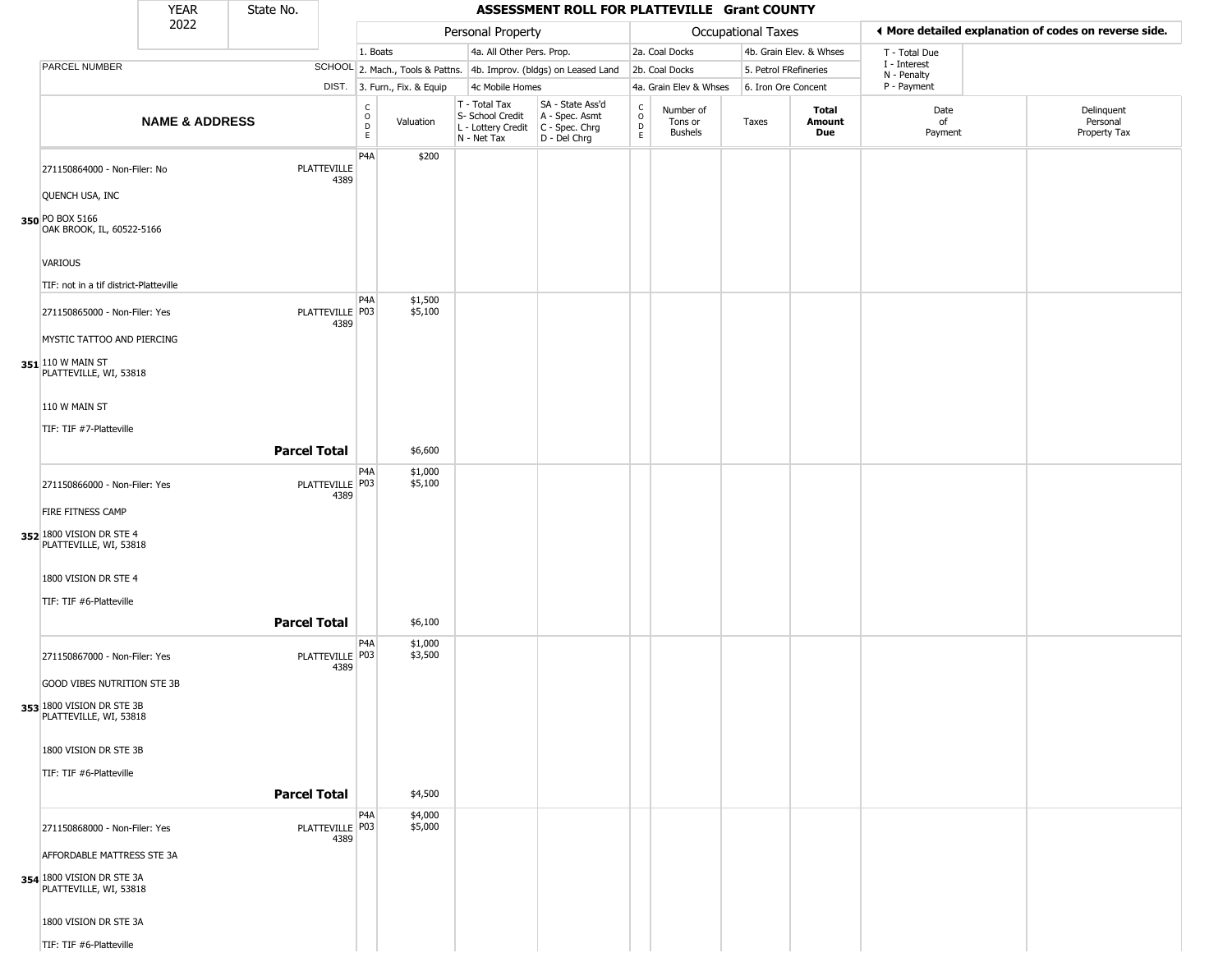|                                                                           | <b>YEAR</b>               | State No. |                           |                                   |                              |                                                                        | ASSESSMENT ROLL FOR PLATTEVILLE Grant COUNTY                         |                                          |                                        |                    |                         |                             |                                                       |
|---------------------------------------------------------------------------|---------------------------|-----------|---------------------------|-----------------------------------|------------------------------|------------------------------------------------------------------------|----------------------------------------------------------------------|------------------------------------------|----------------------------------------|--------------------|-------------------------|-----------------------------|-------------------------------------------------------|
|                                                                           | 2022                      |           |                           |                                   |                              | Personal Property                                                      |                                                                      |                                          |                                        | Occupational Taxes |                         |                             | ◀ More detailed explanation of codes on reverse side. |
|                                                                           |                           |           |                           | 1. Boats                          |                              | 4a. All Other Pers. Prop.                                              |                                                                      |                                          | 2a. Coal Docks                         |                    | 4b. Grain Elev. & Whses | T - Total Due               |                                                       |
| PARCEL NUMBER                                                             |                           |           |                           |                                   |                              |                                                                        | SCHOOL 2. Mach., Tools & Pattns. 4b. Improv. (bldgs) on Leased Land  |                                          | 2b. Coal Docks                         |                    | 5. Petrol FRefineries   | I - Interest<br>N - Penalty |                                                       |
|                                                                           |                           |           |                           |                                   | DIST. 3. Furn., Fix. & Equip | 4c Mobile Homes                                                        |                                                                      |                                          | 4a. Grain Elev & Whses                 |                    | 6. Iron Ore Concent     | P - Payment                 |                                                       |
|                                                                           | <b>NAME &amp; ADDRESS</b> |           |                           | C<br>$\circ$<br>$\mathsf{D}$<br>E | Valuation                    | T - Total Tax<br>S- School Credit<br>L - Lottery Credit<br>N - Net Tax | SA - State Ass'd<br>A - Spec. Asmt<br>C - Spec. Chrg<br>D - Del Chrg | $\rm _o^C$<br>$\mathsf D$<br>$\mathsf E$ | Number of<br>Tons or<br><b>Bushels</b> | Taxes              | Total<br>Amount<br>Due  | Date<br>of<br>Payment       | Delinquent<br>Personal<br>Property Tax                |
| 271150864000 - Non-Filer: No<br>QUENCH USA, INC                           |                           |           | PLATTEVILLE<br>4389       | P4A                               | \$200                        |                                                                        |                                                                      |                                          |                                        |                    |                         |                             |                                                       |
| 350 PO BOX 5166<br>OAK BROOK, IL, 60522-5166                              |                           |           |                           |                                   |                              |                                                                        |                                                                      |                                          |                                        |                    |                         |                             |                                                       |
| VARIOUS                                                                   |                           |           |                           |                                   |                              |                                                                        |                                                                      |                                          |                                        |                    |                         |                             |                                                       |
| TIF: not in a tif district-Platteville                                    |                           |           |                           |                                   |                              |                                                                        |                                                                      |                                          |                                        |                    |                         |                             |                                                       |
| 271150865000 - Non-Filer: Yes                                             |                           |           | PLATTEVILLE P03<br>4389   | P <sub>4</sub> A                  | \$1,500<br>\$5,100           |                                                                        |                                                                      |                                          |                                        |                    |                         |                             |                                                       |
| MYSTIC TATTOO AND PIERCING<br>351 110 W MAIN ST<br>PLATTEVILLE, WI, 53818 |                           |           |                           |                                   |                              |                                                                        |                                                                      |                                          |                                        |                    |                         |                             |                                                       |
| 110 W MAIN ST                                                             |                           |           |                           |                                   |                              |                                                                        |                                                                      |                                          |                                        |                    |                         |                             |                                                       |
| TIF: TIF #7-Platteville                                                   |                           |           | <b>Parcel Total</b>       |                                   | \$6,600                      |                                                                        |                                                                      |                                          |                                        |                    |                         |                             |                                                       |
| 271150866000 - Non-Filer: Yes                                             |                           |           | PLATTEVILLE P03<br>4389   | P <sub>4</sub> A                  | \$1,000<br>\$5,100           |                                                                        |                                                                      |                                          |                                        |                    |                         |                             |                                                       |
| FIRE FITNESS CAMP                                                         |                           |           |                           |                                   |                              |                                                                        |                                                                      |                                          |                                        |                    |                         |                             |                                                       |
| 352 1800 VISION DR STE 4<br>PLATTEVILLE, WI, 53818                        |                           |           |                           |                                   |                              |                                                                        |                                                                      |                                          |                                        |                    |                         |                             |                                                       |
| 1800 VISION DR STE 4<br>TIF: TIF #6-Platteville                           |                           |           |                           |                                   |                              |                                                                        |                                                                      |                                          |                                        |                    |                         |                             |                                                       |
|                                                                           |                           |           |                           |                                   |                              |                                                                        |                                                                      |                                          |                                        |                    |                         |                             |                                                       |
|                                                                           |                           |           | <b>Parcel Total</b>       |                                   | \$6,100                      |                                                                        |                                                                      |                                          |                                        |                    |                         |                             |                                                       |
| 271150867000 - Non-Filer: Yes                                             |                           |           | PLATTEVILLE   P03<br>4389 | P <sub>4</sub> A                  | \$1,000<br>\$3,500           |                                                                        |                                                                      |                                          |                                        |                    |                         |                             |                                                       |
| <b>GOOD VIBES NUTRITION STE 3B</b>                                        |                           |           |                           |                                   |                              |                                                                        |                                                                      |                                          |                                        |                    |                         |                             |                                                       |
| 353 1800 VISION DR STE 3B<br>PLATTEVILLE, WI, 53818                       |                           |           |                           |                                   |                              |                                                                        |                                                                      |                                          |                                        |                    |                         |                             |                                                       |
| 1800 VISION DR STE 3B                                                     |                           |           |                           |                                   |                              |                                                                        |                                                                      |                                          |                                        |                    |                         |                             |                                                       |
| TIF: TIF #6-Platteville                                                   |                           |           |                           |                                   |                              |                                                                        |                                                                      |                                          |                                        |                    |                         |                             |                                                       |
|                                                                           |                           |           | <b>Parcel Total</b>       |                                   | \$4,500                      |                                                                        |                                                                      |                                          |                                        |                    |                         |                             |                                                       |
|                                                                           |                           |           |                           |                                   |                              |                                                                        |                                                                      |                                          |                                        |                    |                         |                             |                                                       |
| 271150868000 - Non-Filer: Yes                                             |                           |           | PLATTEVILLE P03<br>4389   | P <sub>4</sub> A                  | \$4,000<br>\$5,000           |                                                                        |                                                                      |                                          |                                        |                    |                         |                             |                                                       |
| AFFORDABLE MATTRESS STE 3A                                                |                           |           |                           |                                   |                              |                                                                        |                                                                      |                                          |                                        |                    |                         |                             |                                                       |
| 354 1800 VISION DR STE 3A<br>PLATTEVILLE, WI, 53818                       |                           |           |                           |                                   |                              |                                                                        |                                                                      |                                          |                                        |                    |                         |                             |                                                       |
| 1800 VISION DR STE 3A                                                     |                           |           |                           |                                   |                              |                                                                        |                                                                      |                                          |                                        |                    |                         |                             |                                                       |

TIF: TIF #6-Platteville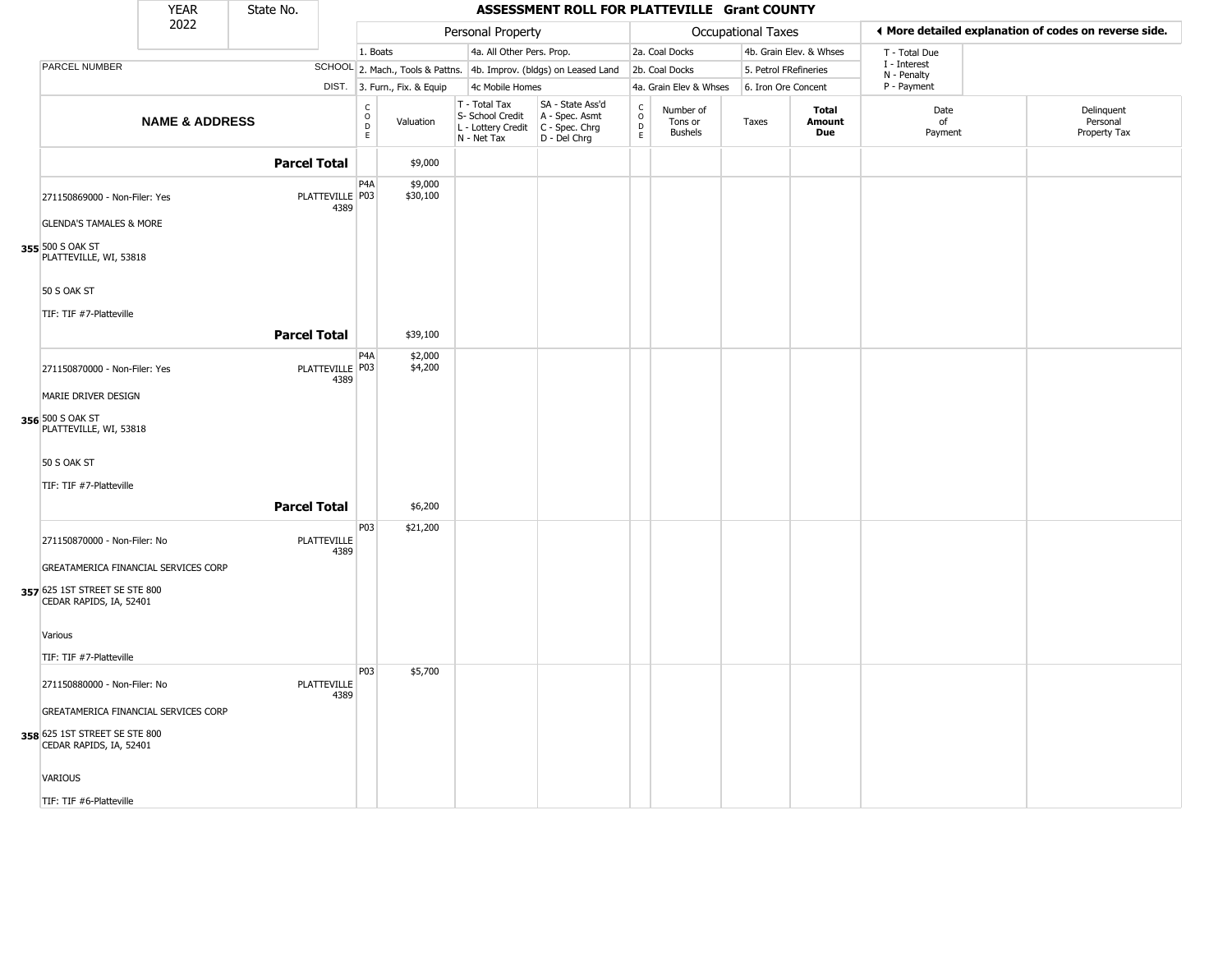|                                                          | <b>YEAR</b>               | State No.           |                            |                               |                              |                                                                                         | ASSESSMENT ROLL FOR PLATTEVILLE Grant COUNTY                        |                                                   |                                        |                           |                         |                             |                                                       |
|----------------------------------------------------------|---------------------------|---------------------|----------------------------|-------------------------------|------------------------------|-----------------------------------------------------------------------------------------|---------------------------------------------------------------------|---------------------------------------------------|----------------------------------------|---------------------------|-------------------------|-----------------------------|-------------------------------------------------------|
|                                                          | 2022                      |                     |                            |                               |                              | Personal Property                                                                       |                                                                     |                                                   |                                        | <b>Occupational Taxes</b> |                         |                             | ◀ More detailed explanation of codes on reverse side. |
|                                                          |                           |                     |                            | 1. Boats                      |                              | 4a. All Other Pers. Prop.                                                               |                                                                     |                                                   | 2a. Coal Docks                         |                           | 4b. Grain Elev. & Whses | T - Total Due               |                                                       |
| PARCEL NUMBER                                            |                           |                     |                            |                               |                              |                                                                                         | SCHOOL 2. Mach., Tools & Pattns. 4b. Improv. (bldgs) on Leased Land |                                                   | 2b. Coal Docks                         | 5. Petrol FRefineries     |                         | I - Interest<br>N - Penalty |                                                       |
|                                                          |                           |                     |                            |                               | DIST. 3. Furn., Fix. & Equip | 4c Mobile Homes                                                                         |                                                                     |                                                   | 4a. Grain Elev & Whses                 | 6. Iron Ore Concent       |                         | P - Payment                 |                                                       |
|                                                          | <b>NAME &amp; ADDRESS</b> |                     |                            | $\overline{0}$<br>$\mathsf E$ | Valuation                    | T - Total Tax<br>S- School Credit<br>L - Lottery Credit   C - Spec. Chrg<br>N - Net Tax | SA - State Ass'd<br>A - Spec. Asmt<br>D - Del Chrg                  | c<br>$\begin{array}{c}\n0 \\ 0 \\ E\n\end{array}$ | Number of<br>Tons or<br><b>Bushels</b> | Taxes                     | Total<br>Amount<br>Due  | Date<br>of<br>Payment       | Delinquent<br>Personal<br>Property Tax                |
|                                                          |                           | <b>Parcel Total</b> |                            |                               | \$9,000                      |                                                                                         |                                                                     |                                                   |                                        |                           |                         |                             |                                                       |
| 271150869000 - Non-Filer: Yes                            |                           |                     | PLATTEVILLE   P03<br>4389  | P <sub>4</sub> A              | \$9,000<br>\$30,100          |                                                                                         |                                                                     |                                                   |                                        |                           |                         |                             |                                                       |
| <b>GLENDA'S TAMALES &amp; MORE</b>                       |                           |                     |                            |                               |                              |                                                                                         |                                                                     |                                                   |                                        |                           |                         |                             |                                                       |
| 355 500 S OAK ST<br>PLATTEVILLE, WI, 53818               |                           |                     |                            |                               |                              |                                                                                         |                                                                     |                                                   |                                        |                           |                         |                             |                                                       |
| 50 S OAK ST                                              |                           |                     |                            |                               |                              |                                                                                         |                                                                     |                                                   |                                        |                           |                         |                             |                                                       |
| TIF: TIF #7-Platteville                                  |                           |                     |                            |                               |                              |                                                                                         |                                                                     |                                                   |                                        |                           |                         |                             |                                                       |
|                                                          |                           | <b>Parcel Total</b> |                            |                               | \$39,100                     |                                                                                         |                                                                     |                                                   |                                        |                           |                         |                             |                                                       |
|                                                          |                           |                     |                            | P <sub>4</sub> A              | \$2,000                      |                                                                                         |                                                                     |                                                   |                                        |                           |                         |                             |                                                       |
| 271150870000 - Non-Filer: Yes                            |                           |                     | PLATTEVILLE P03<br>4389    |                               | \$4,200                      |                                                                                         |                                                                     |                                                   |                                        |                           |                         |                             |                                                       |
| MARIE DRIVER DESIGN                                      |                           |                     |                            |                               |                              |                                                                                         |                                                                     |                                                   |                                        |                           |                         |                             |                                                       |
| 356 500 S OAK ST<br>PLATTEVILLE, WI, 53818               |                           |                     |                            |                               |                              |                                                                                         |                                                                     |                                                   |                                        |                           |                         |                             |                                                       |
| 50 S OAK ST                                              |                           |                     |                            |                               |                              |                                                                                         |                                                                     |                                                   |                                        |                           |                         |                             |                                                       |
| TIF: TIF #7-Platteville                                  |                           |                     |                            |                               |                              |                                                                                         |                                                                     |                                                   |                                        |                           |                         |                             |                                                       |
|                                                          |                           | <b>Parcel Total</b> |                            |                               | \$6,200                      |                                                                                         |                                                                     |                                                   |                                        |                           |                         |                             |                                                       |
|                                                          |                           |                     |                            | P <sub>0</sub> 3              |                              |                                                                                         |                                                                     |                                                   |                                        |                           |                         |                             |                                                       |
| 271150870000 - Non-Filer: No                             |                           |                     | <b>PLATTEVILLE</b><br>4389 |                               | \$21,200                     |                                                                                         |                                                                     |                                                   |                                        |                           |                         |                             |                                                       |
| GREATAMERICA FINANCIAL SERVICES CORP                     |                           |                     |                            |                               |                              |                                                                                         |                                                                     |                                                   |                                        |                           |                         |                             |                                                       |
| 357 625 1ST STREET SE STE 800<br>CEDAR RAPIDS, IA, 52401 |                           |                     |                            |                               |                              |                                                                                         |                                                                     |                                                   |                                        |                           |                         |                             |                                                       |
| Various                                                  |                           |                     |                            |                               |                              |                                                                                         |                                                                     |                                                   |                                        |                           |                         |                             |                                                       |
| TIF: TIF #7-Platteville                                  |                           |                     |                            |                               |                              |                                                                                         |                                                                     |                                                   |                                        |                           |                         |                             |                                                       |
| 271150880000 - Non-Filer: No                             |                           |                     | <b>PLATTEVILLE</b>         | P03                           | \$5,700                      |                                                                                         |                                                                     |                                                   |                                        |                           |                         |                             |                                                       |
| GREATAMERICA FINANCIAL SERVICES CORP                     |                           |                     | 4389                       |                               |                              |                                                                                         |                                                                     |                                                   |                                        |                           |                         |                             |                                                       |
| 358 625 1ST STREET SE STE 800<br>CEDAR RAPIDS, IA, 52401 |                           |                     |                            |                               |                              |                                                                                         |                                                                     |                                                   |                                        |                           |                         |                             |                                                       |
| VARIOUS                                                  |                           |                     |                            |                               |                              |                                                                                         |                                                                     |                                                   |                                        |                           |                         |                             |                                                       |
| TIF: TIF #6-Platteville                                  |                           |                     |                            |                               |                              |                                                                                         |                                                                     |                                                   |                                        |                           |                         |                             |                                                       |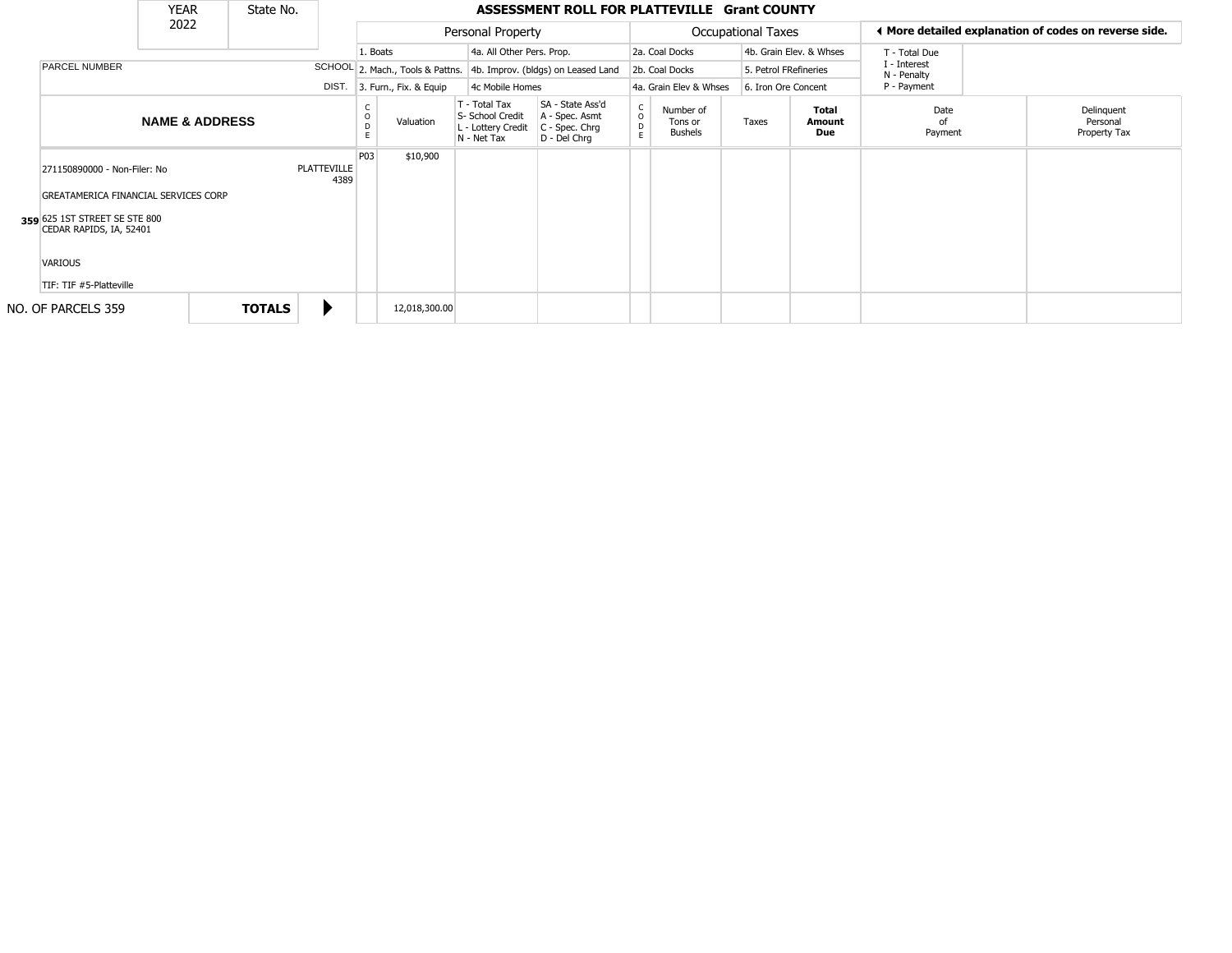|                                                                                                                                                                            |                           | <b>YEAR</b> | State No.     |                     |           |                                                                        |                                                                      | ASSESSMENT ROLL FOR PLATTEVILLE Grant COUNTY                        |                                        |                           |                        |                         |                                                       |  |
|----------------------------------------------------------------------------------------------------------------------------------------------------------------------------|---------------------------|-------------|---------------|---------------------|-----------|------------------------------------------------------------------------|----------------------------------------------------------------------|---------------------------------------------------------------------|----------------------------------------|---------------------------|------------------------|-------------------------|-------------------------------------------------------|--|
| <b>PARCEL NUMBER</b><br>271150890000 - Non-Filer: No<br>GREATAMERICA FINANCIAL SERVICES CORP<br>359 625 1ST STREET SE STE 800<br>CEDAR RAPIDS, IA, 52401<br><b>VARIOUS</b> | 2022                      |             |               |                     |           | Personal Property                                                      |                                                                      |                                                                     |                                        | <b>Occupational Taxes</b> |                        |                         | ◀ More detailed explanation of codes on reverse side. |  |
|                                                                                                                                                                            |                           |             |               |                     | 1. Boats  |                                                                        | 4a. All Other Pers. Prop.                                            |                                                                     |                                        | 2a. Coal Docks            |                        | 4b. Grain Elev. & Whses | T - Total Due                                         |  |
|                                                                                                                                                                            |                           |             |               |                     |           |                                                                        |                                                                      | SCHOOL 2. Mach., Tools & Pattns. 4b. Improv. (bldgs) on Leased Land |                                        | 2b. Coal Docks            | 5. Petrol FRefineries  |                         | I - Interest<br>N - Penalty                           |  |
|                                                                                                                                                                            |                           |             |               | DIST.               |           | 3. Furn., Fix. & Equip                                                 | 4c Mobile Homes                                                      |                                                                     |                                        | 4a. Grain Elev & Whses    | 6. Iron Ore Concent    |                         | P - Payment                                           |  |
|                                                                                                                                                                            | <b>NAME &amp; ADDRESS</b> |             |               |                     | Valuation | T - Total Tax<br>S- School Credit<br>L - Lottery Credit<br>N - Net Tax | SA - State Ass'd<br>A - Spec. Asmt<br>C - Spec. Chrg<br>D - Del Chrq | $\begin{matrix} 0 \\ 0 \\ 0 \end{matrix}$<br>E                      | Number of<br>Tons or<br><b>Bushels</b> | Taxes                     | Total<br>Amount<br>Due | Date<br>of<br>Payment   | Delinquent<br>Personal<br>Property Tax                |  |
|                                                                                                                                                                            |                           |             |               | PLATTEVILLE<br>4389 | P03       | \$10,900                                                               |                                                                      |                                                                     |                                        |                           |                        |                         |                                                       |  |
|                                                                                                                                                                            |                           |             |               |                     |           |                                                                        |                                                                      |                                                                     |                                        |                           |                        |                         |                                                       |  |
|                                                                                                                                                                            | TIF: TIF #5-Platteville   |             |               |                     |           |                                                                        |                                                                      |                                                                     |                                        |                           |                        |                         |                                                       |  |
|                                                                                                                                                                            |                           |             |               |                     |           |                                                                        |                                                                      |                                                                     |                                        |                           |                        |                         |                                                       |  |
| <b>TOTALS</b><br>NO. OF PARCELS 359                                                                                                                                        |                           |             | 12,018,300.00 |                     |           |                                                                        |                                                                      |                                                                     |                                        |                           |                        |                         |                                                       |  |